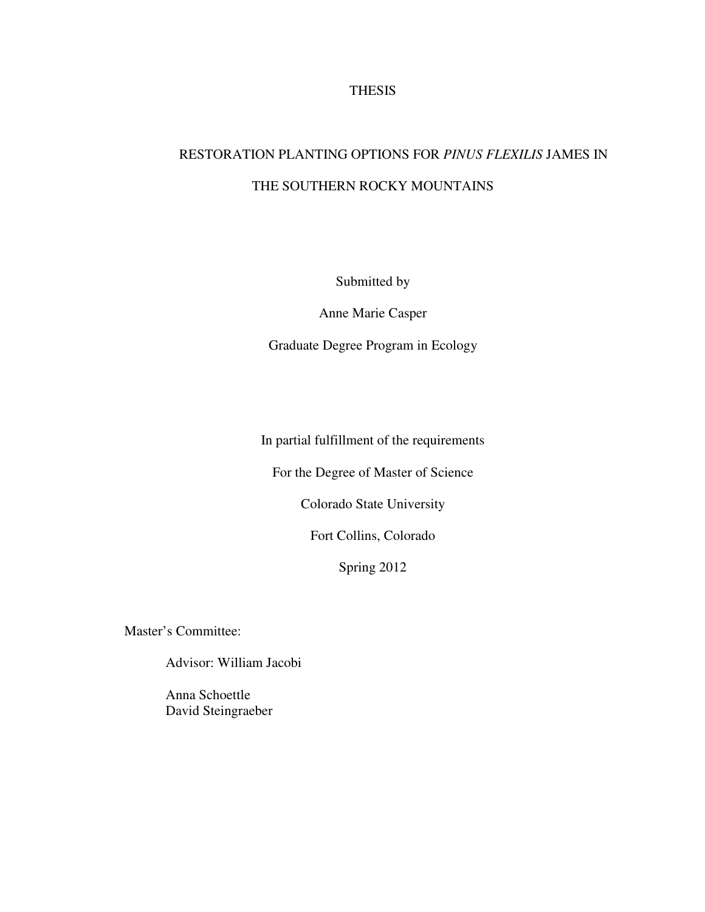# **THESIS**

# RESTORATION PLANTING OPTIONS FOR *PINUS FLEXILIS* JAMES IN THE SOUTHERN ROCKY MOUNTAINS

Submitted by

Anne Marie Casper

Graduate Degree Program in Ecology

In partial fulfillment of the requirements

For the Degree of Master of Science

Colorado State University

Fort Collins, Colorado

Spring 2012

Master's Committee:

Advisor: William Jacobi

 Anna Schoettle David Steingraeber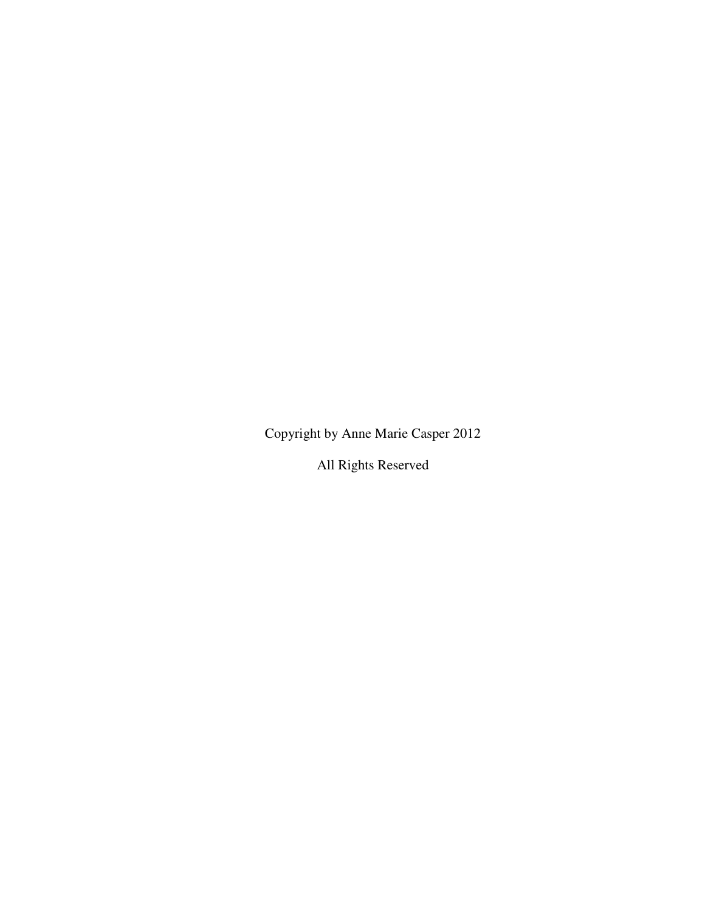Copyright by Anne Marie Casper 2012

All Rights Reserved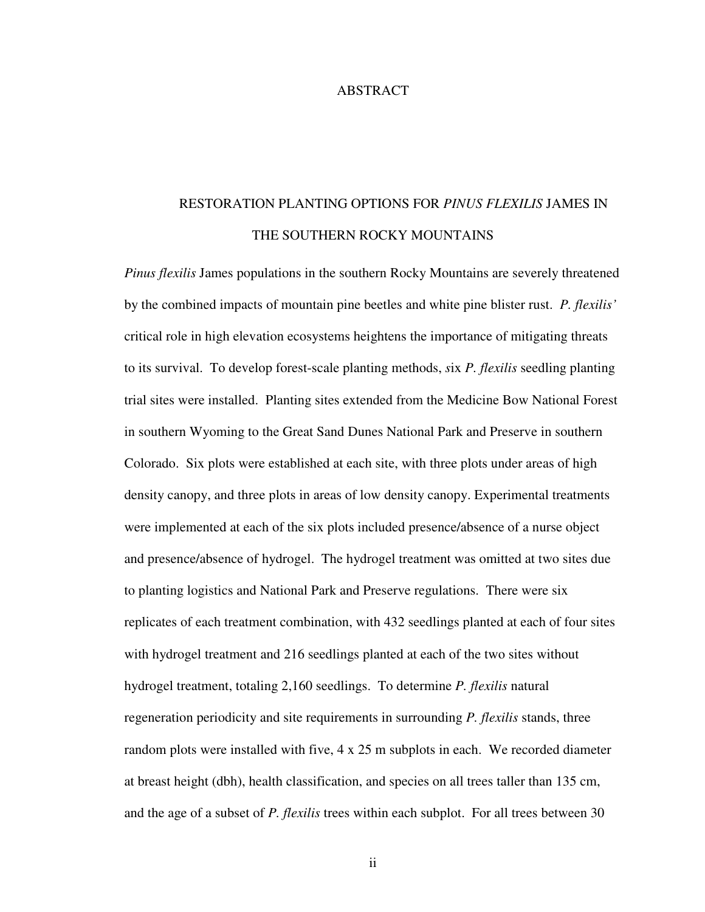# ABSTRACT

# RESTORATION PLANTING OPTIONS FOR *PINUS FLEXILIS* JAMES IN THE SOUTHERN ROCKY MOUNTAINS

*Pinus flexilis* James populations in the southern Rocky Mountains are severely threatened by the combined impacts of mountain pine beetles and white pine blister rust. *P. flexilis'*  critical role in high elevation ecosystems heightens the importance of mitigating threats to its survival. To develop forest-scale planting methods, *s*ix *P. flexilis* seedling planting trial sites were installed. Planting sites extended from the Medicine Bow National Forest in southern Wyoming to the Great Sand Dunes National Park and Preserve in southern Colorado. Six plots were established at each site, with three plots under areas of high density canopy, and three plots in areas of low density canopy. Experimental treatments were implemented at each of the six plots included presence/absence of a nurse object and presence/absence of hydrogel. The hydrogel treatment was omitted at two sites due to planting logistics and National Park and Preserve regulations. There were six replicates of each treatment combination, with 432 seedlings planted at each of four sites with hydrogel treatment and 216 seedlings planted at each of the two sites without hydrogel treatment, totaling 2,160 seedlings. To determine *P. flexilis* natural regeneration periodicity and site requirements in surrounding *P. flexilis* stands, three random plots were installed with five, 4 x 25 m subplots in each. We recorded diameter at breast height (dbh), health classification, and species on all trees taller than 135 cm, and the age of a subset of *P. flexilis* trees within each subplot. For all trees between 30

ii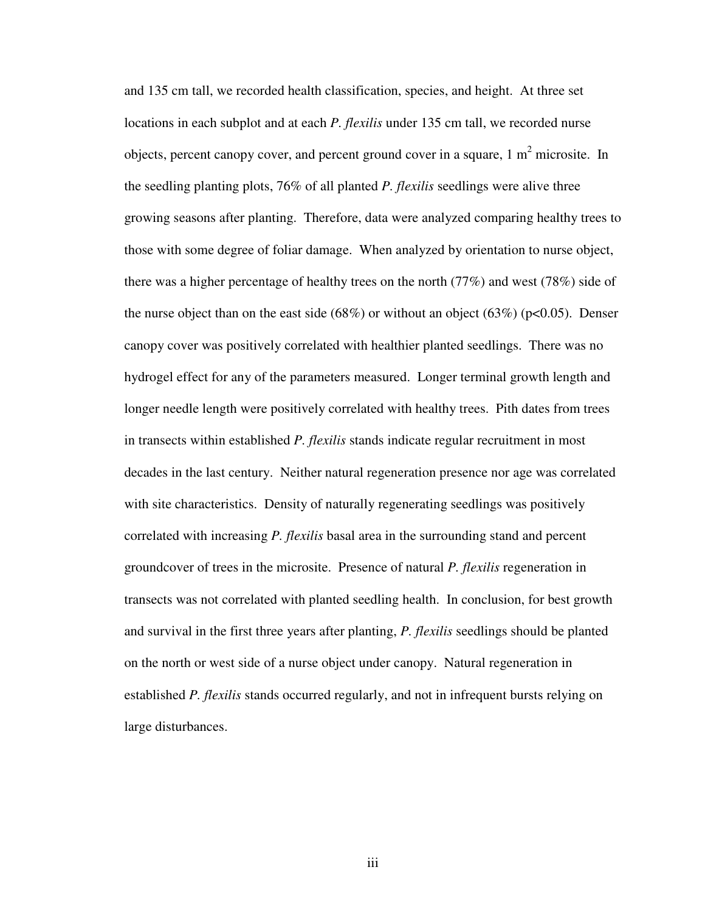and 135 cm tall, we recorded health classification, species, and height. At three set locations in each subplot and at each *P. flexilis* under 135 cm tall, we recorded nurse objects, percent canopy cover, and percent ground cover in a square,  $1 \text{ m}^2$  microsite. In the seedling planting plots, 76% of all planted *P. flexilis* seedlings were alive three growing seasons after planting. Therefore, data were analyzed comparing healthy trees to those with some degree of foliar damage. When analyzed by orientation to nurse object, there was a higher percentage of healthy trees on the north (77%) and west (78%) side of the nurse object than on the east side  $(68%)$  or without an object  $(63%)$  (p<0.05). Denser canopy cover was positively correlated with healthier planted seedlings. There was no hydrogel effect for any of the parameters measured. Longer terminal growth length and longer needle length were positively correlated with healthy trees. Pith dates from trees in transects within established *P. flexilis* stands indicate regular recruitment in most decades in the last century. Neither natural regeneration presence nor age was correlated with site characteristics. Density of naturally regenerating seedlings was positively correlated with increasing *P. flexilis* basal area in the surrounding stand and percent groundcover of trees in the microsite. Presence of natural *P. flexilis* regeneration in transects was not correlated with planted seedling health. In conclusion, for best growth and survival in the first three years after planting, *P. flexilis* seedlings should be planted on the north or west side of a nurse object under canopy. Natural regeneration in established *P. flexilis* stands occurred regularly, and not in infrequent bursts relying on large disturbances.

iii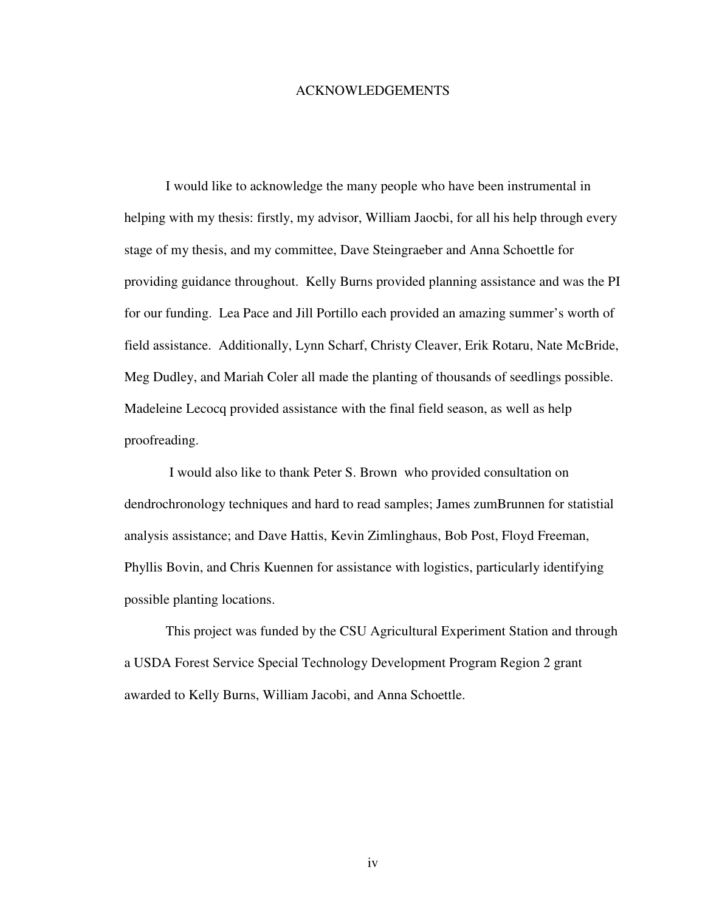#### ACKNOWLEDGEMENTS

I would like to acknowledge the many people who have been instrumental in helping with my thesis: firstly, my advisor, William Jaocbi, for all his help through every stage of my thesis, and my committee, Dave Steingraeber and Anna Schoettle for providing guidance throughout. Kelly Burns provided planning assistance and was the PI for our funding. Lea Pace and Jill Portillo each provided an amazing summer's worth of field assistance. Additionally, Lynn Scharf, Christy Cleaver, Erik Rotaru, Nate McBride, Meg Dudley, and Mariah Coler all made the planting of thousands of seedlings possible. Madeleine Lecocq provided assistance with the final field season, as well as help proofreading.

 I would also like to thank Peter S. Brown who provided consultation on dendrochronology techniques and hard to read samples; James zumBrunnen for statistial analysis assistance; and Dave Hattis, Kevin Zimlinghaus, Bob Post, Floyd Freeman, Phyllis Bovin, and Chris Kuennen for assistance with logistics, particularly identifying possible planting locations.

This project was funded by the CSU Agricultural Experiment Station and through a USDA Forest Service Special Technology Development Program Region 2 grant awarded to Kelly Burns, William Jacobi, and Anna Schoettle.

iv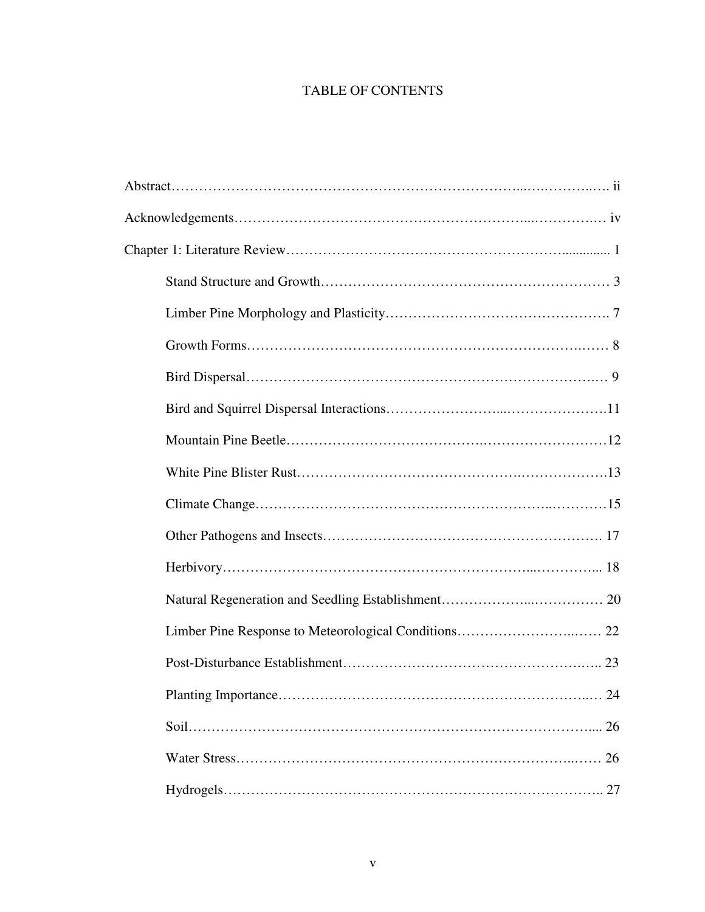# TABLE OF CONTENTS

| 26 |
|----|
|    |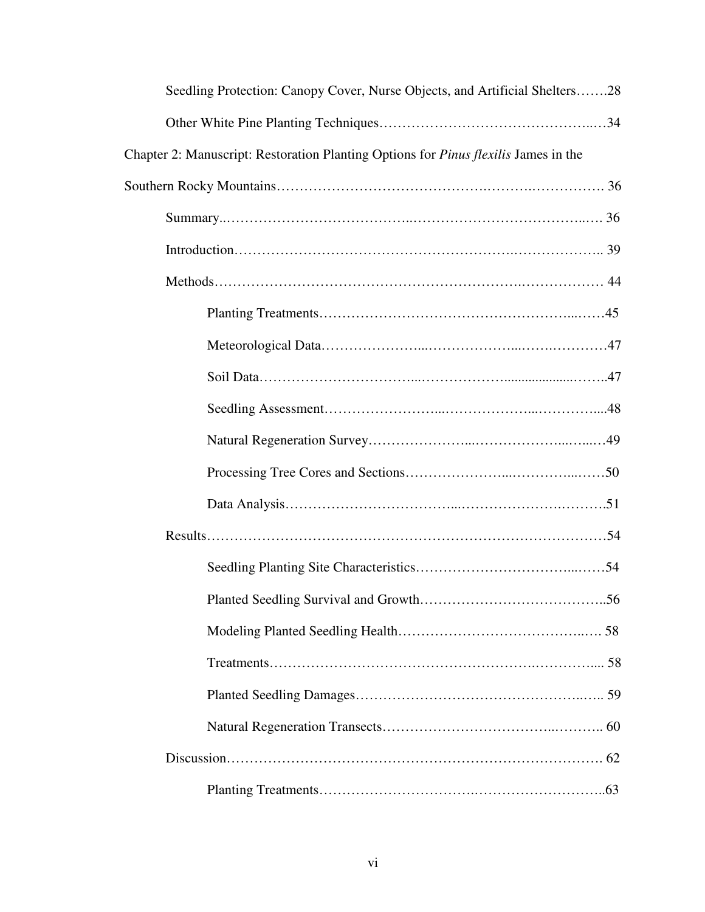| Seedling Protection: Canopy Cover, Nurse Objects, and Artificial Shelters28         |
|-------------------------------------------------------------------------------------|
|                                                                                     |
| Chapter 2: Manuscript: Restoration Planting Options for Pinus flexilis James in the |
|                                                                                     |
|                                                                                     |
|                                                                                     |
|                                                                                     |
|                                                                                     |
|                                                                                     |
|                                                                                     |
|                                                                                     |
|                                                                                     |
|                                                                                     |
|                                                                                     |
|                                                                                     |
|                                                                                     |
|                                                                                     |
|                                                                                     |
|                                                                                     |
|                                                                                     |
|                                                                                     |
|                                                                                     |
|                                                                                     |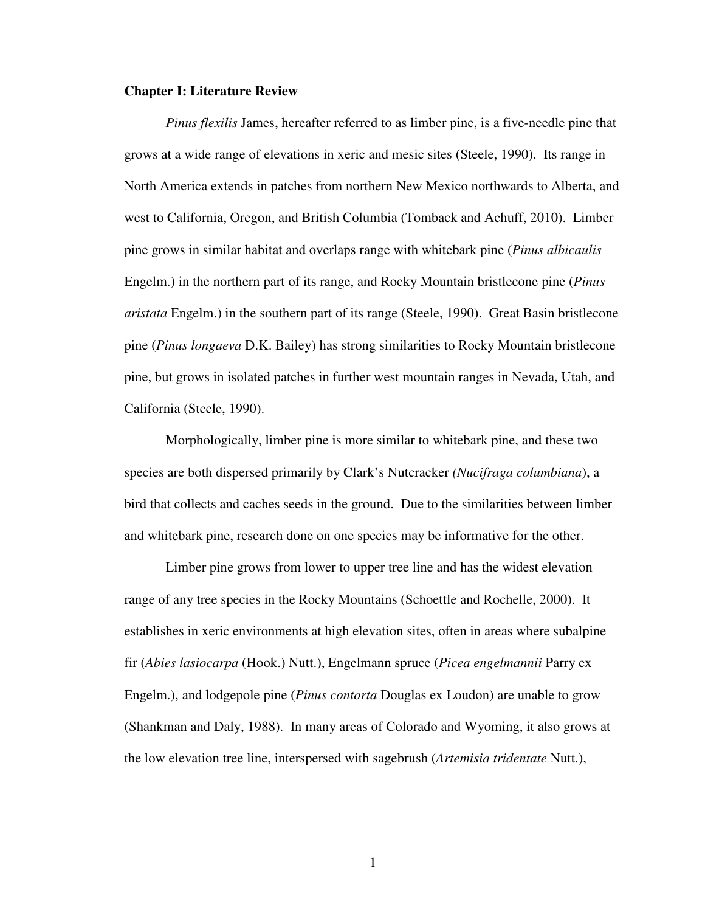# **Chapter I: Literature Review**

*Pinus flexilis* James, hereafter referred to as limber pine, is a five-needle pine that grows at a wide range of elevations in xeric and mesic sites (Steele, 1990). Its range in North America extends in patches from northern New Mexico northwards to Alberta, and west to California, Oregon, and British Columbia (Tomback and Achuff, 2010). Limber pine grows in similar habitat and overlaps range with whitebark pine (*Pinus albicaulis*  Engelm.) in the northern part of its range, and Rocky Mountain bristlecone pine (*Pinus aristata* Engelm.) in the southern part of its range (Steele, 1990). Great Basin bristlecone pine (*Pinus longaeva* D.K. Bailey) has strong similarities to Rocky Mountain bristlecone pine, but grows in isolated patches in further west mountain ranges in Nevada, Utah, and California (Steele, 1990).

Morphologically, limber pine is more similar to whitebark pine, and these two species are both dispersed primarily by Clark's Nutcracker *(Nucifraga columbiana*), a bird that collects and caches seeds in the ground. Due to the similarities between limber and whitebark pine, research done on one species may be informative for the other.

 Limber pine grows from lower to upper tree line and has the widest elevation range of any tree species in the Rocky Mountains (Schoettle and Rochelle, 2000). It establishes in xeric environments at high elevation sites, often in areas where subalpine fir (*Abies lasiocarpa* (Hook.) Nutt.), Engelmann spruce (*Picea engelmannii* Parry ex Engelm.), and lodgepole pine (*Pinus contorta* Douglas ex Loudon) are unable to grow (Shankman and Daly, 1988). In many areas of Colorado and Wyoming, it also grows at the low elevation tree line, interspersed with sagebrush (*Artemisia tridentate* Nutt.),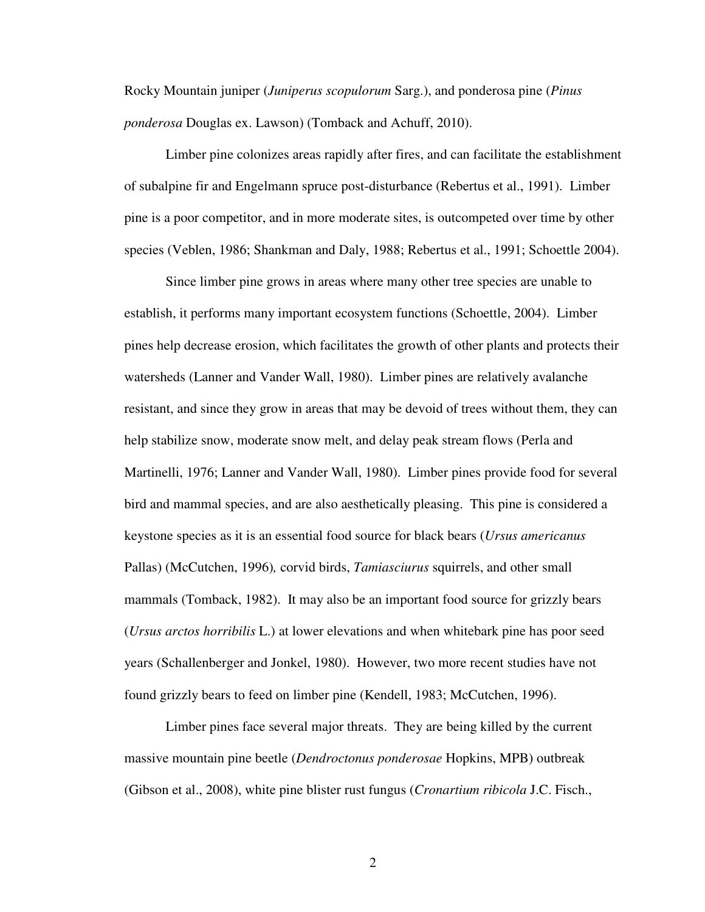Rocky Mountain juniper (*Juniperus scopulorum* Sarg.), and ponderosa pine (*Pinus ponderosa* Douglas ex. Lawson) (Tomback and Achuff, 2010).

Limber pine colonizes areas rapidly after fires, and can facilitate the establishment of subalpine fir and Engelmann spruce post-disturbance (Rebertus et al., 1991). Limber pine is a poor competitor, and in more moderate sites, is outcompeted over time by other species (Veblen, 1986; Shankman and Daly, 1988; Rebertus et al., 1991; Schoettle 2004).

 Since limber pine grows in areas where many other tree species are unable to establish, it performs many important ecosystem functions (Schoettle, 2004). Limber pines help decrease erosion, which facilitates the growth of other plants and protects their watersheds (Lanner and Vander Wall, 1980). Limber pines are relatively avalanche resistant, and since they grow in areas that may be devoid of trees without them, they can help stabilize snow, moderate snow melt, and delay peak stream flows (Perla and Martinelli, 1976; Lanner and Vander Wall, 1980). Limber pines provide food for several bird and mammal species, and are also aesthetically pleasing. This pine is considered a keystone species as it is an essential food source for black bears (*Ursus americanus*  Pallas) (McCutchen, 1996)*,* corvid birds, *Tamiasciurus* squirrels, and other small mammals (Tomback, 1982). It may also be an important food source for grizzly bears (*Ursus arctos horribilis* L.) at lower elevations and when whitebark pine has poor seed years (Schallenberger and Jonkel, 1980). However, two more recent studies have not found grizzly bears to feed on limber pine (Kendell, 1983; McCutchen, 1996).

 Limber pines face several major threats. They are being killed by the current massive mountain pine beetle (*Dendroctonus ponderosae* Hopkins, MPB) outbreak (Gibson et al., 2008), white pine blister rust fungus (*Cronartium ribicola* J.C. Fisch.,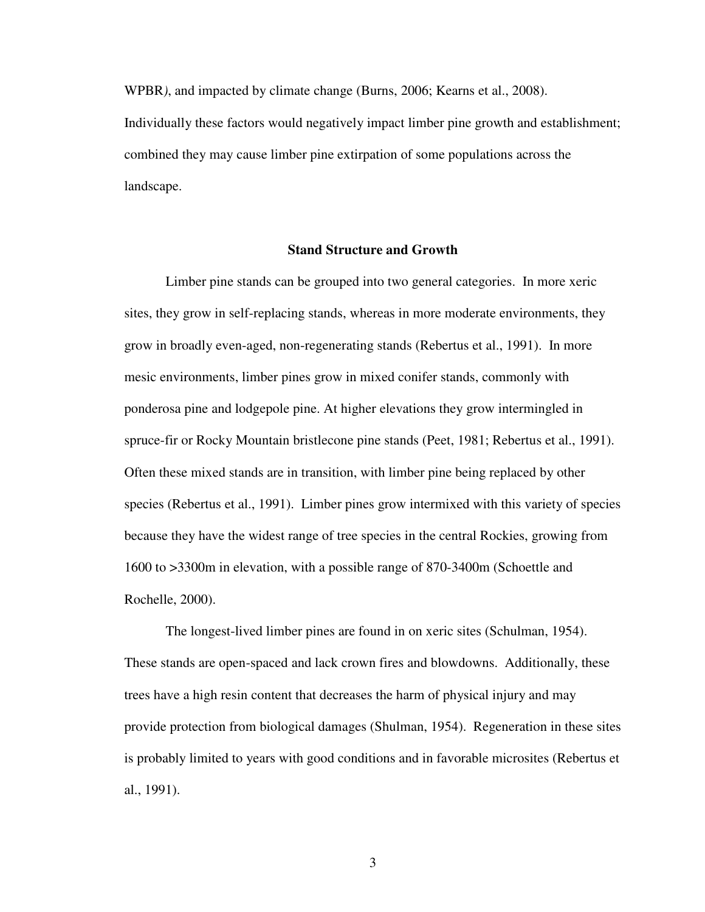WPBR*)*, and impacted by climate change (Burns, 2006; Kearns et al., 2008). Individually these factors would negatively impact limber pine growth and establishment; combined they may cause limber pine extirpation of some populations across the landscape.

# **Stand Structure and Growth**

Limber pine stands can be grouped into two general categories. In more xeric sites, they grow in self-replacing stands, whereas in more moderate environments, they grow in broadly even-aged, non-regenerating stands (Rebertus et al., 1991). In more mesic environments, limber pines grow in mixed conifer stands, commonly with ponderosa pine and lodgepole pine. At higher elevations they grow intermingled in spruce-fir or Rocky Mountain bristlecone pine stands (Peet, 1981; Rebertus et al., 1991). Often these mixed stands are in transition, with limber pine being replaced by other species (Rebertus et al., 1991). Limber pines grow intermixed with this variety of species because they have the widest range of tree species in the central Rockies, growing from 1600 to >3300m in elevation, with a possible range of 870-3400m (Schoettle and Rochelle, 2000).

 The longest-lived limber pines are found in on xeric sites (Schulman, 1954). These stands are open-spaced and lack crown fires and blowdowns. Additionally, these trees have a high resin content that decreases the harm of physical injury and may provide protection from biological damages (Shulman, 1954). Regeneration in these sites is probably limited to years with good conditions and in favorable microsites (Rebertus et al., 1991).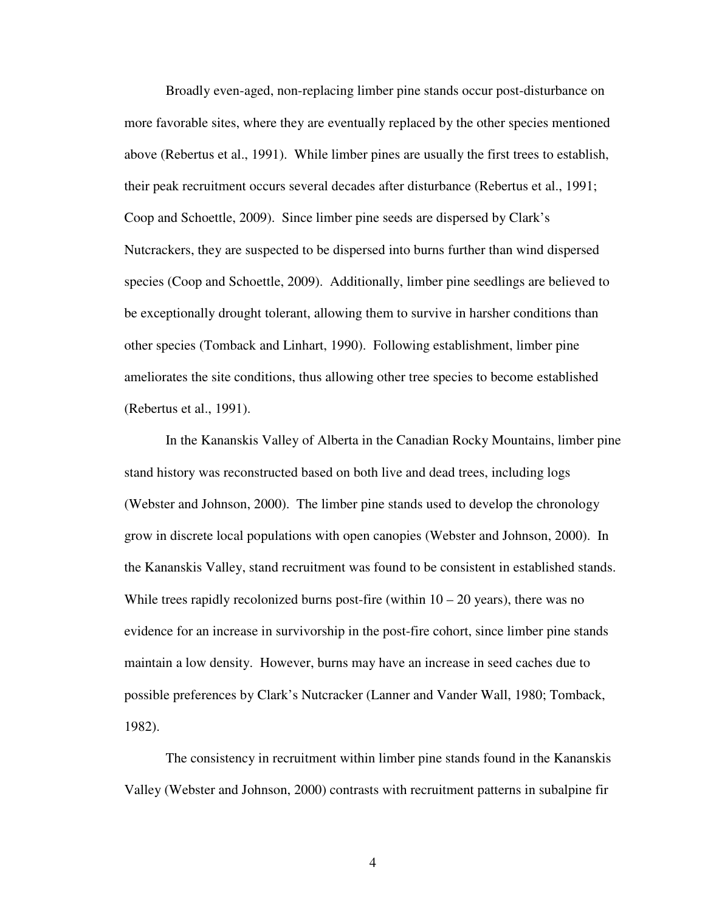Broadly even-aged, non-replacing limber pine stands occur post-disturbance on more favorable sites, where they are eventually replaced by the other species mentioned above (Rebertus et al., 1991). While limber pines are usually the first trees to establish, their peak recruitment occurs several decades after disturbance (Rebertus et al., 1991; Coop and Schoettle, 2009). Since limber pine seeds are dispersed by Clark's Nutcrackers, they are suspected to be dispersed into burns further than wind dispersed species (Coop and Schoettle, 2009). Additionally, limber pine seedlings are believed to be exceptionally drought tolerant, allowing them to survive in harsher conditions than other species (Tomback and Linhart, 1990). Following establishment, limber pine ameliorates the site conditions, thus allowing other tree species to become established (Rebertus et al., 1991).

 In the Kananskis Valley of Alberta in the Canadian Rocky Mountains, limber pine stand history was reconstructed based on both live and dead trees, including logs (Webster and Johnson, 2000). The limber pine stands used to develop the chronology grow in discrete local populations with open canopies (Webster and Johnson, 2000). In the Kananskis Valley, stand recruitment was found to be consistent in established stands. While trees rapidly recolonized burns post-fire (within  $10 - 20$  years), there was no evidence for an increase in survivorship in the post-fire cohort, since limber pine stands maintain a low density. However, burns may have an increase in seed caches due to possible preferences by Clark's Nutcracker (Lanner and Vander Wall, 1980; Tomback, 1982).

 The consistency in recruitment within limber pine stands found in the Kananskis Valley (Webster and Johnson, 2000) contrasts with recruitment patterns in subalpine fir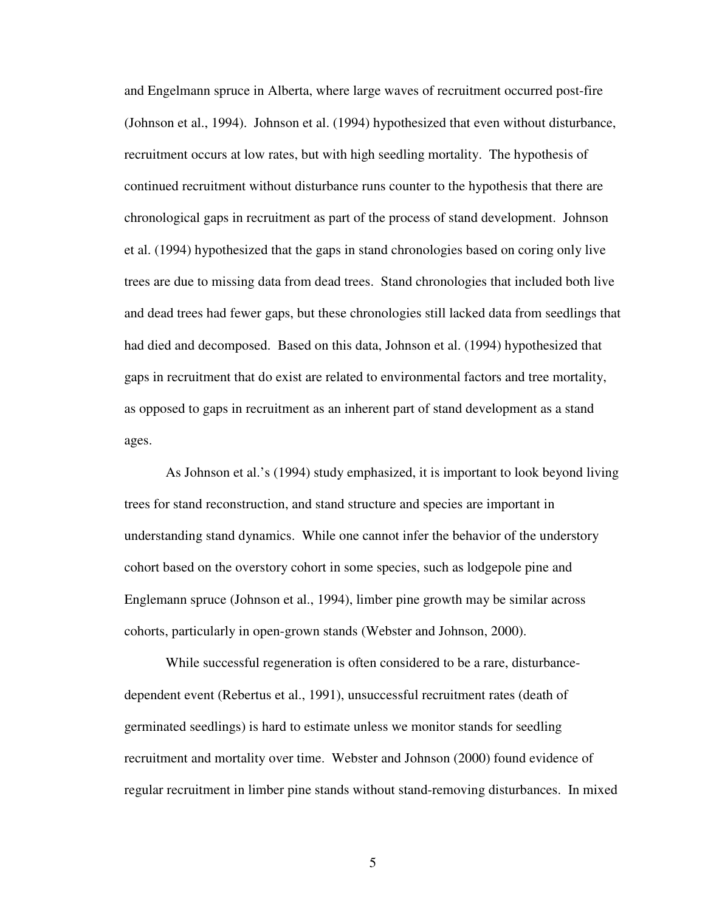and Engelmann spruce in Alberta, where large waves of recruitment occurred post-fire (Johnson et al., 1994). Johnson et al. (1994) hypothesized that even without disturbance, recruitment occurs at low rates, but with high seedling mortality. The hypothesis of continued recruitment without disturbance runs counter to the hypothesis that there are chronological gaps in recruitment as part of the process of stand development. Johnson et al. (1994) hypothesized that the gaps in stand chronologies based on coring only live trees are due to missing data from dead trees. Stand chronologies that included both live and dead trees had fewer gaps, but these chronologies still lacked data from seedlings that had died and decomposed. Based on this data, Johnson et al. (1994) hypothesized that gaps in recruitment that do exist are related to environmental factors and tree mortality, as opposed to gaps in recruitment as an inherent part of stand development as a stand ages.

 As Johnson et al.'s (1994) study emphasized, it is important to look beyond living trees for stand reconstruction, and stand structure and species are important in understanding stand dynamics. While one cannot infer the behavior of the understory cohort based on the overstory cohort in some species, such as lodgepole pine and Englemann spruce (Johnson et al., 1994), limber pine growth may be similar across cohorts, particularly in open-grown stands (Webster and Johnson, 2000).

While successful regeneration is often considered to be a rare, disturbancedependent event (Rebertus et al., 1991), unsuccessful recruitment rates (death of germinated seedlings) is hard to estimate unless we monitor stands for seedling recruitment and mortality over time. Webster and Johnson (2000) found evidence of regular recruitment in limber pine stands without stand-removing disturbances. In mixed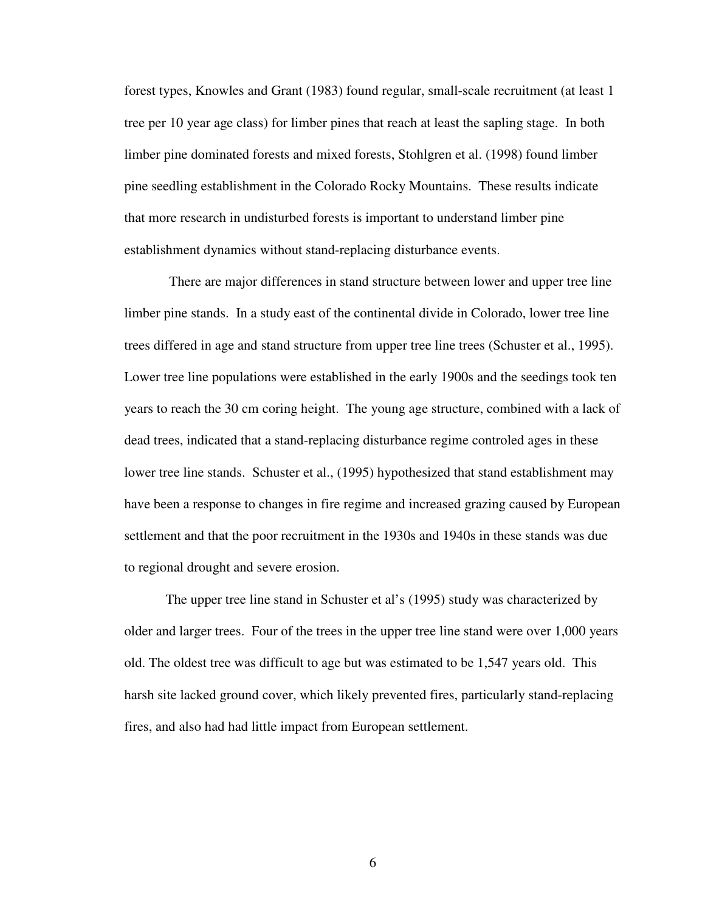forest types, Knowles and Grant (1983) found regular, small-scale recruitment (at least 1 tree per 10 year age class) for limber pines that reach at least the sapling stage. In both limber pine dominated forests and mixed forests, Stohlgren et al. (1998) found limber pine seedling establishment in the Colorado Rocky Mountains. These results indicate that more research in undisturbed forests is important to understand limber pine establishment dynamics without stand-replacing disturbance events.

 There are major differences in stand structure between lower and upper tree line limber pine stands. In a study east of the continental divide in Colorado, lower tree line trees differed in age and stand structure from upper tree line trees (Schuster et al., 1995). Lower tree line populations were established in the early 1900s and the seedings took ten years to reach the 30 cm coring height. The young age structure, combined with a lack of dead trees, indicated that a stand-replacing disturbance regime controled ages in these lower tree line stands. Schuster et al., (1995) hypothesized that stand establishment may have been a response to changes in fire regime and increased grazing caused by European settlement and that the poor recruitment in the 1930s and 1940s in these stands was due to regional drought and severe erosion.

 The upper tree line stand in Schuster et al's (1995) study was characterized by older and larger trees. Four of the trees in the upper tree line stand were over 1,000 years old. The oldest tree was difficult to age but was estimated to be 1,547 years old. This harsh site lacked ground cover, which likely prevented fires, particularly stand-replacing fires, and also had had little impact from European settlement.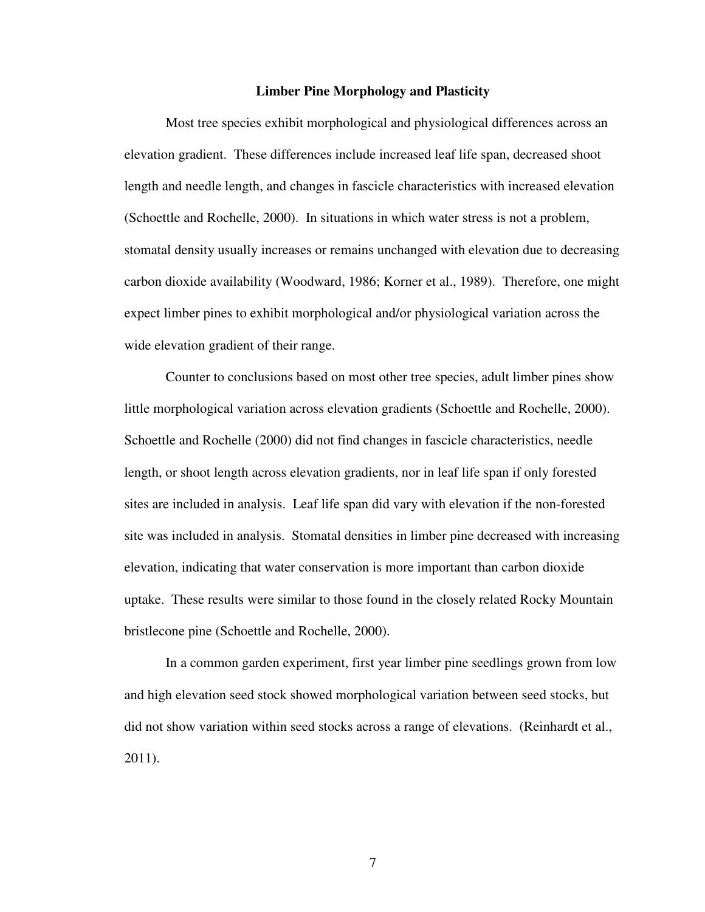#### **Limber Pine Morphology and Plasticity**

Most tree species exhibit morphological and physiological differences across an elevation gradient. These differences include increased leaf life span, decreased shoot length and needle length, and changes in fascicle characteristics with increased elevation (Schoettle and Rochelle, 2000). In situations in which water stress is not a problem, stomatal density usually increases or remains unchanged with elevation due to decreasing carbon dioxide availability (Woodward, 1986; Korner et al., 1989). Therefore, one might expect limber pines to exhibit morphological and/or physiological variation across the wide elevation gradient of their range.

 Counter to conclusions based on most other tree species, adult limber pines show little morphological variation across elevation gradients (Schoettle and Rochelle, 2000). Schoettle and Rochelle (2000) did not find changes in fascicle characteristics, needle length, or shoot length across elevation gradients, nor in leaf life span if only forested sites are included in analysis. Leaf life span did vary with elevation if the non-forested site was included in analysis. Stomatal densities in limber pine decreased with increasing elevation, indicating that water conservation is more important than carbon dioxide uptake. These results were similar to those found in the closely related Rocky Mountain bristlecone pine (Schoettle and Rochelle, 2000).

 In a common garden experiment, first year limber pine seedlings grown from low and high elevation seed stock showed morphological variation between seed stocks, but did not show variation within seed stocks across a range of elevations. (Reinhardt et al., 2011).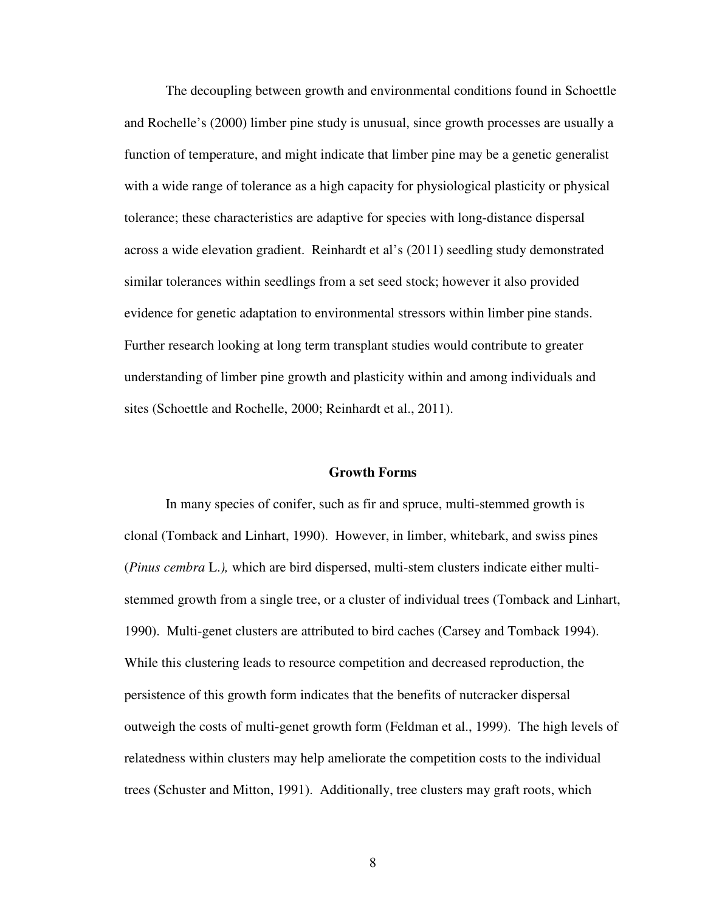The decoupling between growth and environmental conditions found in Schoettle and Rochelle's (2000) limber pine study is unusual, since growth processes are usually a function of temperature, and might indicate that limber pine may be a genetic generalist with a wide range of tolerance as a high capacity for physiological plasticity or physical tolerance; these characteristics are adaptive for species with long-distance dispersal across a wide elevation gradient. Reinhardt et al's (2011) seedling study demonstrated similar tolerances within seedlings from a set seed stock; however it also provided evidence for genetic adaptation to environmental stressors within limber pine stands. Further research looking at long term transplant studies would contribute to greater understanding of limber pine growth and plasticity within and among individuals and sites (Schoettle and Rochelle, 2000; Reinhardt et al., 2011).

#### **Growth Forms**

 In many species of conifer, such as fir and spruce, multi-stemmed growth is clonal (Tomback and Linhart, 1990). However, in limber, whitebark, and swiss pines (*Pinus cembra* L.*),* which are bird dispersed, multi-stem clusters indicate either multistemmed growth from a single tree, or a cluster of individual trees (Tomback and Linhart, 1990). Multi-genet clusters are attributed to bird caches (Carsey and Tomback 1994). While this clustering leads to resource competition and decreased reproduction, the persistence of this growth form indicates that the benefits of nutcracker dispersal outweigh the costs of multi-genet growth form (Feldman et al., 1999). The high levels of relatedness within clusters may help ameliorate the competition costs to the individual trees (Schuster and Mitton, 1991). Additionally, tree clusters may graft roots, which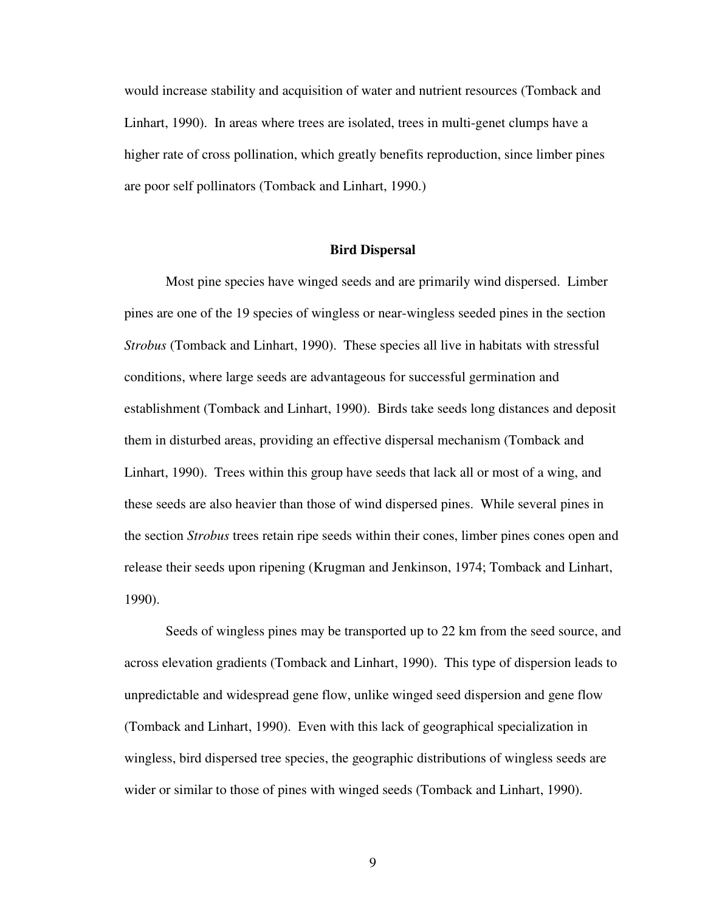would increase stability and acquisition of water and nutrient resources (Tomback and Linhart, 1990). In areas where trees are isolated, trees in multi-genet clumps have a higher rate of cross pollination, which greatly benefits reproduction, since limber pines are poor self pollinators (Tomback and Linhart, 1990.)

# **Bird Dispersal**

Most pine species have winged seeds and are primarily wind dispersed. Limber pines are one of the 19 species of wingless or near-wingless seeded pines in the section *Strobus* (Tomback and Linhart, 1990). These species all live in habitats with stressful conditions, where large seeds are advantageous for successful germination and establishment (Tomback and Linhart, 1990). Birds take seeds long distances and deposit them in disturbed areas, providing an effective dispersal mechanism (Tomback and Linhart, 1990). Trees within this group have seeds that lack all or most of a wing, and these seeds are also heavier than those of wind dispersed pines. While several pines in the section *Strobus* trees retain ripe seeds within their cones, limber pines cones open and release their seeds upon ripening (Krugman and Jenkinson, 1974; Tomback and Linhart, 1990).

 Seeds of wingless pines may be transported up to 22 km from the seed source, and across elevation gradients (Tomback and Linhart, 1990). This type of dispersion leads to unpredictable and widespread gene flow, unlike winged seed dispersion and gene flow (Tomback and Linhart, 1990). Even with this lack of geographical specialization in wingless, bird dispersed tree species, the geographic distributions of wingless seeds are wider or similar to those of pines with winged seeds (Tomback and Linhart, 1990).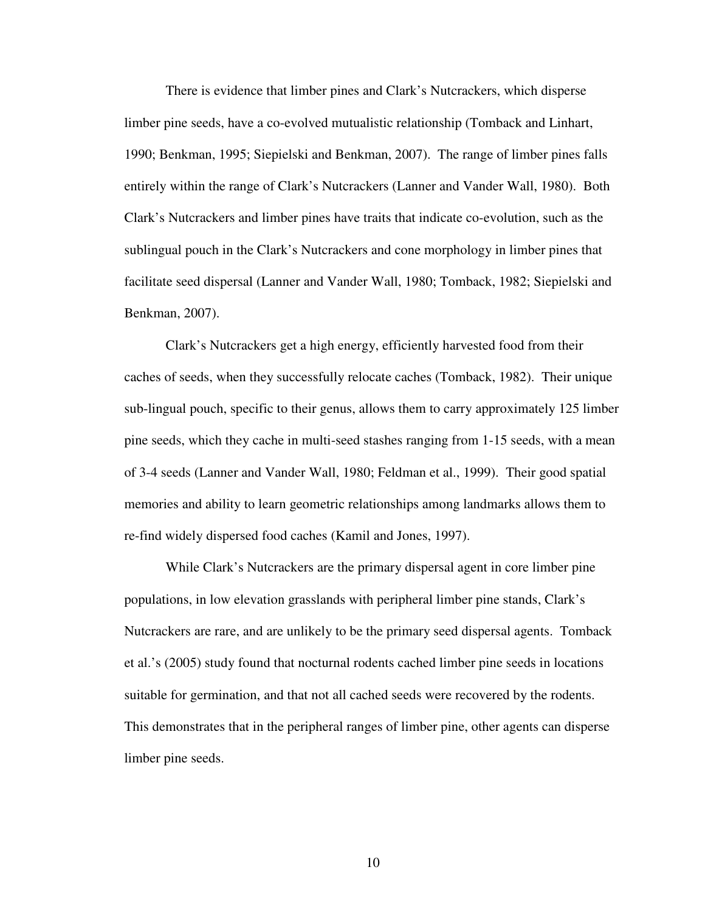There is evidence that limber pines and Clark's Nutcrackers, which disperse limber pine seeds, have a co-evolved mutualistic relationship (Tomback and Linhart, 1990; Benkman, 1995; Siepielski and Benkman, 2007). The range of limber pines falls entirely within the range of Clark's Nutcrackers (Lanner and Vander Wall, 1980). Both Clark's Nutcrackers and limber pines have traits that indicate co-evolution, such as the sublingual pouch in the Clark's Nutcrackers and cone morphology in limber pines that facilitate seed dispersal (Lanner and Vander Wall, 1980; Tomback, 1982; Siepielski and Benkman, 2007).

 Clark's Nutcrackers get a high energy, efficiently harvested food from their caches of seeds, when they successfully relocate caches (Tomback, 1982). Their unique sub-lingual pouch, specific to their genus, allows them to carry approximately 125 limber pine seeds, which they cache in multi-seed stashes ranging from 1-15 seeds, with a mean of 3-4 seeds (Lanner and Vander Wall, 1980; Feldman et al., 1999). Their good spatial memories and ability to learn geometric relationships among landmarks allows them to re-find widely dispersed food caches (Kamil and Jones, 1997).

 While Clark's Nutcrackers are the primary dispersal agent in core limber pine populations, in low elevation grasslands with peripheral limber pine stands, Clark's Nutcrackers are rare, and are unlikely to be the primary seed dispersal agents. Tomback et al.'s (2005) study found that nocturnal rodents cached limber pine seeds in locations suitable for germination, and that not all cached seeds were recovered by the rodents. This demonstrates that in the peripheral ranges of limber pine, other agents can disperse limber pine seeds.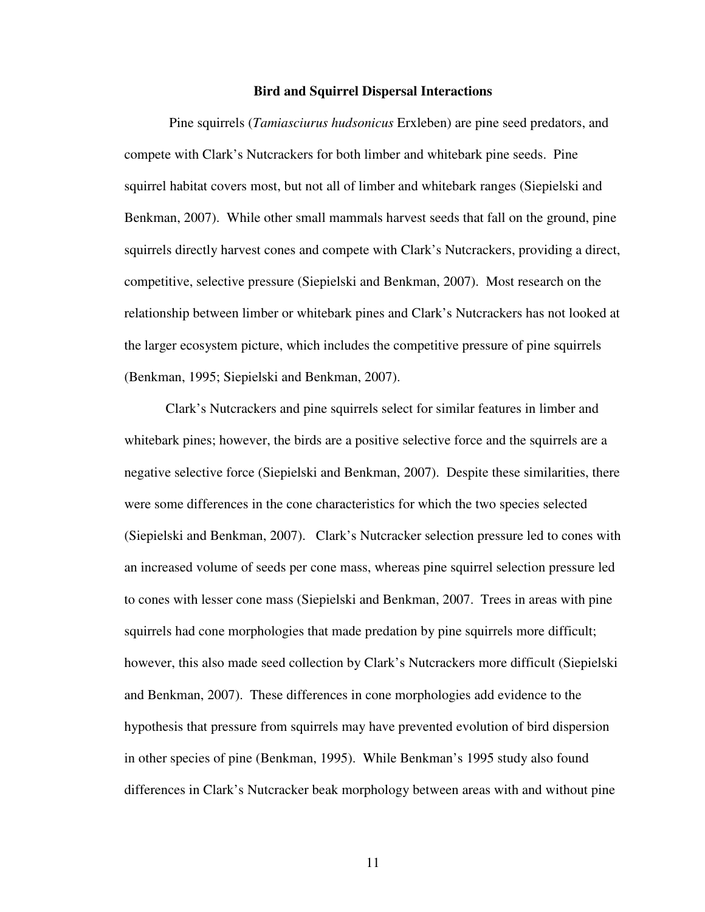#### **Bird and Squirrel Dispersal Interactions**

 Pine squirrels (*Tamiasciurus hudsonicus* Erxleben) are pine seed predators, and compete with Clark's Nutcrackers for both limber and whitebark pine seeds. Pine squirrel habitat covers most, but not all of limber and whitebark ranges (Siepielski and Benkman, 2007). While other small mammals harvest seeds that fall on the ground, pine squirrels directly harvest cones and compete with Clark's Nutcrackers, providing a direct, competitive, selective pressure (Siepielski and Benkman, 2007). Most research on the relationship between limber or whitebark pines and Clark's Nutcrackers has not looked at the larger ecosystem picture, which includes the competitive pressure of pine squirrels (Benkman, 1995; Siepielski and Benkman, 2007).

 Clark's Nutcrackers and pine squirrels select for similar features in limber and whitebark pines; however, the birds are a positive selective force and the squirrels are a negative selective force (Siepielski and Benkman, 2007). Despite these similarities, there were some differences in the cone characteristics for which the two species selected (Siepielski and Benkman, 2007). Clark's Nutcracker selection pressure led to cones with an increased volume of seeds per cone mass, whereas pine squirrel selection pressure led to cones with lesser cone mass (Siepielski and Benkman, 2007. Trees in areas with pine squirrels had cone morphologies that made predation by pine squirrels more difficult; however, this also made seed collection by Clark's Nutcrackers more difficult (Siepielski and Benkman, 2007). These differences in cone morphologies add evidence to the hypothesis that pressure from squirrels may have prevented evolution of bird dispersion in other species of pine (Benkman, 1995). While Benkman's 1995 study also found differences in Clark's Nutcracker beak morphology between areas with and without pine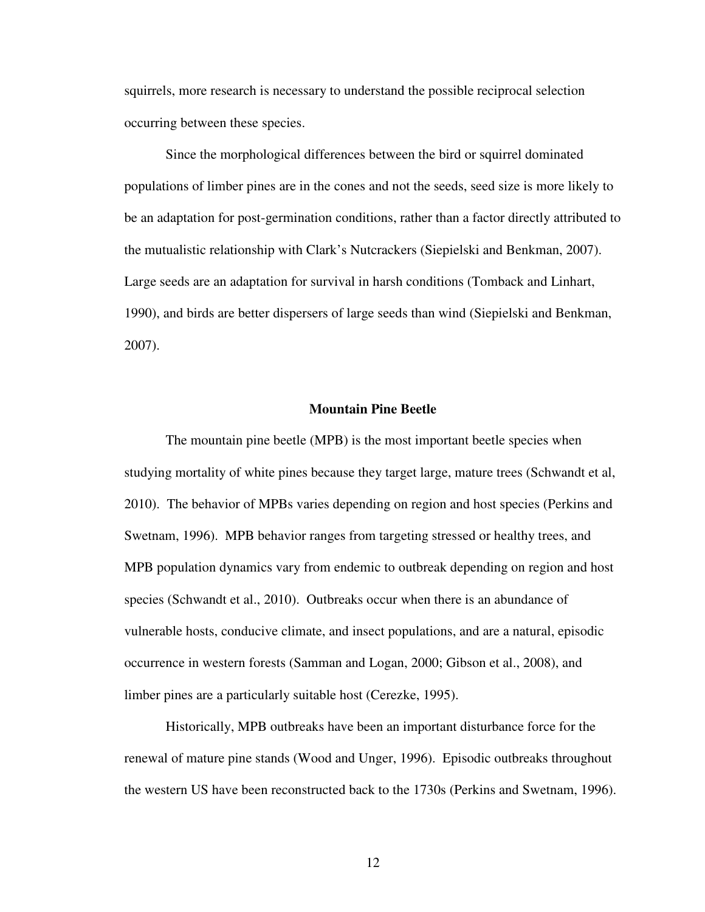squirrels, more research is necessary to understand the possible reciprocal selection occurring between these species.

 Since the morphological differences between the bird or squirrel dominated populations of limber pines are in the cones and not the seeds, seed size is more likely to be an adaptation for post-germination conditions, rather than a factor directly attributed to the mutualistic relationship with Clark's Nutcrackers (Siepielski and Benkman, 2007). Large seeds are an adaptation for survival in harsh conditions (Tomback and Linhart, 1990), and birds are better dispersers of large seeds than wind (Siepielski and Benkman, 2007).

#### **Mountain Pine Beetle**

 The mountain pine beetle (MPB) is the most important beetle species when studying mortality of white pines because they target large, mature trees (Schwandt et al, 2010). The behavior of MPBs varies depending on region and host species (Perkins and Swetnam, 1996). MPB behavior ranges from targeting stressed or healthy trees, and MPB population dynamics vary from endemic to outbreak depending on region and host species (Schwandt et al., 2010). Outbreaks occur when there is an abundance of vulnerable hosts, conducive climate, and insect populations, and are a natural, episodic occurrence in western forests (Samman and Logan, 2000; Gibson et al., 2008), and limber pines are a particularly suitable host (Cerezke, 1995).

 Historically, MPB outbreaks have been an important disturbance force for the renewal of mature pine stands (Wood and Unger, 1996). Episodic outbreaks throughout the western US have been reconstructed back to the 1730s (Perkins and Swetnam, 1996).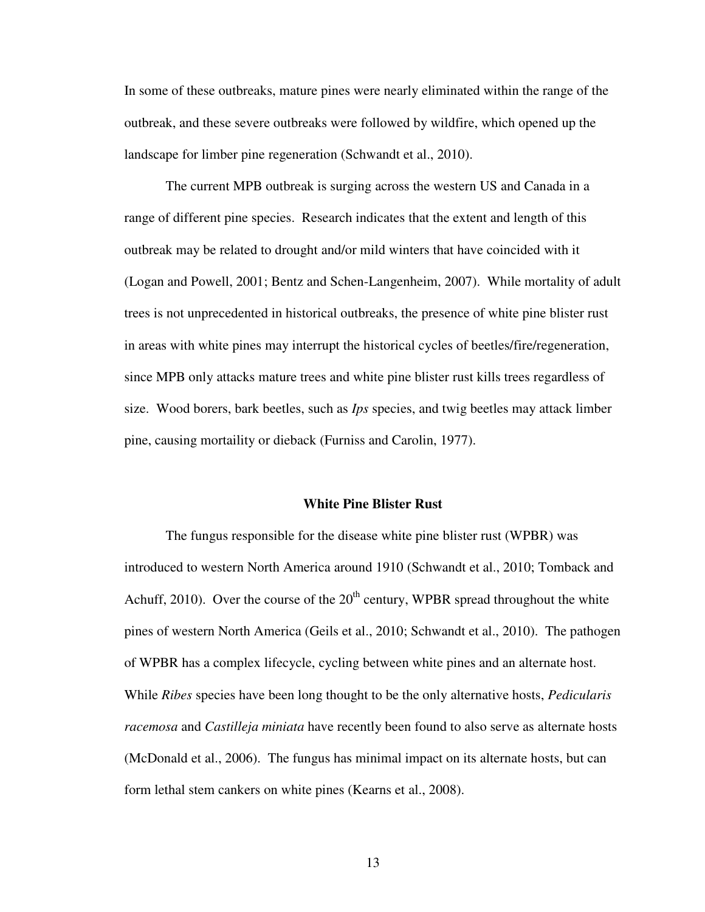In some of these outbreaks, mature pines were nearly eliminated within the range of the outbreak, and these severe outbreaks were followed by wildfire, which opened up the landscape for limber pine regeneration (Schwandt et al., 2010).

 The current MPB outbreak is surging across the western US and Canada in a range of different pine species. Research indicates that the extent and length of this outbreak may be related to drought and/or mild winters that have coincided with it (Logan and Powell, 2001; Bentz and Schen-Langenheim, 2007). While mortality of adult trees is not unprecedented in historical outbreaks, the presence of white pine blister rust in areas with white pines may interrupt the historical cycles of beetles/fire/regeneration, since MPB only attacks mature trees and white pine blister rust kills trees regardless of size. Wood borers, bark beetles, such as *Ips* species, and twig beetles may attack limber pine, causing mortaility or dieback (Furniss and Carolin, 1977).

#### **White Pine Blister Rust**

 The fungus responsible for the disease white pine blister rust (WPBR) was introduced to western North America around 1910 (Schwandt et al., 2010; Tomback and Achuff, 2010). Over the course of the  $20<sup>th</sup>$  century, WPBR spread throughout the white pines of western North America (Geils et al., 2010; Schwandt et al., 2010). The pathogen of WPBR has a complex lifecycle, cycling between white pines and an alternate host. While *Ribes* species have been long thought to be the only alternative hosts, *Pedicularis racemosa* and *Castilleja miniata* have recently been found to also serve as alternate hosts (McDonald et al., 2006). The fungus has minimal impact on its alternate hosts, but can form lethal stem cankers on white pines (Kearns et al., 2008).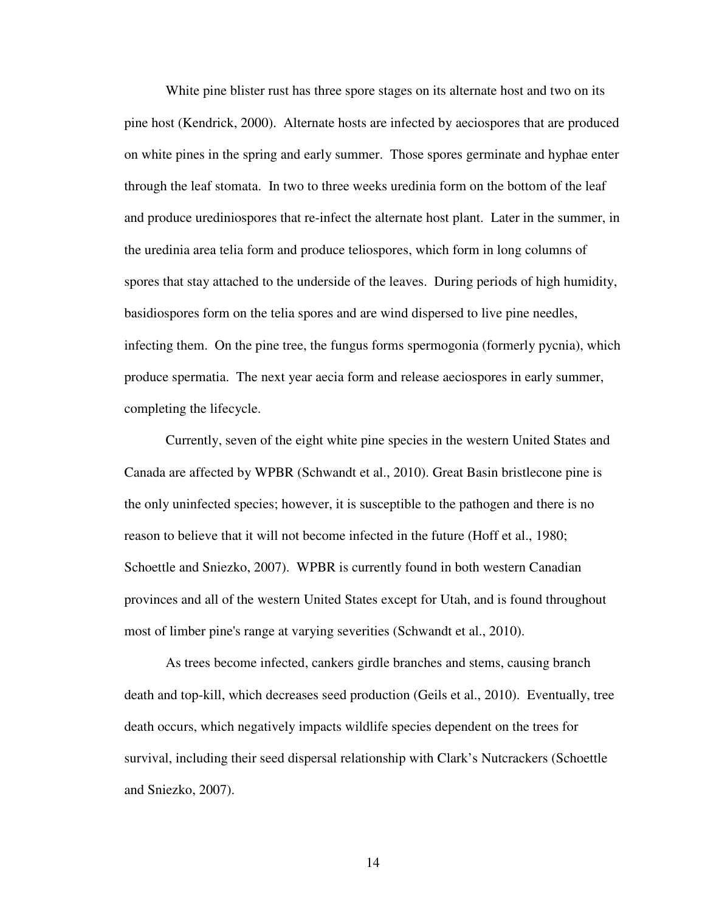White pine blister rust has three spore stages on its alternate host and two on its pine host (Kendrick, 2000). Alternate hosts are infected by aeciospores that are produced on white pines in the spring and early summer. Those spores germinate and hyphae enter through the leaf stomata. In two to three weeks uredinia form on the bottom of the leaf and produce urediniospores that re-infect the alternate host plant. Later in the summer, in the uredinia area telia form and produce teliospores, which form in long columns of spores that stay attached to the underside of the leaves. During periods of high humidity, basidiospores form on the telia spores and are wind dispersed to live pine needles, infecting them. On the pine tree, the fungus forms spermogonia (formerly pycnia), which produce spermatia. The next year aecia form and release aeciospores in early summer, completing the lifecycle.

 Currently, seven of the eight white pine species in the western United States and Canada are affected by WPBR (Schwandt et al., 2010). Great Basin bristlecone pine is the only uninfected species; however, it is susceptible to the pathogen and there is no reason to believe that it will not become infected in the future (Hoff et al., 1980; Schoettle and Sniezko, 2007). WPBR is currently found in both western Canadian provinces and all of the western United States except for Utah, and is found throughout most of limber pine's range at varying severities (Schwandt et al., 2010).

 As trees become infected, cankers girdle branches and stems, causing branch death and top-kill, which decreases seed production (Geils et al., 2010). Eventually, tree death occurs, which negatively impacts wildlife species dependent on the trees for survival, including their seed dispersal relationship with Clark's Nutcrackers (Schoettle and Sniezko, 2007).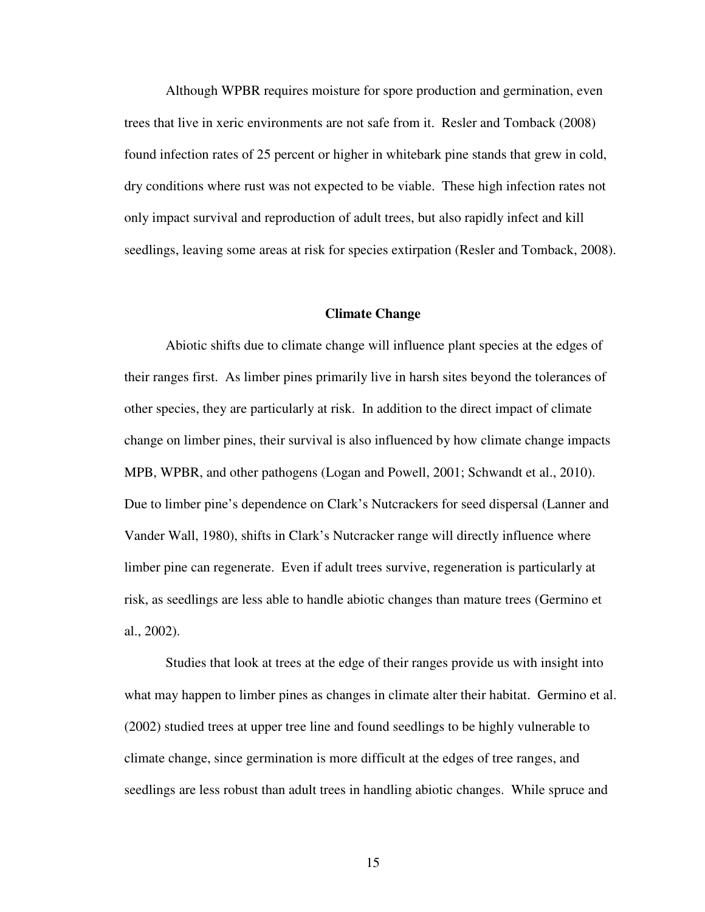Although WPBR requires moisture for spore production and germination, even trees that live in xeric environments are not safe from it. Resler and Tomback (2008) found infection rates of 25 percent or higher in whitebark pine stands that grew in cold, dry conditions where rust was not expected to be viable. These high infection rates not only impact survival and reproduction of adult trees, but also rapidly infect and kill seedlings, leaving some areas at risk for species extirpation (Resler and Tomback, 2008).

#### **Climate Change**

 Abiotic shifts due to climate change will influence plant species at the edges of their ranges first. As limber pines primarily live in harsh sites beyond the tolerances of other species, they are particularly at risk. In addition to the direct impact of climate change on limber pines, their survival is also influenced by how climate change impacts MPB, WPBR, and other pathogens (Logan and Powell, 2001; Schwandt et al., 2010). Due to limber pine's dependence on Clark's Nutcrackers for seed dispersal (Lanner and Vander Wall, 1980), shifts in Clark's Nutcracker range will directly influence where limber pine can regenerate. Even if adult trees survive, regeneration is particularly at risk, as seedlings are less able to handle abiotic changes than mature trees (Germino et al., 2002).

 Studies that look at trees at the edge of their ranges provide us with insight into what may happen to limber pines as changes in climate alter their habitat. Germino et al. (2002) studied trees at upper tree line and found seedlings to be highly vulnerable to climate change, since germination is more difficult at the edges of tree ranges, and seedlings are less robust than adult trees in handling abiotic changes. While spruce and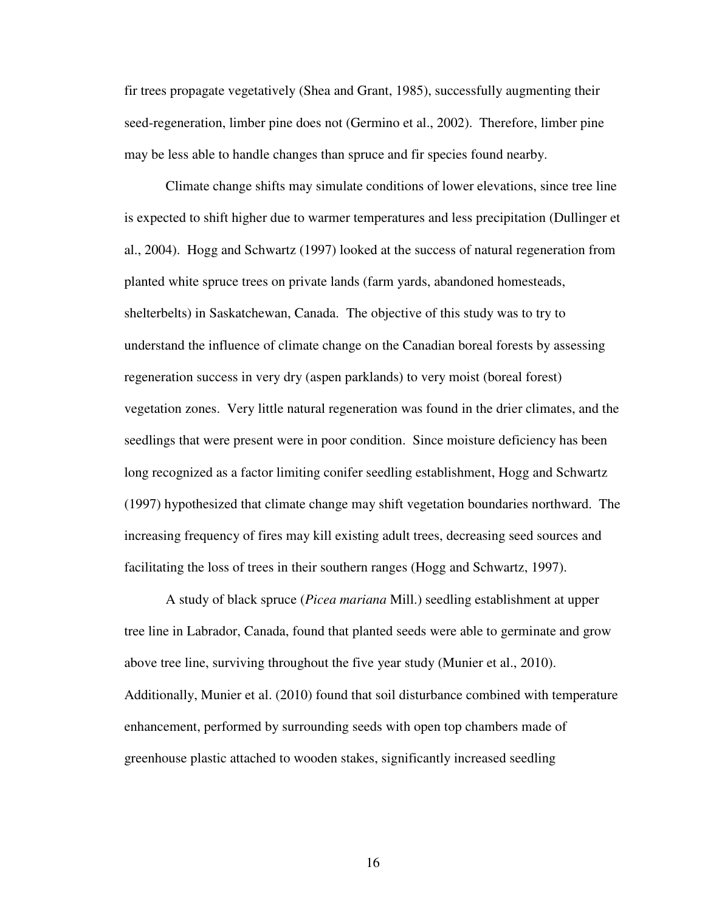fir trees propagate vegetatively (Shea and Grant, 1985), successfully augmenting their seed-regeneration, limber pine does not (Germino et al., 2002). Therefore, limber pine may be less able to handle changes than spruce and fir species found nearby.

 Climate change shifts may simulate conditions of lower elevations, since tree line is expected to shift higher due to warmer temperatures and less precipitation (Dullinger et al., 2004). Hogg and Schwartz (1997) looked at the success of natural regeneration from planted white spruce trees on private lands (farm yards, abandoned homesteads, shelterbelts) in Saskatchewan, Canada. The objective of this study was to try to understand the influence of climate change on the Canadian boreal forests by assessing regeneration success in very dry (aspen parklands) to very moist (boreal forest) vegetation zones. Very little natural regeneration was found in the drier climates, and the seedlings that were present were in poor condition. Since moisture deficiency has been long recognized as a factor limiting conifer seedling establishment, Hogg and Schwartz (1997) hypothesized that climate change may shift vegetation boundaries northward. The increasing frequency of fires may kill existing adult trees, decreasing seed sources and facilitating the loss of trees in their southern ranges (Hogg and Schwartz, 1997).

 A study of black spruce (*Picea mariana* Mill.) seedling establishment at upper tree line in Labrador, Canada, found that planted seeds were able to germinate and grow above tree line, surviving throughout the five year study (Munier et al., 2010). Additionally, Munier et al. (2010) found that soil disturbance combined with temperature enhancement, performed by surrounding seeds with open top chambers made of greenhouse plastic attached to wooden stakes, significantly increased seedling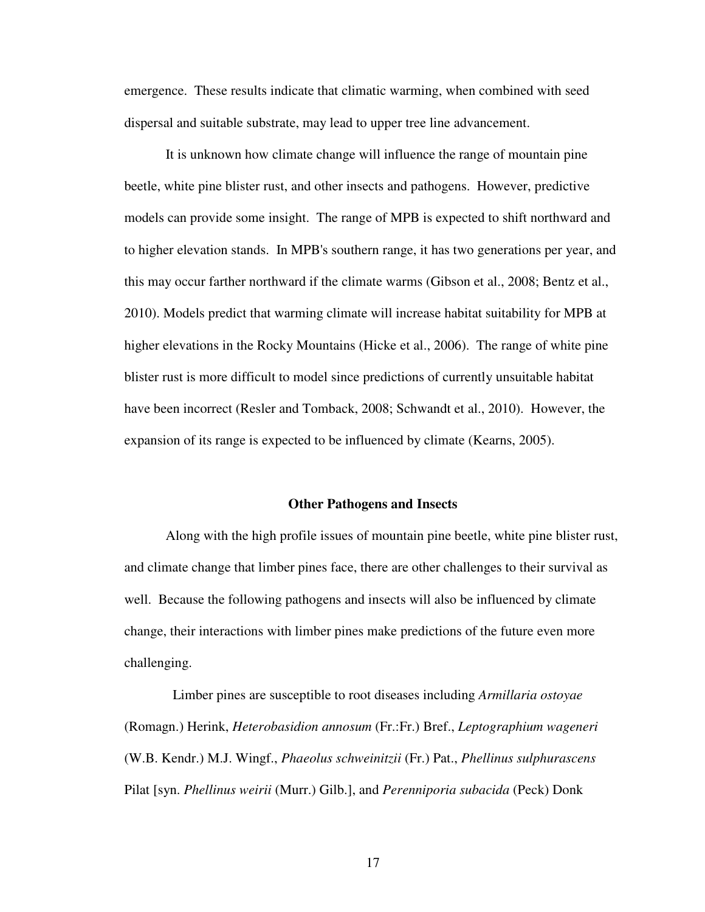emergence. These results indicate that climatic warming, when combined with seed dispersal and suitable substrate, may lead to upper tree line advancement.

 It is unknown how climate change will influence the range of mountain pine beetle, white pine blister rust, and other insects and pathogens. However, predictive models can provide some insight. The range of MPB is expected to shift northward and to higher elevation stands. In MPB's southern range, it has two generations per year, and this may occur farther northward if the climate warms (Gibson et al., 2008; Bentz et al., 2010). Models predict that warming climate will increase habitat suitability for MPB at higher elevations in the Rocky Mountains (Hicke et al., 2006). The range of white pine blister rust is more difficult to model since predictions of currently unsuitable habitat have been incorrect (Resler and Tomback, 2008; Schwandt et al., 2010). However, the expansion of its range is expected to be influenced by climate (Kearns, 2005).

#### **Other Pathogens and Insects**

 Along with the high profile issues of mountain pine beetle, white pine blister rust, and climate change that limber pines face, there are other challenges to their survival as well. Because the following pathogens and insects will also be influenced by climate change, their interactions with limber pines make predictions of the future even more challenging.

 Limber pines are susceptible to root diseases including *Armillaria ostoyae* (Romagn.) Herink, *Heterobasidion annosum* (Fr.:Fr.) Bref., *Leptographium wageneri* (W.B. Kendr.) M.J. Wingf., *Phaeolus schweinitzii* (Fr.) Pat., *Phellinus sulphurascens* Pilat [syn. *Phellinus weirii* (Murr.) Gilb.], and *Perenniporia subacida* (Peck) Donk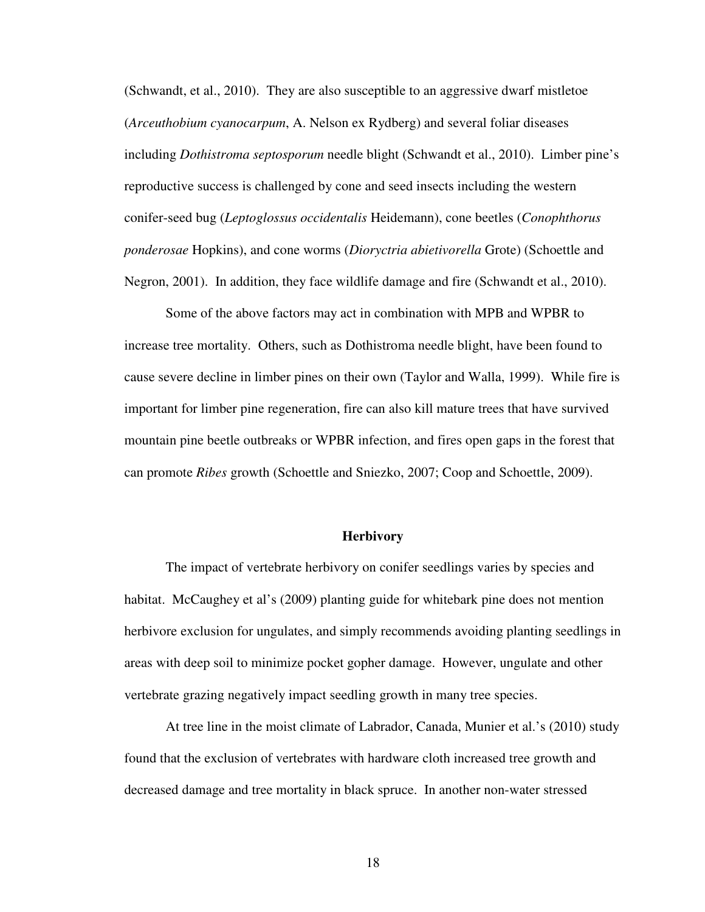(Schwandt, et al., 2010). They are also susceptible to an aggressive dwarf mistletoe (*Arceuthobium cyanocarpum*, A. Nelson ex Rydberg) and several foliar diseases including *Dothistroma septosporum* needle blight (Schwandt et al., 2010). Limber pine's reproductive success is challenged by cone and seed insects including the western conifer-seed bug (*Leptoglossus occidentalis* Heidemann), cone beetles (*Conophthorus ponderosae* Hopkins), and cone worms (*Dioryctria abietivorella* Grote) (Schoettle and Negron, 2001). In addition, they face wildlife damage and fire (Schwandt et al., 2010).

Some of the above factors may act in combination with MPB and WPBR to increase tree mortality. Others, such as Dothistroma needle blight, have been found to cause severe decline in limber pines on their own (Taylor and Walla, 1999). While fire is important for limber pine regeneration, fire can also kill mature trees that have survived mountain pine beetle outbreaks or WPBR infection, and fires open gaps in the forest that can promote *Ribes* growth (Schoettle and Sniezko, 2007; Coop and Schoettle, 2009).

# **Herbivory**

The impact of vertebrate herbivory on conifer seedlings varies by species and habitat. McCaughey et al's (2009) planting guide for whitebark pine does not mention herbivore exclusion for ungulates, and simply recommends avoiding planting seedlings in areas with deep soil to minimize pocket gopher damage. However, ungulate and other vertebrate grazing negatively impact seedling growth in many tree species.

At tree line in the moist climate of Labrador, Canada, Munier et al.'s (2010) study found that the exclusion of vertebrates with hardware cloth increased tree growth and decreased damage and tree mortality in black spruce. In another non-water stressed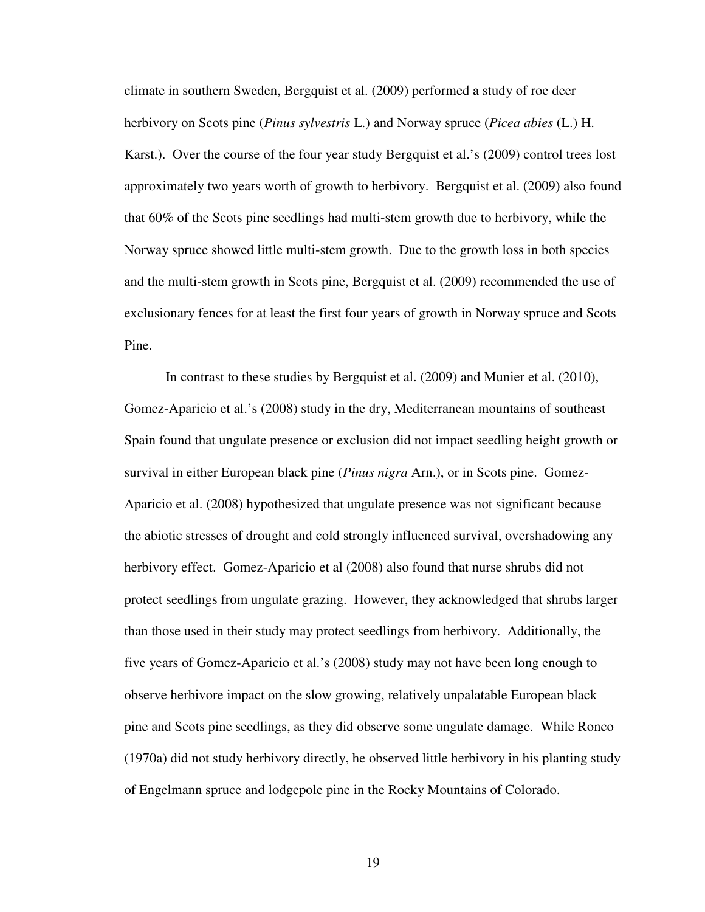climate in southern Sweden, Bergquist et al. (2009) performed a study of roe deer herbivory on Scots pine (*Pinus sylvestris* L.) and Norway spruce (*Picea abies* (L.) H. Karst.). Over the course of the four year study Bergquist et al.'s (2009) control trees lost approximately two years worth of growth to herbivory. Bergquist et al. (2009) also found that 60% of the Scots pine seedlings had multi-stem growth due to herbivory, while the Norway spruce showed little multi-stem growth. Due to the growth loss in both species and the multi-stem growth in Scots pine, Bergquist et al. (2009) recommended the use of exclusionary fences for at least the first four years of growth in Norway spruce and Scots Pine.

 In contrast to these studies by Bergquist et al. (2009) and Munier et al. (2010), Gomez-Aparicio et al.'s (2008) study in the dry, Mediterranean mountains of southeast Spain found that ungulate presence or exclusion did not impact seedling height growth or survival in either European black pine (*Pinus nigra* Arn.), or in Scots pine. Gomez-Aparicio et al. (2008) hypothesized that ungulate presence was not significant because the abiotic stresses of drought and cold strongly influenced survival, overshadowing any herbivory effect. Gomez-Aparicio et al (2008) also found that nurse shrubs did not protect seedlings from ungulate grazing. However, they acknowledged that shrubs larger than those used in their study may protect seedlings from herbivory. Additionally, the five years of Gomez-Aparicio et al.'s (2008) study may not have been long enough to observe herbivore impact on the slow growing, relatively unpalatable European black pine and Scots pine seedlings, as they did observe some ungulate damage. While Ronco (1970a) did not study herbivory directly, he observed little herbivory in his planting study of Engelmann spruce and lodgepole pine in the Rocky Mountains of Colorado.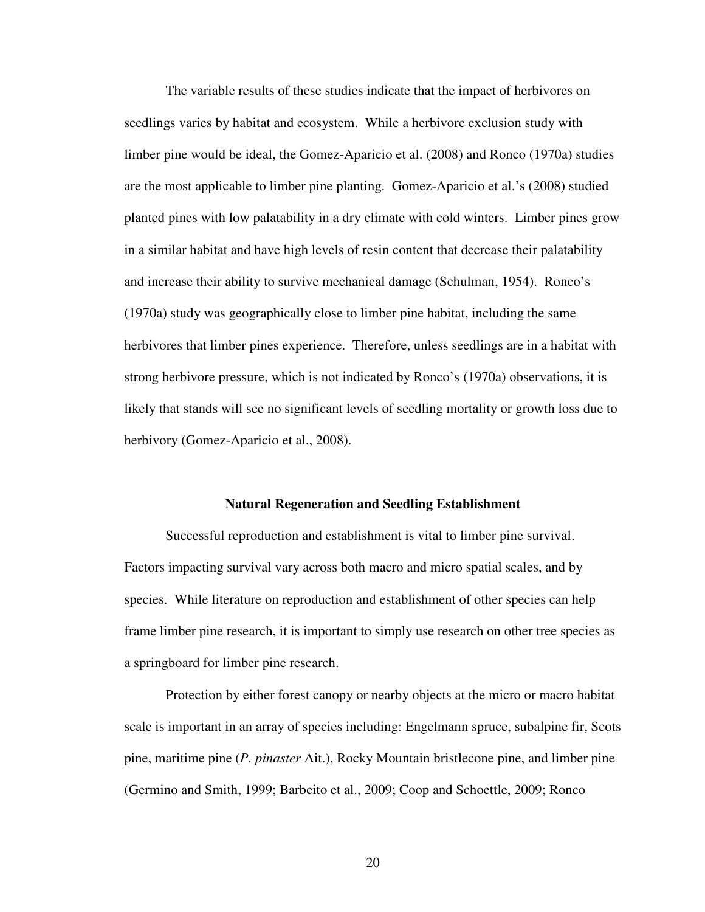The variable results of these studies indicate that the impact of herbivores on seedlings varies by habitat and ecosystem. While a herbivore exclusion study with limber pine would be ideal, the Gomez-Aparicio et al. (2008) and Ronco (1970a) studies are the most applicable to limber pine planting. Gomez-Aparicio et al.'s (2008) studied planted pines with low palatability in a dry climate with cold winters. Limber pines grow in a similar habitat and have high levels of resin content that decrease their palatability and increase their ability to survive mechanical damage (Schulman, 1954). Ronco's (1970a) study was geographically close to limber pine habitat, including the same herbivores that limber pines experience. Therefore, unless seedlings are in a habitat with strong herbivore pressure, which is not indicated by Ronco's (1970a) observations, it is likely that stands will see no significant levels of seedling mortality or growth loss due to herbivory (Gomez-Aparicio et al., 2008).

#### **Natural Regeneration and Seedling Establishment**

 Successful reproduction and establishment is vital to limber pine survival. Factors impacting survival vary across both macro and micro spatial scales, and by species. While literature on reproduction and establishment of other species can help frame limber pine research, it is important to simply use research on other tree species as a springboard for limber pine research.

 Protection by either forest canopy or nearby objects at the micro or macro habitat scale is important in an array of species including: Engelmann spruce, subalpine fir, Scots pine, maritime pine (*P. pinaster* Ait.), Rocky Mountain bristlecone pine, and limber pine (Germino and Smith, 1999; Barbeito et al., 2009; Coop and Schoettle, 2009; Ronco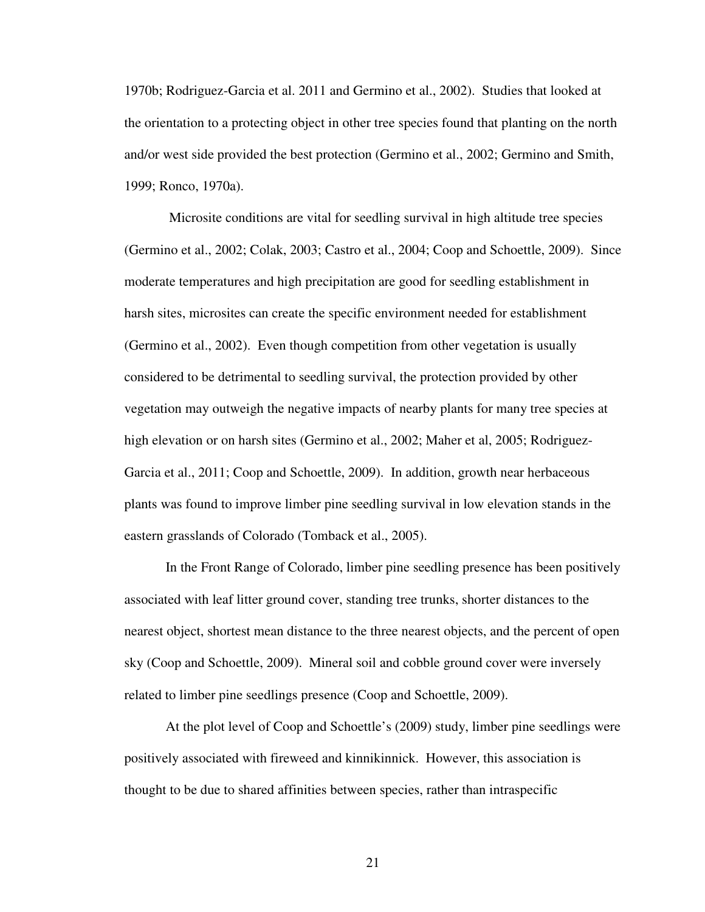1970b; Rodriguez-Garcia et al. 2011 and Germino et al., 2002). Studies that looked at the orientation to a protecting object in other tree species found that planting on the north and/or west side provided the best protection (Germino et al., 2002; Germino and Smith, 1999; Ronco, 1970a).

 Microsite conditions are vital for seedling survival in high altitude tree species (Germino et al., 2002; Colak, 2003; Castro et al., 2004; Coop and Schoettle, 2009). Since moderate temperatures and high precipitation are good for seedling establishment in harsh sites, microsites can create the specific environment needed for establishment (Germino et al., 2002). Even though competition from other vegetation is usually considered to be detrimental to seedling survival, the protection provided by other vegetation may outweigh the negative impacts of nearby plants for many tree species at high elevation or on harsh sites (Germino et al., 2002; Maher et al, 2005; Rodriguez-Garcia et al., 2011; Coop and Schoettle, 2009). In addition, growth near herbaceous plants was found to improve limber pine seedling survival in low elevation stands in the eastern grasslands of Colorado (Tomback et al., 2005).

In the Front Range of Colorado, limber pine seedling presence has been positively associated with leaf litter ground cover, standing tree trunks, shorter distances to the nearest object, shortest mean distance to the three nearest objects, and the percent of open sky (Coop and Schoettle, 2009). Mineral soil and cobble ground cover were inversely related to limber pine seedlings presence (Coop and Schoettle, 2009).

At the plot level of Coop and Schoettle's (2009) study, limber pine seedlings were positively associated with fireweed and kinnikinnick. However, this association is thought to be due to shared affinities between species, rather than intraspecific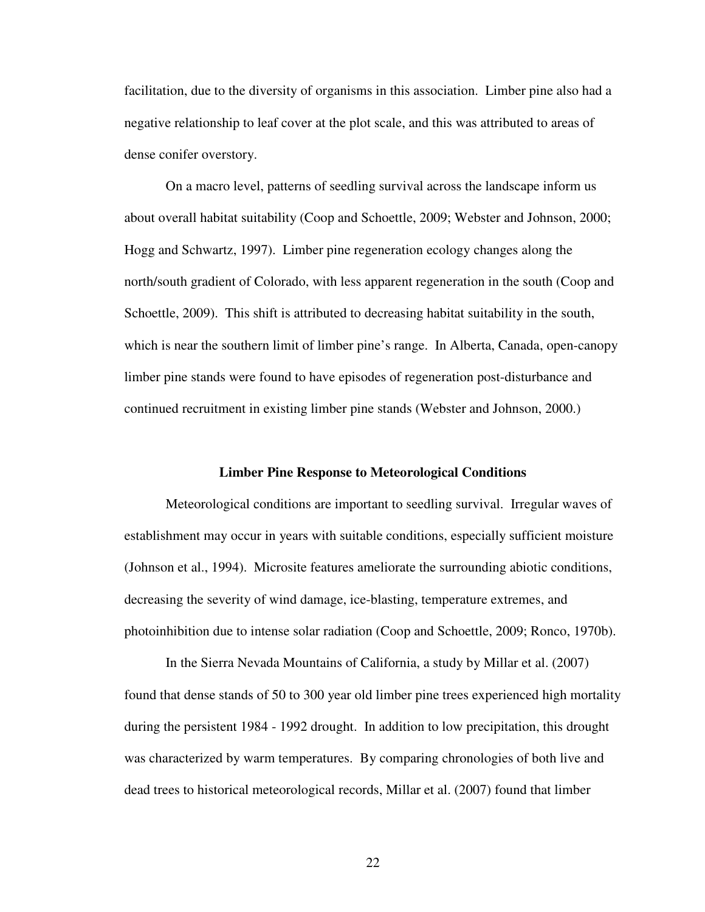facilitation, due to the diversity of organisms in this association. Limber pine also had a negative relationship to leaf cover at the plot scale, and this was attributed to areas of dense conifer overstory.

On a macro level, patterns of seedling survival across the landscape inform us about overall habitat suitability (Coop and Schoettle, 2009; Webster and Johnson, 2000; Hogg and Schwartz, 1997). Limber pine regeneration ecology changes along the north/south gradient of Colorado, with less apparent regeneration in the south (Coop and Schoettle, 2009). This shift is attributed to decreasing habitat suitability in the south, which is near the southern limit of limber pine's range. In Alberta, Canada, open-canopy limber pine stands were found to have episodes of regeneration post-disturbance and continued recruitment in existing limber pine stands (Webster and Johnson, 2000.)

#### **Limber Pine Response to Meteorological Conditions**

 Meteorological conditions are important to seedling survival. Irregular waves of establishment may occur in years with suitable conditions, especially sufficient moisture (Johnson et al., 1994). Microsite features ameliorate the surrounding abiotic conditions, decreasing the severity of wind damage, ice-blasting, temperature extremes, and photoinhibition due to intense solar radiation (Coop and Schoettle, 2009; Ronco, 1970b).

In the Sierra Nevada Mountains of California, a study by Millar et al. (2007) found that dense stands of 50 to 300 year old limber pine trees experienced high mortality during the persistent 1984 - 1992 drought. In addition to low precipitation, this drought was characterized by warm temperatures. By comparing chronologies of both live and dead trees to historical meteorological records, Millar et al. (2007) found that limber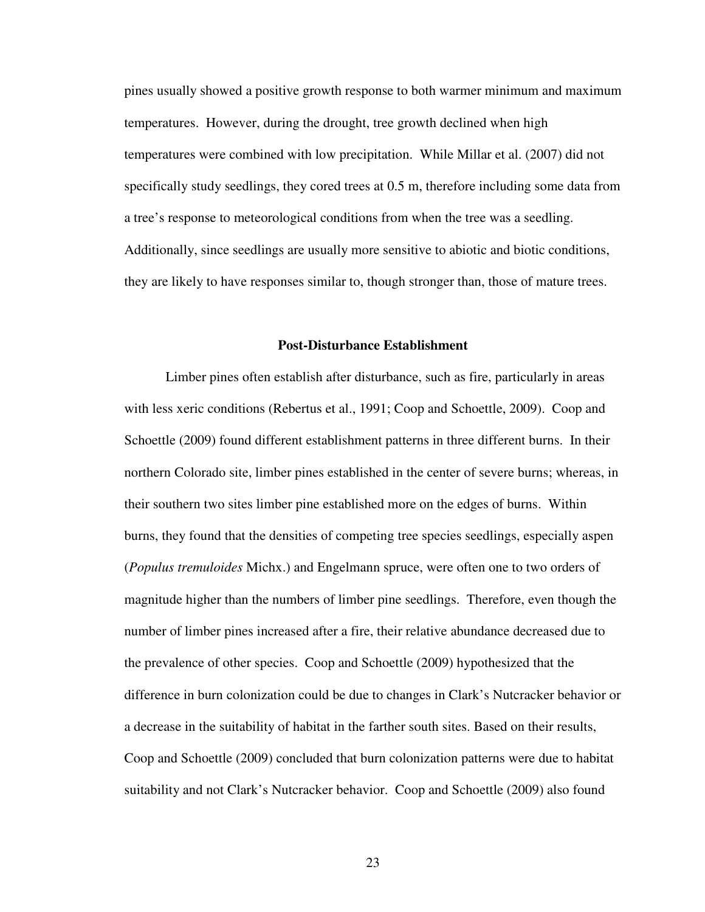pines usually showed a positive growth response to both warmer minimum and maximum temperatures. However, during the drought, tree growth declined when high temperatures were combined with low precipitation. While Millar et al. (2007) did not specifically study seedlings, they cored trees at 0.5 m, therefore including some data from a tree's response to meteorological conditions from when the tree was a seedling. Additionally, since seedlings are usually more sensitive to abiotic and biotic conditions, they are likely to have responses similar to, though stronger than, those of mature trees.

#### **Post-Disturbance Establishment**

 Limber pines often establish after disturbance, such as fire, particularly in areas with less xeric conditions (Rebertus et al., 1991; Coop and Schoettle, 2009). Coop and Schoettle (2009) found different establishment patterns in three different burns. In their northern Colorado site, limber pines established in the center of severe burns; whereas, in their southern two sites limber pine established more on the edges of burns. Within burns, they found that the densities of competing tree species seedlings, especially aspen (*Populus tremuloides* Michx.) and Engelmann spruce, were often one to two orders of magnitude higher than the numbers of limber pine seedlings. Therefore, even though the number of limber pines increased after a fire, their relative abundance decreased due to the prevalence of other species. Coop and Schoettle (2009) hypothesized that the difference in burn colonization could be due to changes in Clark's Nutcracker behavior or a decrease in the suitability of habitat in the farther south sites. Based on their results, Coop and Schoettle (2009) concluded that burn colonization patterns were due to habitat suitability and not Clark's Nutcracker behavior. Coop and Schoettle (2009) also found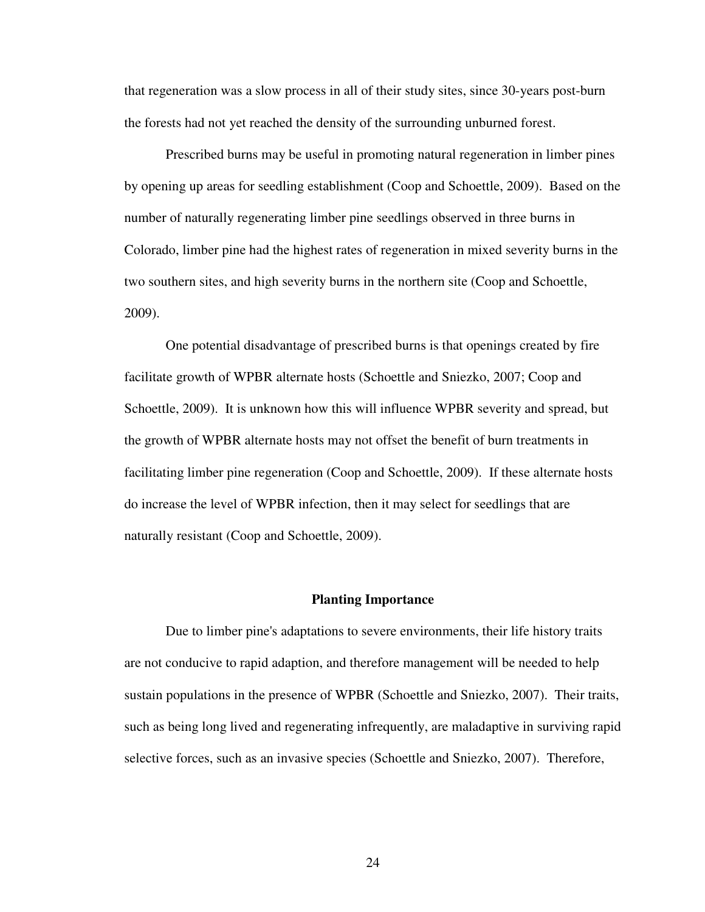that regeneration was a slow process in all of their study sites, since 30-years post-burn the forests had not yet reached the density of the surrounding unburned forest.

Prescribed burns may be useful in promoting natural regeneration in limber pines by opening up areas for seedling establishment (Coop and Schoettle, 2009). Based on the number of naturally regenerating limber pine seedlings observed in three burns in Colorado, limber pine had the highest rates of regeneration in mixed severity burns in the two southern sites, and high severity burns in the northern site (Coop and Schoettle, 2009).

 One potential disadvantage of prescribed burns is that openings created by fire facilitate growth of WPBR alternate hosts (Schoettle and Sniezko, 2007; Coop and Schoettle, 2009). It is unknown how this will influence WPBR severity and spread, but the growth of WPBR alternate hosts may not offset the benefit of burn treatments in facilitating limber pine regeneration (Coop and Schoettle, 2009). If these alternate hosts do increase the level of WPBR infection, then it may select for seedlings that are naturally resistant (Coop and Schoettle, 2009).

# **Planting Importance**

 Due to limber pine's adaptations to severe environments, their life history traits are not conducive to rapid adaption, and therefore management will be needed to help sustain populations in the presence of WPBR (Schoettle and Sniezko, 2007). Their traits, such as being long lived and regenerating infrequently, are maladaptive in surviving rapid selective forces, such as an invasive species (Schoettle and Sniezko, 2007). Therefore,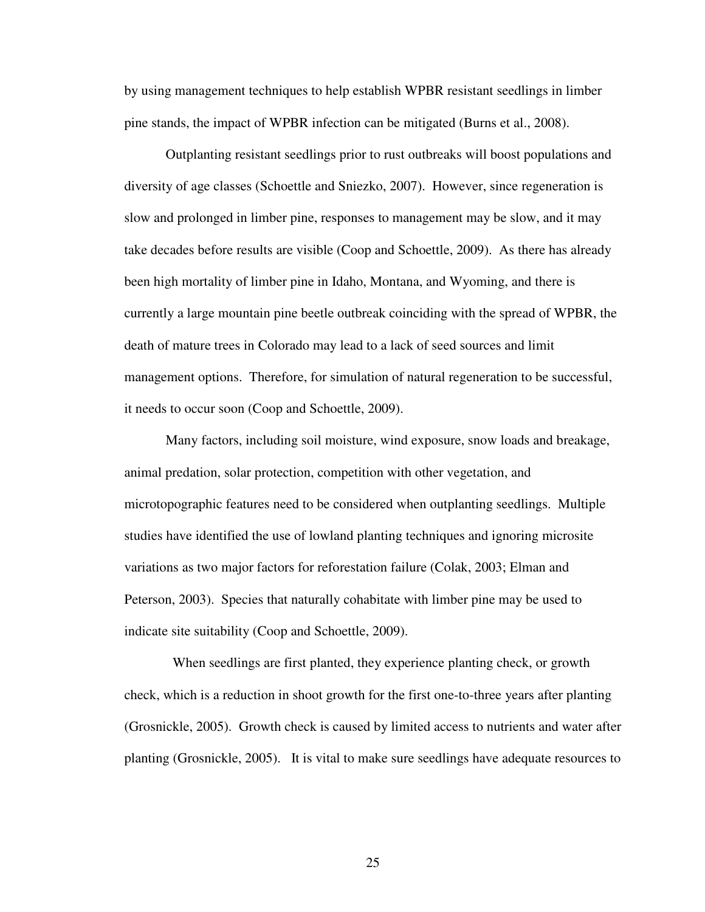by using management techniques to help establish WPBR resistant seedlings in limber pine stands, the impact of WPBR infection can be mitigated (Burns et al., 2008).

 Outplanting resistant seedlings prior to rust outbreaks will boost populations and diversity of age classes (Schoettle and Sniezko, 2007). However, since regeneration is slow and prolonged in limber pine, responses to management may be slow, and it may take decades before results are visible (Coop and Schoettle, 2009). As there has already been high mortality of limber pine in Idaho, Montana, and Wyoming, and there is currently a large mountain pine beetle outbreak coinciding with the spread of WPBR, the death of mature trees in Colorado may lead to a lack of seed sources and limit management options. Therefore, for simulation of natural regeneration to be successful, it needs to occur soon (Coop and Schoettle, 2009).

Many factors, including soil moisture, wind exposure, snow loads and breakage, animal predation, solar protection, competition with other vegetation, and microtopographic features need to be considered when outplanting seedlings. Multiple studies have identified the use of lowland planting techniques and ignoring microsite variations as two major factors for reforestation failure (Colak, 2003; Elman and Peterson, 2003). Species that naturally cohabitate with limber pine may be used to indicate site suitability (Coop and Schoettle, 2009).

 When seedlings are first planted, they experience planting check, or growth check, which is a reduction in shoot growth for the first one-to-three years after planting (Grosnickle, 2005). Growth check is caused by limited access to nutrients and water after planting (Grosnickle, 2005). It is vital to make sure seedlings have adequate resources to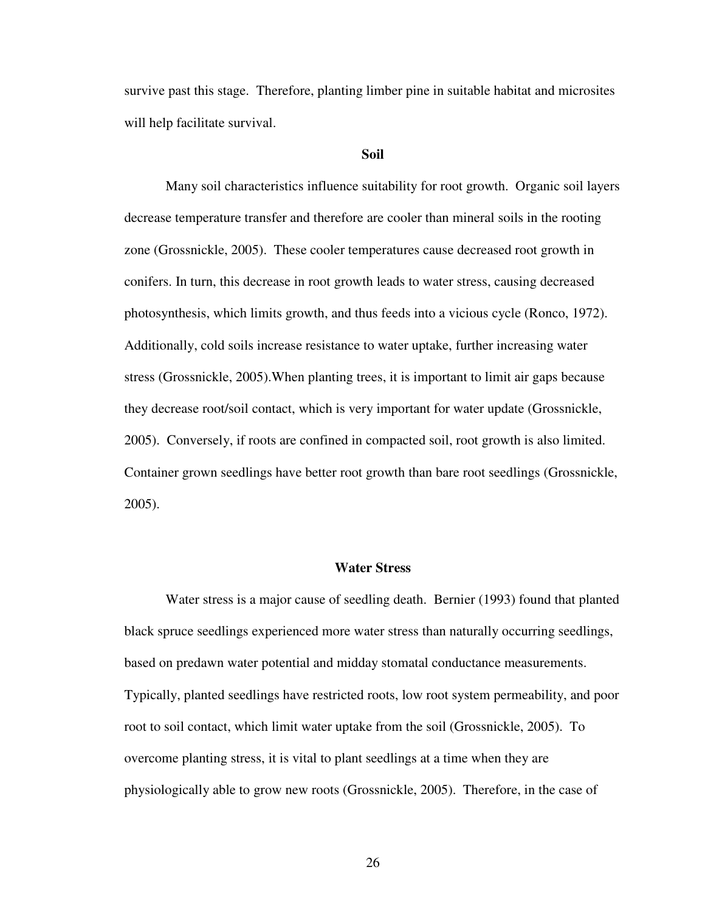survive past this stage. Therefore, planting limber pine in suitable habitat and microsites will help facilitate survival.

#### **Soil**

 Many soil characteristics influence suitability for root growth. Organic soil layers decrease temperature transfer and therefore are cooler than mineral soils in the rooting zone (Grossnickle, 2005). These cooler temperatures cause decreased root growth in conifers. In turn, this decrease in root growth leads to water stress, causing decreased photosynthesis, which limits growth, and thus feeds into a vicious cycle (Ronco, 1972). Additionally, cold soils increase resistance to water uptake, further increasing water stress (Grossnickle, 2005).When planting trees, it is important to limit air gaps because they decrease root/soil contact, which is very important for water update (Grossnickle, 2005). Conversely, if roots are confined in compacted soil, root growth is also limited. Container grown seedlings have better root growth than bare root seedlings (Grossnickle, 2005).

#### **Water Stress**

 Water stress is a major cause of seedling death. Bernier (1993) found that planted black spruce seedlings experienced more water stress than naturally occurring seedlings, based on predawn water potential and midday stomatal conductance measurements. Typically, planted seedlings have restricted roots, low root system permeability, and poor root to soil contact, which limit water uptake from the soil (Grossnickle, 2005). To overcome planting stress, it is vital to plant seedlings at a time when they are physiologically able to grow new roots (Grossnickle, 2005). Therefore, in the case of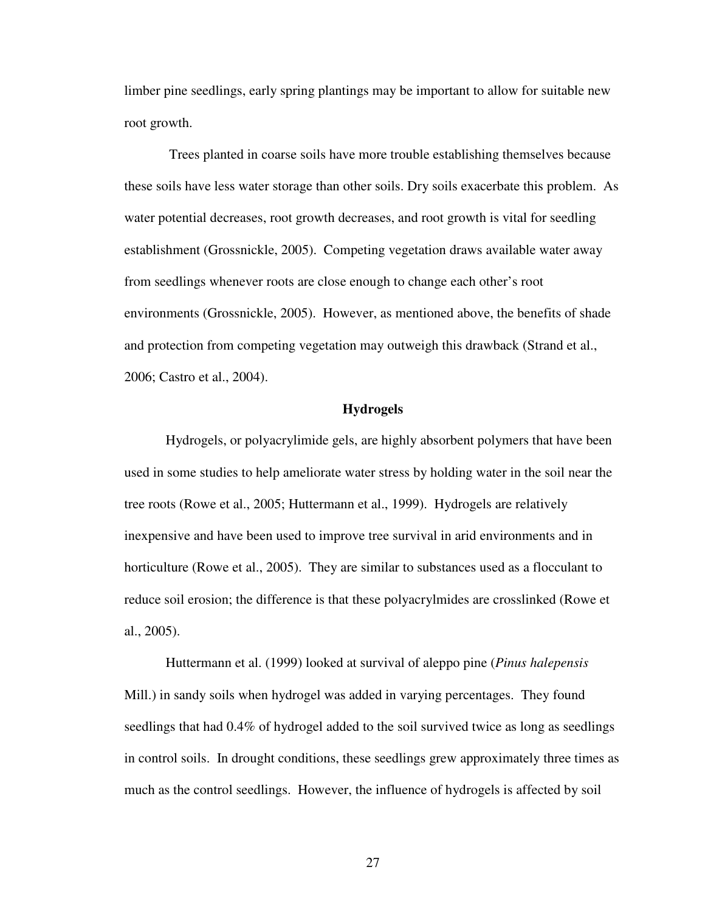limber pine seedlings, early spring plantings may be important to allow for suitable new root growth.

 Trees planted in coarse soils have more trouble establishing themselves because these soils have less water storage than other soils. Dry soils exacerbate this problem. As water potential decreases, root growth decreases, and root growth is vital for seedling establishment (Grossnickle, 2005). Competing vegetation draws available water away from seedlings whenever roots are close enough to change each other's root environments (Grossnickle, 2005). However, as mentioned above, the benefits of shade and protection from competing vegetation may outweigh this drawback (Strand et al., 2006; Castro et al., 2004).

# **Hydrogels**

 Hydrogels, or polyacrylimide gels, are highly absorbent polymers that have been used in some studies to help ameliorate water stress by holding water in the soil near the tree roots (Rowe et al., 2005; Huttermann et al., 1999). Hydrogels are relatively inexpensive and have been used to improve tree survival in arid environments and in horticulture (Rowe et al., 2005). They are similar to substances used as a flocculant to reduce soil erosion; the difference is that these polyacrylmides are crosslinked (Rowe et al., 2005).

Huttermann et al. (1999) looked at survival of aleppo pine (*Pinus halepensis*  Mill.) in sandy soils when hydrogel was added in varying percentages. They found seedlings that had 0.4% of hydrogel added to the soil survived twice as long as seedlings in control soils. In drought conditions, these seedlings grew approximately three times as much as the control seedlings. However, the influence of hydrogels is affected by soil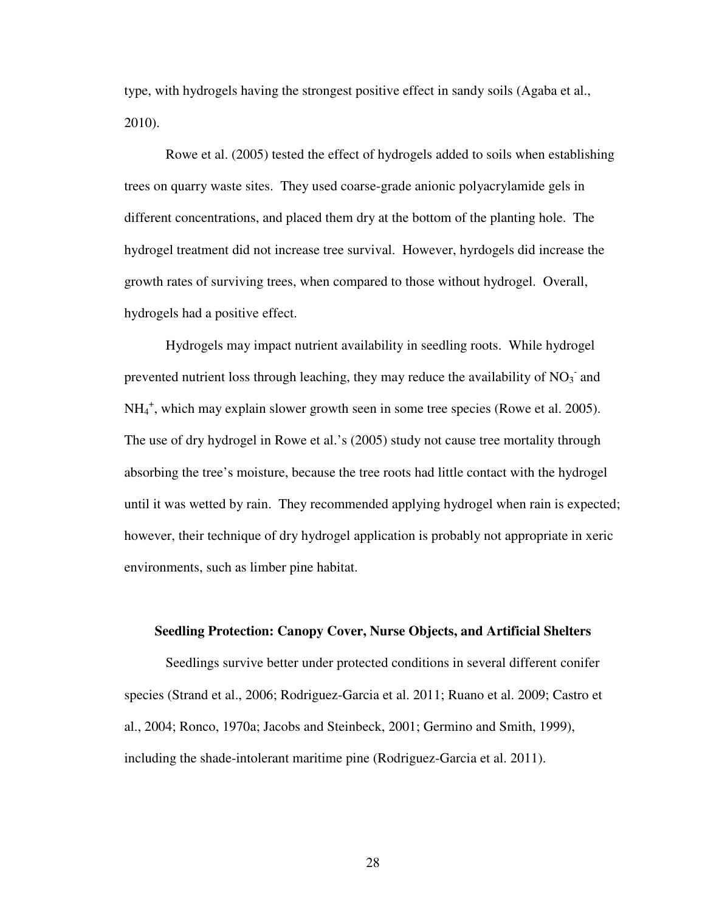type, with hydrogels having the strongest positive effect in sandy soils (Agaba et al., 2010).

Rowe et al. (2005) tested the effect of hydrogels added to soils when establishing trees on quarry waste sites. They used coarse-grade anionic polyacrylamide gels in different concentrations, and placed them dry at the bottom of the planting hole. The hydrogel treatment did not increase tree survival. However, hyrdogels did increase the growth rates of surviving trees, when compared to those without hydrogel. Overall, hydrogels had a positive effect.

Hydrogels may impact nutrient availability in seedling roots. While hydrogel prevented nutrient loss through leaching, they may reduce the availability of  $NO<sub>3</sub>$  and NH<sub>4</sub><sup>+</sup>, which may explain slower growth seen in some tree species (Rowe et al. 2005). The use of dry hydrogel in Rowe et al.'s (2005) study not cause tree mortality through absorbing the tree's moisture, because the tree roots had little contact with the hydrogel until it was wetted by rain. They recommended applying hydrogel when rain is expected; however, their technique of dry hydrogel application is probably not appropriate in xeric environments, such as limber pine habitat.

#### **Seedling Protection: Canopy Cover, Nurse Objects, and Artificial Shelters**

 Seedlings survive better under protected conditions in several different conifer species (Strand et al., 2006; Rodriguez-Garcia et al. 2011; Ruano et al. 2009; Castro et al., 2004; Ronco, 1970a; Jacobs and Steinbeck, 2001; Germino and Smith, 1999), including the shade-intolerant maritime pine (Rodriguez-Garcia et al. 2011).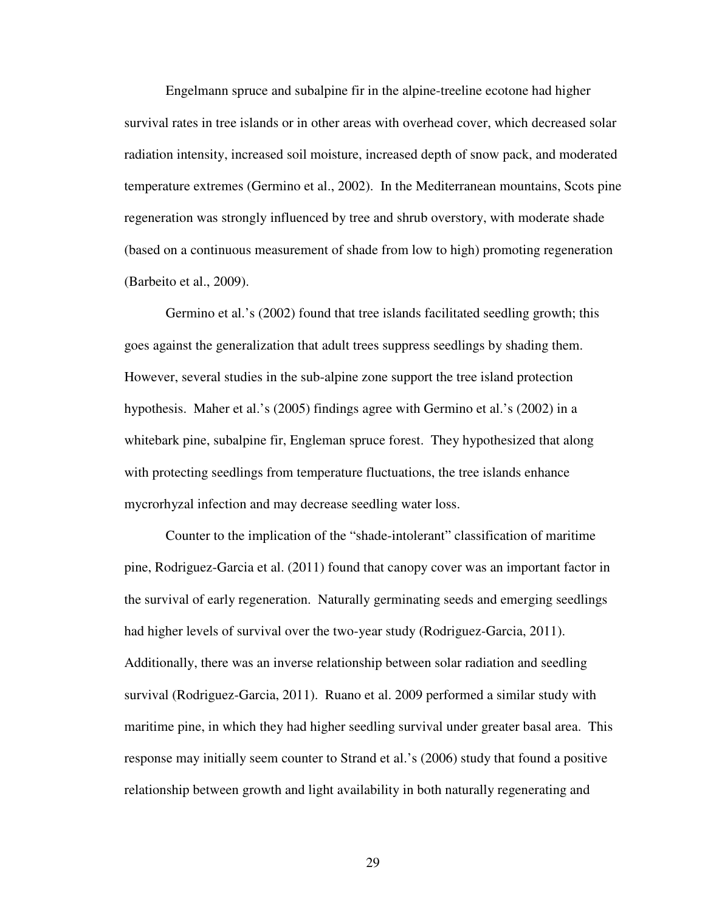Engelmann spruce and subalpine fir in the alpine-treeline ecotone had higher survival rates in tree islands or in other areas with overhead cover, which decreased solar radiation intensity, increased soil moisture, increased depth of snow pack, and moderated temperature extremes (Germino et al., 2002). In the Mediterranean mountains, Scots pine regeneration was strongly influenced by tree and shrub overstory, with moderate shade (based on a continuous measurement of shade from low to high) promoting regeneration (Barbeito et al., 2009).

Germino et al.'s (2002) found that tree islands facilitated seedling growth; this goes against the generalization that adult trees suppress seedlings by shading them. However, several studies in the sub-alpine zone support the tree island protection hypothesis. Maher et al.'s (2005) findings agree with Germino et al.'s (2002) in a whitebark pine, subalpine fir, Engleman spruce forest. They hypothesized that along with protecting seedlings from temperature fluctuations, the tree islands enhance mycrorhyzal infection and may decrease seedling water loss.

Counter to the implication of the "shade-intolerant" classification of maritime pine, Rodriguez-Garcia et al. (2011) found that canopy cover was an important factor in the survival of early regeneration. Naturally germinating seeds and emerging seedlings had higher levels of survival over the two-year study (Rodriguez-Garcia, 2011). Additionally, there was an inverse relationship between solar radiation and seedling survival (Rodriguez-Garcia, 2011). Ruano et al. 2009 performed a similar study with maritime pine, in which they had higher seedling survival under greater basal area. This response may initially seem counter to Strand et al.'s (2006) study that found a positive relationship between growth and light availability in both naturally regenerating and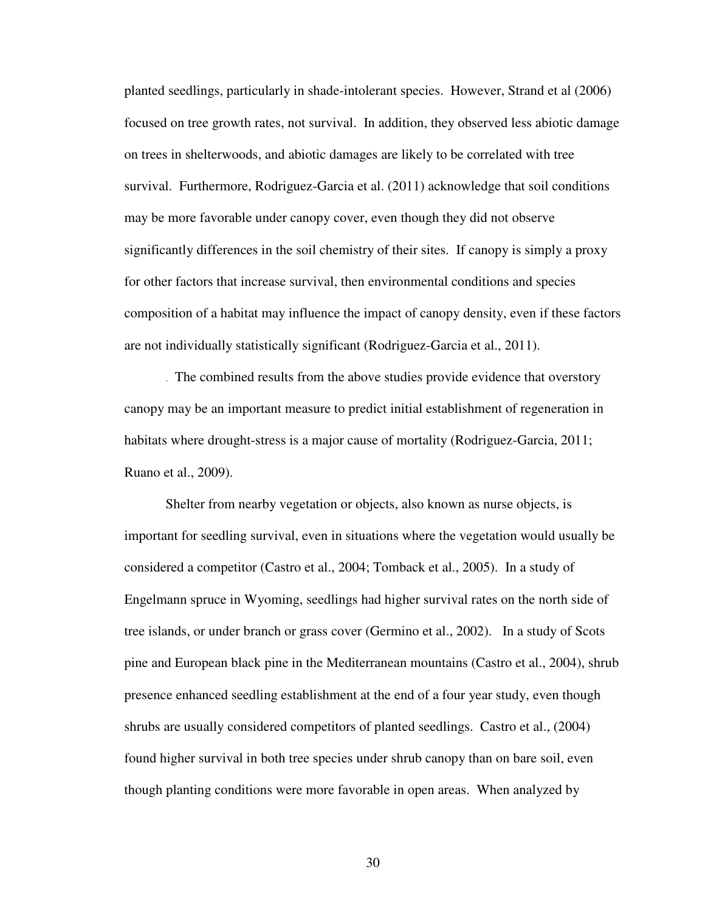planted seedlings, particularly in shade-intolerant species. However, Strand et al (2006) focused on tree growth rates, not survival. In addition, they observed less abiotic damage on trees in shelterwoods, and abiotic damages are likely to be correlated with tree survival. Furthermore, Rodriguez-Garcia et al. (2011) acknowledge that soil conditions may be more favorable under canopy cover, even though they did not observe significantly differences in the soil chemistry of their sites. If canopy is simply a proxy for other factors that increase survival, then environmental conditions and species composition of a habitat may influence the impact of canopy density, even if these factors are not individually statistically significant (Rodriguez-Garcia et al., 2011).

. The combined results from the above studies provide evidence that overstory canopy may be an important measure to predict initial establishment of regeneration in habitats where drought-stress is a major cause of mortality (Rodriguez-Garcia, 2011; Ruano et al., 2009).

Shelter from nearby vegetation or objects, also known as nurse objects, is important for seedling survival, even in situations where the vegetation would usually be considered a competitor (Castro et al., 2004; Tomback et al., 2005). In a study of Engelmann spruce in Wyoming, seedlings had higher survival rates on the north side of tree islands, or under branch or grass cover (Germino et al., 2002). In a study of Scots pine and European black pine in the Mediterranean mountains (Castro et al., 2004), shrub presence enhanced seedling establishment at the end of a four year study, even though shrubs are usually considered competitors of planted seedlings. Castro et al., (2004) found higher survival in both tree species under shrub canopy than on bare soil, even though planting conditions were more favorable in open areas. When analyzed by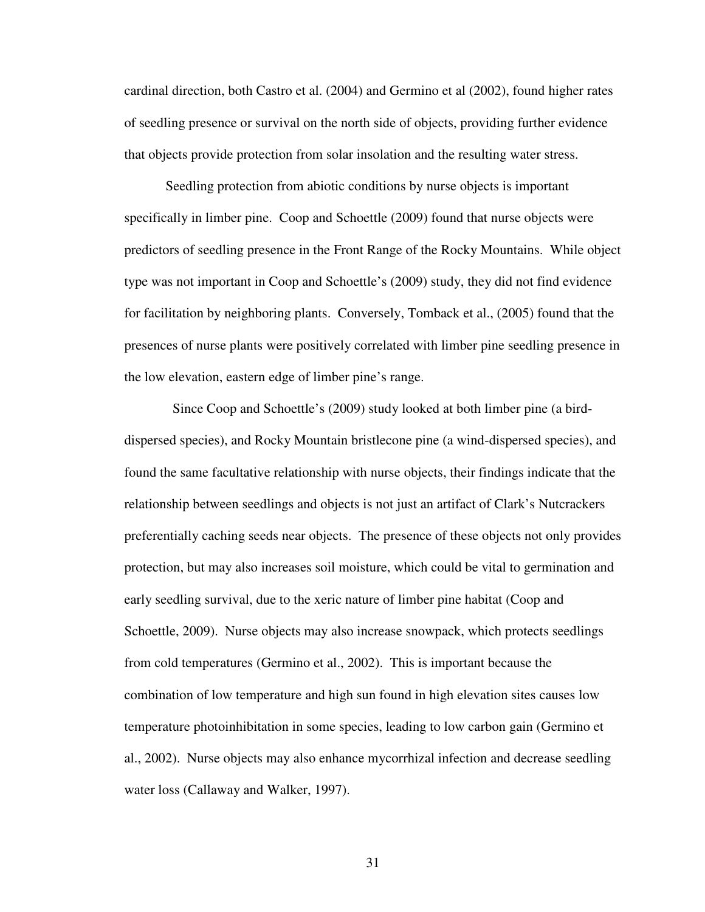cardinal direction, both Castro et al. (2004) and Germino et al (2002), found higher rates of seedling presence or survival on the north side of objects, providing further evidence that objects provide protection from solar insolation and the resulting water stress.

Seedling protection from abiotic conditions by nurse objects is important specifically in limber pine. Coop and Schoettle (2009) found that nurse objects were predictors of seedling presence in the Front Range of the Rocky Mountains. While object type was not important in Coop and Schoettle's (2009) study, they did not find evidence for facilitation by neighboring plants. Conversely, Tomback et al., (2005) found that the presences of nurse plants were positively correlated with limber pine seedling presence in the low elevation, eastern edge of limber pine's range.

 Since Coop and Schoettle's (2009) study looked at both limber pine (a birddispersed species), and Rocky Mountain bristlecone pine (a wind-dispersed species), and found the same facultative relationship with nurse objects, their findings indicate that the relationship between seedlings and objects is not just an artifact of Clark's Nutcrackers preferentially caching seeds near objects. The presence of these objects not only provides protection, but may also increases soil moisture, which could be vital to germination and early seedling survival, due to the xeric nature of limber pine habitat (Coop and Schoettle, 2009). Nurse objects may also increase snowpack, which protects seedlings from cold temperatures (Germino et al., 2002). This is important because the combination of low temperature and high sun found in high elevation sites causes low temperature photoinhibitation in some species, leading to low carbon gain (Germino et al., 2002). Nurse objects may also enhance mycorrhizal infection and decrease seedling water loss (Callaway and Walker, 1997).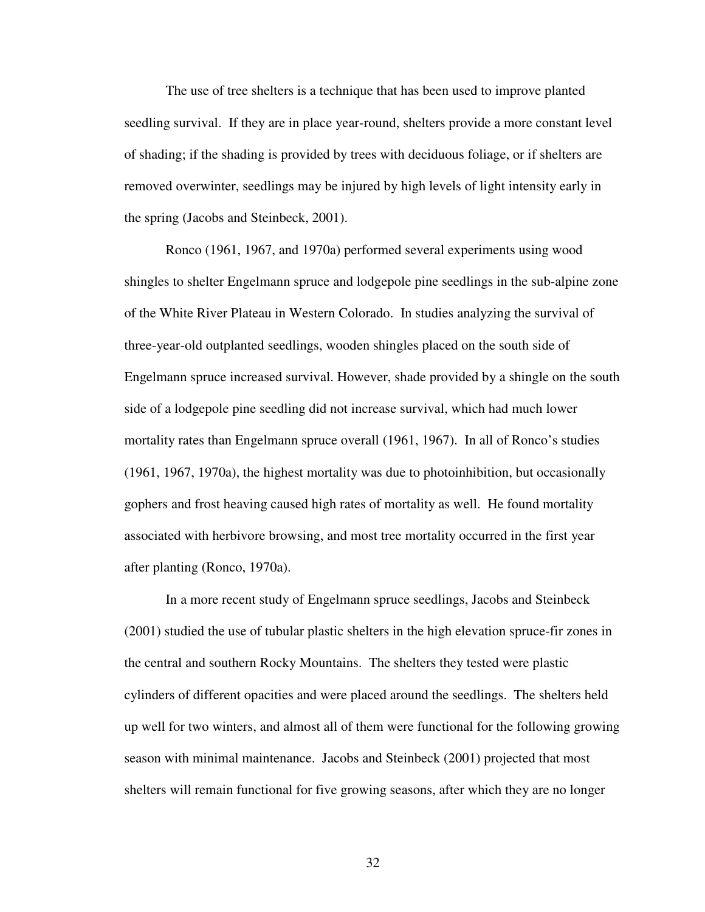The use of tree shelters is a technique that has been used to improve planted seedling survival. If they are in place year-round, shelters provide a more constant level of shading; if the shading is provided by trees with deciduous foliage, or if shelters are removed overwinter, seedlings may be injured by high levels of light intensity early in the spring (Jacobs and Steinbeck, 2001).

Ronco (1961, 1967, and 1970a) performed several experiments using wood shingles to shelter Engelmann spruce and lodgepole pine seedlings in the sub-alpine zone of the White River Plateau in Western Colorado. In studies analyzing the survival of three-year-old outplanted seedlings, wooden shingles placed on the south side of Engelmann spruce increased survival. However, shade provided by a shingle on the south side of a lodgepole pine seedling did not increase survival, which had much lower mortality rates than Engelmann spruce overall (1961, 1967). In all of Ronco's studies (1961, 1967, 1970a), the highest mortality was due to photoinhibition, but occasionally gophers and frost heaving caused high rates of mortality as well. He found mortality associated with herbivore browsing, and most tree mortality occurred in the first year after planting (Ronco, 1970a).

In a more recent study of Engelmann spruce seedlings, Jacobs and Steinbeck (2001) studied the use of tubular plastic shelters in the high elevation spruce-fir zones in the central and southern Rocky Mountains. The shelters they tested were plastic cylinders of different opacities and were placed around the seedlings. The shelters held up well for two winters, and almost all of them were functional for the following growing season with minimal maintenance. Jacobs and Steinbeck (2001) projected that most shelters will remain functional for five growing seasons, after which they are no longer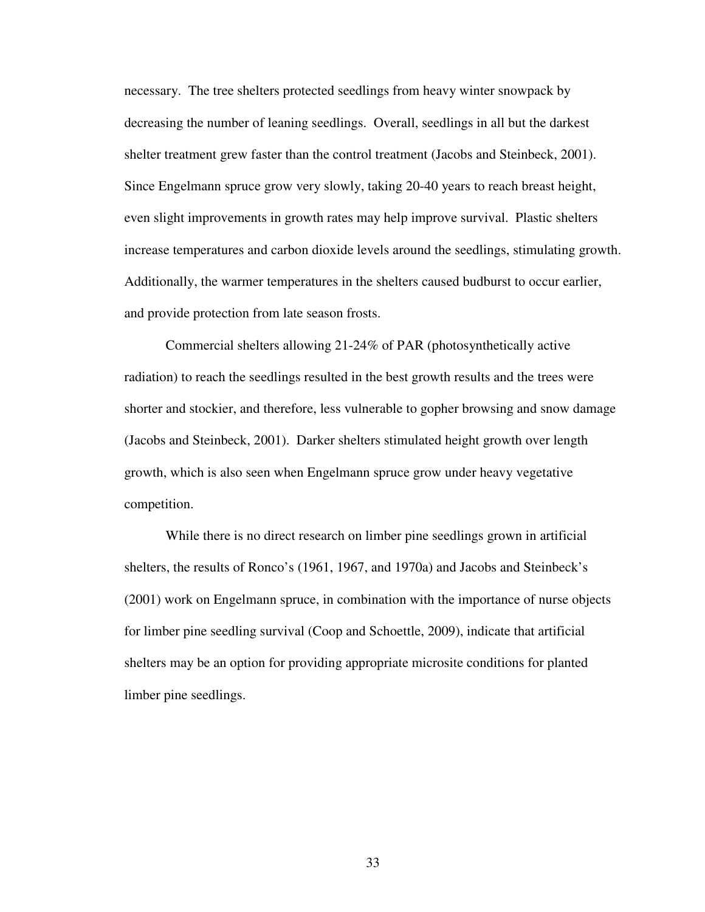necessary. The tree shelters protected seedlings from heavy winter snowpack by decreasing the number of leaning seedlings. Overall, seedlings in all but the darkest shelter treatment grew faster than the control treatment (Jacobs and Steinbeck, 2001). Since Engelmann spruce grow very slowly, taking 20-40 years to reach breast height, even slight improvements in growth rates may help improve survival. Plastic shelters increase temperatures and carbon dioxide levels around the seedlings, stimulating growth. Additionally, the warmer temperatures in the shelters caused budburst to occur earlier, and provide protection from late season frosts.

 Commercial shelters allowing 21-24% of PAR (photosynthetically active radiation) to reach the seedlings resulted in the best growth results and the trees were shorter and stockier, and therefore, less vulnerable to gopher browsing and snow damage (Jacobs and Steinbeck, 2001). Darker shelters stimulated height growth over length growth, which is also seen when Engelmann spruce grow under heavy vegetative competition.

While there is no direct research on limber pine seedlings grown in artificial shelters, the results of Ronco's (1961, 1967, and 1970a) and Jacobs and Steinbeck's (2001) work on Engelmann spruce, in combination with the importance of nurse objects for limber pine seedling survival (Coop and Schoettle, 2009), indicate that artificial shelters may be an option for providing appropriate microsite conditions for planted limber pine seedlings.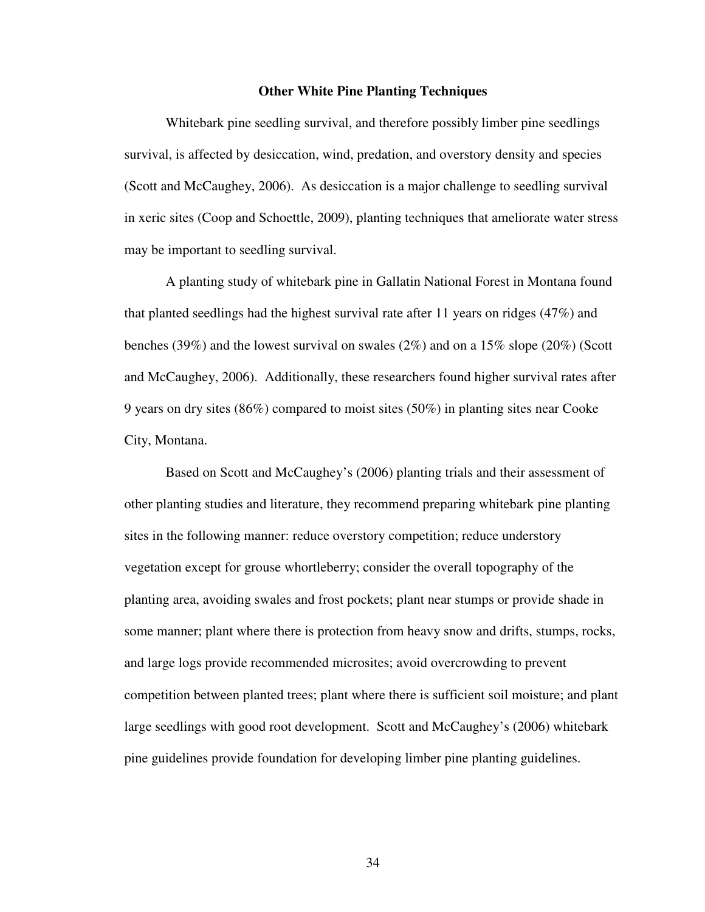### **Other White Pine Planting Techniques**

Whitebark pine seedling survival, and therefore possibly limber pine seedlings survival, is affected by desiccation, wind, predation, and overstory density and species (Scott and McCaughey, 2006). As desiccation is a major challenge to seedling survival in xeric sites (Coop and Schoettle, 2009), planting techniques that ameliorate water stress may be important to seedling survival.

 A planting study of whitebark pine in Gallatin National Forest in Montana found that planted seedlings had the highest survival rate after 11 years on ridges (47%) and benches (39%) and the lowest survival on swales (2%) and on a 15% slope (20%) (Scott and McCaughey, 2006). Additionally, these researchers found higher survival rates after 9 years on dry sites (86%) compared to moist sites (50%) in planting sites near Cooke City, Montana.

Based on Scott and McCaughey's (2006) planting trials and their assessment of other planting studies and literature, they recommend preparing whitebark pine planting sites in the following manner: reduce overstory competition; reduce understory vegetation except for grouse whortleberry; consider the overall topography of the planting area, avoiding swales and frost pockets; plant near stumps or provide shade in some manner; plant where there is protection from heavy snow and drifts, stumps, rocks, and large logs provide recommended microsites; avoid overcrowding to prevent competition between planted trees; plant where there is sufficient soil moisture; and plant large seedlings with good root development. Scott and McCaughey's (2006) whitebark pine guidelines provide foundation for developing limber pine planting guidelines.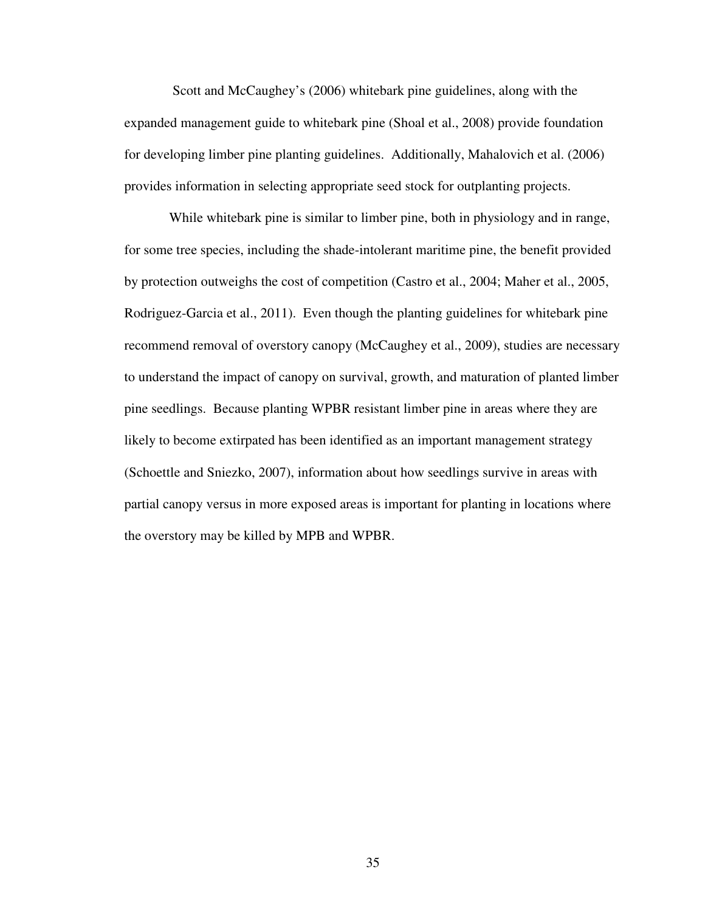Scott and McCaughey's (2006) whitebark pine guidelines, along with the expanded management guide to whitebark pine (Shoal et al., 2008) provide foundation for developing limber pine planting guidelines. Additionally, Mahalovich et al. (2006) provides information in selecting appropriate seed stock for outplanting projects.

 While whitebark pine is similar to limber pine, both in physiology and in range, for some tree species, including the shade-intolerant maritime pine, the benefit provided by protection outweighs the cost of competition (Castro et al., 2004; Maher et al., 2005, Rodriguez-Garcia et al., 2011). Even though the planting guidelines for whitebark pine recommend removal of overstory canopy (McCaughey et al., 2009), studies are necessary to understand the impact of canopy on survival, growth, and maturation of planted limber pine seedlings. Because planting WPBR resistant limber pine in areas where they are likely to become extirpated has been identified as an important management strategy (Schoettle and Sniezko, 2007), information about how seedlings survive in areas with partial canopy versus in more exposed areas is important for planting in locations where the overstory may be killed by MPB and WPBR.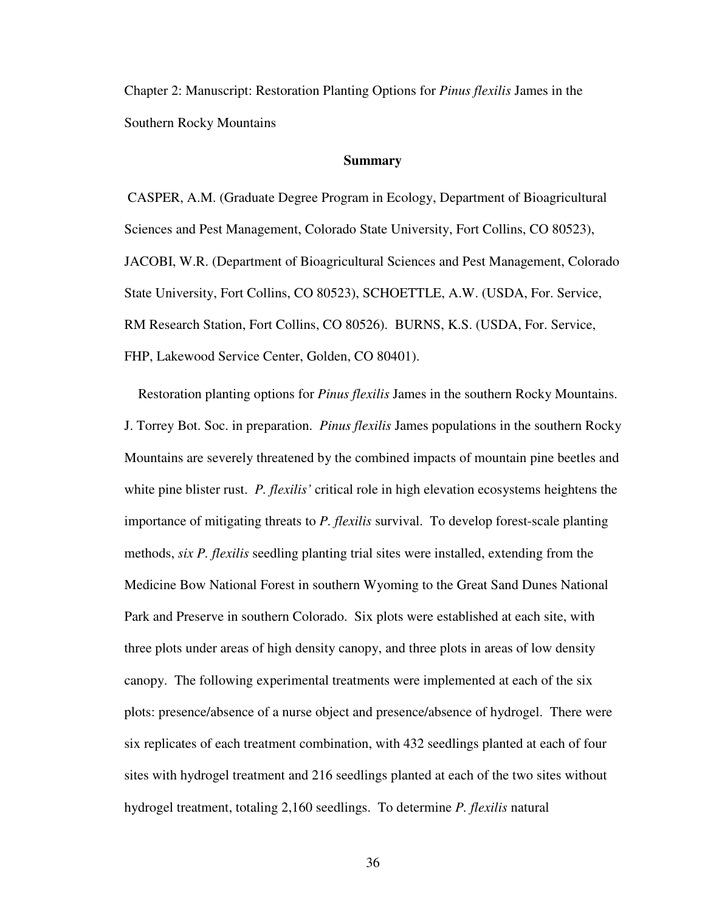Chapter 2: Manuscript: Restoration Planting Options for *Pinus flexilis* James in the Southern Rocky Mountains

#### **Summary**

 CASPER, A.M. (Graduate Degree Program in Ecology, Department of Bioagricultural Sciences and Pest Management, Colorado State University, Fort Collins, CO 80523), JACOBI, W.R. (Department of Bioagricultural Sciences and Pest Management, Colorado State University, Fort Collins, CO 80523), SCHOETTLE, A.W. (USDA, For. Service, RM Research Station, Fort Collins, CO 80526). BURNS, K.S. (USDA, For. Service, FHP, Lakewood Service Center, Golden, CO 80401).

 Restoration planting options for *Pinus flexilis* James in the southern Rocky Mountains. J. Torrey Bot. Soc. in preparation. *Pinus flexilis* James populations in the southern Rocky Mountains are severely threatened by the combined impacts of mountain pine beetles and white pine blister rust. *P. flexilis'* critical role in high elevation ecosystems heightens the importance of mitigating threats to *P. flexilis* survival. To develop forest-scale planting methods, *six P. flexilis* seedling planting trial sites were installed, extending from the Medicine Bow National Forest in southern Wyoming to the Great Sand Dunes National Park and Preserve in southern Colorado. Six plots were established at each site, with three plots under areas of high density canopy, and three plots in areas of low density canopy. The following experimental treatments were implemented at each of the six plots: presence/absence of a nurse object and presence/absence of hydrogel. There were six replicates of each treatment combination, with 432 seedlings planted at each of four sites with hydrogel treatment and 216 seedlings planted at each of the two sites without hydrogel treatment, totaling 2,160 seedlings. To determine *P. flexilis* natural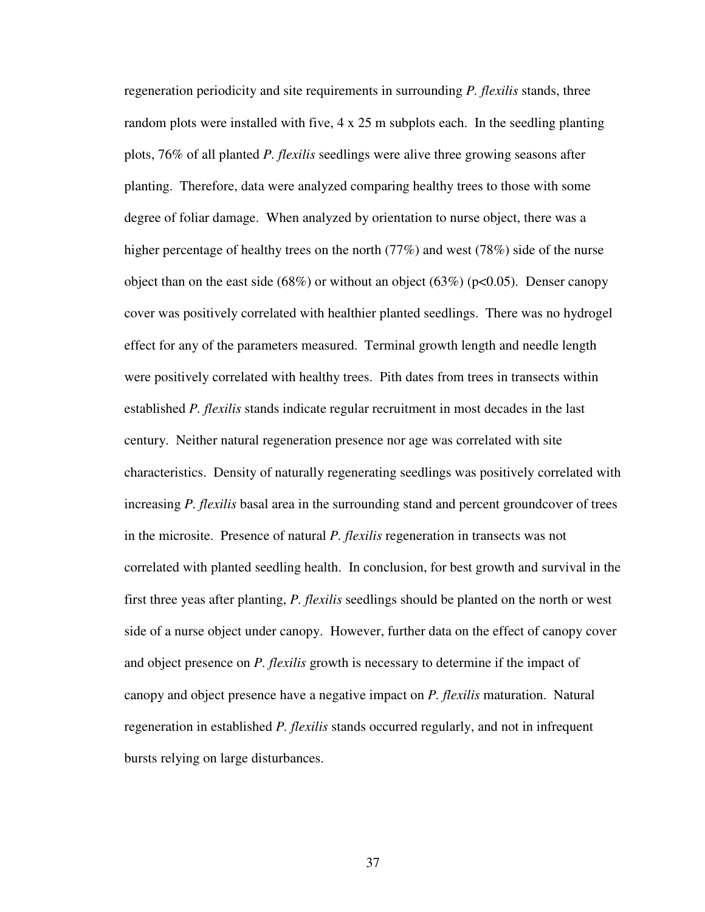regeneration periodicity and site requirements in surrounding *P. flexilis* stands, three random plots were installed with five, 4 x 25 m subplots each. In the seedling planting plots, 76% of all planted *P. flexilis* seedlings were alive three growing seasons after planting. Therefore, data were analyzed comparing healthy trees to those with some degree of foliar damage. When analyzed by orientation to nurse object, there was a higher percentage of healthy trees on the north (77%) and west (78%) side of the nurse object than on the east side (68%) or without an object (63%) (p<0.05). Denser canopy cover was positively correlated with healthier planted seedlings. There was no hydrogel effect for any of the parameters measured. Terminal growth length and needle length were positively correlated with healthy trees. Pith dates from trees in transects within established *P. flexilis* stands indicate regular recruitment in most decades in the last century. Neither natural regeneration presence nor age was correlated with site characteristics. Density of naturally regenerating seedlings was positively correlated with increasing *P. flexilis* basal area in the surrounding stand and percent groundcover of trees in the microsite. Presence of natural *P. flexilis* regeneration in transects was not correlated with planted seedling health. In conclusion, for best growth and survival in the first three yeas after planting, *P. flexilis* seedlings should be planted on the north or west side of a nurse object under canopy. However, further data on the effect of canopy cover and object presence on *P. flexilis* growth is necessary to determine if the impact of canopy and object presence have a negative impact on *P. flexilis* maturation. Natural regeneration in established *P. flexilis* stands occurred regularly, and not in infrequent bursts relying on large disturbances.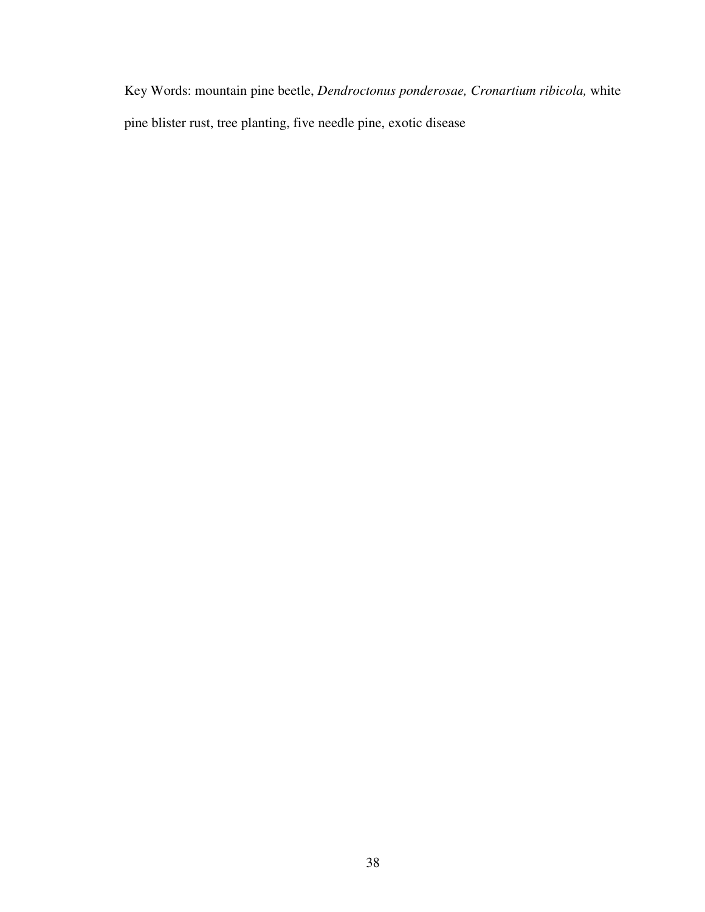Key Words: mountain pine beetle, *Dendroctonus ponderosae, Cronartium ribicola,* white pine blister rust, tree planting, five needle pine, exotic disease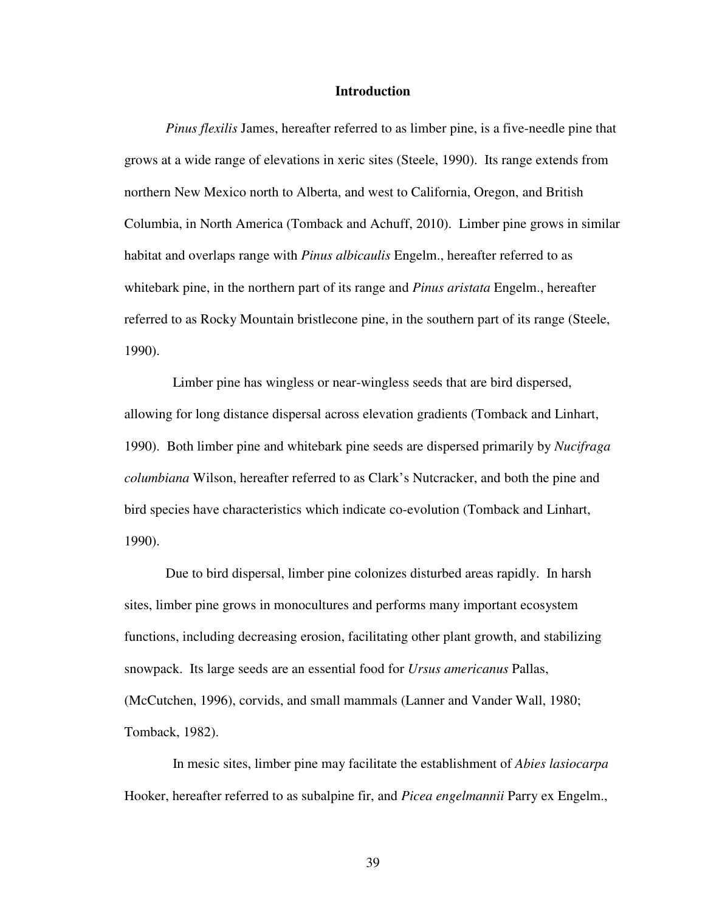### **Introduction**

*Pinus flexilis* James, hereafter referred to as limber pine, is a five-needle pine that grows at a wide range of elevations in xeric sites (Steele, 1990). Its range extends from northern New Mexico north to Alberta, and west to California, Oregon, and British Columbia, in North America (Tomback and Achuff, 2010). Limber pine grows in similar habitat and overlaps range with *Pinus albicaulis* Engelm., hereafter referred to as whitebark pine, in the northern part of its range and *Pinus aristata* Engelm., hereafter referred to as Rocky Mountain bristlecone pine, in the southern part of its range (Steele, 1990).

 Limber pine has wingless or near-wingless seeds that are bird dispersed, allowing for long distance dispersal across elevation gradients (Tomback and Linhart, 1990). Both limber pine and whitebark pine seeds are dispersed primarily by *Nucifraga columbiana* Wilson, hereafter referred to as Clark's Nutcracker, and both the pine and bird species have characteristics which indicate co-evolution (Tomback and Linhart, 1990).

Due to bird dispersal, limber pine colonizes disturbed areas rapidly. In harsh sites, limber pine grows in monocultures and performs many important ecosystem functions, including decreasing erosion, facilitating other plant growth, and stabilizing snowpack. Its large seeds are an essential food for *Ursus americanus* Pallas, (McCutchen, 1996), corvids, and small mammals (Lanner and Vander Wall, 1980; Tomback, 1982).

 In mesic sites, limber pine may facilitate the establishment of *Abies lasiocarpa* Hooker, hereafter referred to as subalpine fir, and *Picea engelmannii* Parry ex Engelm.,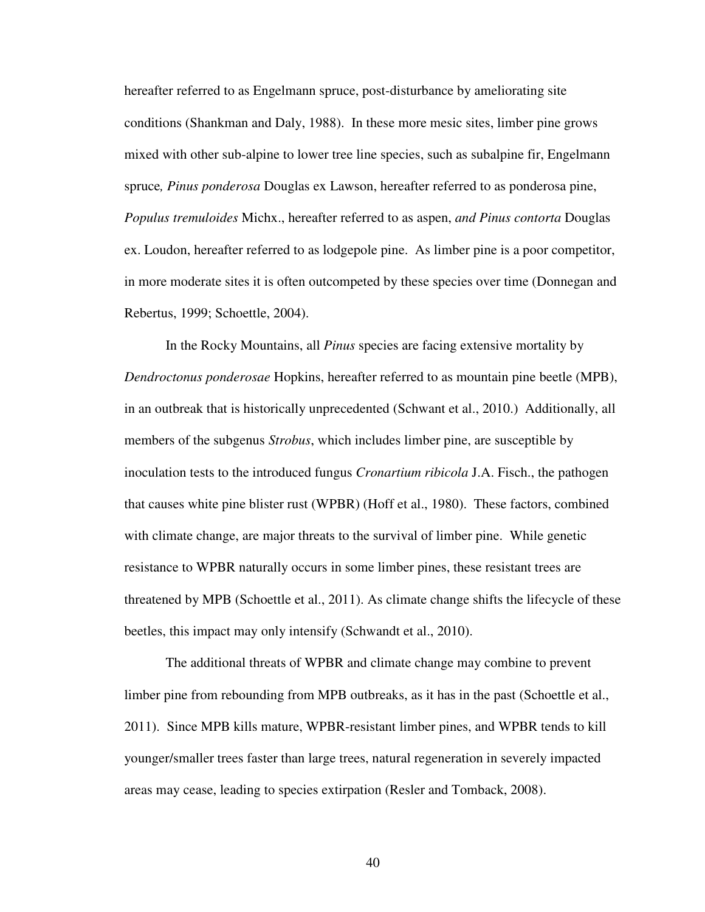hereafter referred to as Engelmann spruce, post-disturbance by ameliorating site conditions (Shankman and Daly, 1988). In these more mesic sites, limber pine grows mixed with other sub-alpine to lower tree line species, such as subalpine fir, Engelmann spruce*, Pinus ponderosa* Douglas ex Lawson, hereafter referred to as ponderosa pine, *Populus tremuloides* Michx., hereafter referred to as aspen, *and Pinus contorta* Douglas ex. Loudon, hereafter referred to as lodgepole pine. As limber pine is a poor competitor, in more moderate sites it is often outcompeted by these species over time (Donnegan and Rebertus, 1999; Schoettle, 2004).

In the Rocky Mountains, all *Pinus* species are facing extensive mortality by *Dendroctonus ponderosae* Hopkins, hereafter referred to as mountain pine beetle (MPB), in an outbreak that is historically unprecedented (Schwant et al., 2010.) Additionally, all members of the subgenus *Strobus*, which includes limber pine, are susceptible by inoculation tests to the introduced fungus *Cronartium ribicola* J.A. Fisch., the pathogen that causes white pine blister rust (WPBR) (Hoff et al., 1980). These factors, combined with climate change, are major threats to the survival of limber pine. While genetic resistance to WPBR naturally occurs in some limber pines, these resistant trees are threatened by MPB (Schoettle et al., 2011). As climate change shifts the lifecycle of these beetles, this impact may only intensify (Schwandt et al., 2010).

The additional threats of WPBR and climate change may combine to prevent limber pine from rebounding from MPB outbreaks, as it has in the past (Schoettle et al., 2011). Since MPB kills mature, WPBR-resistant limber pines, and WPBR tends to kill younger/smaller trees faster than large trees, natural regeneration in severely impacted areas may cease, leading to species extirpation (Resler and Tomback, 2008).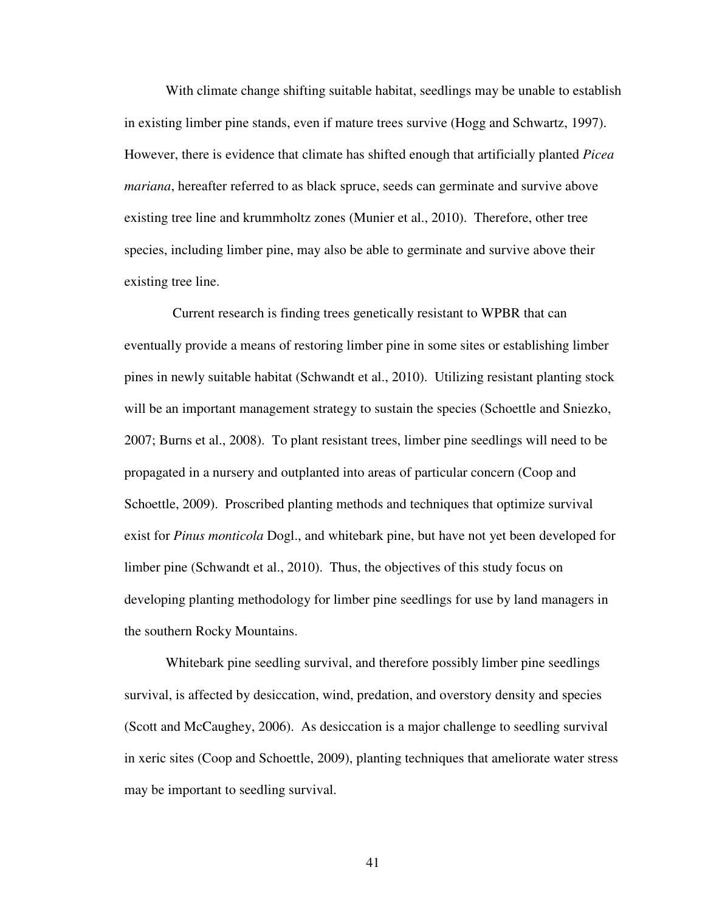With climate change shifting suitable habitat, seedlings may be unable to establish in existing limber pine stands, even if mature trees survive (Hogg and Schwartz, 1997). However, there is evidence that climate has shifted enough that artificially planted *Picea mariana*, hereafter referred to as black spruce, seeds can germinate and survive above existing tree line and krummholtz zones (Munier et al., 2010). Therefore, other tree species, including limber pine, may also be able to germinate and survive above their existing tree line.

 Current research is finding trees genetically resistant to WPBR that can eventually provide a means of restoring limber pine in some sites or establishing limber pines in newly suitable habitat (Schwandt et al., 2010). Utilizing resistant planting stock will be an important management strategy to sustain the species (Schoettle and Sniezko, 2007; Burns et al., 2008). To plant resistant trees, limber pine seedlings will need to be propagated in a nursery and outplanted into areas of particular concern (Coop and Schoettle, 2009). Proscribed planting methods and techniques that optimize survival exist for *Pinus monticola* Dogl., and whitebark pine, but have not yet been developed for limber pine (Schwandt et al., 2010).Thus, the objectives of this study focus on developing planting methodology for limber pine seedlings for use by land managers in the southern Rocky Mountains.

Whitebark pine seedling survival, and therefore possibly limber pine seedlings survival, is affected by desiccation, wind, predation, and overstory density and species (Scott and McCaughey, 2006). As desiccation is a major challenge to seedling survival in xeric sites (Coop and Schoettle, 2009), planting techniques that ameliorate water stress may be important to seedling survival.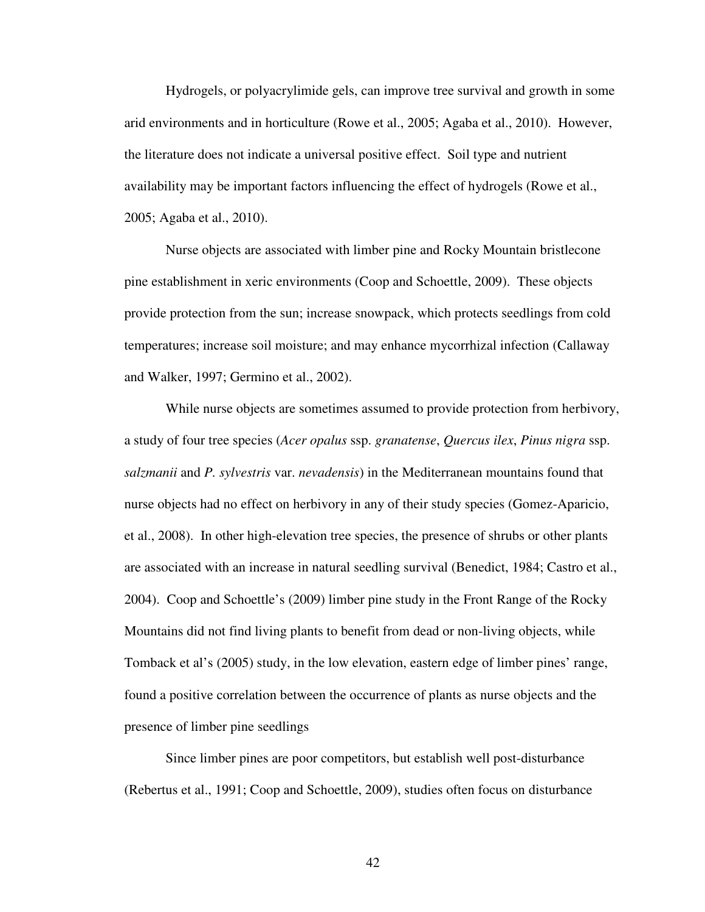Hydrogels, or polyacrylimide gels, can improve tree survival and growth in some arid environments and in horticulture (Rowe et al., 2005; Agaba et al., 2010). However, the literature does not indicate a universal positive effect. Soil type and nutrient availability may be important factors influencing the effect of hydrogels (Rowe et al., 2005; Agaba et al., 2010).

 Nurse objects are associated with limber pine and Rocky Mountain bristlecone pine establishment in xeric environments (Coop and Schoettle, 2009). These objects provide protection from the sun; increase snowpack, which protects seedlings from cold temperatures; increase soil moisture; and may enhance mycorrhizal infection (Callaway and Walker, 1997; Germino et al., 2002).

While nurse objects are sometimes assumed to provide protection from herbivory, a study of four tree species (*Acer opalus* ssp. *granatense*, *Quercus ilex*, *Pinus nigra* ssp. *salzmanii* and *P. sylvestris* var. *nevadensis*) in the Mediterranean mountains found that nurse objects had no effect on herbivory in any of their study species (Gomez-Aparicio, et al., 2008). In other high-elevation tree species, the presence of shrubs or other plants are associated with an increase in natural seedling survival (Benedict, 1984; Castro et al., 2004). Coop and Schoettle's (2009) limber pine study in the Front Range of the Rocky Mountains did not find living plants to benefit from dead or non-living objects, while Tomback et al's (2005) study, in the low elevation, eastern edge of limber pines' range, found a positive correlation between the occurrence of plants as nurse objects and the presence of limber pine seedlings

 Since limber pines are poor competitors, but establish well post-disturbance (Rebertus et al., 1991; Coop and Schoettle, 2009), studies often focus on disturbance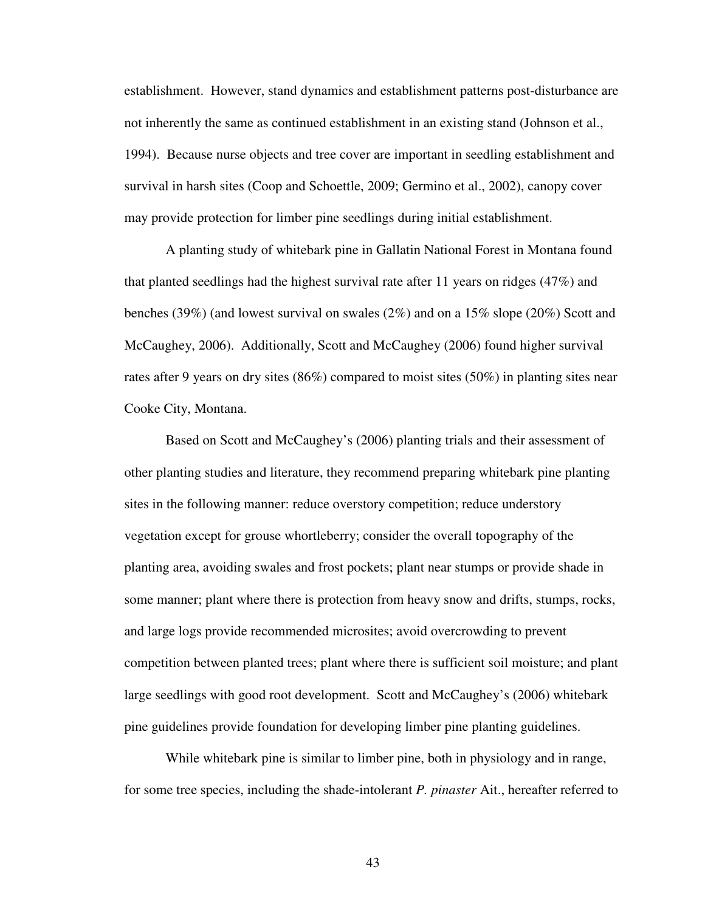establishment. However, stand dynamics and establishment patterns post-disturbance are not inherently the same as continued establishment in an existing stand (Johnson et al., 1994). Because nurse objects and tree cover are important in seedling establishment and survival in harsh sites (Coop and Schoettle, 2009; Germino et al., 2002), canopy cover may provide protection for limber pine seedlings during initial establishment.

 A planting study of whitebark pine in Gallatin National Forest in Montana found that planted seedlings had the highest survival rate after 11 years on ridges (47%) and benches (39%) (and lowest survival on swales (2%) and on a 15% slope (20%) Scott and McCaughey, 2006). Additionally, Scott and McCaughey (2006) found higher survival rates after 9 years on dry sites (86%) compared to moist sites (50%) in planting sites near Cooke City, Montana.

 Based on Scott and McCaughey's (2006) planting trials and their assessment of other planting studies and literature, they recommend preparing whitebark pine planting sites in the following manner: reduce overstory competition; reduce understory vegetation except for grouse whortleberry; consider the overall topography of the planting area, avoiding swales and frost pockets; plant near stumps or provide shade in some manner; plant where there is protection from heavy snow and drifts, stumps, rocks, and large logs provide recommended microsites; avoid overcrowding to prevent competition between planted trees; plant where there is sufficient soil moisture; and plant large seedlings with good root development. Scott and McCaughey's (2006) whitebark pine guidelines provide foundation for developing limber pine planting guidelines.

While whitebark pine is similar to limber pine, both in physiology and in range, for some tree species, including the shade-intolerant *P. pinaster* Ait., hereafter referred to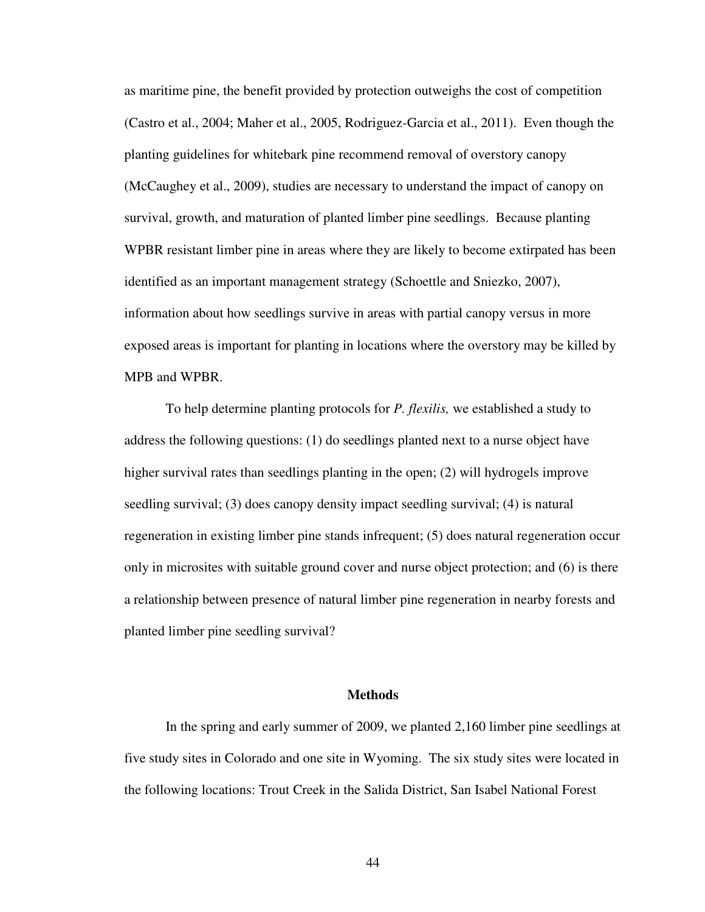as maritime pine, the benefit provided by protection outweighs the cost of competition (Castro et al., 2004; Maher et al., 2005, Rodriguez-Garcia et al., 2011). Even though the planting guidelines for whitebark pine recommend removal of overstory canopy (McCaughey et al., 2009), studies are necessary to understand the impact of canopy on survival, growth, and maturation of planted limber pine seedlings. Because planting WPBR resistant limber pine in areas where they are likely to become extirpated has been identified as an important management strategy (Schoettle and Sniezko, 2007), information about how seedlings survive in areas with partial canopy versus in more exposed areas is important for planting in locations where the overstory may be killed by MPB and WPBR.

To help determine planting protocols for *P. flexilis,* we established a study to address the following questions: (1) do seedlings planted next to a nurse object have higher survival rates than seedlings planting in the open; (2) will hydrogels improve seedling survival; (3) does canopy density impact seedling survival; (4) is natural regeneration in existing limber pine stands infrequent; (5) does natural regeneration occur only in microsites with suitable ground cover and nurse object protection; and (6) is there a relationship between presence of natural limber pine regeneration in nearby forests and planted limber pine seedling survival?

#### **Methods**

In the spring and early summer of 2009, we planted 2,160 limber pine seedlings at five study sites in Colorado and one site in Wyoming. The six study sites were located in the following locations: Trout Creek in the Salida District, San Isabel National Forest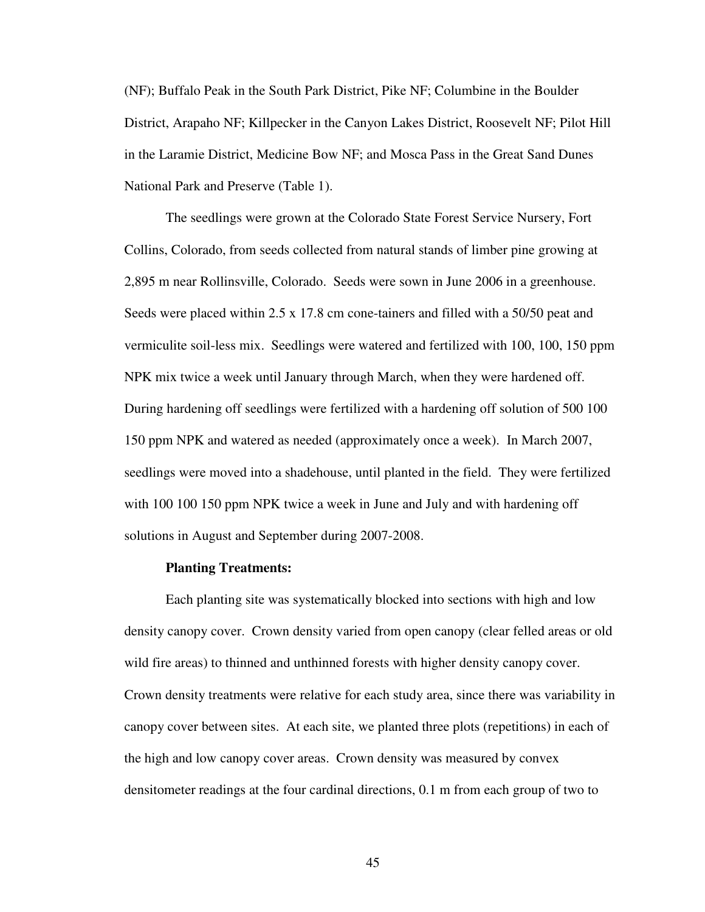(NF); Buffalo Peak in the South Park District, Pike NF; Columbine in the Boulder District, Arapaho NF; Killpecker in the Canyon Lakes District, Roosevelt NF; Pilot Hill in the Laramie District, Medicine Bow NF; and Mosca Pass in the Great Sand Dunes National Park and Preserve (Table 1).

The seedlings were grown at the Colorado State Forest Service Nursery, Fort Collins, Colorado, from seeds collected from natural stands of limber pine growing at 2,895 m near Rollinsville, Colorado. Seeds were sown in June 2006 in a greenhouse. Seeds were placed within 2.5 x 17.8 cm cone-tainers and filled with a 50/50 peat and vermiculite soil-less mix. Seedlings were watered and fertilized with 100, 100, 150 ppm NPK mix twice a week until January through March, when they were hardened off. During hardening off seedlings were fertilized with a hardening off solution of 500 100 150 ppm NPK and watered as needed (approximately once a week). In March 2007, seedlings were moved into a shadehouse, until planted in the field. They were fertilized with 100 100 150 ppm NPK twice a week in June and July and with hardening off solutions in August and September during 2007-2008.

### **Planting Treatments:**

Each planting site was systematically blocked into sections with high and low density canopy cover. Crown density varied from open canopy (clear felled areas or old wild fire areas) to thinned and unthinned forests with higher density canopy cover. Crown density treatments were relative for each study area, since there was variability in canopy cover between sites. At each site, we planted three plots (repetitions) in each of the high and low canopy cover areas. Crown density was measured by convex densitometer readings at the four cardinal directions, 0.1 m from each group of two to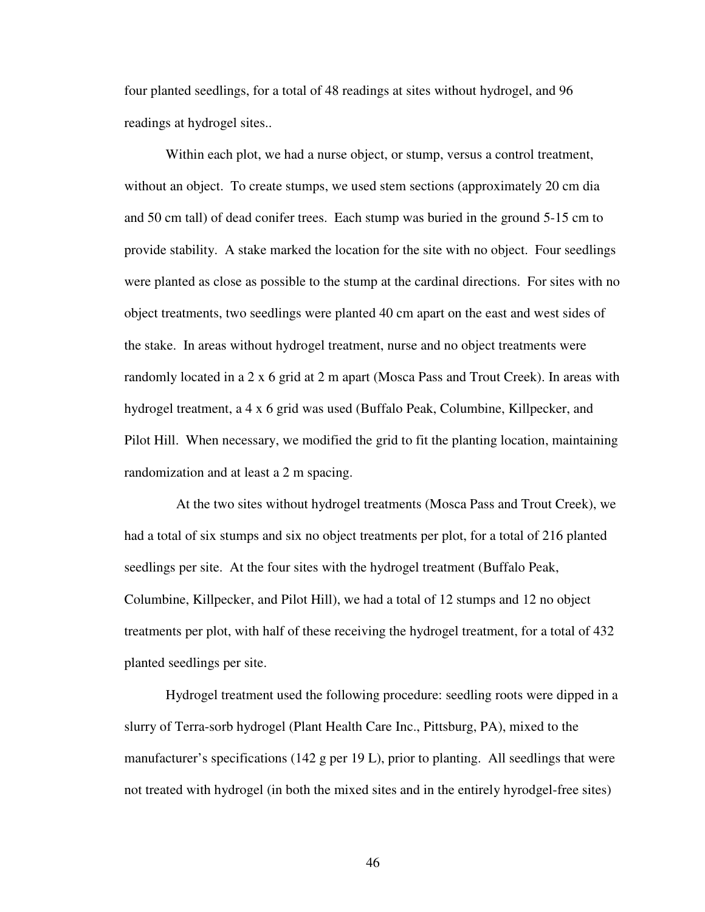four planted seedlings, for a total of 48 readings at sites without hydrogel, and 96 readings at hydrogel sites..

Within each plot, we had a nurse object, or stump, versus a control treatment, without an object. To create stumps, we used stem sections (approximately 20 cm dia and 50 cm tall) of dead conifer trees. Each stump was buried in the ground 5-15 cm to provide stability. A stake marked the location for the site with no object. Four seedlings were planted as close as possible to the stump at the cardinal directions. For sites with no object treatments, two seedlings were planted 40 cm apart on the east and west sides of the stake. In areas without hydrogel treatment, nurse and no object treatments were randomly located in a 2 x 6 grid at 2 m apart (Mosca Pass and Trout Creek). In areas with hydrogel treatment, a 4 x 6 grid was used (Buffalo Peak, Columbine, Killpecker, and Pilot Hill. When necessary, we modified the grid to fit the planting location, maintaining randomization and at least a 2 m spacing.

 At the two sites without hydrogel treatments (Mosca Pass and Trout Creek), we had a total of six stumps and six no object treatments per plot, for a total of 216 planted seedlings per site. At the four sites with the hydrogel treatment (Buffalo Peak, Columbine, Killpecker, and Pilot Hill), we had a total of 12 stumps and 12 no object treatments per plot, with half of these receiving the hydrogel treatment, for a total of 432 planted seedlings per site.

Hydrogel treatment used the following procedure: seedling roots were dipped in a slurry of Terra-sorb hydrogel (Plant Health Care Inc., Pittsburg, PA), mixed to the manufacturer's specifications (142 g per 19 L), prior to planting. All seedlings that were not treated with hydrogel (in both the mixed sites and in the entirely hyrodgel-free sites)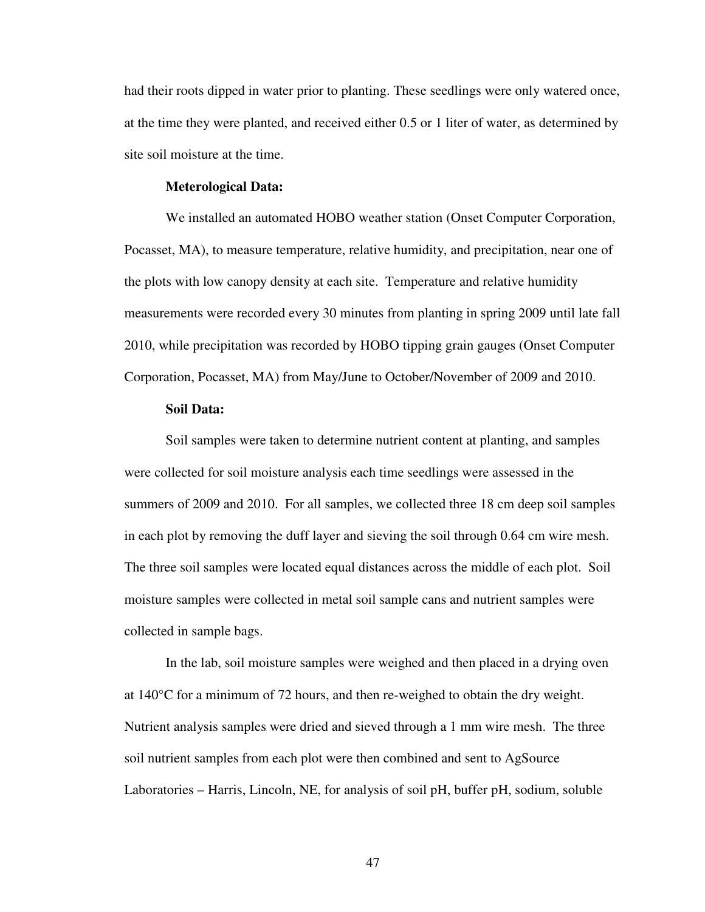had their roots dipped in water prior to planting. These seedlings were only watered once, at the time they were planted, and received either 0.5 or 1 liter of water, as determined by site soil moisture at the time.

# **Meterological Data:**

We installed an automated HOBO weather station (Onset Computer Corporation, Pocasset, MA), to measure temperature, relative humidity, and precipitation, near one of the plots with low canopy density at each site. Temperature and relative humidity measurements were recorded every 30 minutes from planting in spring 2009 until late fall 2010, while precipitation was recorded by HOBO tipping grain gauges (Onset Computer Corporation, Pocasset, MA) from May/June to October/November of 2009 and 2010.

### **Soil Data:**

 Soil samples were taken to determine nutrient content at planting, and samples were collected for soil moisture analysis each time seedlings were assessed in the summers of 2009 and 2010. For all samples, we collected three 18 cm deep soil samples in each plot by removing the duff layer and sieving the soil through 0.64 cm wire mesh. The three soil samples were located equal distances across the middle of each plot. Soil moisture samples were collected in metal soil sample cans and nutrient samples were collected in sample bags.

In the lab, soil moisture samples were weighed and then placed in a drying oven at 140°C for a minimum of 72 hours, and then re-weighed to obtain the dry weight. Nutrient analysis samples were dried and sieved through a 1 mm wire mesh. The three soil nutrient samples from each plot were then combined and sent to AgSource Laboratories – Harris, Lincoln, NE, for analysis of soil pH, buffer pH, sodium, soluble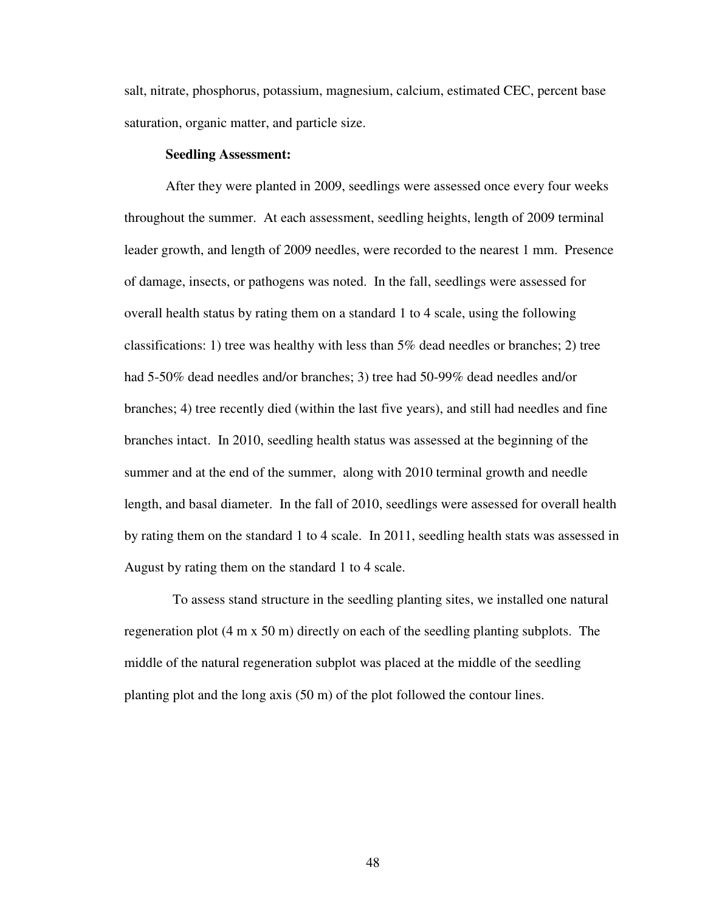salt, nitrate, phosphorus, potassium, magnesium, calcium, estimated CEC, percent base saturation, organic matter, and particle size.

### **Seedling Assessment:**

After they were planted in 2009, seedlings were assessed once every four weeks throughout the summer. At each assessment, seedling heights, length of 2009 terminal leader growth, and length of 2009 needles, were recorded to the nearest 1 mm. Presence of damage, insects, or pathogens was noted. In the fall, seedlings were assessed for overall health status by rating them on a standard 1 to 4 scale, using the following classifications: 1) tree was healthy with less than  $5\%$  dead needles or branches; 2) tree had 5-50% dead needles and/or branches; 3) tree had 50-99% dead needles and/or branches; 4) tree recently died (within the last five years), and still had needles and fine branches intact. In 2010, seedling health status was assessed at the beginning of the summer and at the end of the summer, along with 2010 terminal growth and needle length, and basal diameter. In the fall of 2010, seedlings were assessed for overall health by rating them on the standard 1 to 4 scale. In 2011, seedling health stats was assessed in August by rating them on the standard 1 to 4 scale.

 To assess stand structure in the seedling planting sites, we installed one natural regeneration plot (4 m x 50 m) directly on each of the seedling planting subplots. The middle of the natural regeneration subplot was placed at the middle of the seedling planting plot and the long axis (50 m) of the plot followed the contour lines.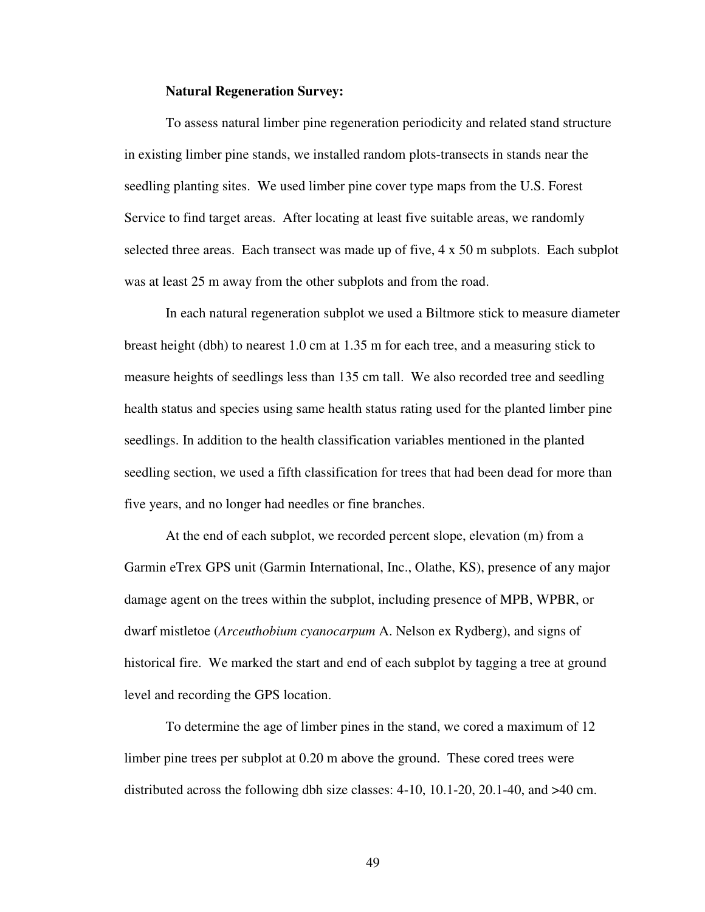#### **Natural Regeneration Survey:**

To assess natural limber pine regeneration periodicity and related stand structure in existing limber pine stands, we installed random plots-transects in stands near the seedling planting sites. We used limber pine cover type maps from the U.S. Forest Service to find target areas. After locating at least five suitable areas, we randomly selected three areas. Each transect was made up of five, 4 x 50 m subplots. Each subplot was at least 25 m away from the other subplots and from the road.

 In each natural regeneration subplot we used a Biltmore stick to measure diameter breast height (dbh) to nearest 1.0 cm at 1.35 m for each tree, and a measuring stick to measure heights of seedlings less than 135 cm tall. We also recorded tree and seedling health status and species using same health status rating used for the planted limber pine seedlings. In addition to the health classification variables mentioned in the planted seedling section, we used a fifth classification for trees that had been dead for more than five years, and no longer had needles or fine branches.

At the end of each subplot, we recorded percent slope, elevation (m) from a Garmin eTrex GPS unit (Garmin International, Inc., Olathe, KS), presence of any major damage agent on the trees within the subplot, including presence of MPB, WPBR, or dwarf mistletoe (*Arceuthobium cyanocarpum* A. Nelson ex Rydberg), and signs of historical fire. We marked the start and end of each subplot by tagging a tree at ground level and recording the GPS location.

To determine the age of limber pines in the stand, we cored a maximum of 12 limber pine trees per subplot at 0.20 m above the ground. These cored trees were distributed across the following dbh size classes: 4-10, 10.1-20, 20.1-40, and >40 cm.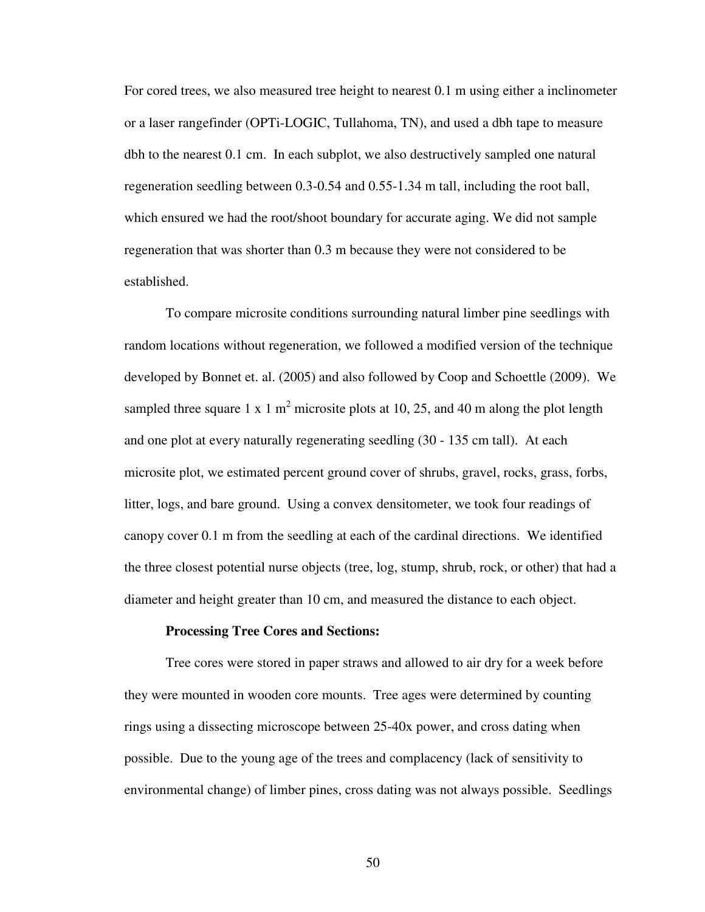For cored trees, we also measured tree height to nearest 0.1 m using either a inclinometer or a laser rangefinder (OPTi-LOGIC, Tullahoma, TN), and used a dbh tape to measure dbh to the nearest 0.1 cm. In each subplot, we also destructively sampled one natural regeneration seedling between 0.3-0.54 and 0.55-1.34 m tall, including the root ball, which ensured we had the root/shoot boundary for accurate aging. We did not sample regeneration that was shorter than 0.3 m because they were not considered to be established.

To compare microsite conditions surrounding natural limber pine seedlings with random locations without regeneration, we followed a modified version of the technique developed by Bonnet et. al. (2005) and also followed by Coop and Schoettle (2009). We sampled three square 1 x 1 m<sup>2</sup> microsite plots at 10, 25, and 40 m along the plot length and one plot at every naturally regenerating seedling (30 - 135 cm tall). At each microsite plot, we estimated percent ground cover of shrubs, gravel, rocks, grass, forbs, litter, logs, and bare ground. Using a convex densitometer, we took four readings of canopy cover 0.1 m from the seedling at each of the cardinal directions. We identified the three closest potential nurse objects (tree, log, stump, shrub, rock, or other) that had a diameter and height greater than 10 cm, and measured the distance to each object.

#### **Processing Tree Cores and Sections:**

Tree cores were stored in paper straws and allowed to air dry for a week before they were mounted in wooden core mounts. Tree ages were determined by counting rings using a dissecting microscope between 25-40x power, and cross dating when possible. Due to the young age of the trees and complacency (lack of sensitivity to environmental change) of limber pines, cross dating was not always possible. Seedlings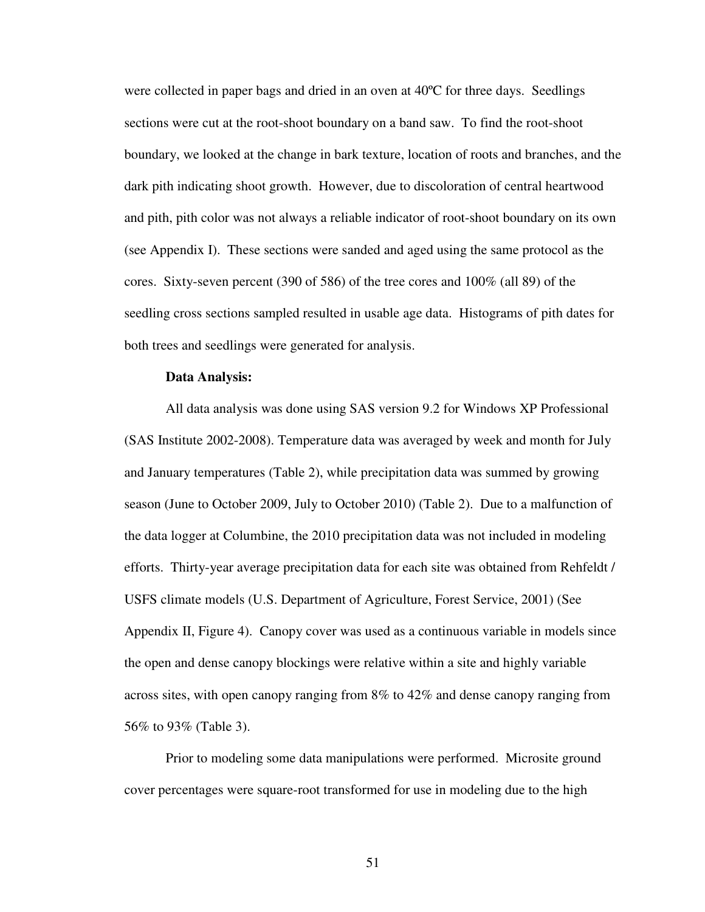were collected in paper bags and dried in an oven at 40ºC for three days. Seedlings sections were cut at the root-shoot boundary on a band saw. To find the root-shoot boundary, we looked at the change in bark texture, location of roots and branches, and the dark pith indicating shoot growth. However, due to discoloration of central heartwood and pith, pith color was not always a reliable indicator of root-shoot boundary on its own (see Appendix I). These sections were sanded and aged using the same protocol as the cores. Sixty-seven percent (390 of 586) of the tree cores and 100% (all 89) of the seedling cross sections sampled resulted in usable age data. Histograms of pith dates for both trees and seedlings were generated for analysis.

### **Data Analysis:**

All data analysis was done using SAS version 9.2 for Windows XP Professional (SAS Institute 2002-2008). Temperature data was averaged by week and month for July and January temperatures (Table 2), while precipitation data was summed by growing season (June to October 2009, July to October 2010) (Table 2). Due to a malfunction of the data logger at Columbine, the 2010 precipitation data was not included in modeling efforts. Thirty-year average precipitation data for each site was obtained from Rehfeldt / USFS climate models (U.S. Department of Agriculture, Forest Service, 2001) (See Appendix II, Figure 4). Canopy cover was used as a continuous variable in models since the open and dense canopy blockings were relative within a site and highly variable across sites, with open canopy ranging from 8% to 42% and dense canopy ranging from 56% to 93% (Table 3).

Prior to modeling some data manipulations were performed. Microsite ground cover percentages were square-root transformed for use in modeling due to the high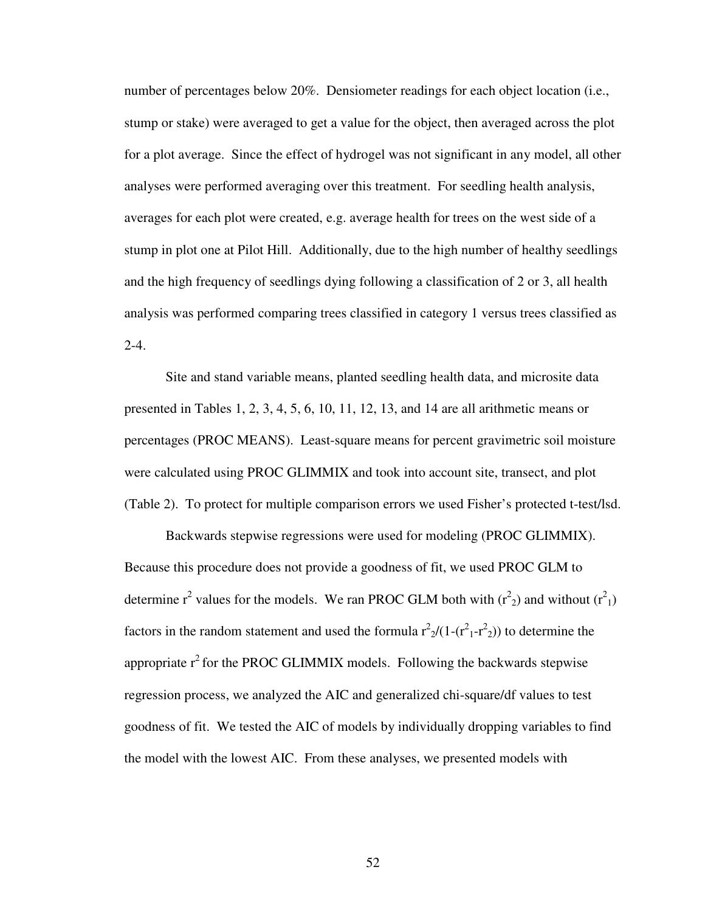number of percentages below 20%. Densiometer readings for each object location (i.e., stump or stake) were averaged to get a value for the object, then averaged across the plot for a plot average. Since the effect of hydrogel was not significant in any model, all other analyses were performed averaging over this treatment. For seedling health analysis, averages for each plot were created, e.g. average health for trees on the west side of a stump in plot one at Pilot Hill. Additionally, due to the high number of healthy seedlings and the high frequency of seedlings dying following a classification of 2 or 3, all health analysis was performed comparing trees classified in category 1 versus trees classified as  $2-4.$ 

Site and stand variable means, planted seedling health data, and microsite data presented in Tables 1, 2, 3, 4, 5, 6, 10, 11, 12, 13, and 14 are all arithmetic means or percentages (PROC MEANS). Least-square means for percent gravimetric soil moisture were calculated using PROC GLIMMIX and took into account site, transect, and plot (Table 2). To protect for multiple comparison errors we used Fisher's protected t-test/lsd.

Backwards stepwise regressions were used for modeling (PROC GLIMMIX). Because this procedure does not provide a goodness of fit, we used PROC GLM to determine  $r^2$  values for the models. We ran PROC GLM both with  $(r^2)$  and without  $(r^2)$ factors in the random statement and used the formula  $r^2/((1-(r^2-1-r^2))^2)$  to determine the appropriate  $r^2$  for the PROC GLIMMIX models. Following the backwards stepwise regression process, we analyzed the AIC and generalized chi-square/df values to test goodness of fit. We tested the AIC of models by individually dropping variables to find the model with the lowest AIC. From these analyses, we presented models with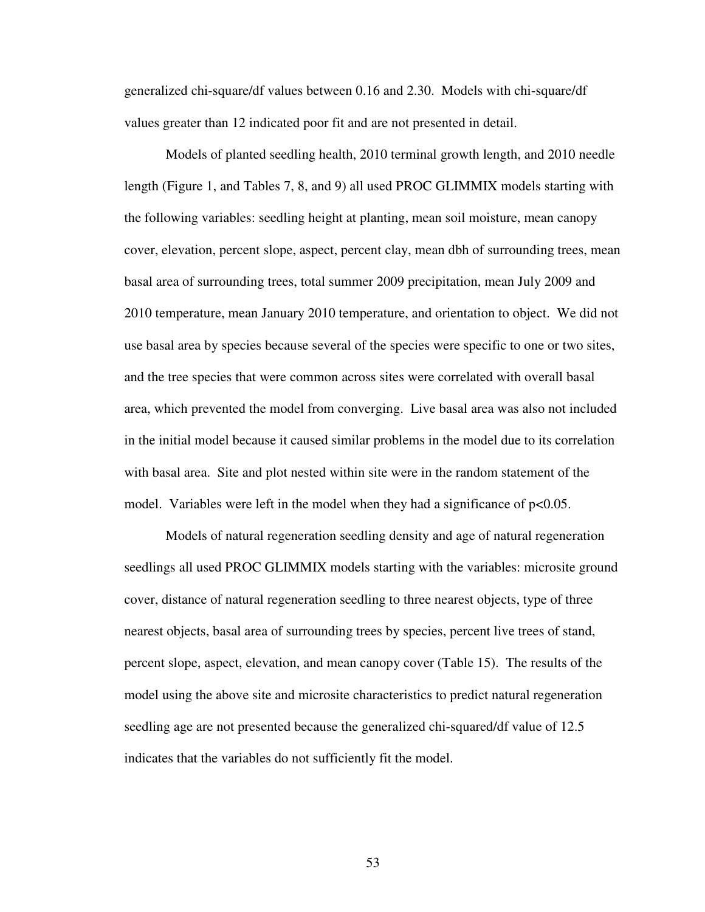generalized chi-square/df values between 0.16 and 2.30. Models with chi-square/df values greater than 12 indicated poor fit and are not presented in detail.

Models of planted seedling health, 2010 terminal growth length, and 2010 needle length (Figure 1, and Tables 7, 8, and 9) all used PROC GLIMMIX models starting with the following variables: seedling height at planting, mean soil moisture, mean canopy cover, elevation, percent slope, aspect, percent clay, mean dbh of surrounding trees, mean basal area of surrounding trees, total summer 2009 precipitation, mean July 2009 and 2010 temperature, mean January 2010 temperature, and orientation to object. We did not use basal area by species because several of the species were specific to one or two sites, and the tree species that were common across sites were correlated with overall basal area, which prevented the model from converging. Live basal area was also not included in the initial model because it caused similar problems in the model due to its correlation with basal area. Site and plot nested within site were in the random statement of the model. Variables were left in the model when they had a significance of  $p<0.05$ .

Models of natural regeneration seedling density and age of natural regeneration seedlings all used PROC GLIMMIX models starting with the variables: microsite ground cover, distance of natural regeneration seedling to three nearest objects, type of three nearest objects, basal area of surrounding trees by species, percent live trees of stand, percent slope, aspect, elevation, and mean canopy cover (Table 15). The results of the model using the above site and microsite characteristics to predict natural regeneration seedling age are not presented because the generalized chi-squared/df value of 12.5 indicates that the variables do not sufficiently fit the model.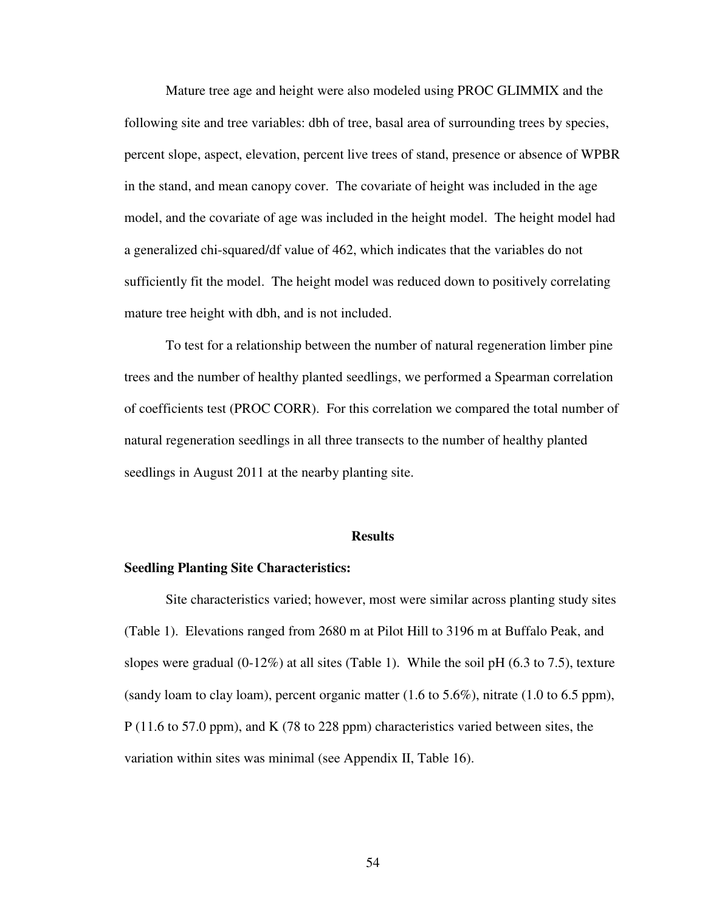Mature tree age and height were also modeled using PROC GLIMMIX and the following site and tree variables: dbh of tree, basal area of surrounding trees by species, percent slope, aspect, elevation, percent live trees of stand, presence or absence of WPBR in the stand, and mean canopy cover. The covariate of height was included in the age model, and the covariate of age was included in the height model. The height model had a generalized chi-squared/df value of 462, which indicates that the variables do not sufficiently fit the model. The height model was reduced down to positively correlating mature tree height with dbh, and is not included.

To test for a relationship between the number of natural regeneration limber pine trees and the number of healthy planted seedlings, we performed a Spearman correlation of coefficients test (PROC CORR). For this correlation we compared the total number of natural regeneration seedlings in all three transects to the number of healthy planted seedlings in August 2011 at the nearby planting site.

#### **Results**

### **Seedling Planting Site Characteristics:**

Site characteristics varied; however, most were similar across planting study sites (Table 1). Elevations ranged from 2680 m at Pilot Hill to 3196 m at Buffalo Peak, and slopes were gradual  $(0-12\%)$  at all sites (Table 1). While the soil pH  $(6.3 \text{ to } 7.5)$ , texture (sandy loam to clay loam), percent organic matter (1.6 to 5.6%), nitrate (1.0 to 6.5 ppm), P (11.6 to 57.0 ppm), and K (78 to 228 ppm) characteristics varied between sites, the variation within sites was minimal (see Appendix II, Table 16).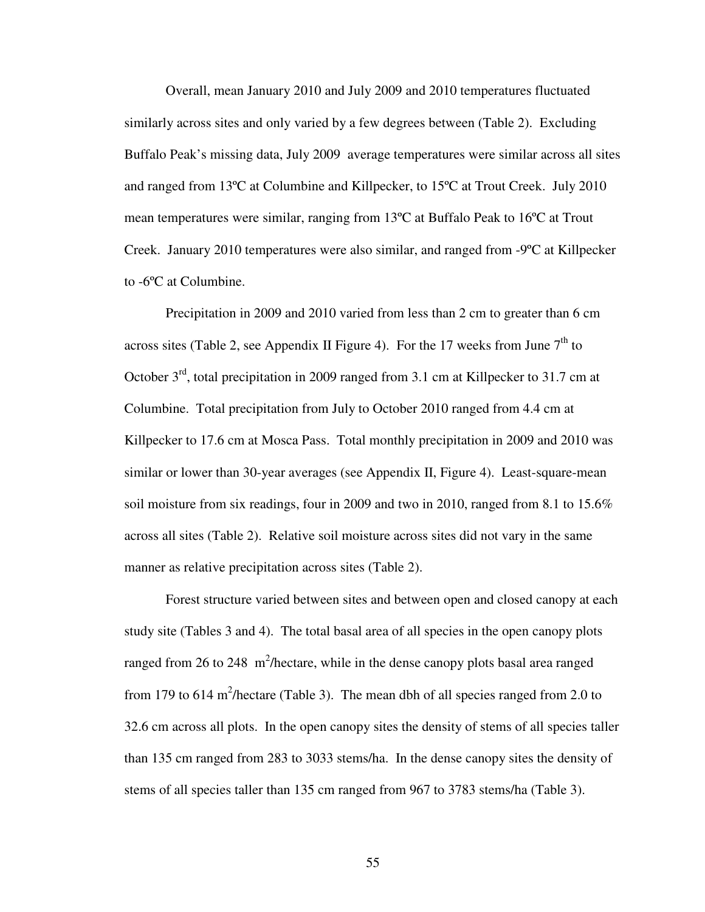Overall, mean January 2010 and July 2009 and 2010 temperatures fluctuated similarly across sites and only varied by a few degrees between (Table 2). Excluding Buffalo Peak's missing data, July 2009 average temperatures were similar across all sites and ranged from 13ºC at Columbine and Killpecker, to 15ºC at Trout Creek. July 2010 mean temperatures were similar, ranging from 13ºC at Buffalo Peak to 16ºC at Trout Creek. January 2010 temperatures were also similar, and ranged from -9ºC at Killpecker to -6ºC at Columbine.

Precipitation in 2009 and 2010 varied from less than 2 cm to greater than 6 cm across sites (Table 2, see Appendix II Figure 4). For the 17 weeks from June  $7<sup>th</sup>$  to October  $3<sup>rd</sup>$ , total precipitation in 2009 ranged from 3.1 cm at Killpecker to 31.7 cm at Columbine. Total precipitation from July to October 2010 ranged from 4.4 cm at Killpecker to 17.6 cm at Mosca Pass. Total monthly precipitation in 2009 and 2010 was similar or lower than 30-year averages (see Appendix II, Figure 4). Least-square-mean soil moisture from six readings, four in 2009 and two in 2010, ranged from 8.1 to 15.6% across all sites (Table 2). Relative soil moisture across sites did not vary in the same manner as relative precipitation across sites (Table 2).

Forest structure varied between sites and between open and closed canopy at each study site (Tables 3 and 4). The total basal area of all species in the open canopy plots ranged from 26 to 248  $m^2$ /hectare, while in the dense canopy plots basal area ranged from 179 to 614 m<sup>2</sup>/hectare (Table 3). The mean dbh of all species ranged from 2.0 to 32.6 cm across all plots. In the open canopy sites the density of stems of all species taller than 135 cm ranged from 283 to 3033 stems/ha. In the dense canopy sites the density of stems of all species taller than 135 cm ranged from 967 to 3783 stems/ha (Table 3).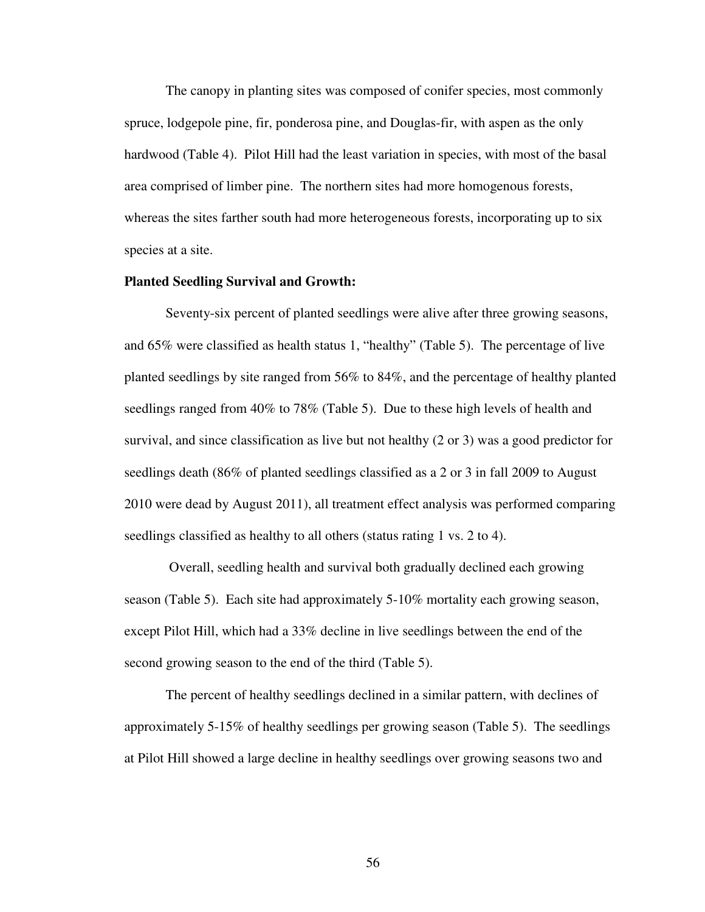The canopy in planting sites was composed of conifer species, most commonly spruce, lodgepole pine, fir, ponderosa pine, and Douglas-fir, with aspen as the only hardwood (Table 4). Pilot Hill had the least variation in species, with most of the basal area comprised of limber pine. The northern sites had more homogenous forests, whereas the sites farther south had more heterogeneous forests, incorporating up to six species at a site.

### **Planted Seedling Survival and Growth:**

Seventy-six percent of planted seedlings were alive after three growing seasons, and 65% were classified as health status 1, "healthy" (Table 5). The percentage of live planted seedlings by site ranged from 56% to 84%, and the percentage of healthy planted seedlings ranged from 40% to 78% (Table 5). Due to these high levels of health and survival, and since classification as live but not healthy (2 or 3) was a good predictor for seedlings death (86% of planted seedlings classified as a 2 or 3 in fall 2009 to August 2010 were dead by August 2011), all treatment effect analysis was performed comparing seedlings classified as healthy to all others (status rating 1 vs. 2 to 4).

 Overall, seedling health and survival both gradually declined each growing season (Table 5). Each site had approximately 5-10% mortality each growing season, except Pilot Hill, which had a 33% decline in live seedlings between the end of the second growing season to the end of the third (Table 5).

The percent of healthy seedlings declined in a similar pattern, with declines of approximately 5-15% of healthy seedlings per growing season (Table 5). The seedlings at Pilot Hill showed a large decline in healthy seedlings over growing seasons two and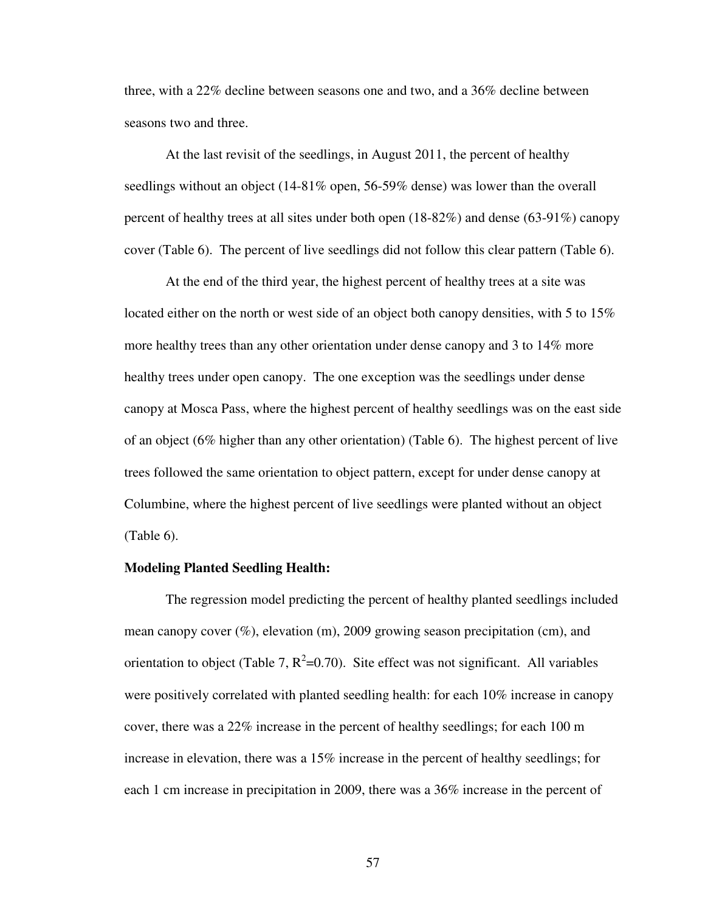three, with a 22% decline between seasons one and two, and a 36% decline between seasons two and three.

At the last revisit of the seedlings, in August 2011, the percent of healthy seedlings without an object (14-81% open, 56-59% dense) was lower than the overall percent of healthy trees at all sites under both open (18-82%) and dense (63-91%) canopy cover (Table 6). The percent of live seedlings did not follow this clear pattern (Table 6).

At the end of the third year, the highest percent of healthy trees at a site was located either on the north or west side of an object both canopy densities, with 5 to 15% more healthy trees than any other orientation under dense canopy and 3 to 14% more healthy trees under open canopy. The one exception was the seedlings under dense canopy at Mosca Pass, where the highest percent of healthy seedlings was on the east side of an object (6% higher than any other orientation) (Table 6). The highest percent of live trees followed the same orientation to object pattern, except for under dense canopy at Columbine, where the highest percent of live seedlings were planted without an object (Table 6).

## **Modeling Planted Seedling Health:**

The regression model predicting the percent of healthy planted seedlings included mean canopy cover  $(\%)$ , elevation  $(m)$ , 2009 growing season precipitation  $(cm)$ , and orientation to object (Table 7,  $R^2$ =0.70). Site effect was not significant. All variables were positively correlated with planted seedling health: for each 10% increase in canopy cover, there was a 22% increase in the percent of healthy seedlings; for each 100 m increase in elevation, there was a 15% increase in the percent of healthy seedlings; for each 1 cm increase in precipitation in 2009, there was a 36% increase in the percent of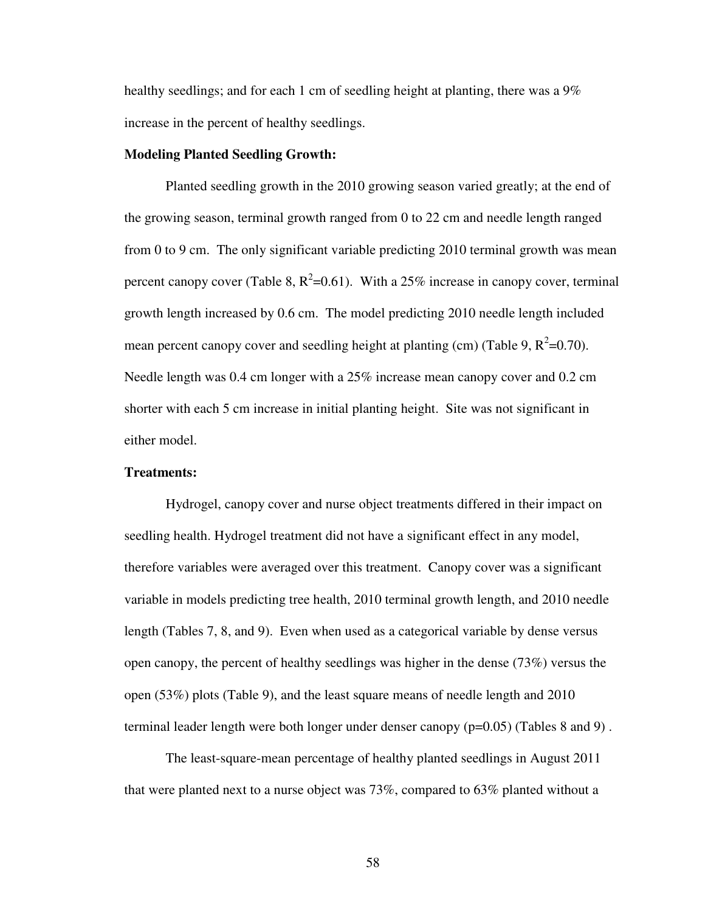healthy seedlings; and for each 1 cm of seedling height at planting, there was a 9% increase in the percent of healthy seedlings.

### **Modeling Planted Seedling Growth:**

Planted seedling growth in the 2010 growing season varied greatly; at the end of the growing season, terminal growth ranged from 0 to 22 cm and needle length ranged from 0 to 9 cm. The only significant variable predicting 2010 terminal growth was mean percent canopy cover (Table 8,  $R^2$ =0.61). With a 25% increase in canopy cover, terminal growth length increased by 0.6 cm. The model predicting 2010 needle length included mean percent canopy cover and seedling height at planting (cm) (Table 9,  $R^2$ =0.70). Needle length was 0.4 cm longer with a 25% increase mean canopy cover and 0.2 cm shorter with each 5 cm increase in initial planting height. Site was not significant in either model.

## **Treatments:**

 Hydrogel, canopy cover and nurse object treatments differed in their impact on seedling health. Hydrogel treatment did not have a significant effect in any model, therefore variables were averaged over this treatment. Canopy cover was a significant variable in models predicting tree health, 2010 terminal growth length, and 2010 needle length (Tables 7, 8, and 9). Even when used as a categorical variable by dense versus open canopy, the percent of healthy seedlings was higher in the dense (73%) versus the open (53%) plots (Table 9), and the least square means of needle length and 2010 terminal leader length were both longer under denser canopy (p=0.05) (Tables 8 and 9) .

 The least-square-mean percentage of healthy planted seedlings in August 2011 that were planted next to a nurse object was 73%, compared to 63% planted without a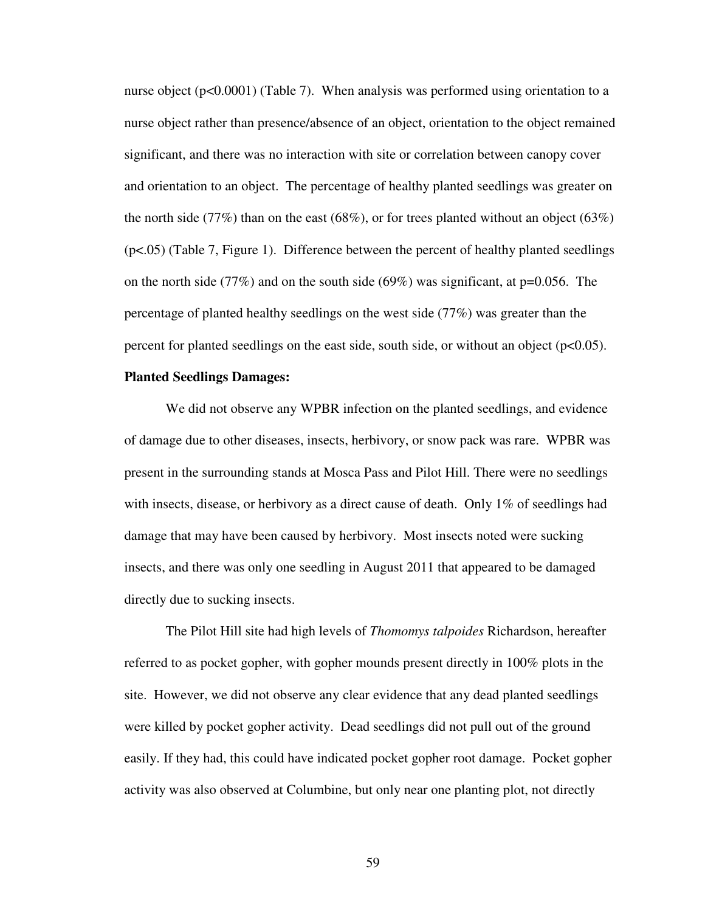nurse object ( $p<0.0001$ ) (Table 7). When analysis was performed using orientation to a nurse object rather than presence/absence of an object, orientation to the object remained significant, and there was no interaction with site or correlation between canopy cover and orientation to an object. The percentage of healthy planted seedlings was greater on the north side (77%) than on the east (68%), or for trees planted without an object (63%) (p<.05) (Table 7, Figure 1). Difference between the percent of healthy planted seedlings on the north side (77%) and on the south side (69%) was significant, at  $p=0.056$ . The percentage of planted healthy seedlings on the west side (77%) was greater than the percent for planted seedlings on the east side, south side, or without an object  $(p<0.05)$ .

### **Planted Seedlings Damages:**

We did not observe any WPBR infection on the planted seedlings, and evidence of damage due to other diseases, insects, herbivory, or snow pack was rare. WPBR was present in the surrounding stands at Mosca Pass and Pilot Hill. There were no seedlings with insects, disease, or herbivory as a direct cause of death. Only 1% of seedlings had damage that may have been caused by herbivory. Most insects noted were sucking insects, and there was only one seedling in August 2011 that appeared to be damaged directly due to sucking insects.

The Pilot Hill site had high levels of *Thomomys talpoides* Richardson, hereafter referred to as pocket gopher, with gopher mounds present directly in 100% plots in the site. However, we did not observe any clear evidence that any dead planted seedlings were killed by pocket gopher activity. Dead seedlings did not pull out of the ground easily. If they had, this could have indicated pocket gopher root damage. Pocket gopher activity was also observed at Columbine, but only near one planting plot, not directly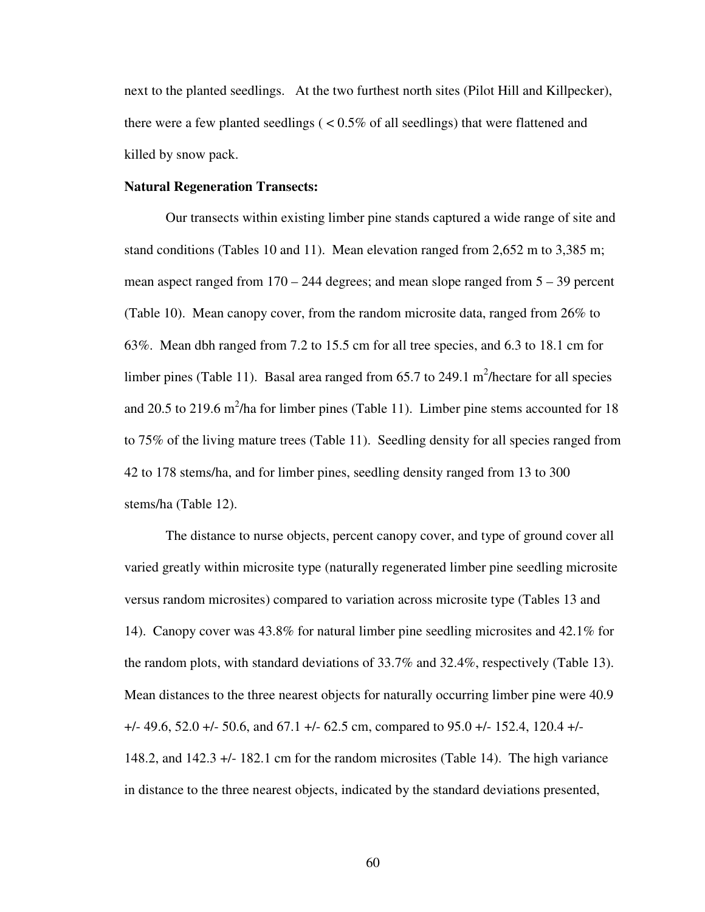next to the planted seedlings. At the two furthest north sites (Pilot Hill and Killpecker), there were a few planted seedlings  $\zeta \leq 0.5\%$  of all seedlings) that were flattened and killed by snow pack.

### **Natural Regeneration Transects:**

Our transects within existing limber pine stands captured a wide range of site and stand conditions (Tables 10 and 11). Mean elevation ranged from 2,652 m to 3,385 m; mean aspect ranged from 170 – 244 degrees; and mean slope ranged from 5 – 39 percent (Table 10). Mean canopy cover, from the random microsite data, ranged from 26% to 63%. Mean dbh ranged from 7.2 to 15.5 cm for all tree species, and 6.3 to 18.1 cm for limber pines (Table 11). Basal area ranged from  $65.7$  to 249.1 m<sup>2</sup>/hectare for all species and 20.5 to 219.6 m<sup>2</sup>/ha for limber pines (Table 11). Limber pine stems accounted for 18 to 75% of the living mature trees (Table 11). Seedling density for all species ranged from 42 to 178 stems/ha, and for limber pines, seedling density ranged from 13 to 300 stems/ha (Table 12).

The distance to nurse objects, percent canopy cover, and type of ground cover all varied greatly within microsite type (naturally regenerated limber pine seedling microsite versus random microsites) compared to variation across microsite type (Tables 13 and 14). Canopy cover was 43.8% for natural limber pine seedling microsites and 42.1% for the random plots, with standard deviations of 33.7% and 32.4%, respectively (Table 13). Mean distances to the three nearest objects for naturally occurring limber pine were 40.9 +/- 49.6, 52.0 +/- 50.6, and 67.1 +/- 62.5 cm, compared to 95.0 +/- 152.4, 120.4 +/- 148.2, and 142.3 +/- 182.1 cm for the random microsites (Table 14). The high variance in distance to the three nearest objects, indicated by the standard deviations presented,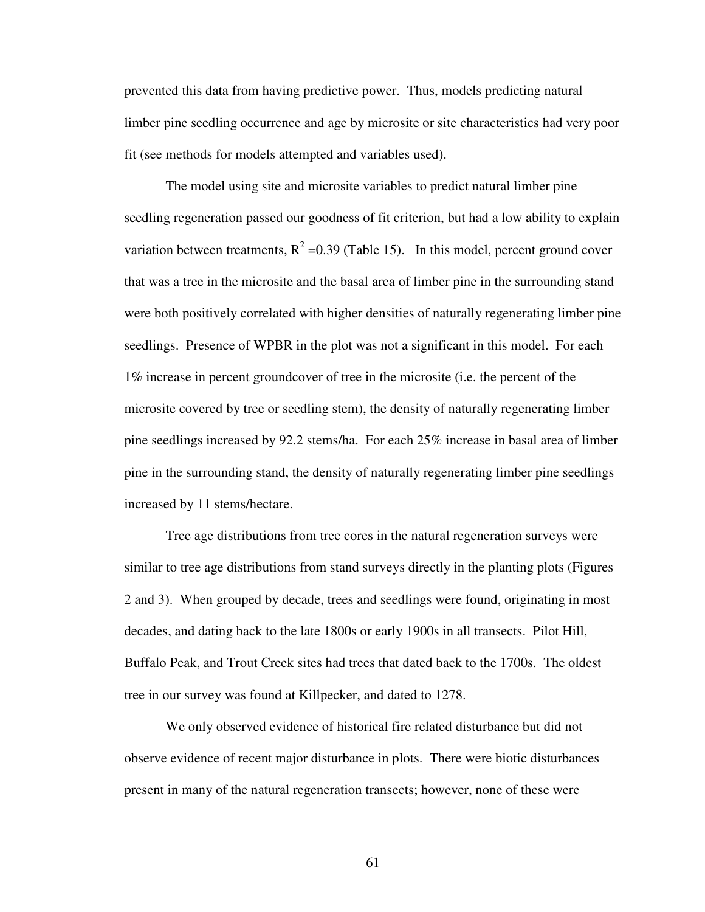prevented this data from having predictive power. Thus, models predicting natural limber pine seedling occurrence and age by microsite or site characteristics had very poor fit (see methods for models attempted and variables used).

The model using site and microsite variables to predict natural limber pine seedling regeneration passed our goodness of fit criterion, but had a low ability to explain variation between treatments,  $R^2$  =0.39 (Table 15). In this model, percent ground cover that was a tree in the microsite and the basal area of limber pine in the surrounding stand were both positively correlated with higher densities of naturally regenerating limber pine seedlings. Presence of WPBR in the plot was not a significant in this model. For each 1% increase in percent groundcover of tree in the microsite (i.e. the percent of the microsite covered by tree or seedling stem), the density of naturally regenerating limber pine seedlings increased by 92.2 stems/ha. For each 25% increase in basal area of limber pine in the surrounding stand, the density of naturally regenerating limber pine seedlings increased by 11 stems/hectare.

 Tree age distributions from tree cores in the natural regeneration surveys were similar to tree age distributions from stand surveys directly in the planting plots (Figures 2 and 3). When grouped by decade, trees and seedlings were found, originating in most decades, and dating back to the late 1800s or early 1900s in all transects. Pilot Hill, Buffalo Peak, and Trout Creek sites had trees that dated back to the 1700s. The oldest tree in our survey was found at Killpecker, and dated to 1278.

 We only observed evidence of historical fire related disturbance but did not observe evidence of recent major disturbance in plots. There were biotic disturbances present in many of the natural regeneration transects; however, none of these were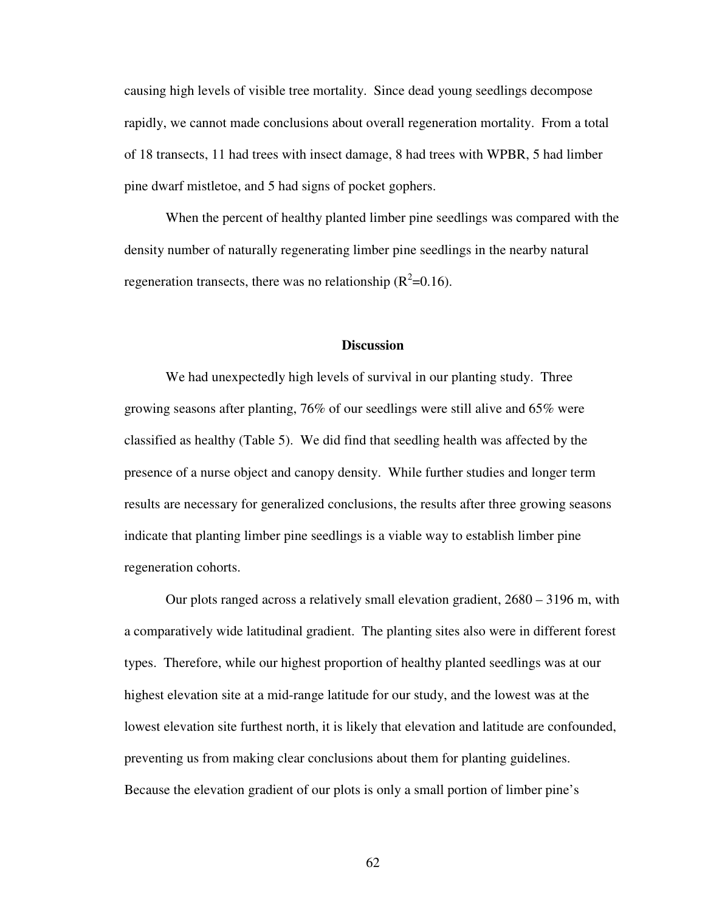causing high levels of visible tree mortality. Since dead young seedlings decompose rapidly, we cannot made conclusions about overall regeneration mortality. From a total of 18 transects, 11 had trees with insect damage, 8 had trees with WPBR, 5 had limber pine dwarf mistletoe, and 5 had signs of pocket gophers.

 When the percent of healthy planted limber pine seedlings was compared with the density number of naturally regenerating limber pine seedlings in the nearby natural regeneration transects, there was no relationship  $(R^2=0.16)$ .

### **Discussion**

We had unexpectedly high levels of survival in our planting study. Three growing seasons after planting, 76% of our seedlings were still alive and 65% were classified as healthy (Table 5). We did find that seedling health was affected by the presence of a nurse object and canopy density. While further studies and longer term results are necessary for generalized conclusions, the results after three growing seasons indicate that planting limber pine seedlings is a viable way to establish limber pine regeneration cohorts.

Our plots ranged across a relatively small elevation gradient, 2680 – 3196 m, with a comparatively wide latitudinal gradient. The planting sites also were in different forest types. Therefore, while our highest proportion of healthy planted seedlings was at our highest elevation site at a mid-range latitude for our study, and the lowest was at the lowest elevation site furthest north, it is likely that elevation and latitude are confounded, preventing us from making clear conclusions about them for planting guidelines. Because the elevation gradient of our plots is only a small portion of limber pine's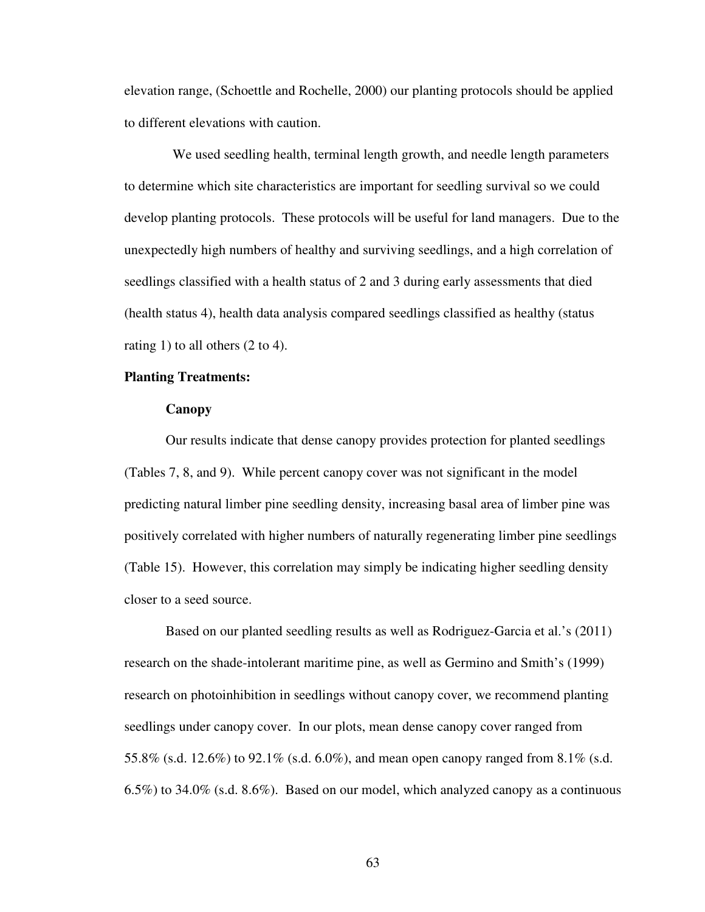elevation range, (Schoettle and Rochelle, 2000) our planting protocols should be applied to different elevations with caution.

 We used seedling health, terminal length growth, and needle length parameters to determine which site characteristics are important for seedling survival so we could develop planting protocols. These protocols will be useful for land managers. Due to the unexpectedly high numbers of healthy and surviving seedlings, and a high correlation of seedlings classified with a health status of 2 and 3 during early assessments that died (health status 4), health data analysis compared seedlings classified as healthy (status rating 1) to all others (2 to 4).

# **Planting Treatments:**

# **Canopy**

Our results indicate that dense canopy provides protection for planted seedlings (Tables 7, 8, and 9). While percent canopy cover was not significant in the model predicting natural limber pine seedling density, increasing basal area of limber pine was positively correlated with higher numbers of naturally regenerating limber pine seedlings (Table 15). However, this correlation may simply be indicating higher seedling density closer to a seed source.

Based on our planted seedling results as well as Rodriguez-Garcia et al.'s (2011) research on the shade-intolerant maritime pine, as well as Germino and Smith's (1999) research on photoinhibition in seedlings without canopy cover, we recommend planting seedlings under canopy cover. In our plots, mean dense canopy cover ranged from 55.8% (s.d. 12.6%) to 92.1% (s.d. 6.0%), and mean open canopy ranged from 8.1% (s.d. 6.5%) to 34.0% (s.d. 8.6%). Based on our model, which analyzed canopy as a continuous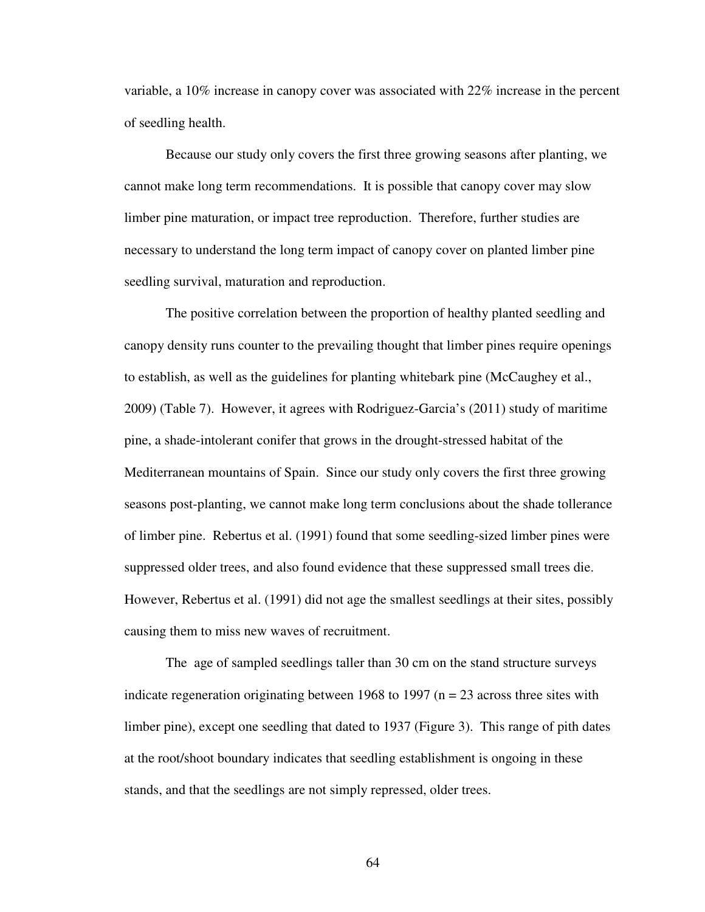variable, a 10% increase in canopy cover was associated with 22% increase in the percent of seedling health.

Because our study only covers the first three growing seasons after planting, we cannot make long term recommendations. It is possible that canopy cover may slow limber pine maturation, or impact tree reproduction. Therefore, further studies are necessary to understand the long term impact of canopy cover on planted limber pine seedling survival, maturation and reproduction.

The positive correlation between the proportion of healthy planted seedling and canopy density runs counter to the prevailing thought that limber pines require openings to establish, as well as the guidelines for planting whitebark pine (McCaughey et al., 2009) (Table 7). However, it agrees with Rodriguez-Garcia's (2011) study of maritime pine, a shade-intolerant conifer that grows in the drought-stressed habitat of the Mediterranean mountains of Spain. Since our study only covers the first three growing seasons post-planting, we cannot make long term conclusions about the shade tollerance of limber pine. Rebertus et al. (1991) found that some seedling-sized limber pines were suppressed older trees, and also found evidence that these suppressed small trees die. However, Rebertus et al. (1991) did not age the smallest seedlings at their sites, possibly causing them to miss new waves of recruitment.

The age of sampled seedlings taller than 30 cm on the stand structure surveys indicate regeneration originating between 1968 to 1997 ( $n = 23$  across three sites with limber pine), except one seedling that dated to 1937 (Figure 3). This range of pith dates at the root/shoot boundary indicates that seedling establishment is ongoing in these stands, and that the seedlings are not simply repressed, older trees.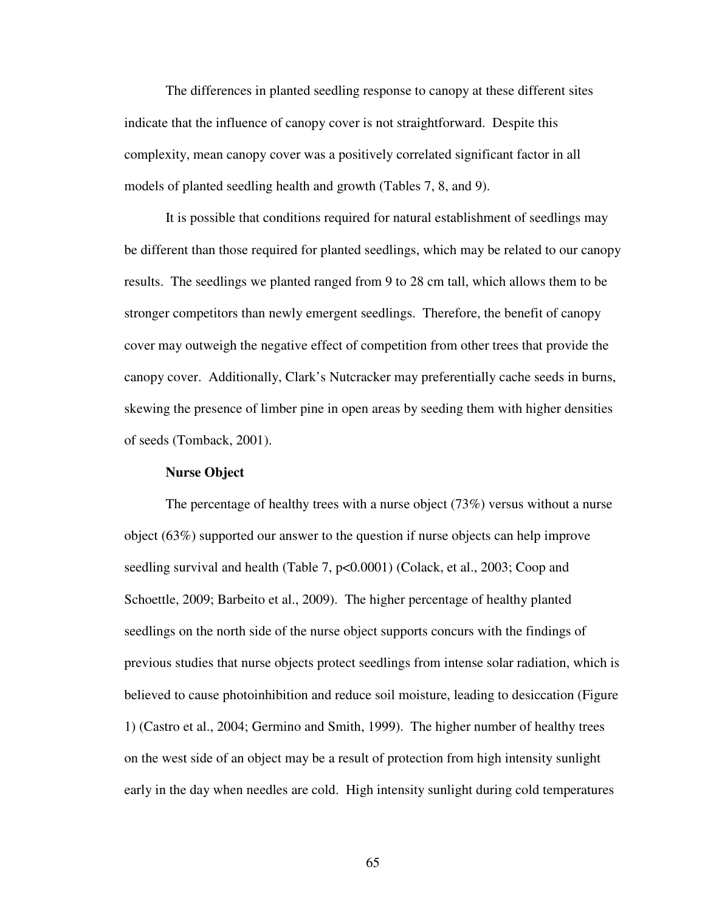The differences in planted seedling response to canopy at these different sites indicate that the influence of canopy cover is not straightforward. Despite this complexity, mean canopy cover was a positively correlated significant factor in all models of planted seedling health and growth (Tables 7, 8, and 9).

It is possible that conditions required for natural establishment of seedlings may be different than those required for planted seedlings, which may be related to our canopy results. The seedlings we planted ranged from 9 to 28 cm tall, which allows them to be stronger competitors than newly emergent seedlings. Therefore, the benefit of canopy cover may outweigh the negative effect of competition from other trees that provide the canopy cover. Additionally, Clark's Nutcracker may preferentially cache seeds in burns, skewing the presence of limber pine in open areas by seeding them with higher densities of seeds (Tomback, 2001).

### **Nurse Object**

The percentage of healthy trees with a nurse object (73%) versus without a nurse object (63%) supported our answer to the question if nurse objects can help improve seedling survival and health (Table 7, p<0.0001) (Colack, et al., 2003; Coop and Schoettle, 2009; Barbeito et al., 2009). The higher percentage of healthy planted seedlings on the north side of the nurse object supports concurs with the findings of previous studies that nurse objects protect seedlings from intense solar radiation, which is believed to cause photoinhibition and reduce soil moisture, leading to desiccation (Figure 1) (Castro et al., 2004; Germino and Smith, 1999). The higher number of healthy trees on the west side of an object may be a result of protection from high intensity sunlight early in the day when needles are cold. High intensity sunlight during cold temperatures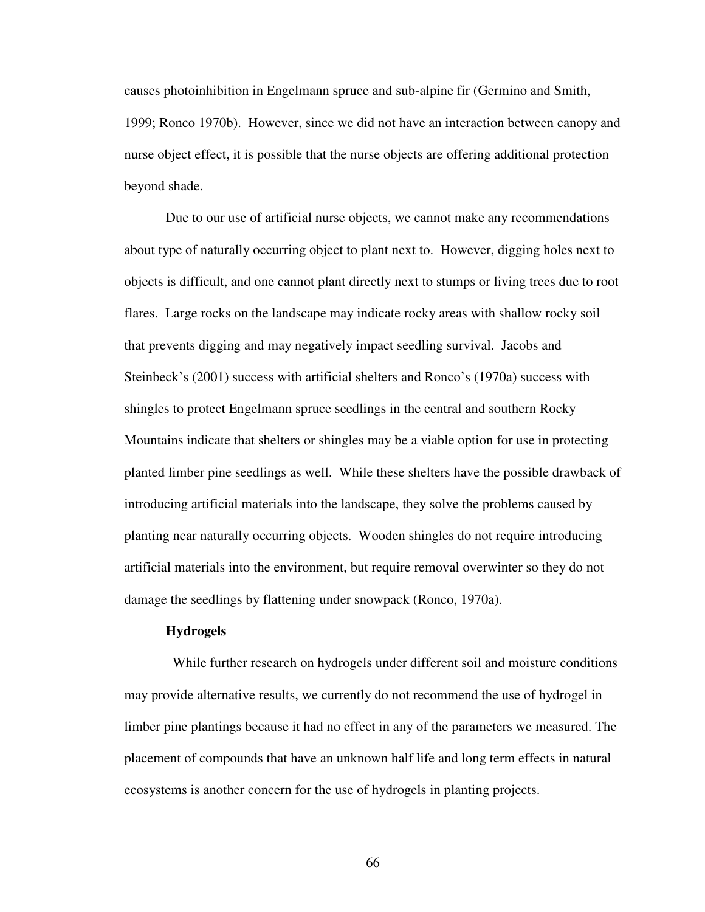causes photoinhibition in Engelmann spruce and sub-alpine fir (Germino and Smith, 1999; Ronco 1970b). However, since we did not have an interaction between canopy and nurse object effect, it is possible that the nurse objects are offering additional protection beyond shade.

Due to our use of artificial nurse objects, we cannot make any recommendations about type of naturally occurring object to plant next to. However, digging holes next to objects is difficult, and one cannot plant directly next to stumps or living trees due to root flares. Large rocks on the landscape may indicate rocky areas with shallow rocky soil that prevents digging and may negatively impact seedling survival. Jacobs and Steinbeck's (2001) success with artificial shelters and Ronco's (1970a) success with shingles to protect Engelmann spruce seedlings in the central and southern Rocky Mountains indicate that shelters or shingles may be a viable option for use in protecting planted limber pine seedlings as well. While these shelters have the possible drawback of introducing artificial materials into the landscape, they solve the problems caused by planting near naturally occurring objects. Wooden shingles do not require introducing artificial materials into the environment, but require removal overwinter so they do not damage the seedlings by flattening under snowpack (Ronco, 1970a).

#### **Hydrogels**

 While further research on hydrogels under different soil and moisture conditions may provide alternative results, we currently do not recommend the use of hydrogel in limber pine plantings because it had no effect in any of the parameters we measured. The placement of compounds that have an unknown half life and long term effects in natural ecosystems is another concern for the use of hydrogels in planting projects.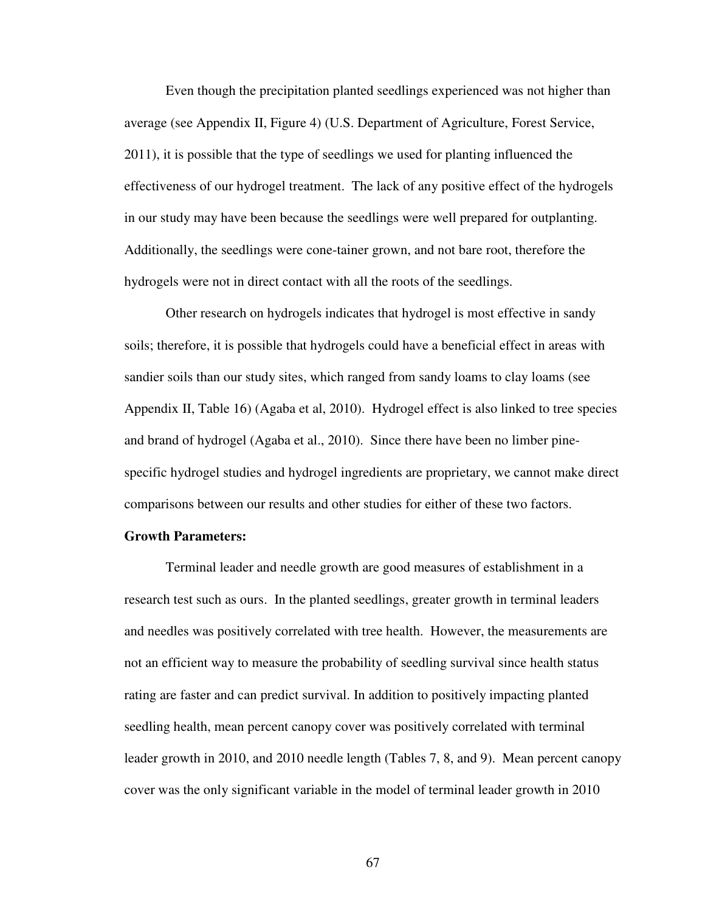Even though the precipitation planted seedlings experienced was not higher than average (see Appendix II, Figure 4) (U.S. Department of Agriculture, Forest Service, 2011), it is possible that the type of seedlings we used for planting influenced the effectiveness of our hydrogel treatment. The lack of any positive effect of the hydrogels in our study may have been because the seedlings were well prepared for outplanting. Additionally, the seedlings were cone-tainer grown, and not bare root, therefore the hydrogels were not in direct contact with all the roots of the seedlings.

Other research on hydrogels indicates that hydrogel is most effective in sandy soils; therefore, it is possible that hydrogels could have a beneficial effect in areas with sandier soils than our study sites, which ranged from sandy loams to clay loams (see Appendix II, Table 16) (Agaba et al, 2010). Hydrogel effect is also linked to tree species and brand of hydrogel (Agaba et al., 2010). Since there have been no limber pinespecific hydrogel studies and hydrogel ingredients are proprietary, we cannot make direct comparisons between our results and other studies for either of these two factors.

#### **Growth Parameters:**

Terminal leader and needle growth are good measures of establishment in a research test such as ours. In the planted seedlings, greater growth in terminal leaders and needles was positively correlated with tree health. However, the measurements are not an efficient way to measure the probability of seedling survival since health status rating are faster and can predict survival. In addition to positively impacting planted seedling health, mean percent canopy cover was positively correlated with terminal leader growth in 2010, and 2010 needle length (Tables 7, 8, and 9). Mean percent canopy cover was the only significant variable in the model of terminal leader growth in 2010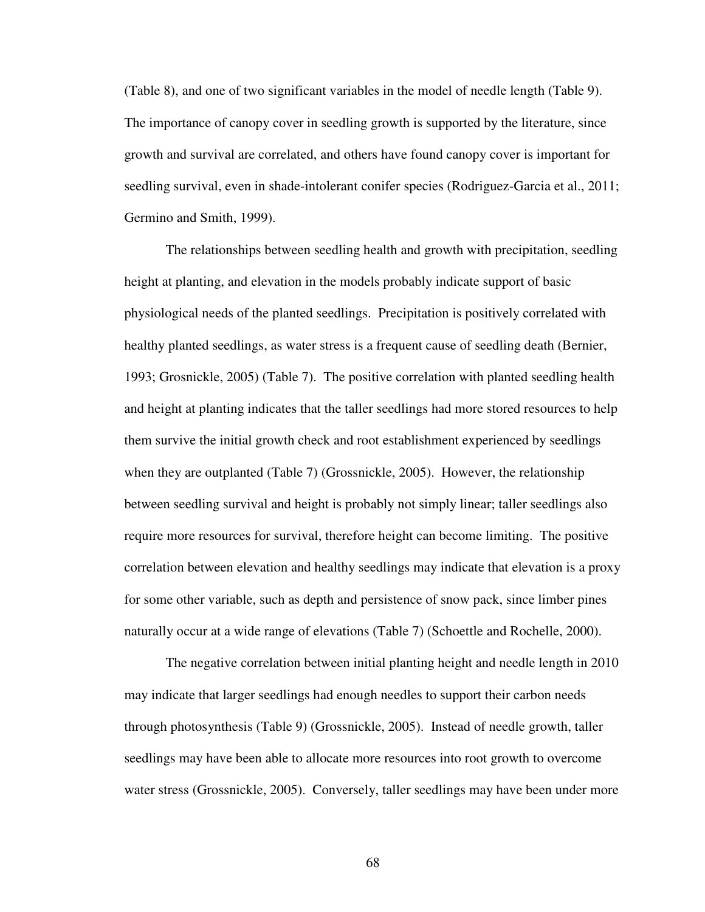(Table 8), and one of two significant variables in the model of needle length (Table 9). The importance of canopy cover in seedling growth is supported by the literature, since growth and survival are correlated, and others have found canopy cover is important for seedling survival, even in shade-intolerant conifer species (Rodriguez-Garcia et al., 2011; Germino and Smith, 1999).

The relationships between seedling health and growth with precipitation, seedling height at planting, and elevation in the models probably indicate support of basic physiological needs of the planted seedlings. Precipitation is positively correlated with healthy planted seedlings, as water stress is a frequent cause of seedling death (Bernier, 1993; Grosnickle, 2005) (Table 7). The positive correlation with planted seedling health and height at planting indicates that the taller seedlings had more stored resources to help them survive the initial growth check and root establishment experienced by seedlings when they are outplanted (Table 7) (Grossnickle, 2005). However, the relationship between seedling survival and height is probably not simply linear; taller seedlings also require more resources for survival, therefore height can become limiting. The positive correlation between elevation and healthy seedlings may indicate that elevation is a proxy for some other variable, such as depth and persistence of snow pack, since limber pines naturally occur at a wide range of elevations (Table 7) (Schoettle and Rochelle, 2000).

The negative correlation between initial planting height and needle length in 2010 may indicate that larger seedlings had enough needles to support their carbon needs through photosynthesis (Table 9) (Grossnickle, 2005). Instead of needle growth, taller seedlings may have been able to allocate more resources into root growth to overcome water stress (Grossnickle, 2005). Conversely, taller seedlings may have been under more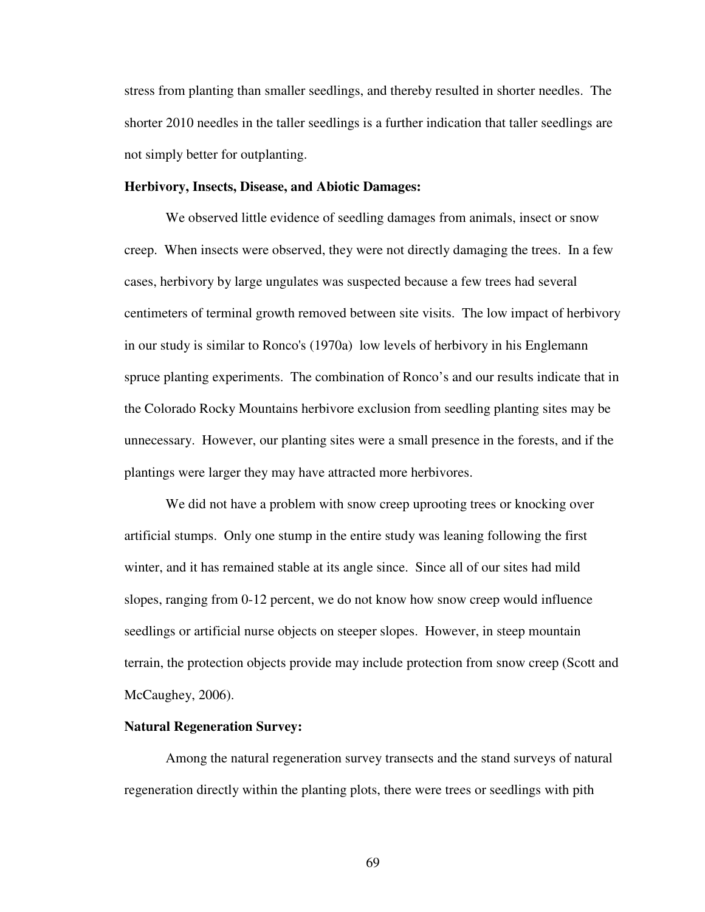stress from planting than smaller seedlings, and thereby resulted in shorter needles. The shorter 2010 needles in the taller seedlings is a further indication that taller seedlings are not simply better for outplanting.

### **Herbivory, Insects, Disease, and Abiotic Damages:**

We observed little evidence of seedling damages from animals, insect or snow creep. When insects were observed, they were not directly damaging the trees. In a few cases, herbivory by large ungulates was suspected because a few trees had several centimeters of terminal growth removed between site visits. The low impact of herbivory in our study is similar to Ronco's (1970a) low levels of herbivory in his Englemann spruce planting experiments. The combination of Ronco's and our results indicate that in the Colorado Rocky Mountains herbivore exclusion from seedling planting sites may be unnecessary. However, our planting sites were a small presence in the forests, and if the plantings were larger they may have attracted more herbivores.

We did not have a problem with snow creep uprooting trees or knocking over artificial stumps. Only one stump in the entire study was leaning following the first winter, and it has remained stable at its angle since. Since all of our sites had mild slopes, ranging from 0-12 percent, we do not know how snow creep would influence seedlings or artificial nurse objects on steeper slopes. However, in steep mountain terrain, the protection objects provide may include protection from snow creep (Scott and McCaughey, 2006).

#### **Natural Regeneration Survey:**

Among the natural regeneration survey transects and the stand surveys of natural regeneration directly within the planting plots, there were trees or seedlings with pith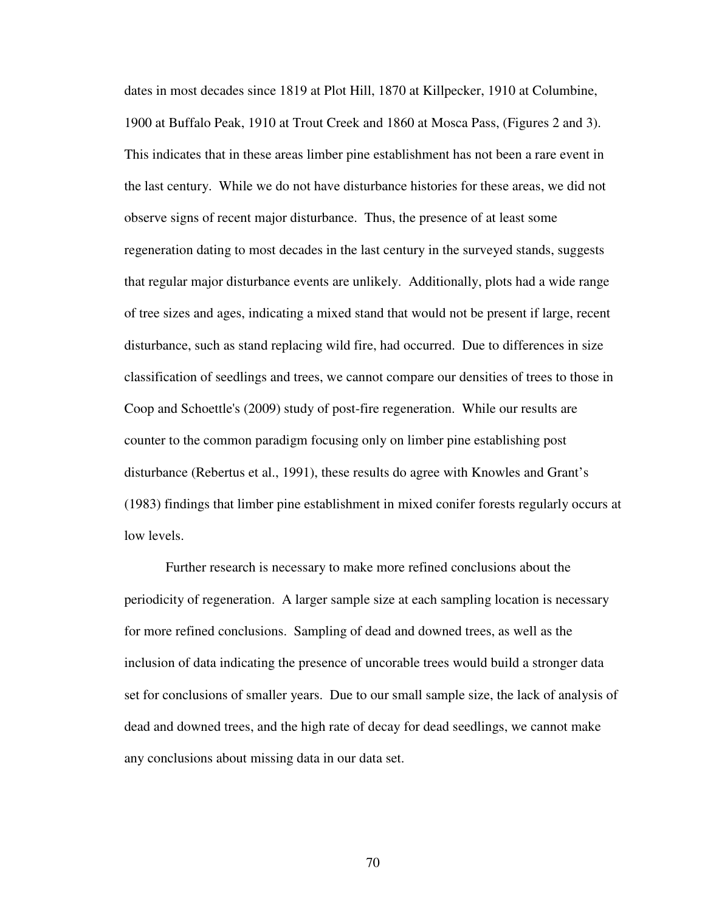dates in most decades since 1819 at Plot Hill, 1870 at Killpecker, 1910 at Columbine, 1900 at Buffalo Peak, 1910 at Trout Creek and 1860 at Mosca Pass, (Figures 2 and 3). This indicates that in these areas limber pine establishment has not been a rare event in the last century. While we do not have disturbance histories for these areas, we did not observe signs of recent major disturbance. Thus, the presence of at least some regeneration dating to most decades in the last century in the surveyed stands, suggests that regular major disturbance events are unlikely. Additionally, plots had a wide range of tree sizes and ages, indicating a mixed stand that would not be present if large, recent disturbance, such as stand replacing wild fire, had occurred. Due to differences in size classification of seedlings and trees, we cannot compare our densities of trees to those in Coop and Schoettle's (2009) study of post-fire regeneration. While our results are counter to the common paradigm focusing only on limber pine establishing post disturbance (Rebertus et al., 1991), these results do agree with Knowles and Grant's (1983) findings that limber pine establishment in mixed conifer forests regularly occurs at low levels.

Further research is necessary to make more refined conclusions about the periodicity of regeneration. A larger sample size at each sampling location is necessary for more refined conclusions. Sampling of dead and downed trees, as well as the inclusion of data indicating the presence of uncorable trees would build a stronger data set for conclusions of smaller years. Due to our small sample size, the lack of analysis of dead and downed trees, and the high rate of decay for dead seedlings, we cannot make any conclusions about missing data in our data set.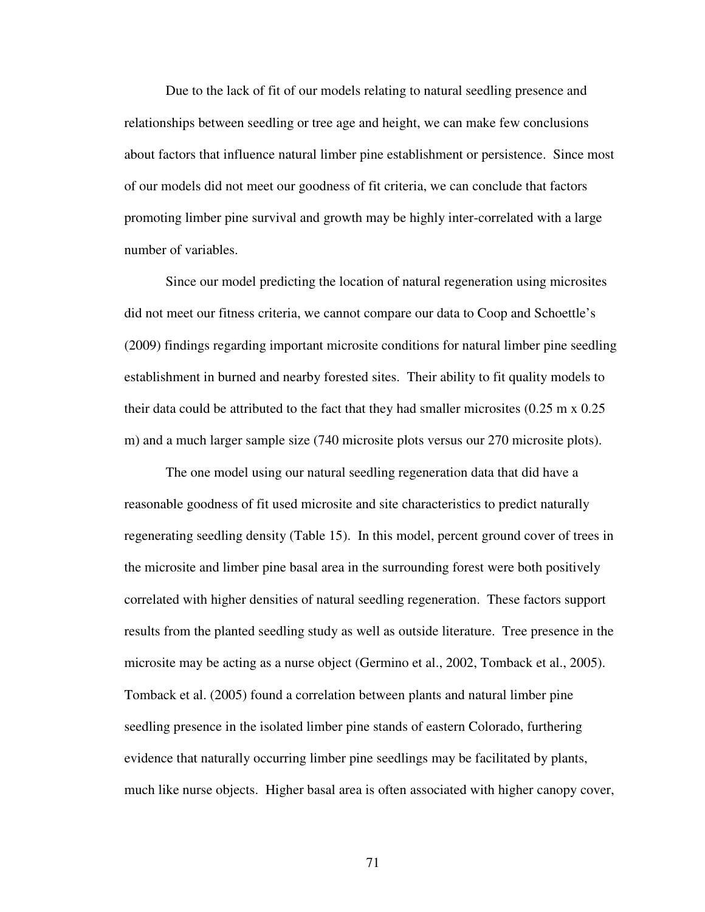Due to the lack of fit of our models relating to natural seedling presence and relationships between seedling or tree age and height, we can make few conclusions about factors that influence natural limber pine establishment or persistence. Since most of our models did not meet our goodness of fit criteria, we can conclude that factors promoting limber pine survival and growth may be highly inter-correlated with a large number of variables.

Since our model predicting the location of natural regeneration using microsites did not meet our fitness criteria, we cannot compare our data to Coop and Schoettle's (2009) findings regarding important microsite conditions for natural limber pine seedling establishment in burned and nearby forested sites. Their ability to fit quality models to their data could be attributed to the fact that they had smaller microsites (0.25 m x 0.25 m) and a much larger sample size (740 microsite plots versus our 270 microsite plots).

The one model using our natural seedling regeneration data that did have a reasonable goodness of fit used microsite and site characteristics to predict naturally regenerating seedling density (Table 15). In this model, percent ground cover of trees in the microsite and limber pine basal area in the surrounding forest were both positively correlated with higher densities of natural seedling regeneration. These factors support results from the planted seedling study as well as outside literature. Tree presence in the microsite may be acting as a nurse object (Germino et al., 2002, Tomback et al., 2005). Tomback et al. (2005) found a correlation between plants and natural limber pine seedling presence in the isolated limber pine stands of eastern Colorado, furthering evidence that naturally occurring limber pine seedlings may be facilitated by plants, much like nurse objects. Higher basal area is often associated with higher canopy cover,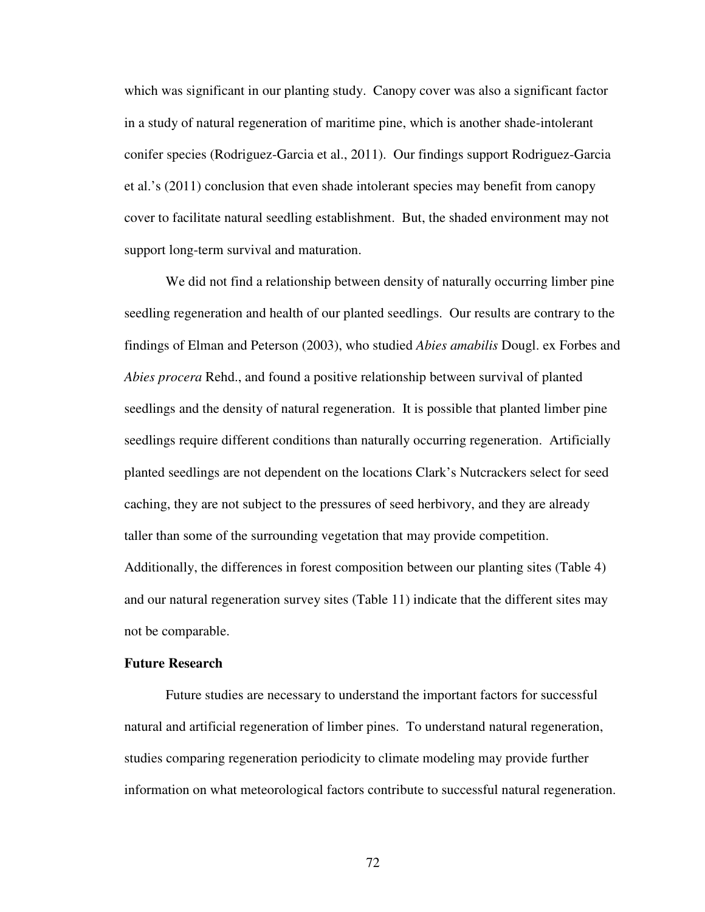which was significant in our planting study. Canopy cover was also a significant factor in a study of natural regeneration of maritime pine, which is another shade-intolerant conifer species (Rodriguez-Garcia et al., 2011). Our findings support Rodriguez-Garcia et al.'s (2011) conclusion that even shade intolerant species may benefit from canopy cover to facilitate natural seedling establishment. But, the shaded environment may not support long-term survival and maturation.

We did not find a relationship between density of naturally occurring limber pine seedling regeneration and health of our planted seedlings. Our results are contrary to the findings of Elman and Peterson (2003), who studied *Abies amabilis* Dougl. ex Forbes and *Abies procera* Rehd., and found a positive relationship between survival of planted seedlings and the density of natural regeneration. It is possible that planted limber pine seedlings require different conditions than naturally occurring regeneration. Artificially planted seedlings are not dependent on the locations Clark's Nutcrackers select for seed caching, they are not subject to the pressures of seed herbivory, and they are already taller than some of the surrounding vegetation that may provide competition. Additionally, the differences in forest composition between our planting sites (Table 4) and our natural regeneration survey sites (Table 11) indicate that the different sites may not be comparable.

### **Future Research**

Future studies are necessary to understand the important factors for successful natural and artificial regeneration of limber pines. To understand natural regeneration, studies comparing regeneration periodicity to climate modeling may provide further information on what meteorological factors contribute to successful natural regeneration.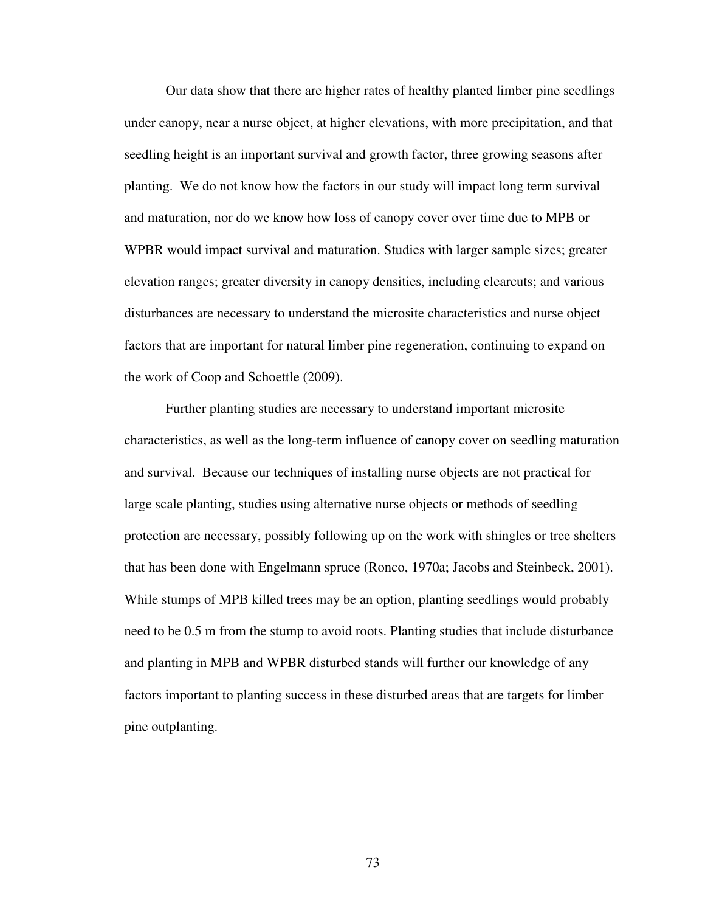Our data show that there are higher rates of healthy planted limber pine seedlings under canopy, near a nurse object, at higher elevations, with more precipitation, and that seedling height is an important survival and growth factor, three growing seasons after planting. We do not know how the factors in our study will impact long term survival and maturation, nor do we know how loss of canopy cover over time due to MPB or WPBR would impact survival and maturation. Studies with larger sample sizes; greater elevation ranges; greater diversity in canopy densities, including clearcuts; and various disturbances are necessary to understand the microsite characteristics and nurse object factors that are important for natural limber pine regeneration, continuing to expand on the work of Coop and Schoettle (2009).

Further planting studies are necessary to understand important microsite characteristics, as well as the long-term influence of canopy cover on seedling maturation and survival. Because our techniques of installing nurse objects are not practical for large scale planting, studies using alternative nurse objects or methods of seedling protection are necessary, possibly following up on the work with shingles or tree shelters that has been done with Engelmann spruce (Ronco, 1970a; Jacobs and Steinbeck, 2001). While stumps of MPB killed trees may be an option, planting seedlings would probably need to be 0.5 m from the stump to avoid roots. Planting studies that include disturbance and planting in MPB and WPBR disturbed stands will further our knowledge of any factors important to planting success in these disturbed areas that are targets for limber pine outplanting.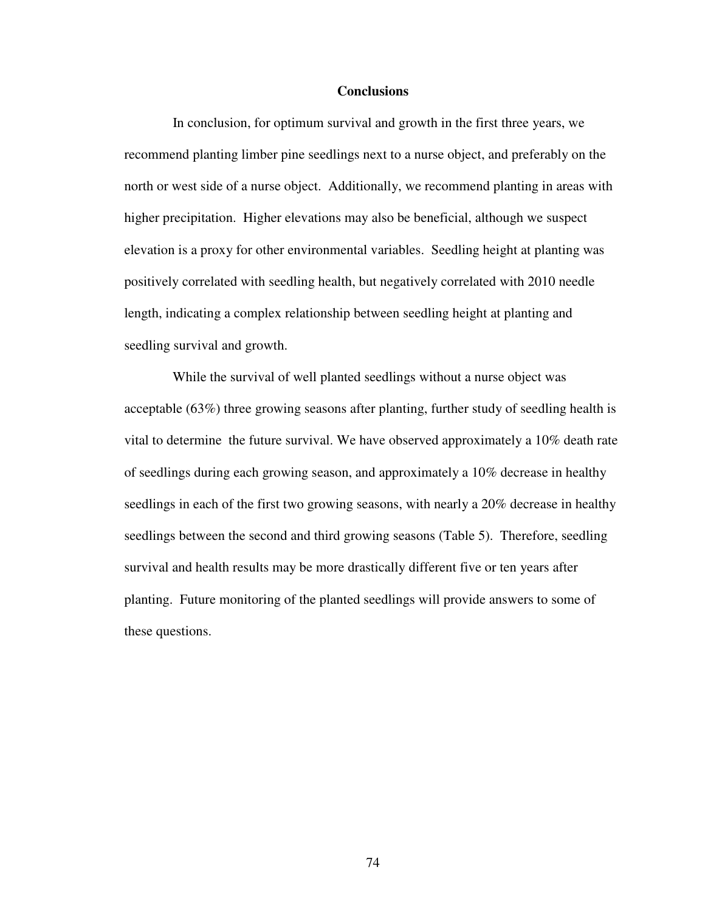### **Conclusions**

 In conclusion, for optimum survival and growth in the first three years, we recommend planting limber pine seedlings next to a nurse object, and preferably on the north or west side of a nurse object. Additionally, we recommend planting in areas with higher precipitation. Higher elevations may also be beneficial, although we suspect elevation is a proxy for other environmental variables. Seedling height at planting was positively correlated with seedling health, but negatively correlated with 2010 needle length, indicating a complex relationship between seedling height at planting and seedling survival and growth.

 While the survival of well planted seedlings without a nurse object was acceptable (63%) three growing seasons after planting, further study of seedling health is vital to determine the future survival. We have observed approximately a 10% death rate of seedlings during each growing season, and approximately a 10% decrease in healthy seedlings in each of the first two growing seasons, with nearly a 20% decrease in healthy seedlings between the second and third growing seasons (Table 5). Therefore, seedling survival and health results may be more drastically different five or ten years after planting. Future monitoring of the planted seedlings will provide answers to some of these questions.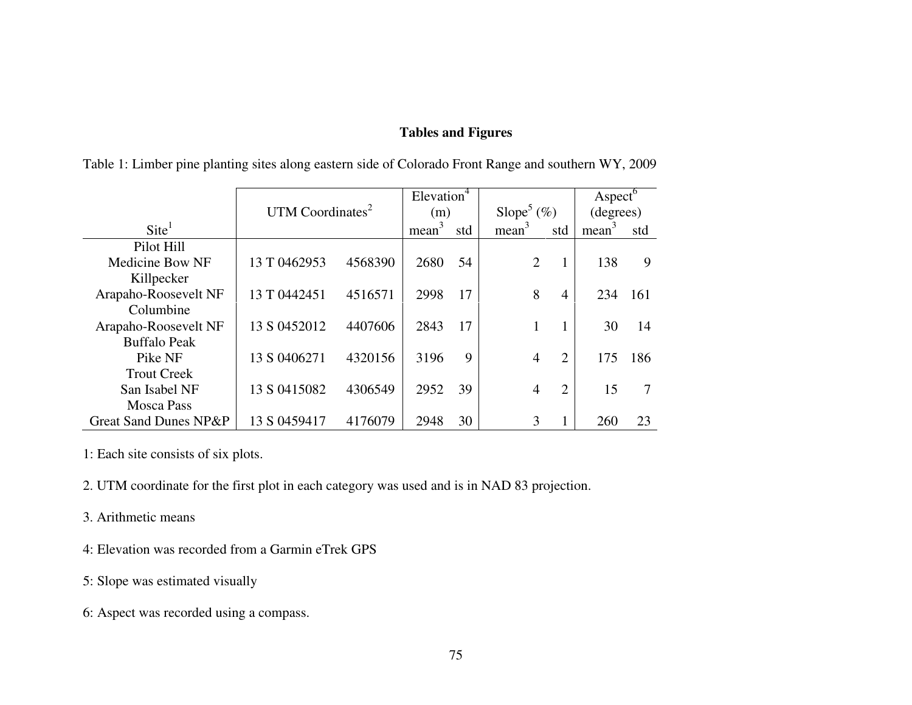# **Tables and Figures**

|                        |                              |         | Elevation <sup>4</sup> |     |                           |                | $\operatorname{Aspect}^6$ |     |
|------------------------|------------------------------|---------|------------------------|-----|---------------------------|----------------|---------------------------|-----|
|                        | UTM Coordinates <sup>2</sup> |         | (m)                    |     | Slope <sup>5</sup> $(\%)$ |                | (degrees)                 |     |
| $\text{Site}^1$        |                              |         | mean <sup>3</sup>      | std | mean <sup>3</sup>         | std            | mean <sup>3</sup>         | std |
| Pilot Hill             |                              |         |                        |     |                           |                |                           |     |
| <b>Medicine Bow NF</b> | 13 T 0462953                 | 4568390 | 2680                   | 54  | 2                         |                | 138                       | 9   |
| Killpecker             |                              |         |                        |     |                           |                |                           |     |
| Arapaho-Roosevelt NF   | 13 T 0442451                 | 4516571 | 2998                   | 17  | 8                         | 4              | 234                       | 161 |
| Columbine              |                              |         |                        |     |                           |                |                           |     |
| Arapaho-Roosevelt NF   | 13 S 0452012                 | 4407606 | 2843                   | 17  |                           |                | 30                        | 14  |
| <b>Buffalo Peak</b>    |                              |         |                        |     |                           |                |                           |     |
| Pike NF                | 13 S 0406271                 | 4320156 | 3196                   | 9   | $\overline{4}$            | 2              | 175                       | 186 |
| <b>Trout Creek</b>     |                              |         |                        |     |                           |                |                           |     |
| San Isabel NF          | 13 S 0415082                 | 4306549 | 2952                   | 39  | $\overline{4}$            | $\overline{2}$ | 15                        |     |
| <b>Mosca Pass</b>      |                              |         |                        |     |                           |                |                           |     |
| Great Sand Dunes NP&P  | 13 S 0459417                 | 4176079 | 2948                   | 30  | 3                         |                | 260                       | 23  |

Table 1: Limber pine planting sites along eastern side of Colorado Front Range and southern WY, 2009

1: Each site consists of six plots.

2. UTM coordinate for the first plot in each category was used and is in NAD 83 projection.

- 3. Arithmetic means
- 4: Elevation was recorded from a Garmin eTrek GPS
- 5: Slope was estimated visually
- 6: Aspect was recorded using a compass.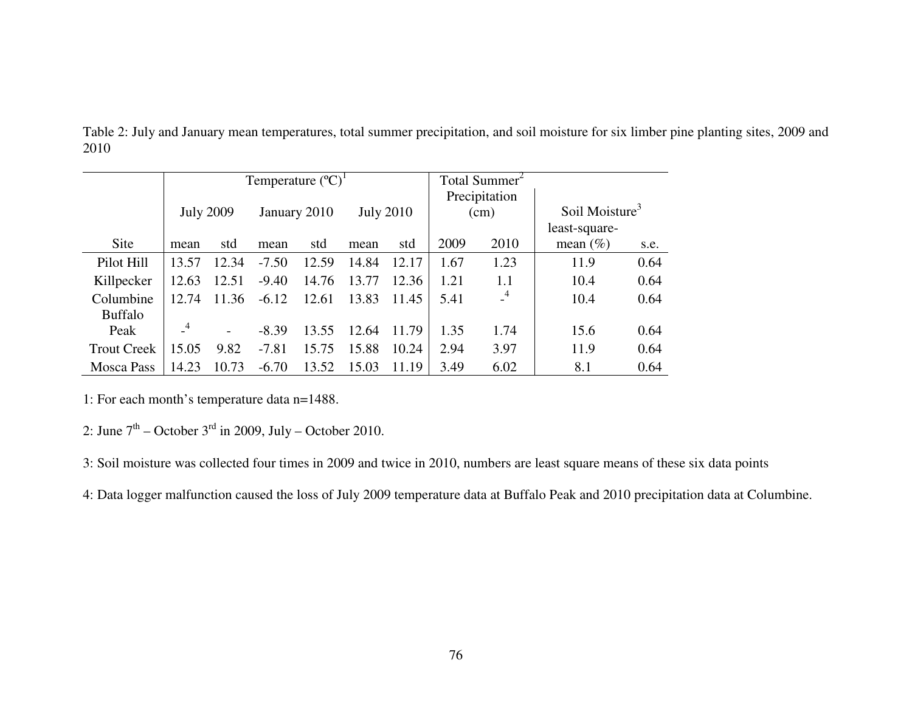|                    |                |                          |         | Temperature $({}^{\circ}C)^{1}$ |       |                  | Total Summer <sup>2</sup> |               |                            |      |
|--------------------|----------------|--------------------------|---------|---------------------------------|-------|------------------|---------------------------|---------------|----------------------------|------|
|                    |                |                          |         |                                 |       |                  |                           | Precipitation |                            |      |
|                    |                | <b>July 2009</b>         |         | January 2010                    |       | <b>July 2010</b> | (cm)                      |               | Soil Moisture <sup>3</sup> |      |
|                    |                |                          |         |                                 |       |                  |                           |               | least-square-              |      |
| Site               | mean           | std                      | mean    | std                             | mean  | std              | 2009                      | 2010          | mean $(\% )$               | s.e. |
| Pilot Hill         | 13.57          | 12.34                    | $-7.50$ | 12.59                           | 14.84 | 12.17            | 1.67                      | 1.23          | 11.9                       | 0.64 |
| Killpecker         | 12.63          | 12.51                    | $-9.40$ | 14.76                           | 13.77 | 12.36            | 1.21                      | 1.1           | 10.4                       | 0.64 |
| Columbine          | 12.74          | 11.36                    | $-6.12$ | 12.61                           | 13.83 | 11.45            | 5.41                      | $-4$          | 10.4                       | 0.64 |
| <b>Buffalo</b>     |                |                          |         |                                 |       |                  |                           |               |                            |      |
| Peak               | $\overline{4}$ | $\overline{\phantom{a}}$ | $-8.39$ | 13.55                           | 12.64 | 11.79            | 1.35                      | 1.74          | 15.6                       | 0.64 |
| <b>Trout Creek</b> | 15.05          | 9.82                     | $-7.81$ | 15.75                           | 15.88 | 10.24            | 2.94                      | 3.97          | 11.9                       | 0.64 |
| <b>Mosca Pass</b>  | 14.23          | 10.73                    | $-6.70$ | 13.52                           | 15.03 | 11.19            | 3.49                      | 6.02          | 8.1                        | 0.64 |

Table 2: July and January mean temperatures, total summer precipitation, and soil moisture for six limber pine planting sites, 2009 and 2010

1: For each month's temperature data n=1488.

2: June  $7<sup>th</sup>$  – October  $3<sup>rd</sup>$  in 2009, July – October 2010.

3: Soil moisture was collected four times in 2009 and twice in 2010, numbers are least square means of these six data points

4: Data logger malfunction caused the loss of July 2009 temperature data at Buffalo Peak and 2010 precipitation data at Columbine.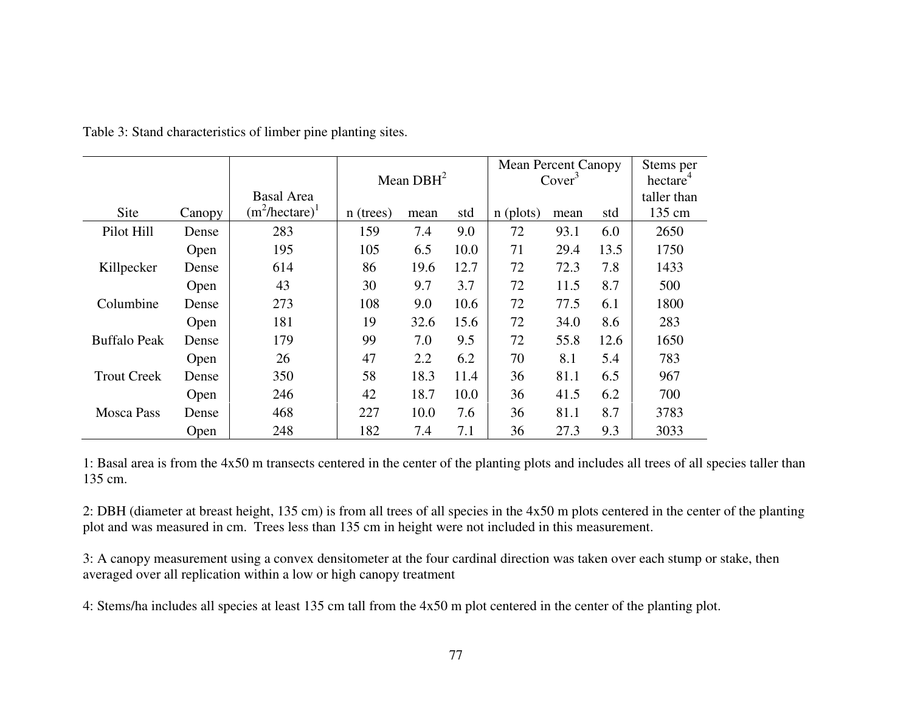|                     |        |                          |           | Mean $DBH2$ |      | <b>Mean Percent Canopy</b><br>Cover <sup>3</sup> |      | Stems per<br>hectare <sup>4</sup> |             |
|---------------------|--------|--------------------------|-----------|-------------|------|--------------------------------------------------|------|-----------------------------------|-------------|
|                     |        | <b>Basal Area</b>        |           |             |      |                                                  |      |                                   | taller than |
| Site                | Canopy | $(m^2/\text{hectare})^1$ | n (trees) | mean        | std  | $n$ (plots)                                      | mean | std                               | 135 cm      |
| Pilot Hill          | Dense  | 283                      | 159       | 7.4         | 9.0  | 72                                               | 93.1 | 6.0                               | 2650        |
|                     | Open   | 195                      | 105       | 6.5         | 10.0 | 71                                               | 29.4 | 13.5                              | 1750        |
| Killpecker          | Dense  | 614                      | 86        | 19.6        | 12.7 | 72                                               | 72.3 | 7.8                               | 1433        |
|                     | Open   | 43                       | 30        | 9.7         | 3.7  | 72                                               | 11.5 | 8.7                               | 500         |
| Columbine           | Dense  | 273                      | 108       | 9.0         | 10.6 | 72                                               | 77.5 | 6.1                               | 1800        |
|                     | Open   | 181                      | 19        | 32.6        | 15.6 | 72                                               | 34.0 | 8.6                               | 283         |
| <b>Buffalo Peak</b> | Dense  | 179                      | 99        | 7.0         | 9.5  | 72                                               | 55.8 | 12.6                              | 1650        |
|                     | Open   | 26                       | 47        | 2.2         | 6.2  | 70                                               | 8.1  | 5.4                               | 783         |
| <b>Trout Creek</b>  | Dense  | 350                      | 58        | 18.3        | 11.4 | 36                                               | 81.1 | 6.5                               | 967         |
|                     | Open   | 246                      | 42        | 18.7        | 10.0 | 36                                               | 41.5 | 6.2                               | 700         |
| <b>Mosca Pass</b>   | Dense  | 468                      | 227       | 10.0        | 7.6  | 36                                               | 81.1 | 8.7                               | 3783        |
|                     | Open   | 248                      | 182       | 7.4         | 7.1  | 36                                               | 27.3 | 9.3                               | 3033        |

Table 3: Stand characteristics of limber pine planting sites.

1: Basal area is from the 4x50 m transects centered in the center of the planting plots and includes all trees of all species taller than 135 cm.

2: DBH (diameter at breast height, 135 cm) is from all trees of all species in the 4x50 m plots centered in the center of the planting plot and was measured in cm. Trees less than 135 cm in height were not included in this measurement.

3: A canopy measurement using a convex densitometer at the four cardinal direction was taken over each stump or stake, then averaged over all replication within a low or high canopy treatment

4: Stems/ha includes all species at least 135 cm tall from the 4x50 m plot centered in the center of the planting plot.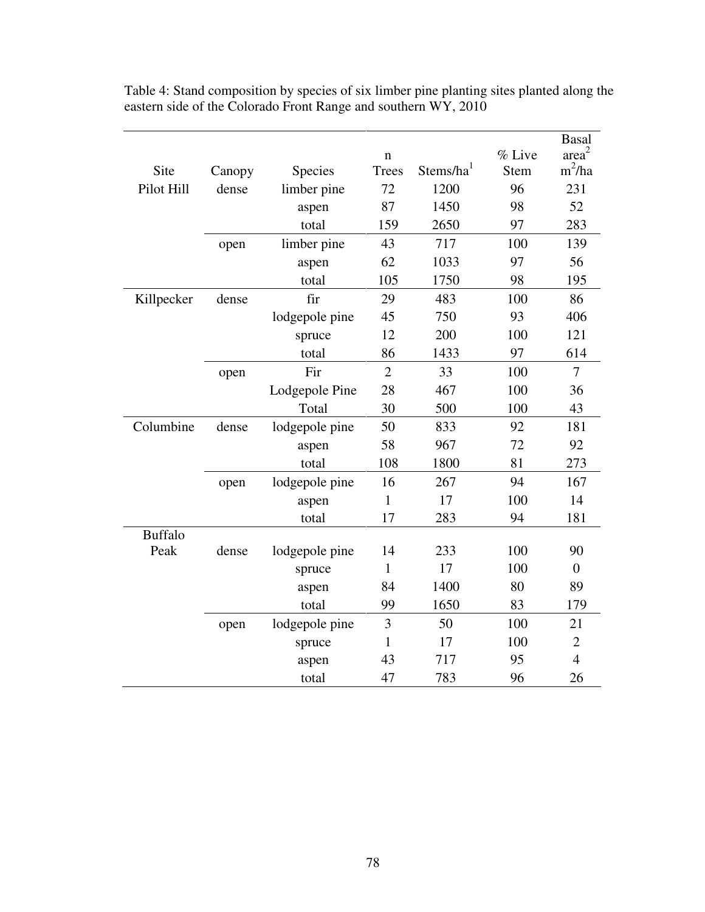| area <sup>2</sup><br>% Live<br>n<br>$m^2/ha$<br>Stems/ha <sup>1</sup><br>Site<br>Species<br><b>Trees</b><br><b>Stem</b><br>Canopy<br>72<br>1200<br>96<br>231<br>Pilot Hill<br>dense<br>limber pine<br>87<br>1450<br>98<br>52<br>aspen<br>159<br>2650<br>97<br>283<br>total<br>43<br>717<br>100<br>139<br>limber pine<br>open<br>62<br>1033<br>97<br>56<br>aspen<br>105<br>1750<br>98<br>195<br>total<br>fir<br>29<br>Killpecker<br>483<br>100<br>86<br>dense<br>93<br>lodgepole pine<br>45<br>750<br>406<br>12<br>200<br>100<br>121<br>spruce<br>86<br>97<br>total<br>1433<br>614<br>$\overline{2}$<br>Fir<br>33<br>100<br>$\overline{7}$<br>open<br>Lodgepole Pine<br>28<br>467<br>100<br>36 |
|-----------------------------------------------------------------------------------------------------------------------------------------------------------------------------------------------------------------------------------------------------------------------------------------------------------------------------------------------------------------------------------------------------------------------------------------------------------------------------------------------------------------------------------------------------------------------------------------------------------------------------------------------------------------------------------------------|
|                                                                                                                                                                                                                                                                                                                                                                                                                                                                                                                                                                                                                                                                                               |
|                                                                                                                                                                                                                                                                                                                                                                                                                                                                                                                                                                                                                                                                                               |
|                                                                                                                                                                                                                                                                                                                                                                                                                                                                                                                                                                                                                                                                                               |
|                                                                                                                                                                                                                                                                                                                                                                                                                                                                                                                                                                                                                                                                                               |
|                                                                                                                                                                                                                                                                                                                                                                                                                                                                                                                                                                                                                                                                                               |
|                                                                                                                                                                                                                                                                                                                                                                                                                                                                                                                                                                                                                                                                                               |
|                                                                                                                                                                                                                                                                                                                                                                                                                                                                                                                                                                                                                                                                                               |
|                                                                                                                                                                                                                                                                                                                                                                                                                                                                                                                                                                                                                                                                                               |
|                                                                                                                                                                                                                                                                                                                                                                                                                                                                                                                                                                                                                                                                                               |
|                                                                                                                                                                                                                                                                                                                                                                                                                                                                                                                                                                                                                                                                                               |
|                                                                                                                                                                                                                                                                                                                                                                                                                                                                                                                                                                                                                                                                                               |
|                                                                                                                                                                                                                                                                                                                                                                                                                                                                                                                                                                                                                                                                                               |
|                                                                                                                                                                                                                                                                                                                                                                                                                                                                                                                                                                                                                                                                                               |
|                                                                                                                                                                                                                                                                                                                                                                                                                                                                                                                                                                                                                                                                                               |
| 30<br>Total<br>500<br>100<br>43                                                                                                                                                                                                                                                                                                                                                                                                                                                                                                                                                                                                                                                               |
| Columbine<br>50<br>lodgepole pine<br>833<br>92<br>181<br>dense                                                                                                                                                                                                                                                                                                                                                                                                                                                                                                                                                                                                                                |
| 58<br>967<br>72<br>92<br>aspen                                                                                                                                                                                                                                                                                                                                                                                                                                                                                                                                                                                                                                                                |
| 81<br>108<br>1800<br>273<br>total                                                                                                                                                                                                                                                                                                                                                                                                                                                                                                                                                                                                                                                             |
| 16<br>267<br>94<br>167<br>lodgepole pine<br>open                                                                                                                                                                                                                                                                                                                                                                                                                                                                                                                                                                                                                                              |
| 17<br>100<br>14<br>$\mathbf{1}$<br>aspen                                                                                                                                                                                                                                                                                                                                                                                                                                                                                                                                                                                                                                                      |
| 17<br>283<br>94<br>181<br>total                                                                                                                                                                                                                                                                                                                                                                                                                                                                                                                                                                                                                                                               |
| <b>Buffalo</b>                                                                                                                                                                                                                                                                                                                                                                                                                                                                                                                                                                                                                                                                                |
| 100<br>Peak<br>dense<br>lodgepole pine<br>14<br>233<br>90                                                                                                                                                                                                                                                                                                                                                                                                                                                                                                                                                                                                                                     |
| $\mathbf{1}$<br>17<br>100<br>$\boldsymbol{0}$<br>spruce                                                                                                                                                                                                                                                                                                                                                                                                                                                                                                                                                                                                                                       |
| 84<br>80<br>89<br>1400<br>aspen                                                                                                                                                                                                                                                                                                                                                                                                                                                                                                                                                                                                                                                               |
| 83<br>99<br>1650<br>total<br>179                                                                                                                                                                                                                                                                                                                                                                                                                                                                                                                                                                                                                                                              |
| 3<br>50<br>100<br>21<br>lodgepole pine<br>open                                                                                                                                                                                                                                                                                                                                                                                                                                                                                                                                                                                                                                                |
| $\mathbf{1}$<br>17<br>100<br>$\overline{2}$<br>spruce                                                                                                                                                                                                                                                                                                                                                                                                                                                                                                                                                                                                                                         |
| $\overline{4}$<br>43<br>717<br>95<br>aspen                                                                                                                                                                                                                                                                                                                                                                                                                                                                                                                                                                                                                                                    |
| 47<br>783<br>96<br>26<br>total                                                                                                                                                                                                                                                                                                                                                                                                                                                                                                                                                                                                                                                                |

Table 4: Stand composition by species of six limber pine planting sites planted along the eastern side of the Colorado Front Range and southern WY, 2010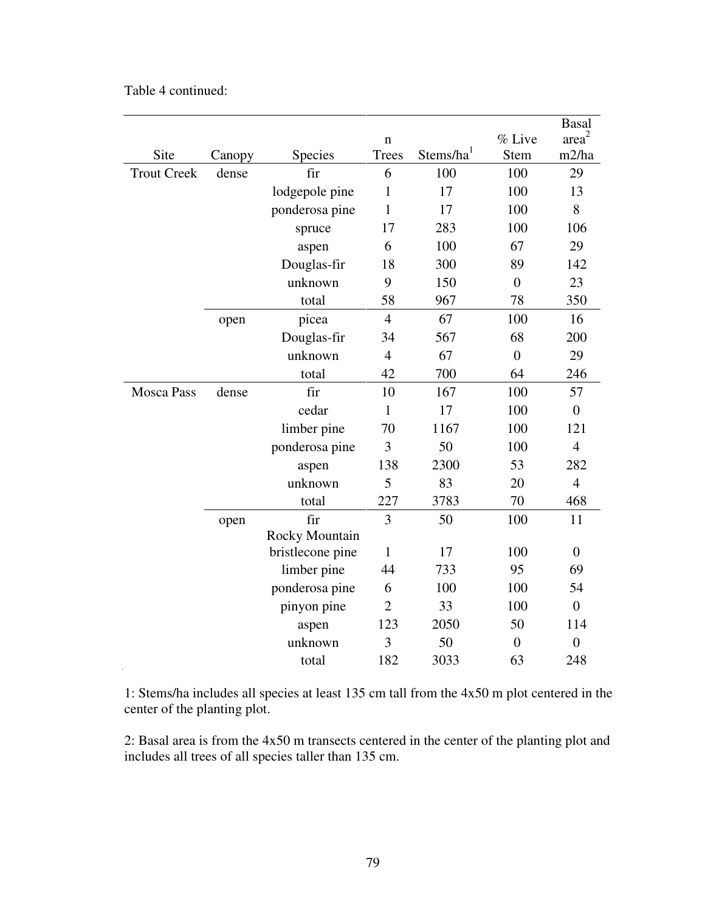|                    |        |                       |                |                       |                | <b>Basal</b>      |
|--------------------|--------|-----------------------|----------------|-----------------------|----------------|-------------------|
|                    |        |                       | $\mathbf n$    |                       | % Live         | area <sup>2</sup> |
| Site               | Canopy | Species               | <b>Trees</b>   | Stems/ha <sup>1</sup> | <b>Stem</b>    | m2/ha             |
| <b>Trout Creek</b> | dense  | fir                   | 6              | 100                   | 100            | 29                |
|                    |        | lodgepole pine        | $\mathbf{1}$   | 17                    | 100            | 13                |
|                    |        | ponderosa pine        | $\mathbf{1}$   | 17                    | 100            | 8                 |
|                    |        | spruce                | 17             | 283                   | 100            | 106               |
|                    |        | aspen                 | 6              | 100                   | 67             | 29                |
|                    |        | Douglas-fir           | 18             | 300                   | 89             | 142               |
|                    |        | unknown               | 9              | 150                   | $\overline{0}$ | 23                |
|                    |        | total                 | 58             | 967                   | 78             | 350               |
|                    | open   | picea                 | $\overline{4}$ | 67                    | 100            | 16                |
|                    |        | Douglas-fir           | 34             | 567                   | 68             | 200               |
|                    |        | unknown               | $\overline{4}$ | 67                    | $\overline{0}$ | 29                |
|                    |        | total                 | 42             | 700                   | 64             | 246               |
| <b>Mosca Pass</b>  | dense  | fir                   | 10             | 167                   | 100            | 57                |
|                    |        | cedar                 | $\mathbf{1}$   | 17                    | 100            | $\boldsymbol{0}$  |
|                    |        | limber pine           | 70             | 1167                  | 100            | 121               |
|                    |        | ponderosa pine        | 3              | 50                    | 100            | $\overline{4}$    |
|                    |        | aspen                 | 138            | 2300                  | 53             | 282               |
|                    |        | unknown               | 5              | 83                    | 20             | $\overline{4}$    |
|                    |        | total                 | 227            | 3783                  | 70             | 468               |
|                    | open   | fir                   | 3              | 50                    | 100            | 11                |
|                    |        | <b>Rocky Mountain</b> |                |                       |                |                   |
|                    |        | bristlecone pine      | $\mathbf{1}$   | 17                    | 100            | $\boldsymbol{0}$  |
|                    |        | limber pine           | 44             | 733                   | 95             | 69                |
|                    |        | ponderosa pine        | 6              | 100                   | 100            | 54                |
|                    |        | pinyon pine           | $\overline{2}$ | 33                    | 100            | $\boldsymbol{0}$  |
|                    |        | aspen                 | 123            | 2050                  | 50             | 114               |
|                    |        | unknown               | 3              | 50                    | $\overline{0}$ | $\boldsymbol{0}$  |
|                    |        | total                 | 182            | 3033                  | 63             | 248               |

1: Stems/ha includes all species at least 135 cm tall from the 4x50 m plot centered in the center of the planting plot.

2: Basal area is from the 4x50 m transects centered in the center of the planting plot and includes all trees of all species taller than 135 cm.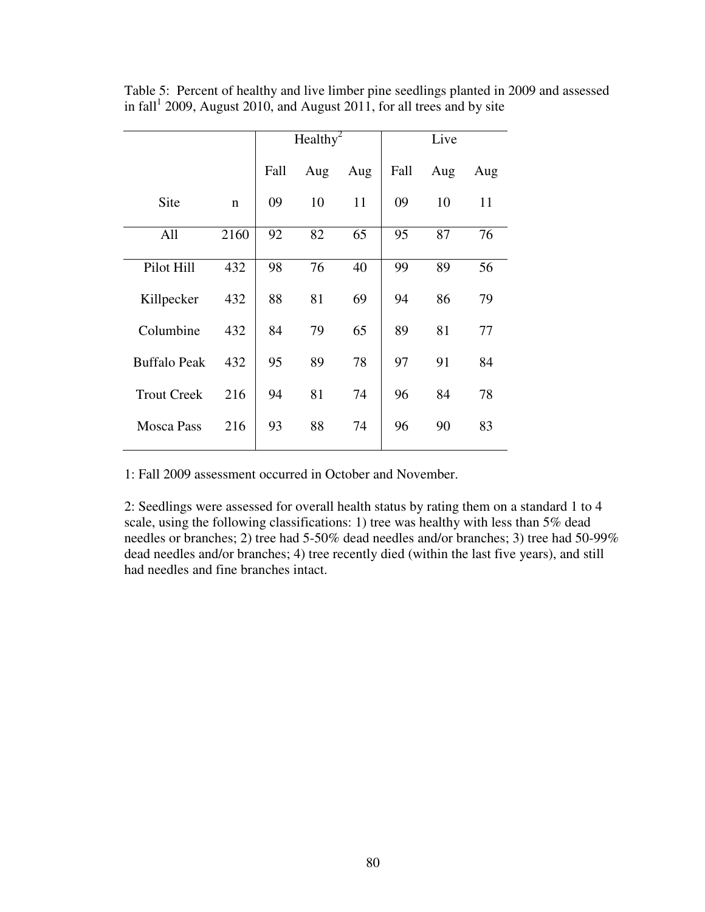|                     |             |      | Healthy <sup>2</sup> |     |      | Live |     |
|---------------------|-------------|------|----------------------|-----|------|------|-----|
|                     |             | Fall | Aug                  | Aug | Fall | Aug  | Aug |
| Site                | $\mathbf n$ | 09   | 10                   | 11  | 09   | 10   | 11  |
| All                 | 2160        | 92   | 82                   | 65  | 95   | 87   | 76  |
| Pilot Hill          | 432         | 98   | 76                   | 40  | 99   | 89   | 56  |
| Killpecker          | 432         | 88   | 81                   | 69  | 94   | 86   | 79  |
| Columbine           | 432         | 84   | 79                   | 65  | 89   | 81   | 77  |
| <b>Buffalo Peak</b> | 432         | 95   | 89                   | 78  | 97   | 91   | 84  |
| <b>Trout Creek</b>  | 216         | 94   | 81                   | 74  | 96   | 84   | 78  |
| <b>Mosca Pass</b>   | 216         | 93   | 88                   | 74  | 96   | 90   | 83  |

Table 5: Percent of healthy and live limber pine seedlings planted in 2009 and assessed in  $fall<sup>1</sup>$  2009, August 2010, and August 2011, for all trees and by site

1: Fall 2009 assessment occurred in October and November.

2: Seedlings were assessed for overall health status by rating them on a standard 1 to 4 scale, using the following classifications: 1) tree was healthy with less than 5% dead needles or branches; 2) tree had 5-50% dead needles and/or branches; 3) tree had 50-99% dead needles and/or branches; 4) tree recently died (within the last five years), and still had needles and fine branches intact.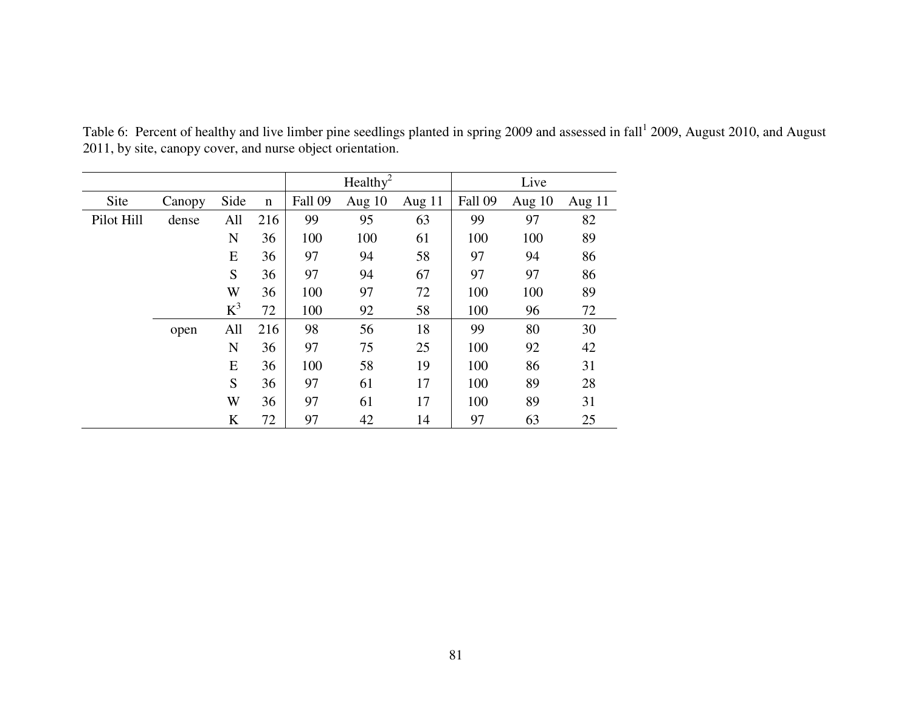|            |        |       |             | Healthy <sup>2</sup> |        |          |         | Live     |          |
|------------|--------|-------|-------------|----------------------|--------|----------|---------|----------|----------|
| Site       | Canopy | Side  | $\mathbf n$ | Fall 09              | Aug 10 | Aug $11$ | Fall 09 | Aug $10$ | Aug $11$ |
| Pilot Hill | dense  | All   | 216         | 99                   | 95     | 63       | 99      | 97       | 82       |
|            |        | N     | 36          | 100                  | 100    | 61       | 100     | 100      | 89       |
|            |        | E     | 36          | 97                   | 94     | 58       | 97      | 94       | 86       |
|            |        | S     | 36          | 97                   | 94     | 67       | 97      | 97       | 86       |
|            |        | W     | 36          | 100                  | 97     | 72       | 100     | 100      | 89       |
|            |        | $K^3$ | 72          | 100                  | 92     | 58       | 100     | 96       | 72       |
|            | open   | All   | 216         | 98                   | 56     | 18       | 99      | 80       | 30       |
|            |        | N     | 36          | 97                   | 75     | 25       | 100     | 92       | 42       |
|            |        | E     | 36          | 100                  | 58     | 19       | 100     | 86       | 31       |
|            |        | S     | 36          | 97                   | 61     | 17       | 100     | 89       | 28       |
|            |        | W     | 36          | 97                   | 61     | 17       | 100     | 89       | 31       |
|            |        | K     | 72          | 97                   | 42     | 14       | 97      | 63       | 25       |

Table 6: Percent of healthy and live limber pine seedlings planted in spring 2009 and assessed in fall  $12009$ , August 2010, and August 2011, by site, canopy cover, and nurse object orientation.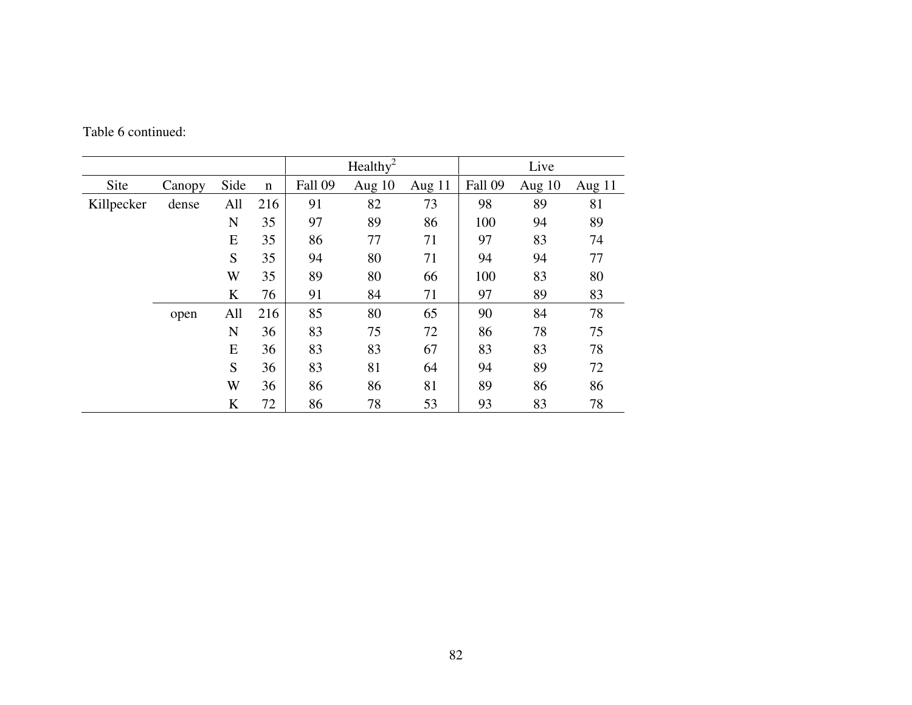|            |        |      |             |         | $\text{Healthv}^2$ |          |         | Live     |          |
|------------|--------|------|-------------|---------|--------------------|----------|---------|----------|----------|
| Site       | Canopy | Side | $\mathbf n$ | Fall 09 | Aug 10             | Aug $11$ | Fall 09 | Aug $10$ | Aug $11$ |
| Killpecker | dense  | All  | 216         | 91      | 82                 | 73       | 98      | 89       | 81       |
|            |        | N    | 35          | 97      | 89                 | 86       | 100     | 94       | 89       |
|            |        | E    | 35          | 86      | 77                 | 71       | 97      | 83       | 74       |
|            |        | S    | 35          | 94      | 80                 | 71       | 94      | 94       | 77       |
|            |        | W    | 35          | 89      | 80                 | 66       | 100     | 83       | 80       |
|            |        | K    | 76          | 91      | 84                 | 71       | 97      | 89       | 83       |
|            | open   | All  | 216         | 85      | 80                 | 65       | 90      | 84       | 78       |
|            |        | N    | 36          | 83      | 75                 | 72       | 86      | 78       | 75       |
|            |        | E    | 36          | 83      | 83                 | 67       | 83      | 83       | 78       |
|            |        | S    | 36          | 83      | 81                 | 64       | 94      | 89       | 72       |
|            |        | W    | 36          | 86      | 86                 | 81       | 89      | 86       | 86       |
|            |        | K    | 72          | 86      | 78                 | 53       | 93      | 83       | 78       |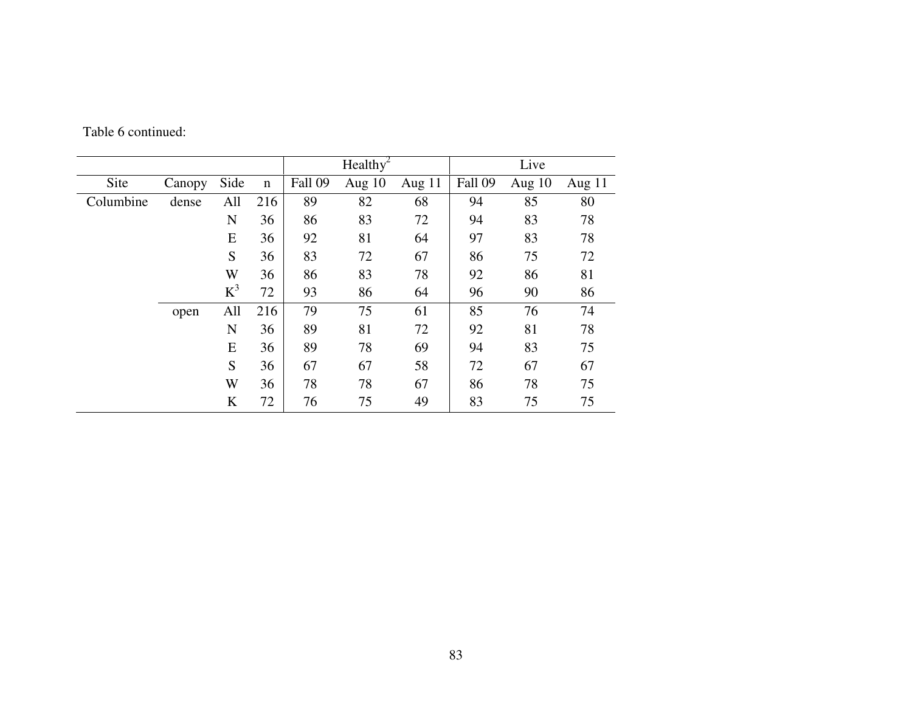|           |        |       |             | Healthy <sup>2</sup> |        |        |         | Live   |        |
|-----------|--------|-------|-------------|----------------------|--------|--------|---------|--------|--------|
| Site      | Canopy | Side  | $\mathbf n$ | Fall 09              | Aug 10 | Aug 11 | Fall 09 | Aug 10 | Aug 11 |
| Columbine | dense  | All   | 216         | 89                   | 82     | 68     | 94      | 85     | 80     |
|           |        | N     | 36          | 86                   | 83     | 72     | 94      | 83     | 78     |
|           |        | E     | 36          | 92                   | 81     | 64     | 97      | 83     | 78     |
|           |        | S     | 36          | 83                   | 72     | 67     | 86      | 75     | 72     |
|           |        | W     | 36          | 86                   | 83     | 78     | 92      | 86     | 81     |
|           |        | $K^3$ | 72          | 93                   | 86     | 64     | 96      | 90     | 86     |
|           | open   | All   | 216         | 79                   | 75     | 61     | 85      | 76     | 74     |
|           |        | N     | 36          | 89                   | 81     | 72     | 92      | 81     | 78     |
|           |        | E     | 36          | 89                   | 78     | 69     | 94      | 83     | 75     |
|           |        | S     | 36          | 67                   | 67     | 58     | 72      | 67     | 67     |
|           |        | W     | 36          | 78                   | 78     | 67     | 86      | 78     | 75     |
|           |        | K     | 72          | 76                   | 75     | 49     | 83      | 75     | 75     |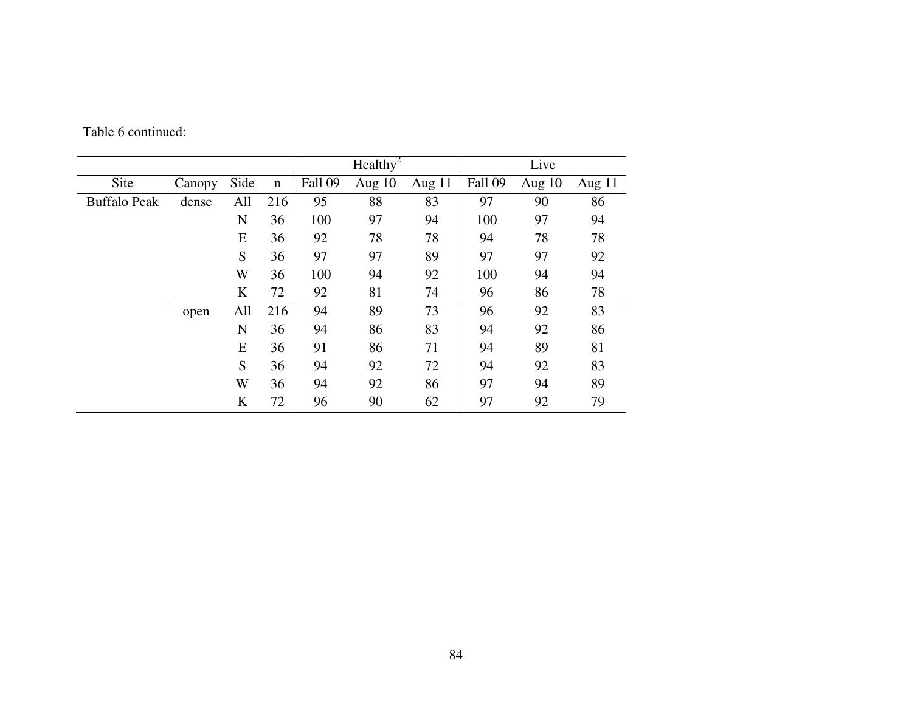|                     |        |      |             |         | Healthy <sup>2</sup> |          |         | Live     |          |
|---------------------|--------|------|-------------|---------|----------------------|----------|---------|----------|----------|
| Site                | Canopy | Side | $\mathbf n$ | Fall 09 | Aug $10$             | Aug $11$ | Fall 09 | Aug $10$ | Aug $11$ |
| <b>Buffalo Peak</b> | dense  | All  | 216         | 95      | 88                   | 83       | 97      | 90       | 86       |
|                     |        | N    | 36          | 100     | 97                   | 94       | 100     | 97       | 94       |
|                     |        | E    | 36          | 92      | 78                   | 78       | 94      | 78       | 78       |
|                     |        | S    | 36          | 97      | 97                   | 89       | 97      | 97       | 92       |
|                     |        | W    | 36          | 100     | 94                   | 92       | 100     | 94       | 94       |
|                     |        | K    | 72          | 92      | 81                   | 74       | 96      | 86       | 78       |
|                     | open   | All  | 216         | 94      | 89                   | 73       | 96      | 92       | 83       |
|                     |        | N    | 36          | 94      | 86                   | 83       | 94      | 92       | 86       |
|                     |        | E    | 36          | 91      | 86                   | 71       | 94      | 89       | 81       |
|                     |        | S    | 36          | 94      | 92                   | 72       | 94      | 92       | 83       |
|                     |        | W    | 36          | 94      | 92                   | 86       | 97      | 94       | 89       |
|                     |        | K    | 72          | 96      | 90                   | 62       | 97      | 92       | 79       |

Table 6 continued: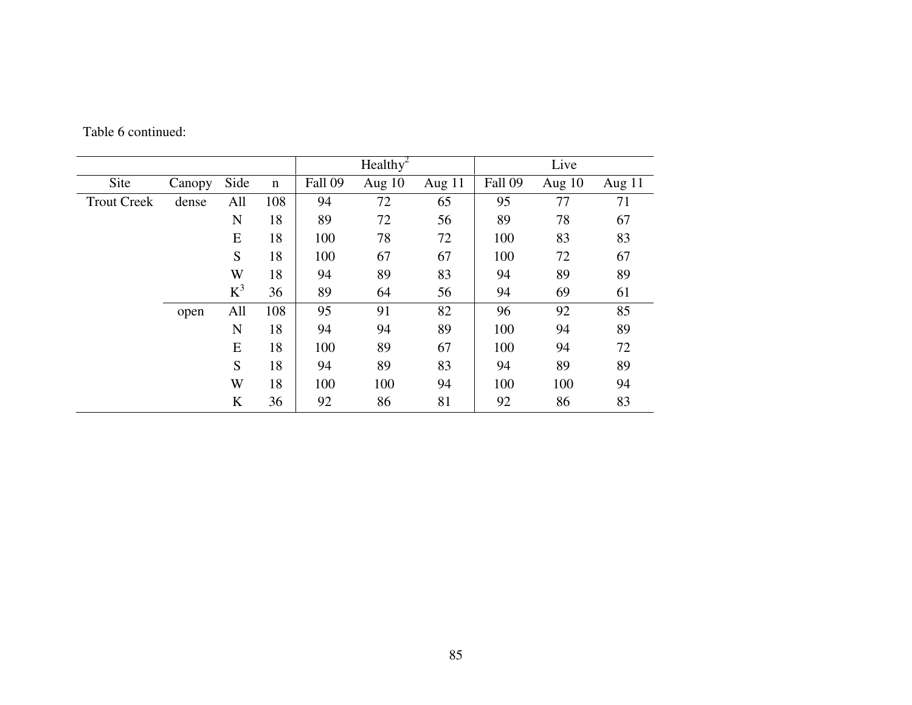|                    |        |         |             |         | Healthy <sup>2</sup> |          |         | Live   |          |
|--------------------|--------|---------|-------------|---------|----------------------|----------|---------|--------|----------|
| Site               | Canopy | Side    | $\mathbf n$ | Fall 09 | Aug 10               | Aug $11$ | Fall 09 | Aug 10 | Aug $11$ |
| <b>Trout Creek</b> | dense  | All     | 108         | 94      | 72                   | 65       | 95      | 77     | 71       |
|                    |        | N       | 18          | 89      | 72                   | 56       | 89      | 78     | 67       |
|                    |        | E       | 18          | 100     | 78                   | 72       | 100     | 83     | 83       |
|                    |        | S       | 18          | 100     | 67                   | 67       | 100     | 72     | 67       |
|                    |        | W       | 18          | 94      | 89                   | 83       | 94      | 89     | 89       |
|                    |        | $K^3$   | 36          | 89      | 64                   | 56       | 94      | 69     | 61       |
|                    | open   | All     | 108         | 95      | 91                   | 82       | 96      | 92     | 85       |
|                    |        | N       | 18          | 94      | 94                   | 89       | 100     | 94     | 89       |
|                    |        | E       | 18          | 100     | 89                   | 67       | 100     | 94     | 72       |
|                    |        | S       | 18          | 94      | 89                   | 83       | 94      | 89     | 89       |
|                    |        | W       | 18          | 100     | 100                  | 94       | 100     | 100    | 94       |
|                    |        | $\bf K$ | 36          | 92      | 86                   | 81       | 92      | 86     | 83       |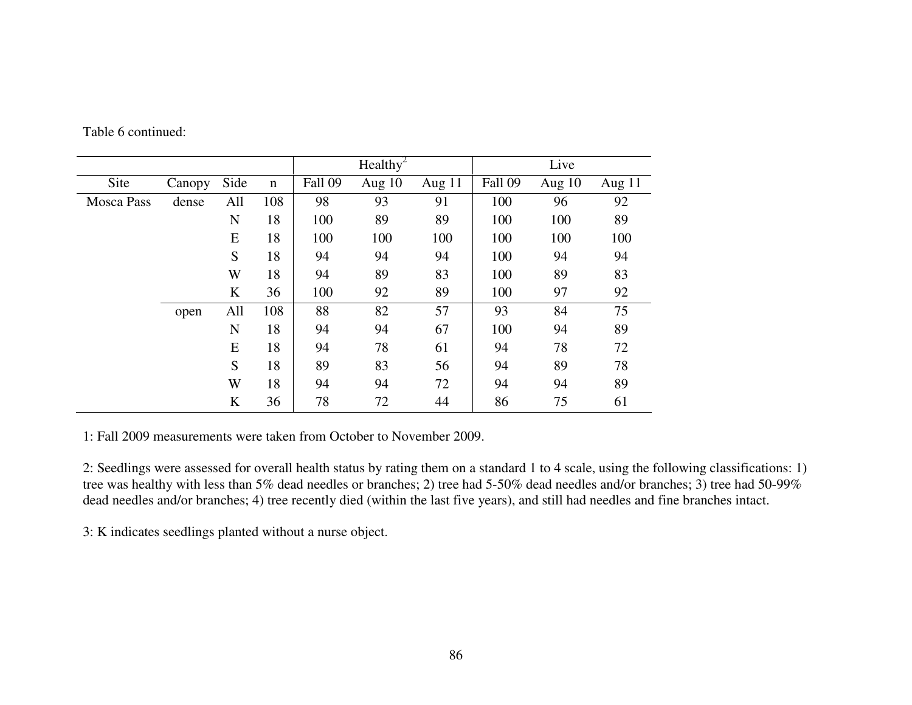|                   |        |      |             |         | Healthy <sup>2</sup> |          |         | Live     |        |
|-------------------|--------|------|-------------|---------|----------------------|----------|---------|----------|--------|
| Site              | Canopy | Side | $\mathbf n$ | Fall 09 | Aug $10$             | Aug $11$ | Fall 09 | Aug $10$ | Aug 11 |
| <b>Mosca Pass</b> | dense  | All  | 108         | 98      | 93                   | 91       | 100     | 96       | 92     |
|                   |        | N    | 18          | 100     | 89                   | 89       | 100     | 100      | 89     |
|                   |        | E    | 18          | 100     | 100                  | 100      | 100     | 100      | 100    |
|                   |        | S    | 18          | 94      | 94                   | 94       | 100     | 94       | 94     |
|                   |        | W    | 18          | 94      | 89                   | 83       | 100     | 89       | 83     |
|                   |        | K    | 36          | 100     | 92                   | 89       | 100     | 97       | 92     |
|                   | open   | All  | 108         | 88      | 82                   | 57       | 93      | 84       | 75     |
|                   |        | N    | 18          | 94      | 94                   | 67       | 100     | 94       | 89     |
|                   |        | E    | 18          | 94      | 78                   | 61       | 94      | 78       | 72     |
|                   |        | S    | 18          | 89      | 83                   | 56       | 94      | 89       | 78     |
|                   |        | W    | 18          | 94      | 94                   | 72       | 94      | 94       | 89     |
|                   |        | K    | 36          | 78      | 72                   | 44       | 86      | 75       | 61     |

1: Fall 2009 measurements were taken from October to November 2009.

2: Seedlings were assessed for overall health status by rating them on a standard 1 to 4 scale, using the following classifications: 1) tree was healthy with less than 5% dead needles or branches; 2) tree had 5-50% dead needles and/or branches; 3) tree had 50-99% dead needles and/or branches; 4) tree recently died (within the last five years), and still had needles and fine branches intact.

3: K indicates seedlings planted without a nurse object.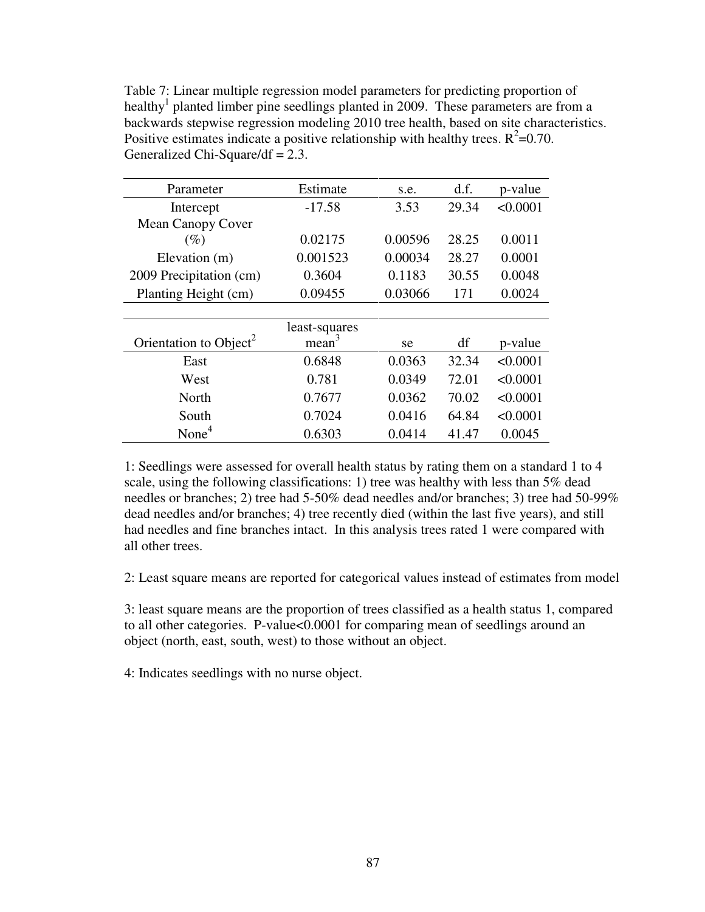Table 7: Linear multiple regression model parameters for predicting proportion of healthy<sup>1</sup> planted limber pine seedlings planted in 2009. These parameters are from a backwards stepwise regression modeling 2010 tree health, based on site characteristics. Positive estimates indicate a positive relationship with healthy trees.  $R^2$ =0.70. Generalized Chi-Square/df = 2.3.

| Parameter                          | Estimate          | s.e.    | d.f.  | p-value  |
|------------------------------------|-------------------|---------|-------|----------|
| Intercept                          | $-17.58$          | 3.53    | 29.34 | < 0.0001 |
| <b>Mean Canopy Cover</b>           |                   |         |       |          |
| $(\%)$                             | 0.02175           | 0.00596 | 28.25 | 0.0011   |
| Elevation (m)                      | 0.001523          | 0.00034 | 28.27 | 0.0001   |
| 2009 Precipitation (cm)            | 0.3604            | 0.1183  | 30.55 | 0.0048   |
| Planting Height (cm)               | 0.09455           | 0.03066 | 171   | 0.0024   |
|                                    |                   |         |       |          |
|                                    | least-squares     |         |       |          |
| Orientation to Object <sup>2</sup> | mean <sup>3</sup> | se.     | df    | p-value  |
| East                               | 0.6848            | 0.0363  | 32.34 | < 0.0001 |
| West                               | 0.781             | 0.0349  | 72.01 | < 0.0001 |
| North                              | 0.7677            | 0.0362  | 70.02 | < 0.0001 |
| South                              | 0.7024            | 0.0416  | 64.84 | < 0.0001 |
| None <sup>4</sup>                  | 0.6303            | 0.0414  | 41.47 | 0.0045   |

1: Seedlings were assessed for overall health status by rating them on a standard 1 to 4 scale, using the following classifications: 1) tree was healthy with less than  $5\%$  dead needles or branches; 2) tree had 5-50% dead needles and/or branches; 3) tree had 50-99% dead needles and/or branches; 4) tree recently died (within the last five years), and still had needles and fine branches intact. In this analysis trees rated 1 were compared with all other trees.

2: Least square means are reported for categorical values instead of estimates from model

3: least square means are the proportion of trees classified as a health status 1, compared to all other categories. P-value<0.0001 for comparing mean of seedlings around an object (north, east, south, west) to those without an object.

4: Indicates seedlings with no nurse object.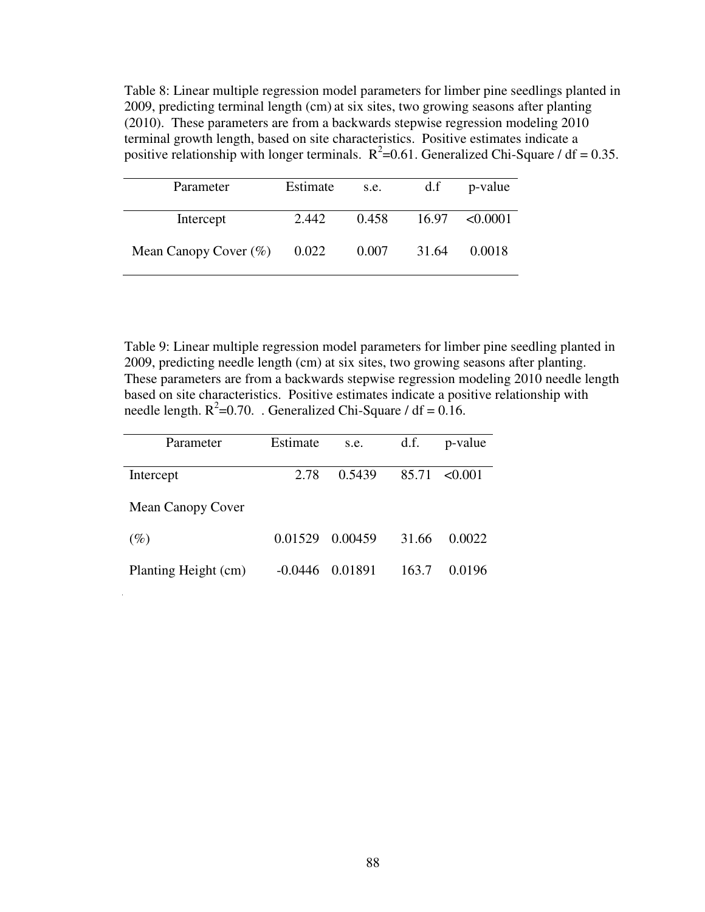Table 8: Linear multiple regression model parameters for limber pine seedlings planted in 2009, predicting terminal length (cm) at six sites, two growing seasons after planting (2010). These parameters are from a backwards stepwise regression modeling 2010 terminal growth length, based on site characteristics. Positive estimates indicate a positive relationship with longer terminals.  $R^2$ =0.61. Generalized Chi-Square / df = 0.35.

| Parameter                | Estimate | s.e.  | d.f   | p-value            |
|--------------------------|----------|-------|-------|--------------------|
| Intercept                | 2.442    | 0.458 |       | $16.97 \le 0.0001$ |
| Mean Canopy Cover $(\%)$ | 0.022    | 0.007 | 31.64 | 0.0018             |

Table 9: Linear multiple regression model parameters for limber pine seedling planted in 2009, predicting needle length (cm) at six sites, two growing seasons after planting. These parameters are from a backwards stepwise regression modeling 2010 needle length based on site characteristics. Positive estimates indicate a positive relationship with needle length.  $R^2$ =0.70. Generalized Chi-Square / df = 0.16.

| Parameter            | Estimate  | s.e.    | d.f.  | p-value      |
|----------------------|-----------|---------|-------|--------------|
|                      |           |         |       |              |
| Intercept            | 2.78      | 0.5439  | 85.71 | $\leq 0.001$ |
|                      |           |         |       |              |
| Mean Canopy Cover    |           |         |       |              |
|                      |           |         |       |              |
| $(\%)$               | 0.01529   | 0.00459 | 31.66 | 0.0022       |
|                      |           |         |       |              |
| Planting Height (cm) | $-0.0446$ | 0.01891 | 163.7 | 0.0196       |
|                      |           |         |       |              |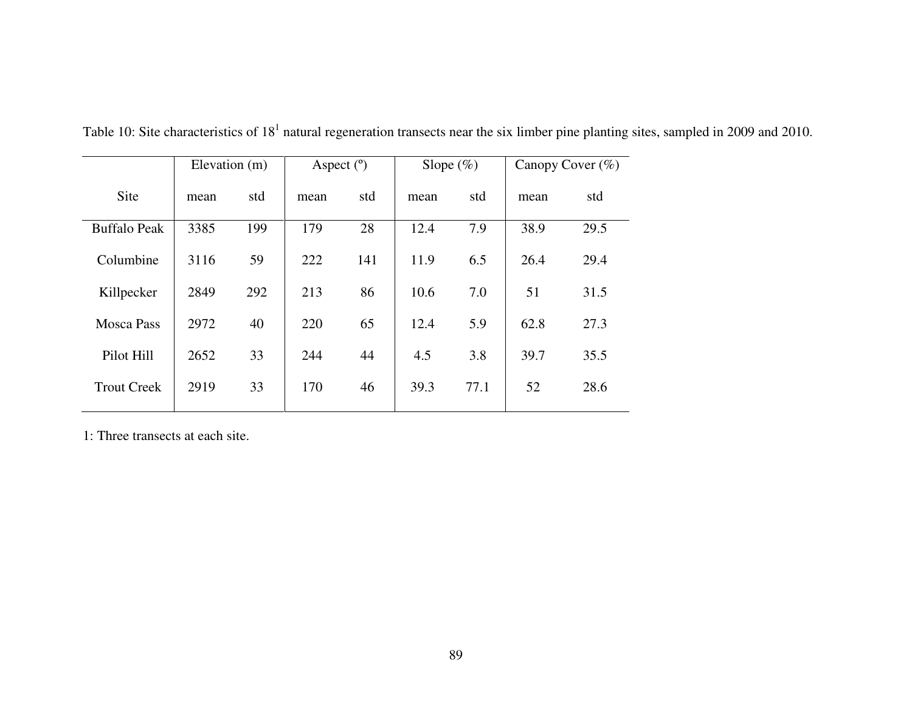|                     | Elevation (m) |     | Aspect $(°)$ |     | Slope $(\%)$ |      |      | Canopy Cover (%) |
|---------------------|---------------|-----|--------------|-----|--------------|------|------|------------------|
| Site                | mean          | std | mean         | std | mean         | std  | mean | std              |
| <b>Buffalo Peak</b> | 3385          | 199 | 179          | 28  | 12.4         | 7.9  | 38.9 | 29.5             |
| Columbine           | 3116          | 59  | 222          | 141 | 11.9         | 6.5  | 26.4 | 29.4             |
| Killpecker          | 2849          | 292 | 213          | 86  | 10.6         | 7.0  | 51   | 31.5             |
| <b>Mosca Pass</b>   | 2972          | 40  | 220          | 65  | 12.4         | 5.9  | 62.8 | 27.3             |
| Pilot Hill          | 2652          | 33  | 244          | 44  | 4.5          | 3.8  | 39.7 | 35.5             |
| <b>Trout Creek</b>  | 2919          | 33  | 170          | 46  | 39.3         | 77.1 | 52   | 28.6             |

Table 10: Site characteristics of  $18<sup>1</sup>$  natural regeneration transects near the six limber pine planting sites, sampled in 2009 and 2010.

1: Three transects at each site.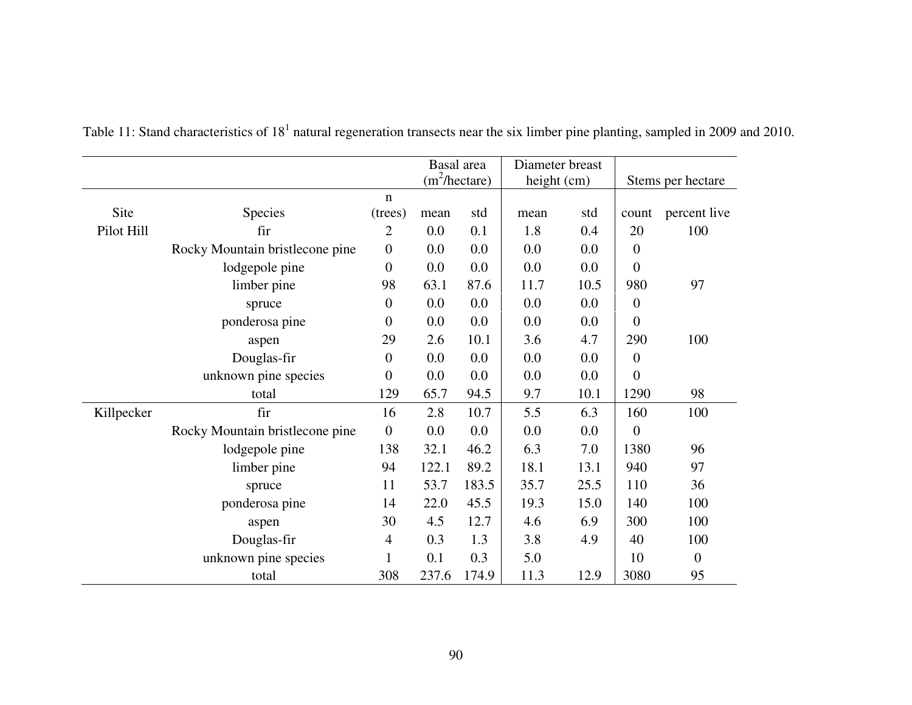|            |                                 |                  |       | Basal area       | Diameter breast |      |                  |                   |
|------------|---------------------------------|------------------|-------|------------------|-----------------|------|------------------|-------------------|
|            |                                 |                  |       | $(m^2/h$ ectare) | height (cm)     |      |                  | Stems per hectare |
|            |                                 | $\mathbf n$      |       |                  |                 |      |                  |                   |
| Site       | Species                         | (trees)          | mean  | std              | mean            | std  | count            | percent live      |
| Pilot Hill | fir                             | 2                | 0.0   | 0.1              | 1.8             | 0.4  | 20               | 100               |
|            | Rocky Mountain bristlecone pine | $\boldsymbol{0}$ | 0.0   | 0.0              | 0.0             | 0.0  | $\boldsymbol{0}$ |                   |
|            | lodgepole pine                  | $\overline{0}$   | 0.0   | 0.0              | 0.0             | 0.0  | $\boldsymbol{0}$ |                   |
|            | limber pine                     | 98               | 63.1  | 87.6             | 11.7            | 10.5 | 980              | 97                |
|            | spruce                          | $\overline{0}$   | 0.0   | 0.0              | 0.0             | 0.0  | $\boldsymbol{0}$ |                   |
|            | ponderosa pine                  | $\mathbf{0}$     | 0.0   | 0.0              | 0.0             | 0.0  | $\overline{0}$   |                   |
|            | aspen                           | 29               | 2.6   | 10.1             | 3.6             | 4.7  | 290              | 100               |
|            | Douglas-fir                     | $\overline{0}$   | 0.0   | 0.0              | 0.0             | 0.0  | $\boldsymbol{0}$ |                   |
|            | unknown pine species            | $\overline{0}$   | 0.0   | 0.0              | 0.0             | 0.0  | $\overline{0}$   |                   |
|            | total                           | 129              | 65.7  | 94.5             | 9.7             | 10.1 | 1290             | 98                |
| Killpecker | fir                             | 16               | 2.8   | 10.7             | 5.5             | 6.3  | 160              | 100               |
|            | Rocky Mountain bristlecone pine | $\mathbf{0}$     | 0.0   | 0.0              | 0.0             | 0.0  | $\boldsymbol{0}$ |                   |
|            | lodgepole pine                  | 138              | 32.1  | 46.2             | 6.3             | 7.0  | 1380             | 96                |
|            | limber pine                     | 94               | 122.1 | 89.2             | 18.1            | 13.1 | 940              | 97                |
|            | spruce                          | 11               | 53.7  | 183.5            | 35.7            | 25.5 | 110              | 36                |
|            | ponderosa pine                  | 14               | 22.0  | 45.5             | 19.3            | 15.0 | 140              | 100               |
|            | aspen                           | 30               | 4.5   | 12.7             | 4.6             | 6.9  | 300              | 100               |
|            | Douglas-fir                     | 4                | 0.3   | 1.3              | 3.8             | 4.9  | 40               | 100               |
|            | unknown pine species            | 1                | 0.1   | 0.3              | 5.0             |      | 10               | $\boldsymbol{0}$  |
|            | total                           | 308              | 237.6 | 174.9            | 11.3            | 12.9 | 3080             | 95                |

Table 11: Stand characteristics of  $18<sup>1</sup>$  natural regeneration transects near the six limber pine planting, sampled in 2009 and 2010.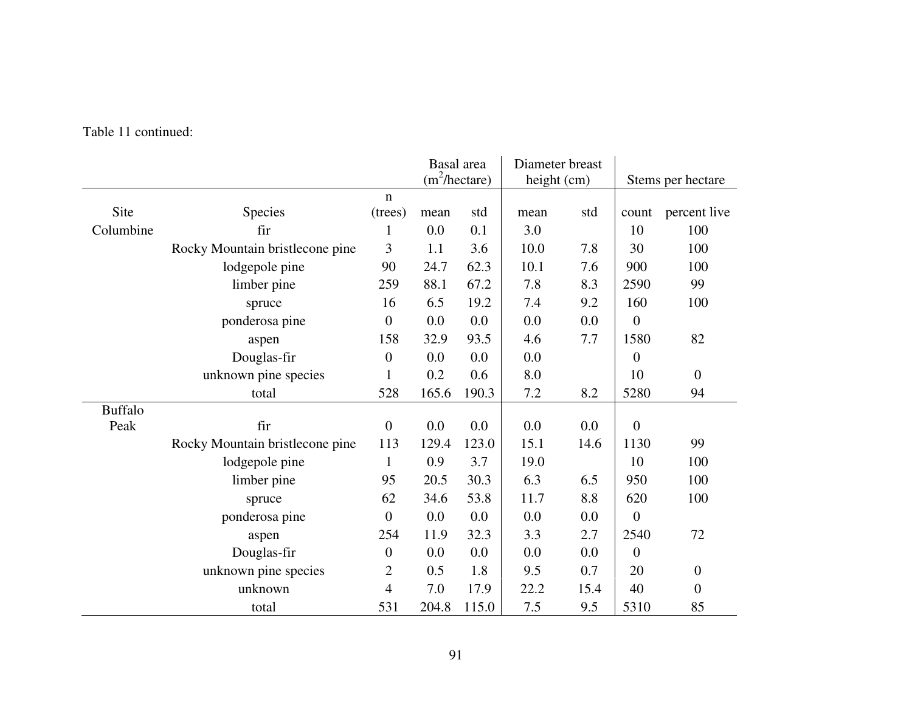|                |                                 |                  | Basal area |                        | Diameter breast |      |                |                   |
|----------------|---------------------------------|------------------|------------|------------------------|-----------------|------|----------------|-------------------|
|                |                                 |                  |            | $(m^2/\text{hectare})$ | height (cm)     |      |                | Stems per hectare |
|                |                                 | $\mathbf n$      |            |                        |                 |      |                |                   |
| Site           | <b>Species</b>                  | (trees)          | mean       | std                    | mean            | std  | count          | percent live      |
| Columbine      | fir                             | 1                | 0.0        | 0.1                    | 3.0             |      | 10             | 100               |
|                | Rocky Mountain bristlecone pine | 3                | 1.1        | 3.6                    | 10.0            | 7.8  | 30             | 100               |
|                | lodgepole pine                  | 90               | 24.7       | 62.3                   | 10.1            | 7.6  | 900            | 100               |
|                | limber pine                     | 259              | 88.1       | 67.2                   | 7.8             | 8.3  | 2590           | 99                |
|                | spruce                          | 16               | 6.5        | 19.2                   | 7.4             | 9.2  | 160            | 100               |
|                | ponderosa pine                  | $\boldsymbol{0}$ | 0.0        | 0.0                    | 0.0             | 0.0  | $\overline{0}$ |                   |
|                | aspen                           | 158              | 32.9       | 93.5                   | 4.6             | 7.7  | 1580           | 82                |
|                | Douglas-fir                     | $\boldsymbol{0}$ | 0.0        | 0.0                    | 0.0             |      | $\overline{0}$ |                   |
|                | unknown pine species            | 1                | 0.2        | 0.6                    | 8.0             |      | 10             | $\overline{0}$    |
|                | total                           | 528              | 165.6      | 190.3                  | 7.2             | 8.2  | 5280           | 94                |
| <b>Buffalo</b> |                                 |                  |            |                        |                 |      |                |                   |
| Peak           | fir                             | $\boldsymbol{0}$ | 0.0        | 0.0                    | 0.0             | 0.0  | $\overline{0}$ |                   |
|                | Rocky Mountain bristlecone pine | 113              | 129.4      | 123.0                  | 15.1            | 14.6 | 1130           | 99                |
|                | lodgepole pine                  | $\mathbf{1}$     | 0.9        | 3.7                    | 19.0            |      | 10             | 100               |
|                | limber pine                     | 95               | 20.5       | 30.3                   | 6.3             | 6.5  | 950            | 100               |
|                | spruce                          | 62               | 34.6       | 53.8                   | 11.7            | 8.8  | 620            | 100               |
|                | ponderosa pine                  | $\boldsymbol{0}$ | 0.0        | 0.0                    | 0.0             | 0.0  | $\overline{0}$ |                   |
|                | aspen                           | 254              | 11.9       | 32.3                   | 3.3             | 2.7  | 2540           | 72                |
|                | Douglas-fir                     | $\boldsymbol{0}$ | 0.0        | 0.0                    | 0.0             | 0.0  | $\overline{0}$ |                   |
|                | unknown pine species            | $\overline{2}$   | 0.5        | 1.8                    | 9.5             | 0.7  | 20             | $\boldsymbol{0}$  |
|                | unknown                         | $\overline{4}$   | 7.0        | 17.9                   | 22.2            | 15.4 | 40             | $\boldsymbol{0}$  |
|                | total                           | 531              | 204.8      | 115.0                  | 7.5             | 9.5  | 5310           | 85                |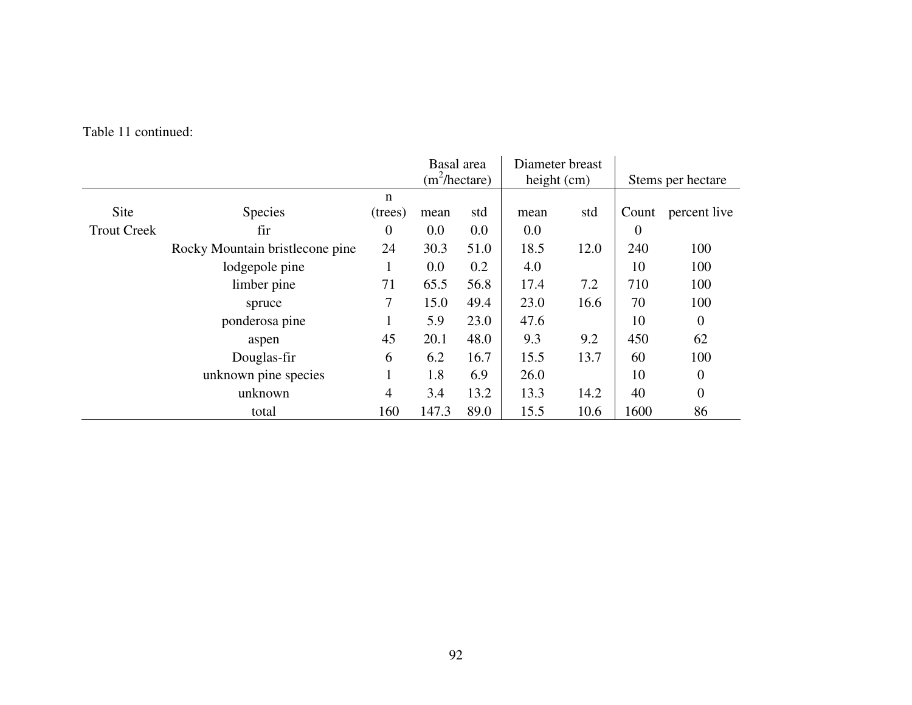|                    |                                 |                  | Basal area       |      | Diameter breast |      |                |                   |
|--------------------|---------------------------------|------------------|------------------|------|-----------------|------|----------------|-------------------|
|                    |                                 |                  | $(m^2/h$ ectare) |      | height $(cm)$   |      |                | Stems per hectare |
|                    |                                 | n                |                  |      |                 |      |                |                   |
| Site               | <b>Species</b>                  | (trees)          | mean             | std  | mean            | std  | Count          | percent live      |
| <b>Trout Creek</b> | fir                             | $\boldsymbol{0}$ | 0.0              | 0.0  | 0.0             |      | $\overline{0}$ |                   |
|                    | Rocky Mountain bristlecone pine | 24               | 30.3             | 51.0 | 18.5            | 12.0 | 240            | 100               |
|                    | lodgepole pine                  | 1                | 0.0              | 0.2  | 4.0             |      | 10             | 100               |
|                    | limber pine                     | 71               | 65.5             | 56.8 | 17.4            | 7.2  | 710            | 100               |
|                    | spruce                          | 7                | 15.0             | 49.4 | 23.0            | 16.6 | 70             | 100               |
|                    | ponderosa pine                  | 1                | 5.9              | 23.0 | 47.6            |      | 10             | $\overline{0}$    |
|                    | aspen                           | 45               | 20.1             | 48.0 | 9.3             | 9.2  | 450            | 62                |
|                    | Douglas-fir                     | 6                | 6.2              | 16.7 | 15.5            | 13.7 | 60             | 100               |
|                    | unknown pine species            | 1                | 1.8              | 6.9  | 26.0            |      | 10             | $\theta$          |
|                    | unknown                         | 4                | 3.4              | 13.2 | 13.3            | 14.2 | 40             | $\theta$          |
|                    | total                           | 160              | 147.3            | 89.0 | 15.5            | 10.6 | 1600           | 86                |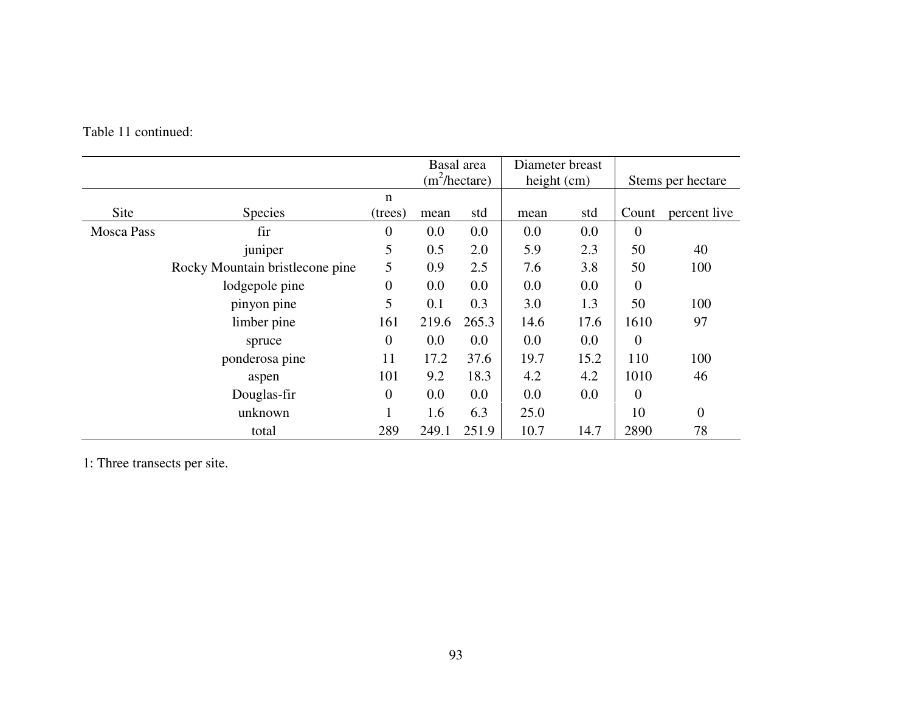|                   |                                 |                |       | Basal area<br>$(m^2/h$ ectare) | Diameter breast<br>height (cm) |      | Stems per hectare |                |
|-------------------|---------------------------------|----------------|-------|--------------------------------|--------------------------------|------|-------------------|----------------|
|                   |                                 | n              |       |                                |                                |      |                   |                |
| Site              | <b>Species</b>                  | (trees)        | mean  | std                            | mean                           | std  | Count             | percent live   |
| <b>Mosca Pass</b> | fir                             | $\theta$       | 0.0   | 0.0                            | 0.0                            | 0.0  | $\overline{0}$    |                |
|                   | juniper                         | 5              | 0.5   | 2.0                            | 5.9                            | 2.3  | 50                | 40             |
|                   | Rocky Mountain bristlecone pine | 5              | 0.9   | 2.5                            | 7.6                            | 3.8  | 50                | 100            |
|                   | lodgepole pine                  | $\overline{0}$ | 0.0   | 0.0                            | 0.0                            | 0.0  | $\overline{0}$    |                |
|                   | pinyon pine                     | 5              | 0.1   | 0.3                            | 3.0                            | 1.3  | 50                | 100            |
|                   | limber pine                     | 161            | 219.6 | 265.3                          | 14.6                           | 17.6 | 1610              | 97             |
|                   | spruce                          | $\theta$       | 0.0   | 0.0                            | 0.0                            | 0.0  | $\overline{0}$    |                |
|                   | ponderosa pine                  | 11             | 17.2  | 37.6                           | 19.7                           | 15.2 | 110               | 100            |
|                   | aspen                           | 101            | 9.2   | 18.3                           | 4.2                            | 4.2  | 1010              | 46             |
|                   | Douglas-fir                     | $\theta$       | 0.0   | 0.0                            | 0.0                            | 0.0  | $\overline{0}$    |                |
|                   | unknown                         |                | 1.6   | 6.3                            | 25.0                           |      | 10                | $\overline{0}$ |
|                   | total                           | 289            | 249.1 | 251.9                          | 10.7                           | 14.7 | 2890              | 78             |

1: Three transects per site.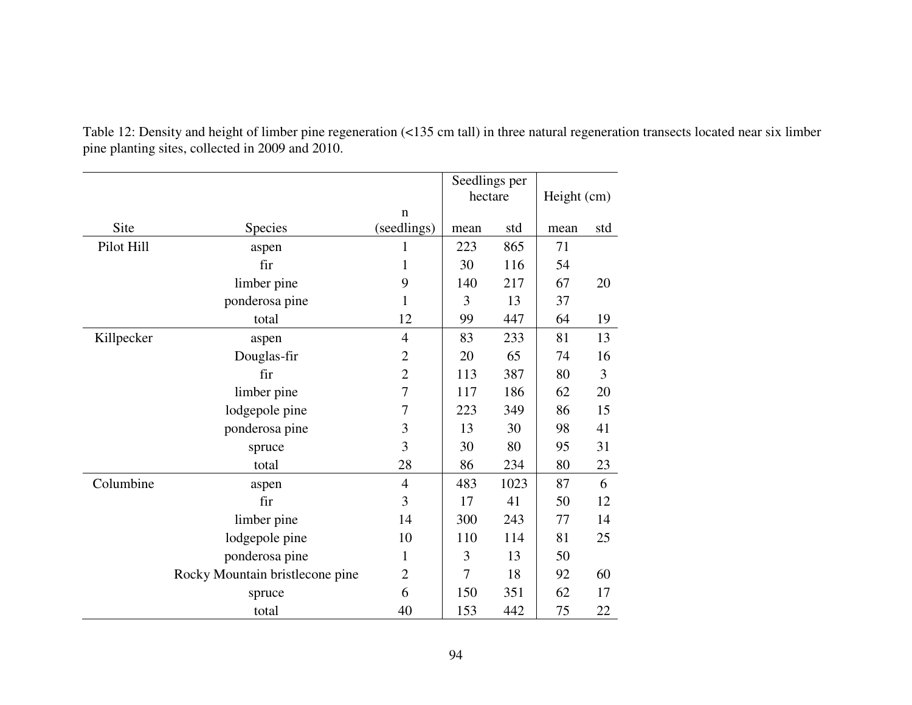|            |                                 |                            | Seedlings per |      |             |     |
|------------|---------------------------------|----------------------------|---------------|------|-------------|-----|
|            |                                 |                            | hectare       |      | Height (cm) |     |
| Site       | <b>Species</b>                  | $\mathbf n$<br>(seedlings) | mean          | std  | mean        | std |
| Pilot Hill | aspen                           | 1                          | 223           | 865  | 71          |     |
|            | fir                             | $\mathbf{1}$               | 30            | 116  | 54          |     |
|            | limber pine                     | 9                          | 140           | 217  | 67          | 20  |
|            | ponderosa pine                  | 1                          | 3             | 13   | 37          |     |
|            | total                           | 12                         | 99            | 447  | 64          | 19  |
| Killpecker | aspen                           | $\overline{4}$             | 83            | 233  | 81          | 13  |
|            | Douglas-fir                     | $\overline{c}$             | 20            | 65   | 74          | 16  |
|            | fir                             | $\overline{2}$             | 113           | 387  | 80          | 3   |
|            | limber pine                     | 7                          | 117           | 186  | 62          | 20  |
|            | lodgepole pine                  | 7                          | 223           | 349  | 86          | 15  |
|            | ponderosa pine                  | 3                          | 13            | 30   | 98          | 41  |
|            | spruce                          | 3                          | 30            | 80   | 95          | 31  |
|            | total                           | 28                         | 86            | 234  | 80          | 23  |
| Columbine  | aspen                           | $\overline{4}$             | 483           | 1023 | 87          | 6   |
|            | fir                             | 3                          | 17            | 41   | 50          | 12  |
|            | limber pine                     | 14                         | 300           | 243  | 77          | 14  |
|            | lodgepole pine                  | 10                         | 110           | 114  | 81          | 25  |
|            | ponderosa pine                  | $\mathbf 1$                | 3             | 13   | 50          |     |
|            | Rocky Mountain bristlecone pine | $\overline{c}$             | 7             | 18   | 92          | 60  |
|            | spruce                          | 6                          | 150           | 351  | 62          | 17  |
|            | total                           | 40                         | 153           | 442  | 75          | 22  |

Table 12: Density and height of limber pine regeneration (<135 cm tall) in three natural regeneration transects located near six limber pine planting sites, collected in 2009 and 2010.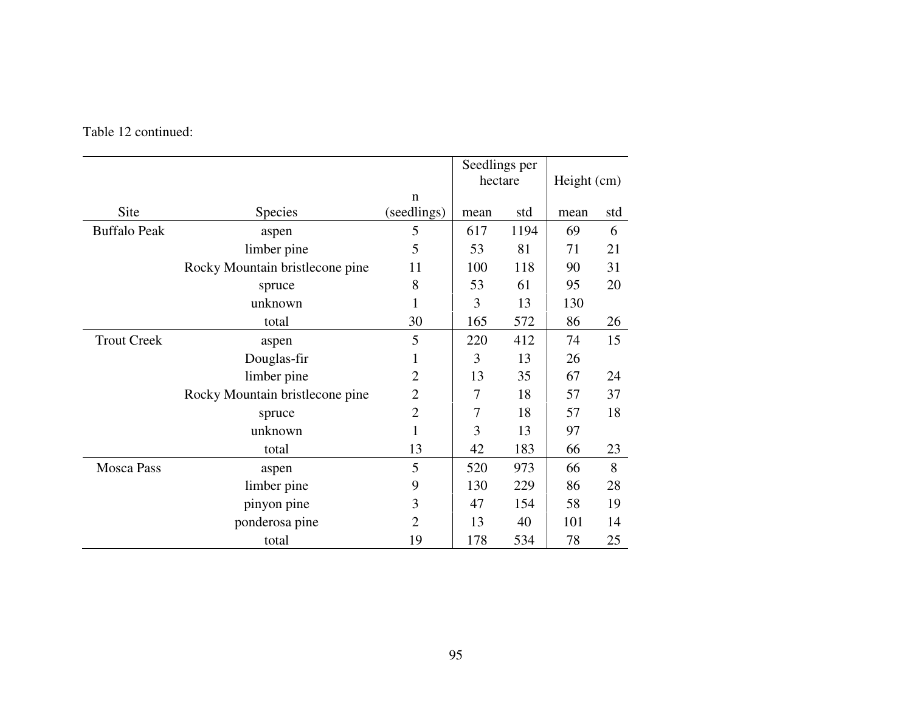|                     |                                 |                | Seedlings per |      |             |     |
|---------------------|---------------------------------|----------------|---------------|------|-------------|-----|
|                     |                                 |                | hectare       |      | Height (cm) |     |
|                     |                                 | n              |               |      |             |     |
| Site                | <b>Species</b>                  | (seedlings)    | mean          | std  | mean        | std |
| <b>Buffalo Peak</b> | aspen                           | 5              | 617           | 1194 | 69          | 6   |
|                     | limber pine                     | 5              | 53            | 81   | 71          | 21  |
|                     | Rocky Mountain bristlecone pine | 11             | 100           | 118  | 90          | 31  |
|                     | spruce                          | 8              | 53            | 61   | 95          | 20  |
|                     | unknown                         | 1              | 3             | 13   | 130         |     |
|                     | total                           | 30             | 165           | 572  | 86          | 26  |
| <b>Trout Creek</b>  | aspen                           | 5              | 220           | 412  | 74          | 15  |
|                     | Douglas-fir                     | 1              | 3             | 13   | 26          |     |
|                     | limber pine                     | $\overline{2}$ | 13            | 35   | 67          | 24  |
|                     | Rocky Mountain bristlecone pine | $\overline{2}$ | 7             | 18   | 57          | 37  |
|                     | spruce                          | $\overline{2}$ | 7             | 18   | 57          | 18  |
|                     | unknown                         | $\mathbf{1}$   | 3             | 13   | 97          |     |
|                     | total                           | 13             | 42            | 183  | 66          | 23  |
| <b>Mosca Pass</b>   | aspen                           | 5              | 520           | 973  | 66          | 8   |
|                     | limber pine                     | 9              | 130           | 229  | 86          | 28  |
|                     | pinyon pine                     | 3              | 47            | 154  | 58          | 19  |
|                     | ponderosa pine                  | $\overline{2}$ | 13            | 40   | 101         | 14  |
|                     | total                           | 19             | 178           | 534  | 78          | 25  |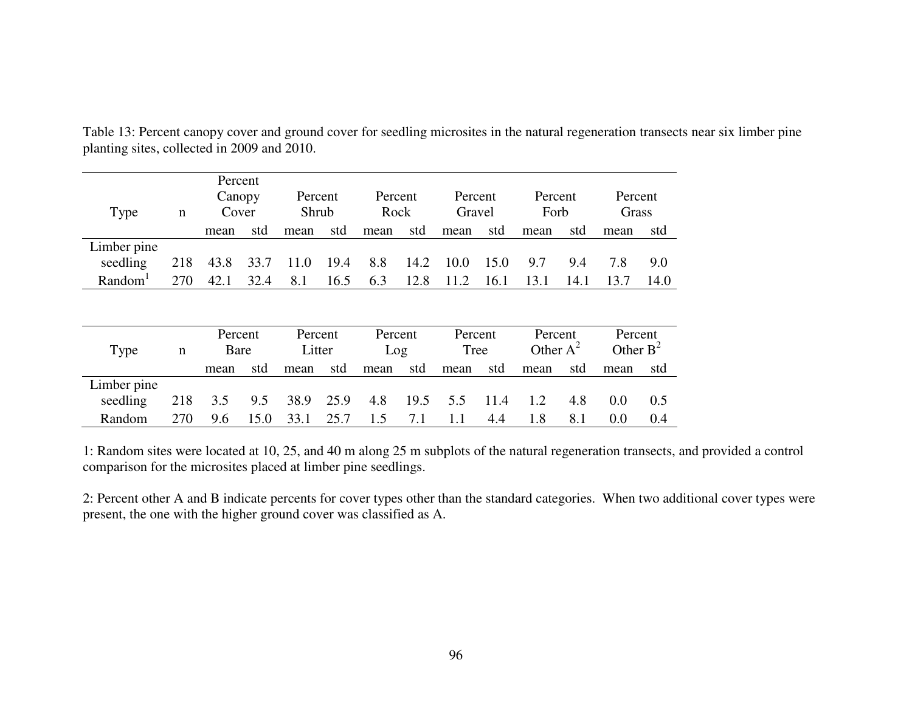| Type<br>n           |     | Percent<br>Canopy<br>Cover |      | Percent<br>Shrub |      | Percent<br>Rock |      | Percent<br>Gravel |      | Percent<br>Forb |      | Percent<br>Grass |      |
|---------------------|-----|----------------------------|------|------------------|------|-----------------|------|-------------------|------|-----------------|------|------------------|------|
|                     |     | mean                       | std  | mean             | std  | mean            | std  | mean              | std  | mean            | std  | mean             | std  |
| Limber pine         |     |                            |      |                  |      |                 |      |                   |      |                 |      |                  |      |
| seedling            | 218 | 43.8                       | 33.7 | 11.0             | 19.4 | 8.8             | 14.2 | 10.0              | 15.0 | 9.7             | 9.4  | 7.8              | 9.0  |
| Random <sup>1</sup> | 270 | 42.1                       | 32.4 | 8.1              | 16.5 | 6.3             | 12.8 | 11.2              | 16.1 | 13.1            | 14.1 | 13.7             | 14.0 |

Table 13: Percent canopy cover and ground cover for seedling microsites in the natural regeneration transects near six limber pine planting sites, collected in 2009 and 2010.

| Type        | n   | Percent<br>Bare |      | Percent<br>Litter |                  | Percent<br>Log |     | Percent<br>Tree |      | Percent<br>Other $A^2$ |     | Percent<br>Other $B^2$ |       |
|-------------|-----|-----------------|------|-------------------|------------------|----------------|-----|-----------------|------|------------------------|-----|------------------------|-------|
|             |     | mean            | std  | mean              | std              | mean           | std | mean            | std  | mean                   | std | mean                   | std   |
| Limber pine |     |                 |      |                   |                  |                |     |                 |      |                        |     |                        |       |
| seedling    | 218 | 3.5             | 9.5  | 38.9              | $\frac{1}{25.9}$ | 4.8            |     | 19.5 5.5        | 11.4 | 1.2                    | 4.8 | 0.0                    | 0.5   |
| Random      | 270 | 9.6             | 15.0 | 33.1              | 25.7             | 1.5            | 7.1 | 1.1             | 4.4  | 1.8                    | 8.1 | 0.0                    | (0.4) |

1: Random sites were located at 10, 25, and 40 m along 25 m subplots of the natural regeneration transects, and provided a control comparison for the microsites placed at limber pine seedlings.

2: Percent other A and B indicate percents for cover types other than the standard categories. When two additional cover types were present, the one with the higher ground cover was classified as A.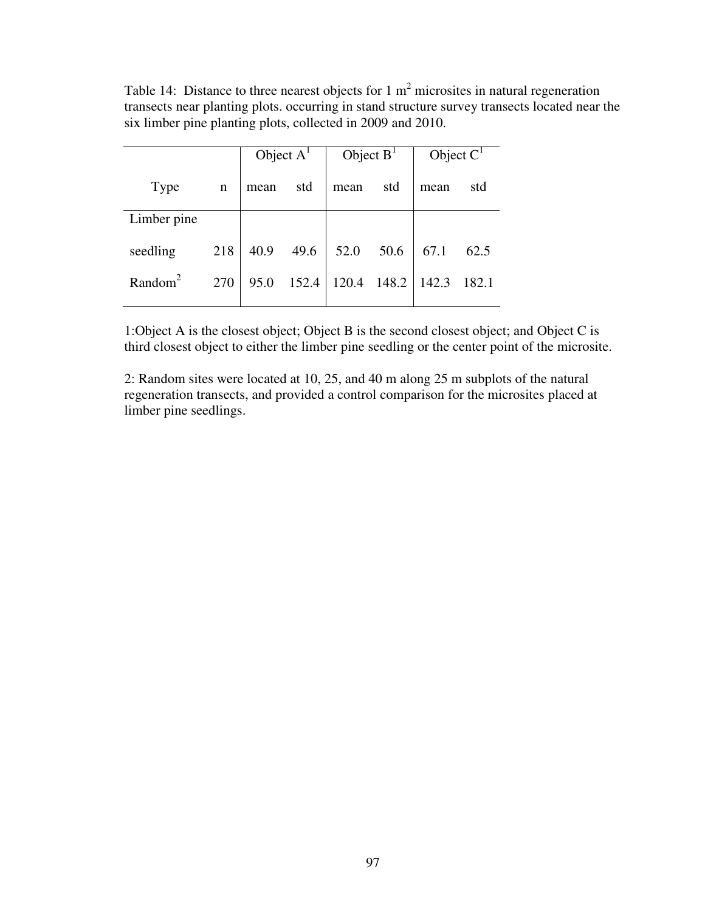Table 14: Distance to three nearest objects for 1  $m<sup>2</sup>$  microsites in natural regeneration transects near planting plots. occurring in stand structure survey transects located near the six limber pine planting plots, collected in 2009 and 2010.

|                     |     | Object $AT$ |       | Object $BT$ |       | Object $C1$ |       |
|---------------------|-----|-------------|-------|-------------|-------|-------------|-------|
| Type                | n   | mean        | std   | mean        | std   | mean        | std   |
| Limber pine         |     |             |       |             |       |             |       |
| seedling            | 218 | 40.9        | 49.6  | 52.0        | 50.6  | 67.1        | 62.5  |
| Random <sup>2</sup> | 270 | 95.0        | 152.4 | 120.4       | 148.2 | 142.3       | 182.1 |

1:Object A is the closest object; Object B is the second closest object; and Object C is third closest object to either the limber pine seedling or the center point of the microsite.

2: Random sites were located at 10, 25, and 40 m along 25 m subplots of the natural regeneration transects, and provided a control comparison for the microsites placed at limber pine seedlings.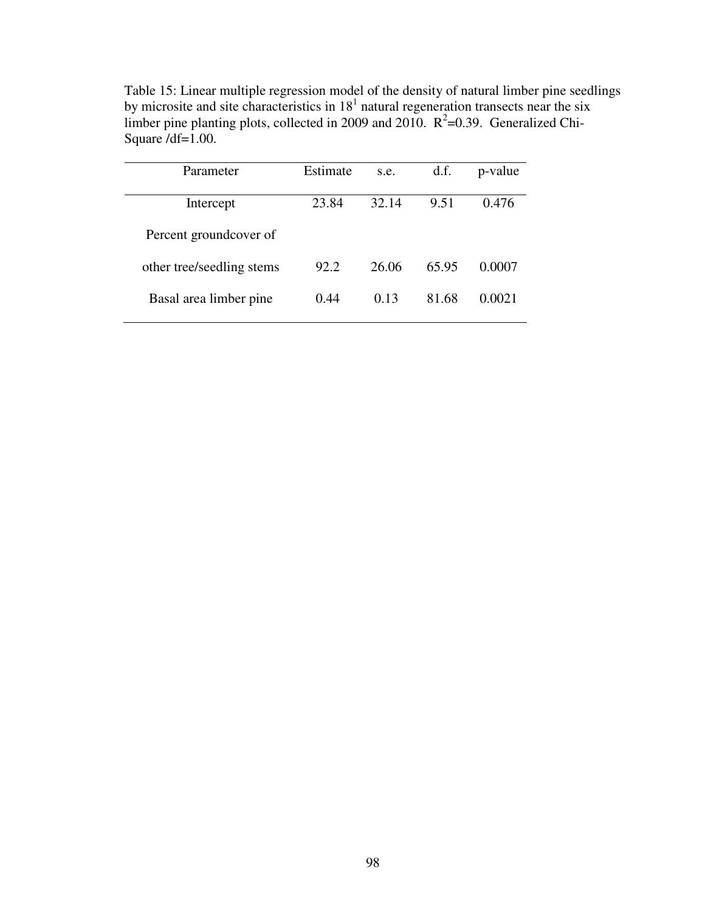| Parameter                 | Estimate | s.e.  | d.f.  | p-value |
|---------------------------|----------|-------|-------|---------|
| Intercept                 | 23.84    | 32.14 | 9.51  | 0.476   |
| Percent groundcover of    |          |       |       |         |
| other tree/seedling stems | 92.2     | 26.06 | 65.95 | 0.0007  |
| Basal area limber pine    | 0.44     | 0.13  | 81.68 | 0.0021  |

Table 15: Linear multiple regression model of the density of natural limber pine seedlings by microsite and site characteristics in  $18<sup>1</sup>$  natural regeneration transects near the six limber pine planting plots, collected in 2009 and 2010.  $R^2$ =0.39. Generalized Chi-Square /df=1.00.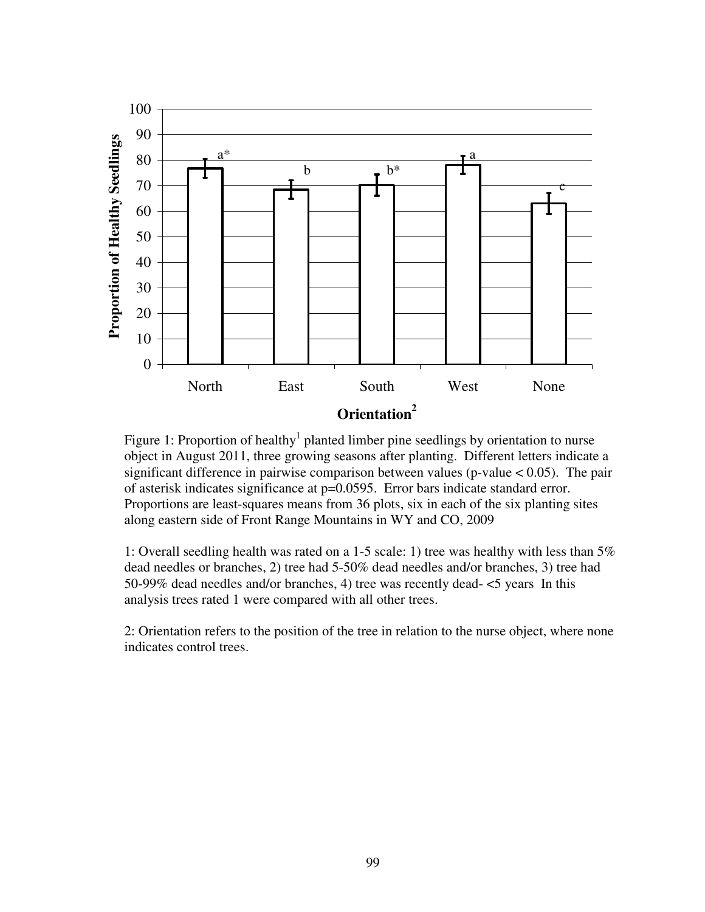

Figure 1: Proportion of healthy<sup>1</sup> planted limber pine seedlings by orientation to nurse object in August 2011, three growing seasons after planting. Different letters indicate a significant difference in pairwise comparison between values ( $p$ -value  $< 0.05$ ). The pair of asterisk indicates significance at p=0.0595. Error bars indicate standard error. Proportions are least-squares means from 36 plots, six in each of the six planting sites along eastern side of Front Range Mountains in WY and CO, 2009

1: Overall seedling health was rated on a 1-5 scale: 1) tree was healthy with less than 5% dead needles or branches, 2) tree had 5-50% dead needles and/or branches, 3) tree had 50-99% dead needles and/or branches, 4) tree was recently dead- <5 years In this analysis trees rated 1 were compared with all other trees.

2: Orientation refers to the position of the tree in relation to the nurse object, where none indicates control trees.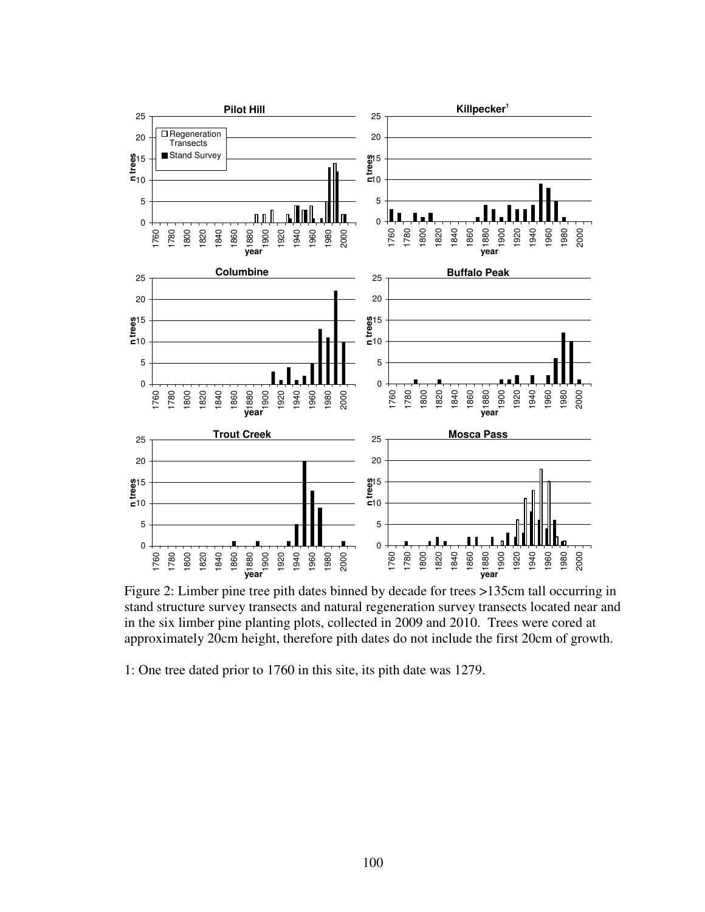

Figure 2: Limber pine tree pith dates binned by decade for trees >135cm tall occurring in stand structure survey transects and natural regeneration survey transects located near and in the six limber pine planting plots, collected in 2009 and 2010. Trees were cored at approximately 20cm height, therefore pith dates do not include the first 20cm of growth.

1: One tree dated prior to 1760 in this site, its pith date was 1279.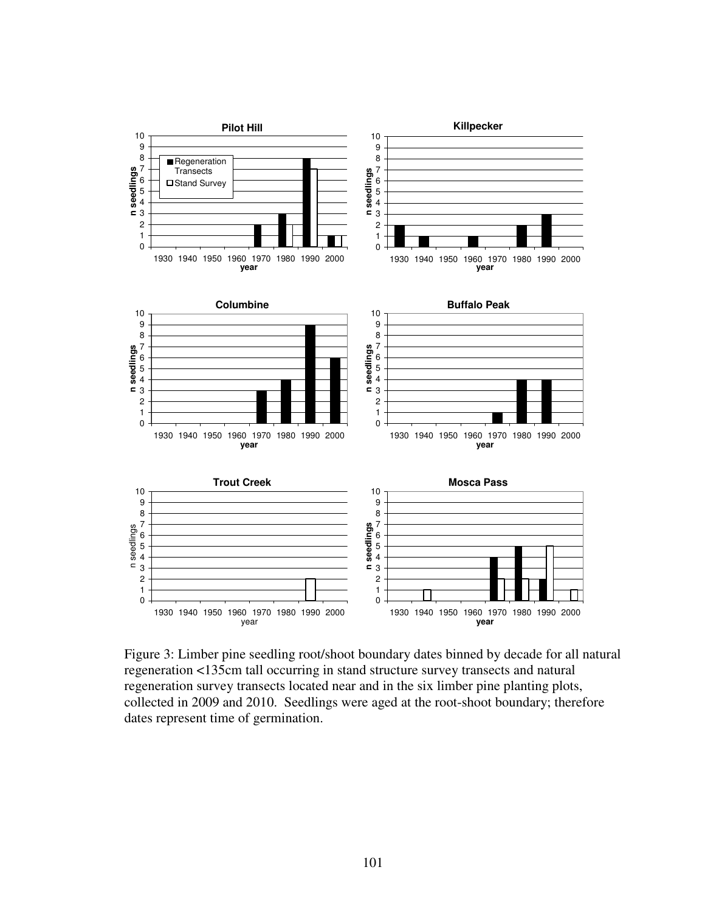

Figure 3: Limber pine seedling root/shoot boundary dates binned by decade for all natural regeneration <135cm tall occurring in stand structure survey transects and natural regeneration survey transects located near and in the six limber pine planting plots, collected in 2009 and 2010. Seedlings were aged at the root-shoot boundary; therefore dates represent time of germination.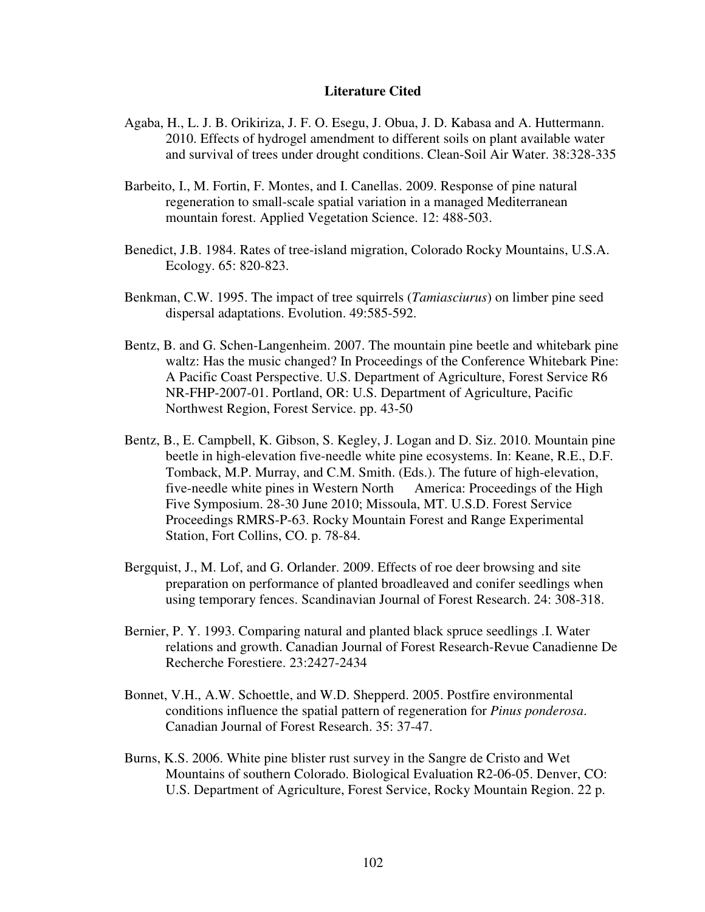## **Literature Cited**

- Agaba, H., L. J. B. Orikiriza, J. F. O. Esegu, J. Obua, J. D. Kabasa and A. Huttermann. 2010. Effects of hydrogel amendment to different soils on plant available water and survival of trees under drought conditions. Clean-Soil Air Water. 38:328-335
- Barbeito, I., M. Fortin, F. Montes, and I. Canellas. 2009. Response of pine natural regeneration to small-scale spatial variation in a managed Mediterranean mountain forest. Applied Vegetation Science. 12: 488-503.
- Benedict, J.B. 1984. Rates of tree-island migration, Colorado Rocky Mountains, U.S.A. Ecology. 65: 820-823.
- Benkman, C.W. 1995. The impact of tree squirrels (*Tamiasciurus*) on limber pine seed dispersal adaptations. Evolution. 49:585-592.
- Bentz, B. and G. Schen-Langenheim. 2007. The mountain pine beetle and whitebark pine waltz: Has the music changed? In Proceedings of the Conference Whitebark Pine: A Pacific Coast Perspective. U.S. Department of Agriculture, Forest Service R6 NR-FHP-2007-01. Portland, OR: U.S. Department of Agriculture, Pacific Northwest Region, Forest Service. pp. 43-50
- Bentz, B., E. Campbell, K. Gibson, S. Kegley, J. Logan and D. Siz. 2010. Mountain pine beetle in high-elevation five-needle white pine ecosystems. In: Keane, R.E., D.F. Tomback, M.P. Murray, and C.M. Smith. (Eds.). The future of high-elevation, five-needle white pines in Western North America: Proceedings of the High Five Symposium. 28-30 June 2010; Missoula, MT. U.S.D. Forest Service Proceedings RMRS-P-63. Rocky Mountain Forest and Range Experimental Station, Fort Collins, CO. p. 78-84.
- Bergquist, J., M. Lof, and G. Orlander. 2009. Effects of roe deer browsing and site preparation on performance of planted broadleaved and conifer seedlings when using temporary fences. Scandinavian Journal of Forest Research. 24: 308-318.
- Bernier, P. Y. 1993. Comparing natural and planted black spruce seedlings .I. Water relations and growth. Canadian Journal of Forest Research-Revue Canadienne De Recherche Forestiere. 23:2427-2434
- Bonnet, V.H., A.W. Schoettle, and W.D. Shepperd. 2005. Postfire environmental conditions influence the spatial pattern of regeneration for *Pinus ponderosa*. Canadian Journal of Forest Research. 35: 37-47.
- Burns, K.S. 2006. White pine blister rust survey in the Sangre de Cristo and Wet Mountains of southern Colorado. Biological Evaluation R2-06-05. Denver, CO: U.S. Department of Agriculture, Forest Service, Rocky Mountain Region. 22 p.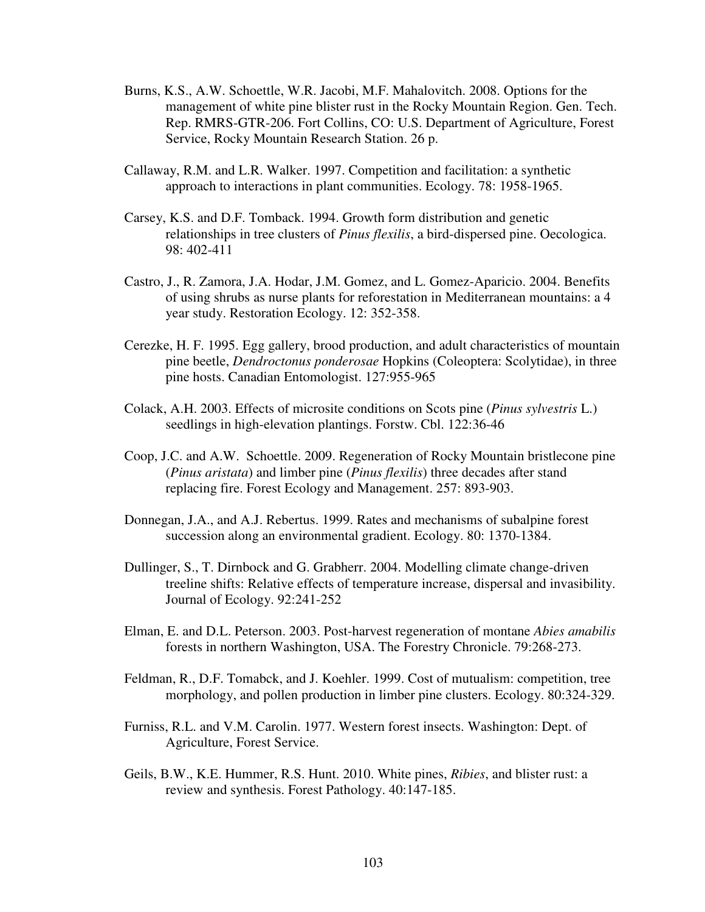- Burns, K.S., A.W. Schoettle, W.R. Jacobi, M.F. Mahalovitch. 2008. Options for the management of white pine blister rust in the Rocky Mountain Region. Gen. Tech. Rep. RMRS-GTR-206. Fort Collins, CO: U.S. Department of Agriculture, Forest Service, Rocky Mountain Research Station. 26 p.
- Callaway, R.M. and L.R. Walker. 1997. Competition and facilitation: a synthetic approach to interactions in plant communities. Ecology. 78: 1958-1965.
- Carsey, K.S. and D.F. Tomback. 1994. Growth form distribution and genetic relationships in tree clusters of *Pinus flexilis*, a bird-dispersed pine. Oecologica. 98: 402-411
- Castro, J., R. Zamora, J.A. Hodar, J.M. Gomez, and L. Gomez-Aparicio. 2004. Benefits of using shrubs as nurse plants for reforestation in Mediterranean mountains: a 4 year study. Restoration Ecology. 12: 352-358.
- Cerezke, H. F. 1995. Egg gallery, brood production, and adult characteristics of mountain pine beetle, *Dendroctonus ponderosae* Hopkins (Coleoptera: Scolytidae), in three pine hosts. Canadian Entomologist. 127:955-965
- Colack, A.H. 2003. Effects of microsite conditions on Scots pine (*Pinus sylvestris* L.) seedlings in high-elevation plantings. Forstw. Cbl. 122:36-46
- Coop, J.C. and A.W. Schoettle. 2009. Regeneration of Rocky Mountain bristlecone pine (*Pinus aristata*) and limber pine (*Pinus flexilis*) three decades after stand replacing fire. Forest Ecology and Management. 257: 893-903.
- Donnegan, J.A., and A.J. Rebertus. 1999. Rates and mechanisms of subalpine forest succession along an environmental gradient. Ecology. 80: 1370-1384.
- Dullinger, S., T. Dirnbock and G. Grabherr. 2004. Modelling climate change-driven treeline shifts: Relative effects of temperature increase, dispersal and invasibility. Journal of Ecology. 92:241-252
- Elman, E. and D.L. Peterson. 2003. Post-harvest regeneration of montane *Abies amabilis* forests in northern Washington, USA. The Forestry Chronicle. 79:268-273.
- Feldman, R., D.F. Tomabck, and J. Koehler. 1999. Cost of mutualism: competition, tree morphology, and pollen production in limber pine clusters. Ecology. 80:324-329.
- Furniss, R.L. and V.M. Carolin. 1977. Western forest insects. Washington: Dept. of Agriculture, Forest Service.
- Geils, B.W., K.E. Hummer, R.S. Hunt. 2010. White pines, *Ribies*, and blister rust: a review and synthesis. Forest Pathology. 40:147-185.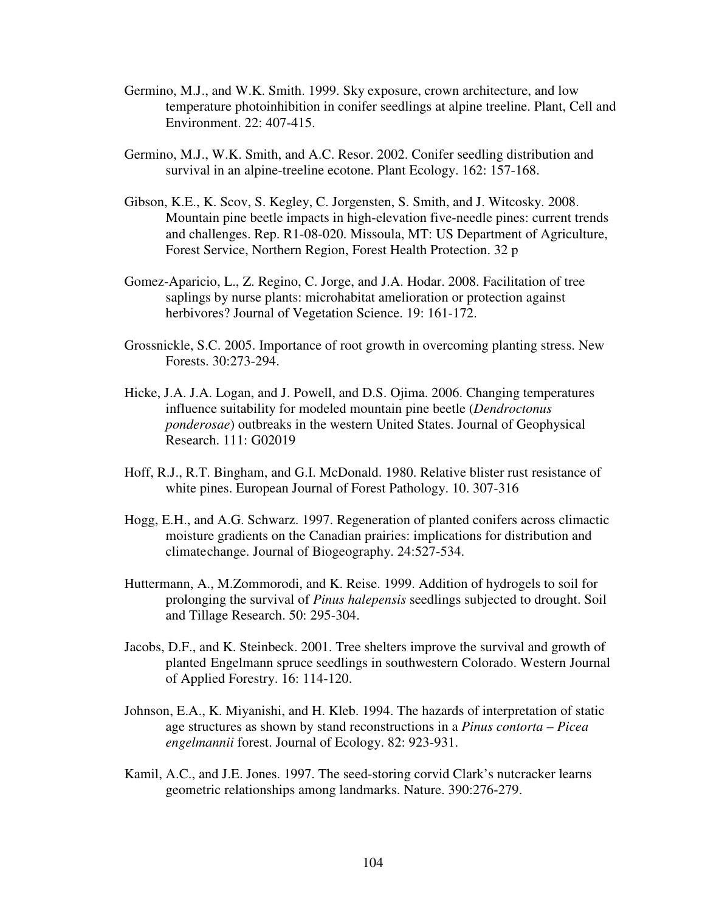- Germino, M.J., and W.K. Smith. 1999. Sky exposure, crown architecture, and low temperature photoinhibition in conifer seedlings at alpine treeline. Plant, Cell and Environment. 22: 407-415.
- Germino, M.J., W.K. Smith, and A.C. Resor. 2002. Conifer seedling distribution and survival in an alpine-treeline ecotone. Plant Ecology. 162: 157-168.
- Gibson, K.E., K. Scov, S. Kegley, C. Jorgensten, S. Smith, and J. Witcosky. 2008. Mountain pine beetle impacts in high-elevation five-needle pines: current trends and challenges. Rep. R1-08-020. Missoula, MT: US Department of Agriculture, Forest Service, Northern Region, Forest Health Protection. 32 p
- Gomez-Aparicio, L., Z. Regino, C. Jorge, and J.A. Hodar. 2008. Facilitation of tree saplings by nurse plants: microhabitat amelioration or protection against herbivores? Journal of Vegetation Science. 19: 161-172.
- Grossnickle, S.C. 2005. Importance of root growth in overcoming planting stress. New Forests. 30:273-294.
- Hicke, J.A. J.A. Logan, and J. Powell, and D.S. Ojima. 2006. Changing temperatures influence suitability for modeled mountain pine beetle (*Dendroctonus ponderosae*) outbreaks in the western United States. Journal of Geophysical Research. 111: G02019
- Hoff, R.J., R.T. Bingham, and G.I. McDonald. 1980. Relative blister rust resistance of white pines. European Journal of Forest Pathology. 10. 307-316
- Hogg, E.H., and A.G. Schwarz. 1997. Regeneration of planted conifers across climactic moisture gradients on the Canadian prairies: implications for distribution and climate change. Journal of Biogeography. 24:527-534.
- Huttermann, A., M.Zommorodi, and K. Reise. 1999. Addition of hydrogels to soil for prolonging the survival of *Pinus halepensis* seedlings subjected to drought. Soil and Tillage Research. 50: 295-304.
- Jacobs, D.F., and K. Steinbeck. 2001. Tree shelters improve the survival and growth of planted Engelmann spruce seedlings in southwestern Colorado. Western Journal of Applied Forestry. 16: 114-120.
- Johnson, E.A., K. Miyanishi, and H. Kleb. 1994. The hazards of interpretation of static age structures as shown by stand reconstructions in a *Pinus contorta* – *Picea engelmannii* forest. Journal of Ecology. 82: 923-931.
- Kamil, A.C., and J.E. Jones. 1997. The seed-storing corvid Clark's nutcracker learns geometric relationships among landmarks. Nature. 390:276-279.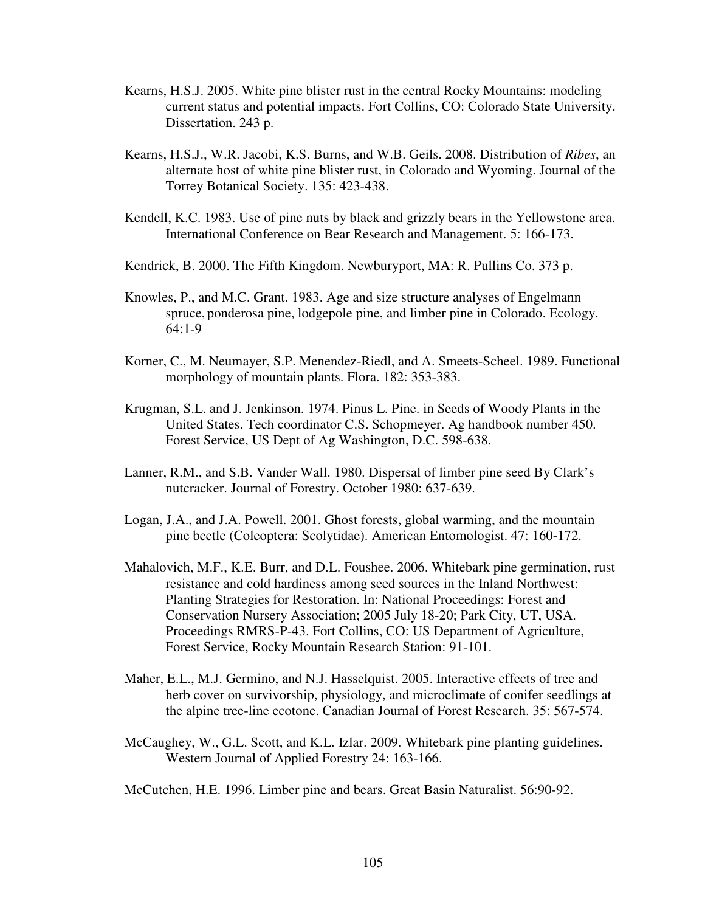- Kearns, H.S.J. 2005. White pine blister rust in the central Rocky Mountains: modeling current status and potential impacts. Fort Collins, CO: Colorado State University. Dissertation. 243 p.
- Kearns, H.S.J., W.R. Jacobi, K.S. Burns, and W.B. Geils. 2008. Distribution of *Ribes*, an alternate host of white pine blister rust, in Colorado and Wyoming. Journal of the Torrey Botanical Society. 135: 423-438.
- Kendell, K.C. 1983. Use of pine nuts by black and grizzly bears in the Yellowstone area. International Conference on Bear Research and Management. 5: 166-173.
- Kendrick, B. 2000. The Fifth Kingdom. Newburyport, MA: R. Pullins Co. 373 p.
- Knowles, P., and M.C. Grant. 1983. Age and size structure analyses of Engelmann spruce, ponderosa pine, lodgepole pine, and limber pine in Colorado. Ecology. 64:1-9
- Korner, C., M. Neumayer, S.P. Menendez-Riedl, and A. Smeets-Scheel. 1989. Functional morphology of mountain plants. Flora. 182: 353-383.
- Krugman, S.L. and J. Jenkinson. 1974. Pinus L. Pine. in Seeds of Woody Plants in the United States. Tech coordinator C.S. Schopmeyer. Ag handbook number 450. Forest Service, US Dept of Ag Washington, D.C. 598-638.
- Lanner, R.M., and S.B. Vander Wall. 1980. Dispersal of limber pine seed By Clark's nutcracker. Journal of Forestry. October 1980: 637-639.
- Logan, J.A., and J.A. Powell. 2001. Ghost forests, global warming, and the mountain pine beetle (Coleoptera: Scolytidae). American Entomologist. 47: 160-172.
- Mahalovich, M.F., K.E. Burr, and D.L. Foushee. 2006. Whitebark pine germination, rust resistance and cold hardiness among seed sources in the Inland Northwest: Planting Strategies for Restoration. In: National Proceedings: Forest and Conservation Nursery Association; 2005 July 18-20; Park City, UT, USA. Proceedings RMRS-P-43. Fort Collins, CO: US Department of Agriculture, Forest Service, Rocky Mountain Research Station: 91-101.
- Maher, E.L., M.J. Germino, and N.J. Hasselquist. 2005. Interactive effects of tree and herb cover on survivorship, physiology, and microclimate of conifer seedlings at the alpine tree-line ecotone. Canadian Journal of Forest Research. 35: 567-574.
- McCaughey, W., G.L. Scott, and K.L. Izlar. 2009. Whitebark pine planting guidelines. Western Journal of Applied Forestry 24: 163-166.

McCutchen, H.E. 1996. Limber pine and bears. Great Basin Naturalist. 56:90-92.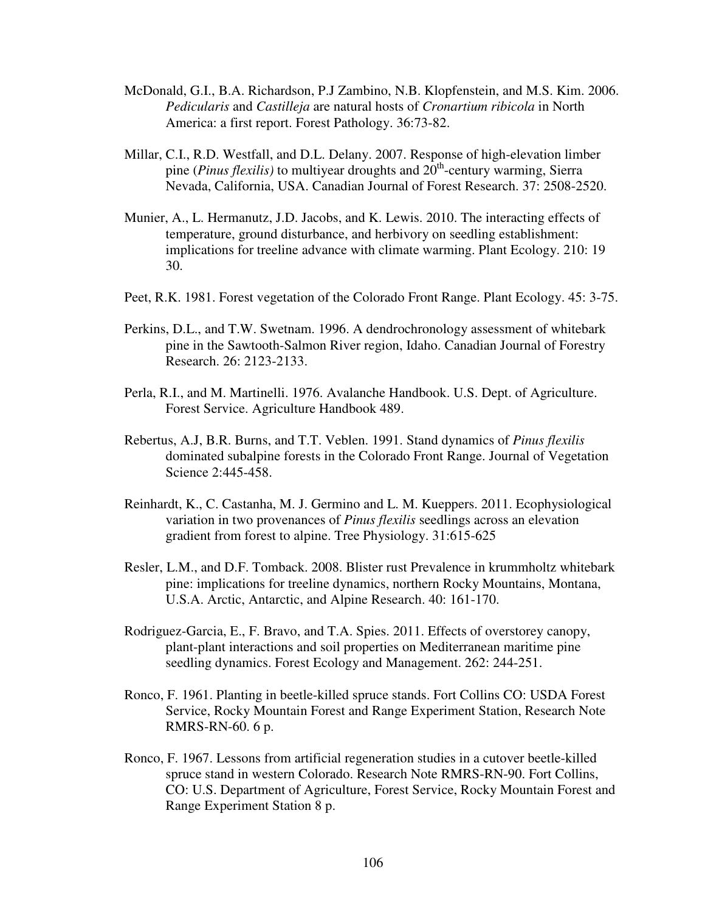- McDonald, G.I., B.A. Richardson, P.J Zambino, N.B. Klopfenstein, and M.S. Kim. 2006. *Pedicularis* and *Castilleja* are natural hosts of *Cronartium ribicola* in North America: a first report. Forest Pathology. 36:73-82.
- Millar, C.I., R.D. Westfall, and D.L. Delany. 2007. Response of high-elevation limber pine (*Pinus flexilis*) to multiyear droughts and  $20<sup>th</sup>$ -century warming, Sierra Nevada, California, USA. Canadian Journal of Forest Research. 37: 2508-2520.
- Munier, A., L. Hermanutz, J.D. Jacobs, and K. Lewis. 2010. The interacting effects of temperature, ground disturbance, and herbivory on seedling establishment: implications for treeline advance with climate warming. Plant Ecology. 210: 19 30.
- Peet, R.K. 1981. Forest vegetation of the Colorado Front Range. Plant Ecology. 45: 3-75.
- Perkins, D.L., and T.W. Swetnam. 1996. A dendrochronology assessment of whitebark pine in the Sawtooth-Salmon River region, Idaho. Canadian Journal of Forestry Research. 26: 2123-2133.
- Perla, R.I., and M. Martinelli. 1976. Avalanche Handbook. U.S. Dept. of Agriculture. Forest Service. Agriculture Handbook 489.
- Rebertus, A.J, B.R. Burns, and T.T. Veblen. 1991. Stand dynamics of *Pinus flexilis* dominated subalpine forests in the Colorado Front Range. Journal of Vegetation Science 2:445-458.
- Reinhardt, K., C. Castanha, M. J. Germino and L. M. Kueppers. 2011. Ecophysiological variation in two provenances of *Pinus flexilis* seedlings across an elevation gradient from forest to alpine. Tree Physiology. 31:615-625
- Resler, L.M., and D.F. Tomback. 2008. Blister rust Prevalence in krummholtz whitebark pine: implications for treeline dynamics, northern Rocky Mountains, Montana, U.S.A. Arctic, Antarctic, and Alpine Research. 40: 161-170.
- Rodriguez-Garcia, E., F. Bravo, and T.A. Spies. 2011. Effects of overstorey canopy, plant-plant interactions and soil properties on Mediterranean maritime pine seedling dynamics. Forest Ecology and Management. 262: 244-251.
- Ronco, F. 1961. Planting in beetle-killed spruce stands. Fort Collins CO: USDA Forest Service, Rocky Mountain Forest and Range Experiment Station, Research Note RMRS-RN-60. 6 p.
- Ronco, F. 1967. Lessons from artificial regeneration studies in a cutover beetle-killed spruce stand in western Colorado. Research Note RMRS-RN-90. Fort Collins, CO: U.S. Department of Agriculture, Forest Service, Rocky Mountain Forest and Range Experiment Station 8 p.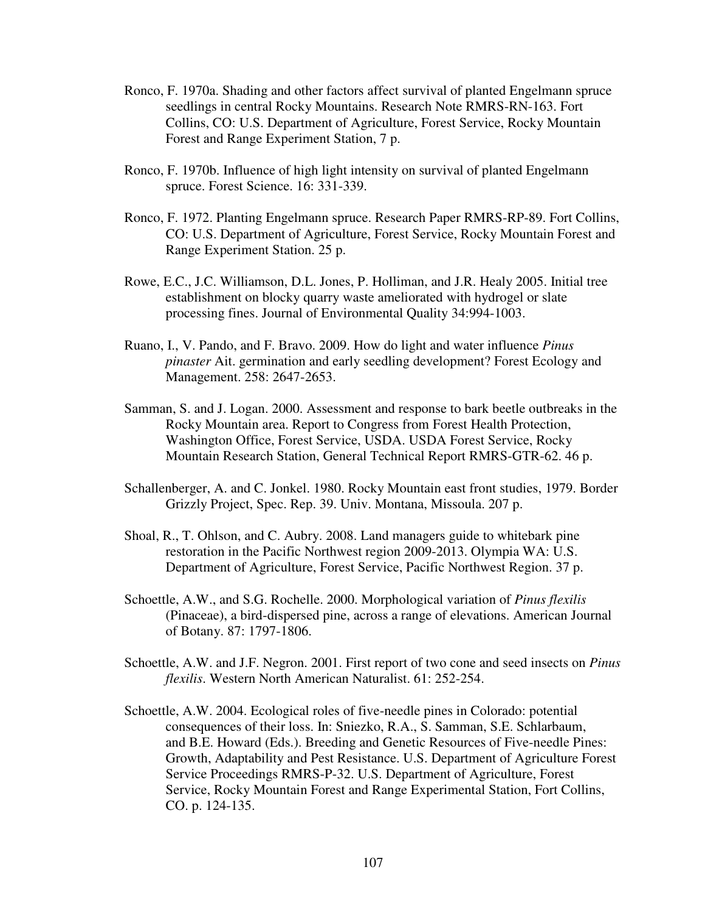- Ronco, F. 1970a. Shading and other factors affect survival of planted Engelmann spruce seedlings in central Rocky Mountains. Research Note RMRS-RN-163. Fort Collins, CO: U.S. Department of Agriculture, Forest Service, Rocky Mountain Forest and Range Experiment Station, 7 p.
- Ronco, F. 1970b. Influence of high light intensity on survival of planted Engelmann spruce. Forest Science. 16: 331-339.
- Ronco, F. 1972. Planting Engelmann spruce. Research Paper RMRS-RP-89. Fort Collins, CO: U.S. Department of Agriculture, Forest Service, Rocky Mountain Forest and Range Experiment Station. 25 p.
- Rowe, E.C., J.C. Williamson, D.L. Jones, P. Holliman, and J.R. Healy 2005. Initial tree establishment on blocky quarry waste ameliorated with hydrogel or slate processing fines. Journal of Environmental Quality 34:994-1003.
- Ruano, I., V. Pando, and F. Bravo. 2009. How do light and water influence *Pinus pinaster* Ait. germination and early seedling development? Forest Ecology and Management. 258: 2647-2653.
- Samman, S. and J. Logan. 2000. Assessment and response to bark beetle outbreaks in the Rocky Mountain area. Report to Congress from Forest Health Protection, Washington Office, Forest Service, USDA. USDA Forest Service, Rocky Mountain Research Station, General Technical Report RMRS-GTR-62. 46 p.
- Schallenberger, A. and C. Jonkel. 1980. Rocky Mountain east front studies, 1979. Border Grizzly Project, Spec. Rep. 39. Univ. Montana, Missoula. 207 p.
- Shoal, R., T. Ohlson, and C. Aubry. 2008. Land managers guide to whitebark pine restoration in the Pacific Northwest region 2009-2013. Olympia WA: U.S. Department of Agriculture, Forest Service, Pacific Northwest Region. 37 p.
- Schoettle, A.W., and S.G. Rochelle. 2000. Morphological variation of *Pinus flexilis* (Pinaceae), a bird-dispersed pine, across a range of elevations. American Journal of Botany. 87: 1797-1806.
- Schoettle, A.W. and J.F. Negron. 2001. First report of two cone and seed insects on *Pinus flexilis*. Western North American Naturalist. 61: 252-254.
- Schoettle, A.W. 2004. Ecological roles of five-needle pines in Colorado: potential consequences of their loss. In: Sniezko, R.A., S. Samman, S.E. Schlarbaum, and B.E. Howard (Eds.). Breeding and Genetic Resources of Five-needle Pines: Growth, Adaptability and Pest Resistance. U.S. Department of Agriculture Forest Service Proceedings RMRS-P-32. U.S. Department of Agriculture, Forest Service, Rocky Mountain Forest and Range Experimental Station, Fort Collins, CO. p. 124-135.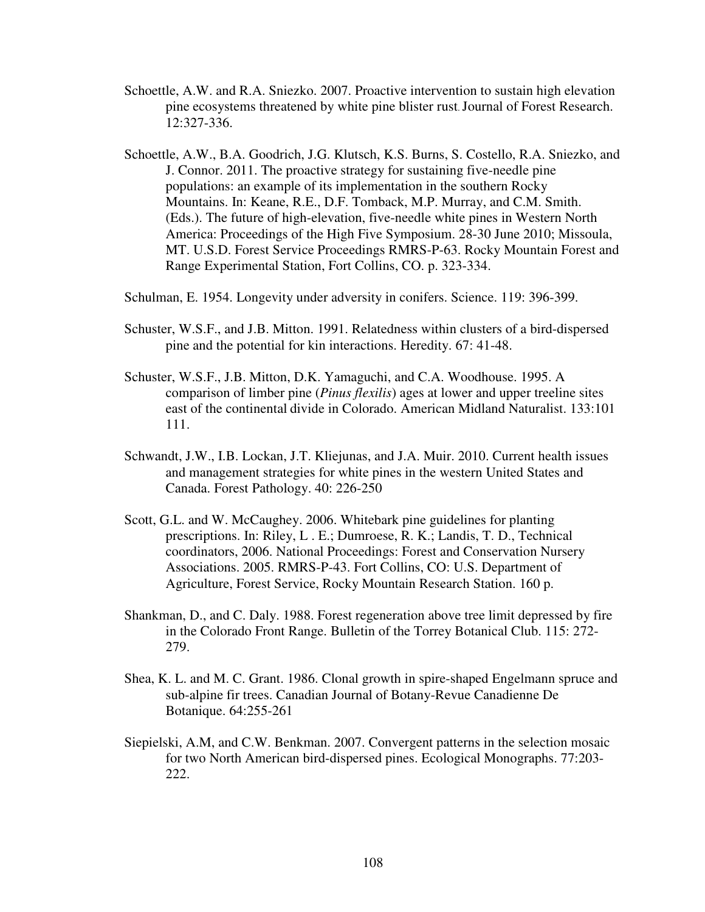- Schoettle, A.W. and R.A. Sniezko. 2007. Proactive intervention to sustain high elevation pine ecosystems threatened by white pine blister rust. Journal of Forest Research. 12:327-336.
- Schoettle, A.W., B.A. Goodrich, J.G. Klutsch, K.S. Burns, S. Costello, R.A. Sniezko, and J. Connor. 2011. The proactive strategy for sustaining five-needle pine populations: an example of its implementation in the southern Rocky Mountains. In: Keane, R.E., D.F. Tomback, M.P. Murray, and C.M. Smith. (Eds.). The future of high-elevation, five-needle white pines in Western North America: Proceedings of the High Five Symposium. 28-30 June 2010; Missoula, MT. U.S.D. Forest Service Proceedings RMRS-P-63. Rocky Mountain Forest and Range Experimental Station, Fort Collins, CO. p. 323-334.
- Schulman, E. 1954. Longevity under adversity in conifers. Science. 119: 396-399.
- Schuster, W.S.F., and J.B. Mitton. 1991. Relatedness within clusters of a bird-dispersed pine and the potential for kin interactions. Heredity. 67: 41-48.
- Schuster, W.S.F., J.B. Mitton, D.K. Yamaguchi, and C.A. Woodhouse. 1995. A comparison of limber pine (*Pinus flexilis*) ages at lower and upper treeline sites east of the continental divide in Colorado. American Midland Naturalist. 133:101 111.
- Schwandt, J.W., I.B. Lockan, J.T. Kliejunas, and J.A. Muir. 2010. Current health issues and management strategies for white pines in the western United States and Canada. Forest Pathology. 40: 226-250
- Scott, G.L. and W. McCaughey. 2006. Whitebark pine guidelines for planting prescriptions. In: Riley, L . E.; Dumroese, R. K.; Landis, T. D., Technical coordinators, 2006. National Proceedings: Forest and Conservation Nursery Associations. 2005. RMRS-P-43. Fort Collins, CO: U.S. Department of Agriculture, Forest Service, Rocky Mountain Research Station. 160 p.
- Shankman, D., and C. Daly. 1988. Forest regeneration above tree limit depressed by fire in the Colorado Front Range. Bulletin of the Torrey Botanical Club. 115: 272- 279.
- Shea, K. L. and M. C. Grant. 1986. Clonal growth in spire-shaped Engelmann spruce and sub-alpine fir trees. Canadian Journal of Botany-Revue Canadienne De Botanique. 64:255-261
- Siepielski, A.M, and C.W. Benkman. 2007. Convergent patterns in the selection mosaic for two North American bird-dispersed pines. Ecological Monographs. 77:203- 222.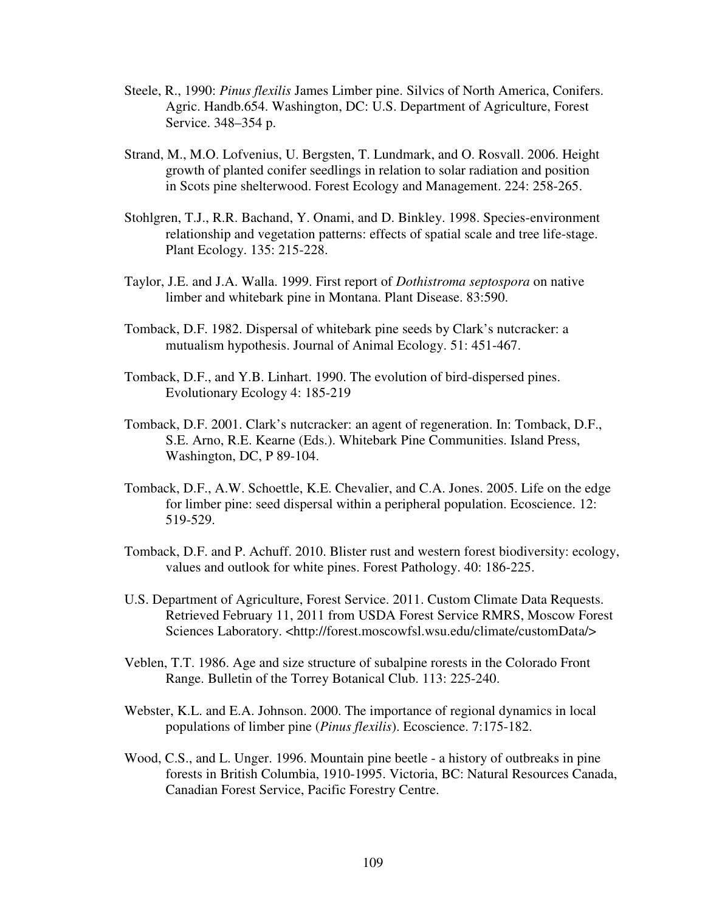- Steele, R., 1990: *Pinus flexilis* James Limber pine. Silvics of North America, Conifers. Agric. Handb.654. Washington, DC: U.S. Department of Agriculture, Forest Service. 348–354 p.
- Strand, M., M.O. Lofvenius, U. Bergsten, T. Lundmark, and O. Rosvall. 2006. Height growth of planted conifer seedlings in relation to solar radiation and position in Scots pine shelterwood. Forest Ecology and Management. 224: 258-265.
- Stohlgren, T.J., R.R. Bachand, Y. Onami, and D. Binkley. 1998. Species-environment relationship and vegetation patterns: effects of spatial scale and tree life-stage. Plant Ecology. 135: 215-228.
- Taylor, J.E. and J.A. Walla. 1999. First report of *Dothistroma septospora* on native limber and whitebark pine in Montana. Plant Disease. 83:590.
- Tomback, D.F. 1982. Dispersal of whitebark pine seeds by Clark's nutcracker: a mutualism hypothesis. Journal of Animal Ecology. 51: 451-467.
- Tomback, D.F., and Y.B. Linhart. 1990. The evolution of bird-dispersed pines. Evolutionary Ecology 4: 185-219
- Tomback, D.F. 2001. Clark's nutcracker: an agent of regeneration. In: Tomback, D.F., S.E. Arno, R.E. Kearne (Eds.). Whitebark Pine Communities. Island Press, Washington, DC, P 89-104.
- Tomback, D.F., A.W. Schoettle, K.E. Chevalier, and C.A. Jones. 2005. Life on the edge for limber pine: seed dispersal within a peripheral population. Ecoscience. 12: 519-529.
- Tomback, D.F. and P. Achuff. 2010. Blister rust and western forest biodiversity: ecology, values and outlook for white pines. Forest Pathology. 40: 186-225.
- U.S. Department of Agriculture, Forest Service. 2011. Custom Climate Data Requests. Retrieved February 11, 2011 from USDA Forest Service RMRS, Moscow Forest Sciences Laboratory. <http://forest.moscowfsl.wsu.edu/climate/customData/>
- Veblen, T.T. 1986. Age and size structure of subalpine rorests in the Colorado Front Range. Bulletin of the Torrey Botanical Club. 113: 225-240.
- Webster, K.L. and E.A. Johnson. 2000. The importance of regional dynamics in local populations of limber pine (*Pinus flexilis*). Ecoscience. 7:175-182.
- Wood, C.S., and L. Unger. 1996. Mountain pine beetle a history of outbreaks in pine forests in British Columbia, 1910-1995. Victoria, BC: Natural Resources Canada, Canadian Forest Service, Pacific Forestry Centre.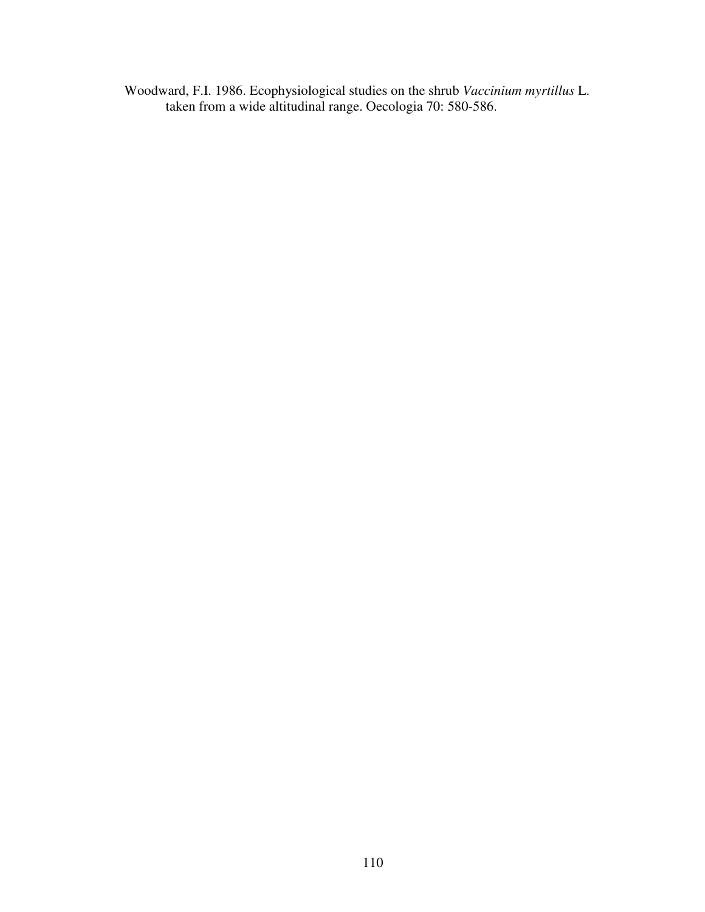Woodward, F.I. 1986. Ecophysiological studies on the shrub *Vaccinium myrtillus* L. taken from a wide altitudinal range. Oecologia 70: 580-586.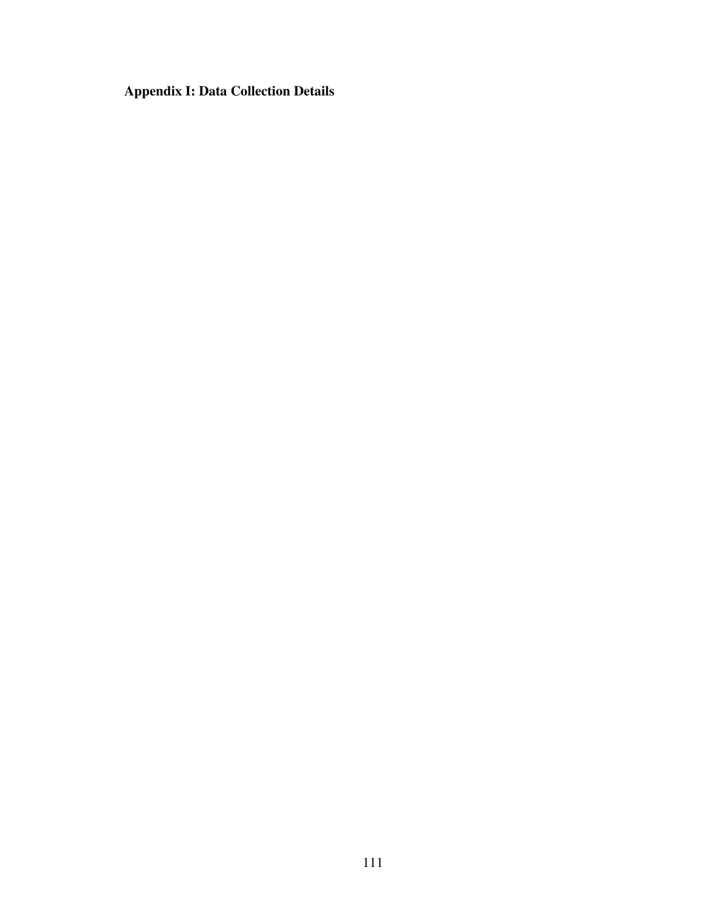**Appendix I: Data Collection Details**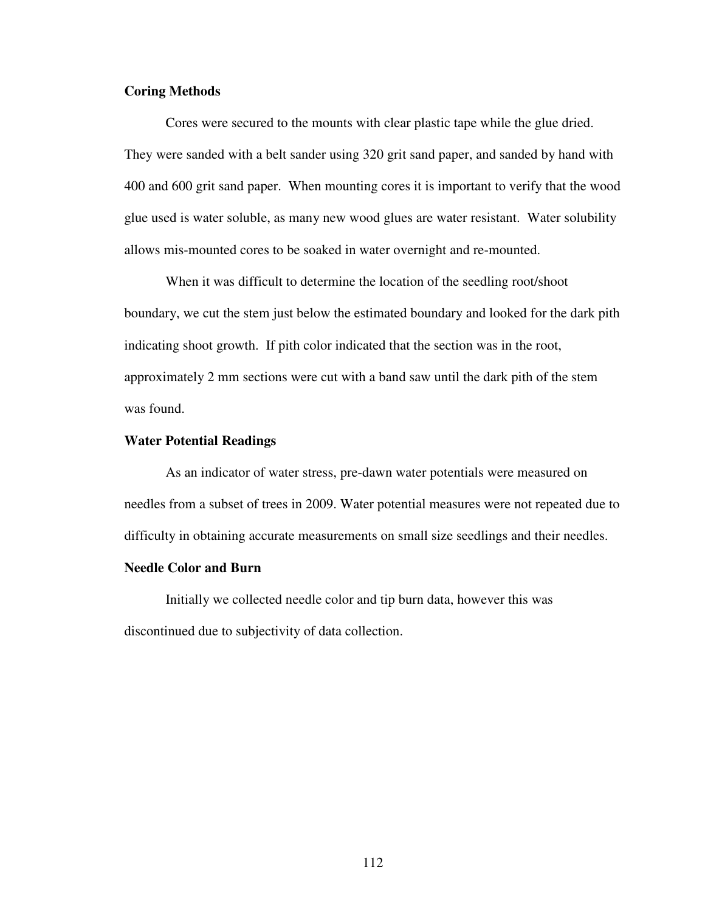## **Coring Methods**

Cores were secured to the mounts with clear plastic tape while the glue dried. They were sanded with a belt sander using 320 grit sand paper, and sanded by hand with 400 and 600 grit sand paper. When mounting cores it is important to verify that the wood glue used is water soluble, as many new wood glues are water resistant. Water solubility allows mis-mounted cores to be soaked in water overnight and re-mounted.

When it was difficult to determine the location of the seedling root/shoot boundary, we cut the stem just below the estimated boundary and looked for the dark pith indicating shoot growth. If pith color indicated that the section was in the root, approximately 2 mm sections were cut with a band saw until the dark pith of the stem was found.

### **Water Potential Readings**

As an indicator of water stress, pre-dawn water potentials were measured on needles from a subset of trees in 2009. Water potential measures were not repeated due to difficulty in obtaining accurate measurements on small size seedlings and their needles.

# **Needle Color and Burn**

Initially we collected needle color and tip burn data, however this was discontinued due to subjectivity of data collection.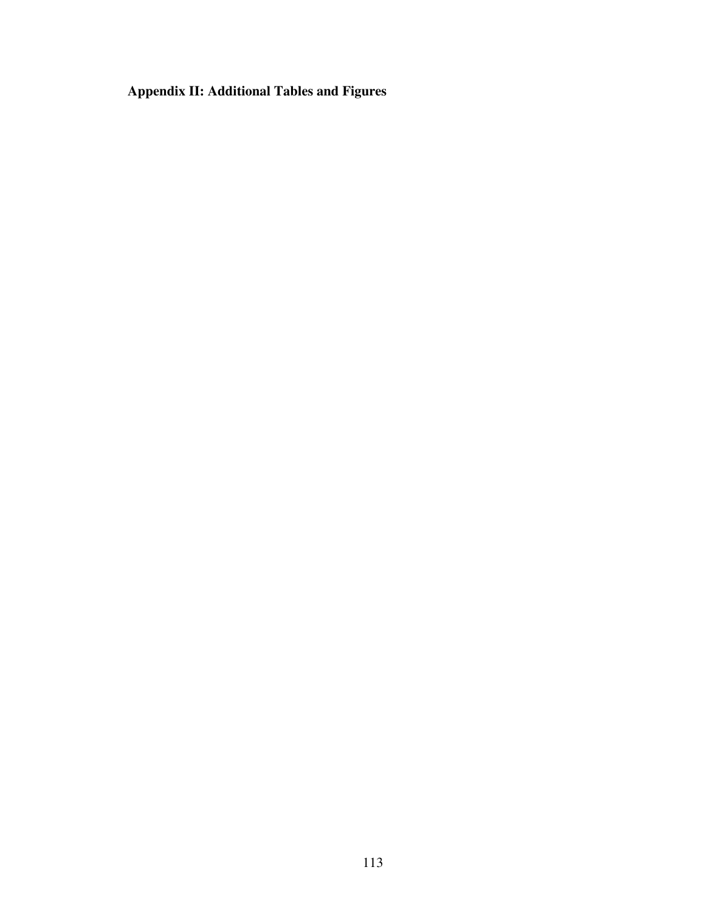**Appendix II: Additional Tables and Figures**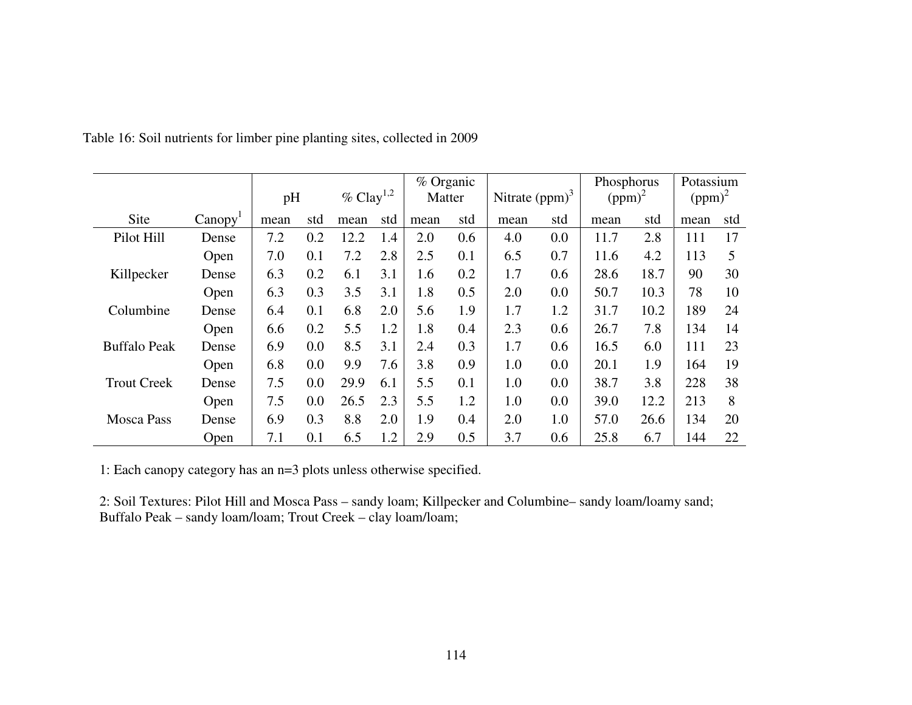|                     |                     | $\%$ Clay <sup>1,2</sup><br>pH |     | % Organic<br>Matter |     | Nitrate $(ppm)^3$ |     | Phosphorus<br>$(ppm)^2$ |     | Potassium<br>$(ppm)^2$ |      |      |     |
|---------------------|---------------------|--------------------------------|-----|---------------------|-----|-------------------|-----|-------------------------|-----|------------------------|------|------|-----|
|                     |                     |                                |     |                     |     |                   |     |                         |     |                        |      |      |     |
| Site                | Canopy <sup>1</sup> | mean                           | std | mean                | std | mean              | std | mean                    | std | mean                   | std  | mean | std |
| Pilot Hill          | Dense               | 7.2                            | 0.2 | 12.2                | 1.4 | 2.0               | 0.6 | 4.0                     | 0.0 | 11.7                   | 2.8  | 111  | 17  |
|                     | Open                | 7.0                            | 0.1 | 7.2                 | 2.8 | 2.5               | 0.1 | 6.5                     | 0.7 | 11.6                   | 4.2  | 113  | 5   |
| Killpecker          | Dense               | 6.3                            | 0.2 | 6.1                 | 3.1 | 1.6               | 0.2 | 1.7                     | 0.6 | 28.6                   | 18.7 | 90   | 30  |
|                     | Open                | 6.3                            | 0.3 | 3.5                 | 3.1 | 1.8               | 0.5 | 2.0                     | 0.0 | 50.7                   | 10.3 | 78   | 10  |
| Columbine           | Dense               | 6.4                            | 0.1 |                     | 2.0 | 5.6               | 1.9 | 1.7                     | 1.2 | 31.7                   | 10.2 | 189  | 24  |
|                     | Open                | 6.6                            | 0.2 | 5.5                 | 1.2 | 1.8               | 0.4 | 2.3                     | 0.6 | 26.7                   | 7.8  | 134  | 14  |
| <b>Buffalo Peak</b> | Dense               | 6.9                            | 0.0 | 8.5                 | 3.1 | 2.4               | 0.3 | 1.7                     | 0.6 | 16.5                   | 6.0  | 111  | 23  |
|                     | Open                | 6.8                            | 0.0 | 9.9                 | 7.6 | 3.8               | 0.9 | 1.0                     | 0.0 | 20.1                   | 1.9  | 164  | 19  |
| <b>Trout Creek</b>  | Dense               | 7.5                            | 0.0 | 29.9                | 6.1 | 5.5               | 0.1 | 1.0                     | 0.0 | 38.7                   | 3.8  | 228  | 38  |
|                     | Open                | 7.5                            | 0.0 | 26.5                | 2.3 | 5.5               | 1.2 | 1.0                     | 0.0 | 39.0                   | 12.2 | 213  | 8   |
| <b>Mosca Pass</b>   | Dense               | 6.9                            | 0.3 | 8.8                 | 2.0 | 1.9               | 0.4 | 2.0                     | 1.0 | 57.0                   | 26.6 | 134  | 20  |
|                     | Open                | 7.1                            | 0.1 | 6.5                 | 1.2 | 2.9               | 0.5 | 3.7                     | 0.6 | 25.8                   | 6.7  | 144  | 22  |

Table 16: Soil nutrients for limber pine planting sites, collected in 2009

1: Each canopy category has an n=3 plots unless otherwise specified.

2: Soil Textures: Pilot Hill and Mosca Pass – sandy loam; Killpecker and Columbine– sandy loam/loamy sand; Buffalo Peak – sandy loam/loam; Trout Creek – clay loam/loam;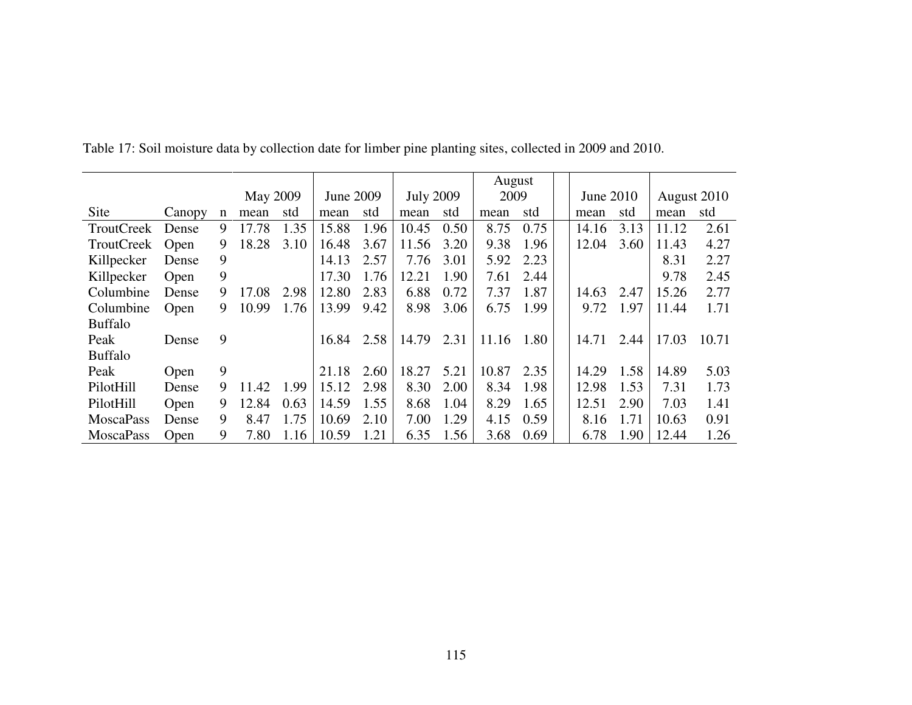|                   |        |   |                 |      |           |      |                  |      | August |      |           |      |             |       |
|-------------------|--------|---|-----------------|------|-----------|------|------------------|------|--------|------|-----------|------|-------------|-------|
|                   |        |   | <b>May 2009</b> |      | June 2009 |      | <b>July 2009</b> |      | 2009   |      | June 2010 |      | August 2010 |       |
| Site              | Canopy | n | mean            | std  | mean      | std  | mean             | std  | mean   | std  | mean      | std  | mean        | std   |
| <b>TroutCreek</b> | Dense  | 9 | 17.78           | 1.35 | 15.88     | 1.96 | 10.45            | 0.50 | 8.75   | 0.75 | 14.16     | 3.13 | 11.12       | 2.61  |
| <b>TroutCreek</b> | Open   | 9 | 18.28           | 3.10 | 16.48     | 3.67 | 11.56            | 3.20 | 9.38   | 1.96 | 12.04     | 3.60 | 11.43       | 4.27  |
| Killpecker        | Dense  | 9 |                 |      | 14.13     | 2.57 | 7.76             | 3.01 | 5.92   | 2.23 |           |      | 8.31        | 2.27  |
| Killpecker        | Open   | 9 |                 |      | 17.30     | 1.76 | 12.21            | 1.90 | 7.61   | 2.44 |           |      | 9.78        | 2.45  |
| Columbine         | Dense  | 9 | .08<br>17       | 2.98 | 12.80     | 2.83 | 6.88             | 0.72 | 7.37   | 1.87 | 14.63     | 2.47 | 15.26       | 2.77  |
| Columbine         | Open   | 9 | 10.99           | 1.76 | 13.99     | 9.42 | 8.98             | 3.06 | 6.75   | 1.99 | 9.72      | 1.97 | 11.44       | 1.71  |
| <b>Buffalo</b>    |        |   |                 |      |           |      |                  |      |        |      |           |      |             |       |
| Peak              | Dense  | 9 |                 |      | 16.84     | 2.58 | 14.79            | 2.31 | 11.16  | 1.80 | 14.71     | 2.44 | 17.03       | 10.71 |
| <b>Buffalo</b>    |        |   |                 |      |           |      |                  |      |        |      |           |      |             |       |
| Peak              | Open   | 9 |                 |      | 21.18     | 2.60 | 18.27            | 5.21 | 10.87  | 2.35 | 14.29     | 1.58 | 14.89       | 5.03  |
| PilotHill         | Dense  | 9 | 11.42           | 1.99 | 15.12     | 2.98 | 8.30             | 2.00 | 8.34   | 1.98 | 12.98     | 1.53 | 7.31        | 1.73  |
| PilotHill         | Open   | 9 | 12.84           | 0.63 | 14.59     | 1.55 | 8.68             | 1.04 | 8.29   | 1.65 | 12.51     | 2.90 | 7.03        | 1.41  |
| <b>MoscaPass</b>  | Dense  | 9 | 8.47            | 1.75 | 10.69     | 2.10 | 7.00             | 1.29 | 4.15   | 0.59 | 8.16      | 1.71 | 10.63       | 0.91  |
| <b>MoscaPass</b>  | Open   | 9 | 7.80            | 1.16 | 10.59     | 1.21 | 6.35             | 1.56 | 3.68   | 0.69 | 6.78      | 1.90 | 12.44       | 1.26  |

Table 17: Soil moisture data by collection date for limber pine planting sites, collected in 2009 and 2010.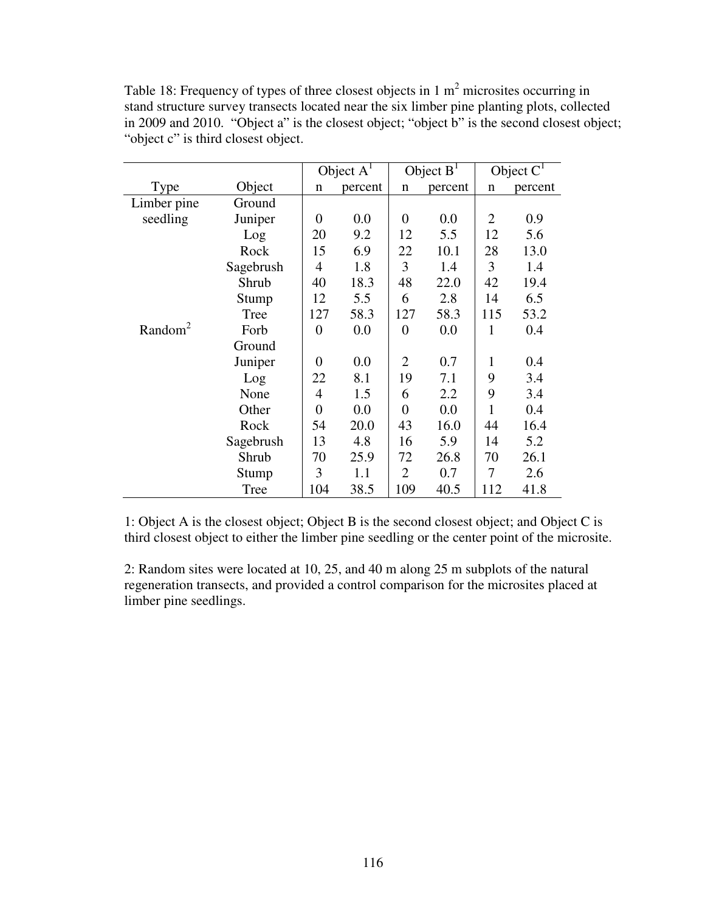| Table 18: Frequency of types of three closest objects in 1 $m2$ microsites occurring in      |
|----------------------------------------------------------------------------------------------|
| stand structure survey transects located near the six limber pine planting plots, collected  |
| in 2009 and 2010. "Object a" is the closest object; "object b" is the second closest object; |
| "object c" is third closest object.                                                          |

|                     |           |                | Object $A1$ |                | Object $B1$ |     | Object $CT$ |
|---------------------|-----------|----------------|-------------|----------------|-------------|-----|-------------|
| Type                | Object    | n              | percent     | n              | percent     | n   | percent     |
| Limber pine         | Ground    |                |             |                |             |     |             |
| seedling            | Juniper   | $\overline{0}$ | 0.0         | 0              | 0.0         | 2   | 0.9         |
|                     | Log       | 20             | 9.2         | 12             | 5.5         | 12  | 5.6         |
|                     | Rock      | 15             | 6.9         | 22             | 10.1        | 28  | 13.0        |
|                     | Sagebrush | $\overline{4}$ | 1.8         | 3              | 1.4         | 3   | 1.4         |
|                     | Shrub     | 40             | 18.3        | 48             | 22.0        | 42  | 19.4        |
|                     | Stump     | 12             | 5.5         | 6              | 2.8         | 14  | 6.5         |
|                     | Tree      | 127            | 58.3        | 127            | 58.3        | 115 | 53.2        |
| Random <sup>2</sup> | Forb      | $\overline{0}$ | 0.0         | $\overline{0}$ | 0.0         | 1   | 0.4         |
|                     | Ground    |                |             |                |             |     |             |
|                     | Juniper   | $\Omega$       | 0.0         | $\overline{2}$ | 0.7         | 1   | 0.4         |
|                     | Log       | 22             | 8.1         | 19             | 7.1         | 9   | 3.4         |
|                     | None      | $\overline{4}$ | 1.5         | 6              | 2.2         | 9   | 3.4         |
|                     | Other     | $\theta$       | 0.0         | $\overline{0}$ | 0.0         | 1   | 0.4         |
|                     | Rock      | 54             | 20.0        | 43             | 16.0        | 44  | 16.4        |
|                     | Sagebrush | 13             | 4.8         | 16             | 5.9         | 14  | 5.2         |
|                     | Shrub     | 70             | 25.9        | 72             | 26.8        | 70  | 26.1        |
|                     | Stump     | 3              | 1.1         | 2              | 0.7         | 7   | 2.6         |
|                     | Tree      | 104            | 38.5        | 109            | 40.5        | 112 | 41.8        |

1: Object A is the closest object; Object B is the second closest object; and Object C is third closest object to either the limber pine seedling or the center point of the microsite.

2: Random sites were located at 10, 25, and 40 m along 25 m subplots of the natural regeneration transects, and provided a control comparison for the microsites placed at limber pine seedlings.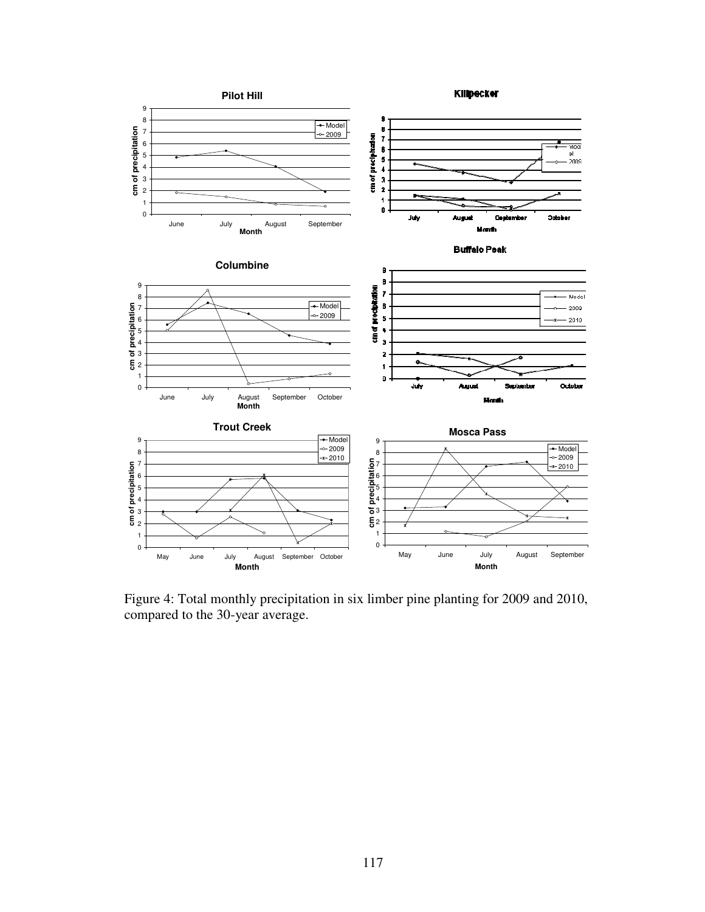

Figure 4: Total monthly precipitation in six limber pine planting for 2009 and 2010, compared to the 30-year average.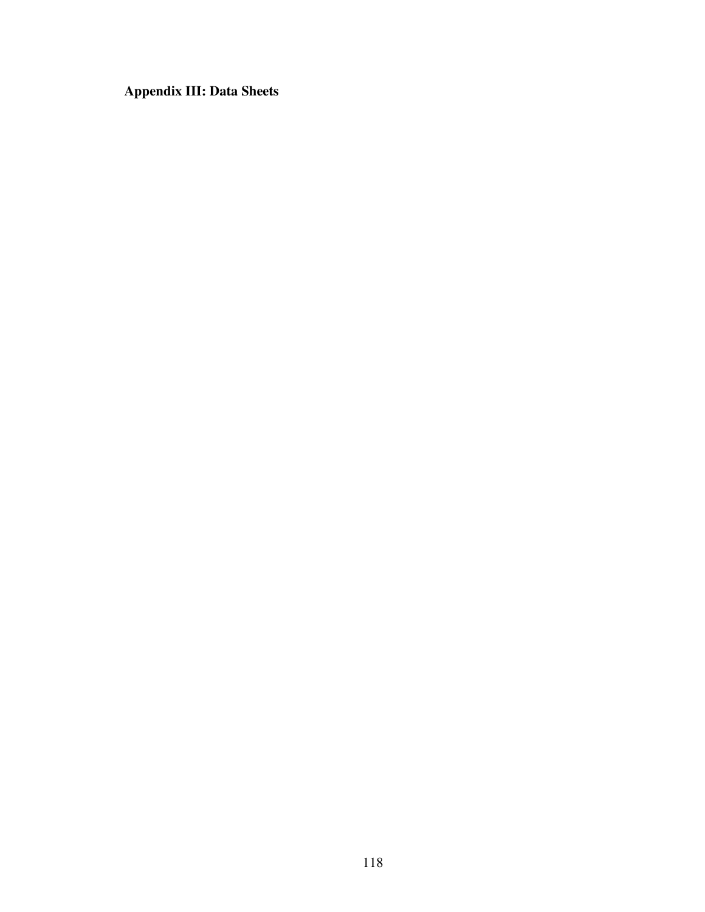**Appendix III: Data Sheets**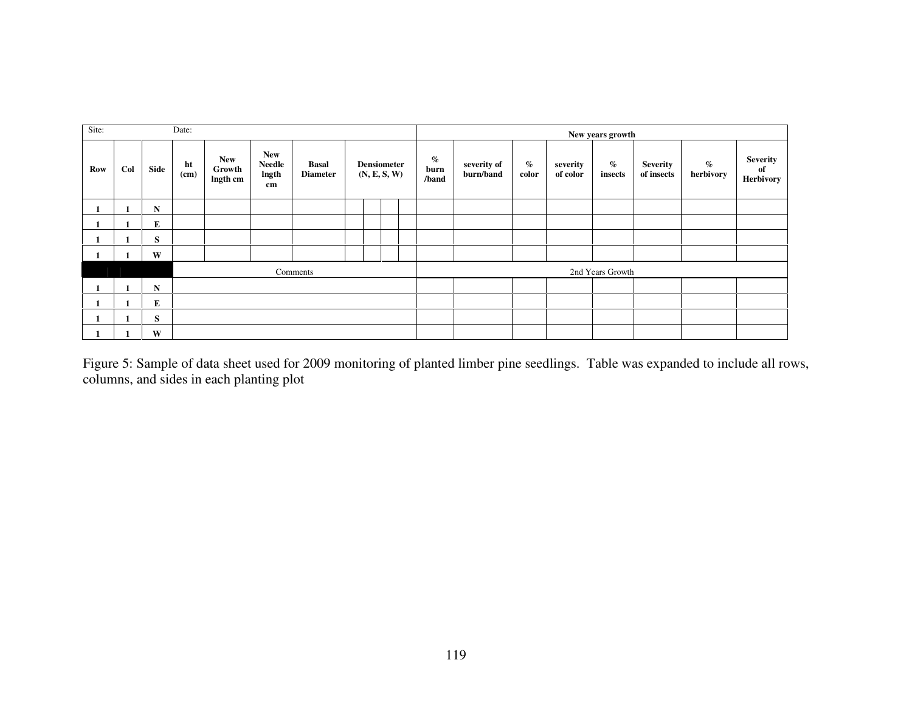| Site: |     |           | Date:      |                                  |                                            |                                 |  |  |                                    |                       |                          |               |                      | New years growth |                               |                   |                                           |
|-------|-----|-----------|------------|----------------------------------|--------------------------------------------|---------------------------------|--|--|------------------------------------|-----------------------|--------------------------|---------------|----------------------|------------------|-------------------------------|-------------------|-------------------------------------------|
| Row   | Col | Side      | ht<br>(cm) | <b>New</b><br>Growth<br>Ingth cm | <b>New</b><br><b>Needle</b><br>lngth<br>cm | <b>Basal</b><br><b>Diameter</b> |  |  | <b>Densiometer</b><br>(N, E, S, W) | $\%$<br>burn<br>/band | severity of<br>burn/band | $\%$<br>color | severity<br>of color | $\%$<br>insects  | <b>Severity</b><br>of insects | $\%$<br>herbivory | <b>Severity</b><br>of<br><b>Herbivory</b> |
|       |     | ${\bf N}$ |            |                                  |                                            |                                 |  |  |                                    |                       |                          |               |                      |                  |                               |                   |                                           |
|       |     | Е         |            |                                  |                                            |                                 |  |  |                                    |                       |                          |               |                      |                  |                               |                   |                                           |
|       |     | S         |            |                                  |                                            |                                 |  |  |                                    |                       |                          |               |                      |                  |                               |                   |                                           |
|       |     | W         |            |                                  |                                            |                                 |  |  |                                    |                       |                          |               |                      |                  |                               |                   |                                           |
|       |     |           |            |                                  |                                            | Comments                        |  |  |                                    |                       |                          |               |                      | 2nd Years Growth |                               |                   |                                           |
|       |     | N         |            |                                  |                                            |                                 |  |  |                                    |                       |                          |               |                      |                  |                               |                   |                                           |
|       |     | E         |            |                                  |                                            |                                 |  |  |                                    |                       |                          |               |                      |                  |                               |                   |                                           |
|       |     | S         |            |                                  |                                            |                                 |  |  |                                    |                       |                          |               |                      |                  |                               |                   |                                           |
|       |     | W         |            |                                  |                                            |                                 |  |  |                                    |                       |                          |               |                      |                  |                               |                   |                                           |

Figure 5: Sample of data sheet used for 2009 monitoring of planted limber pine seedlings. Table was expanded to include all rows, columns, and sides in each planting plot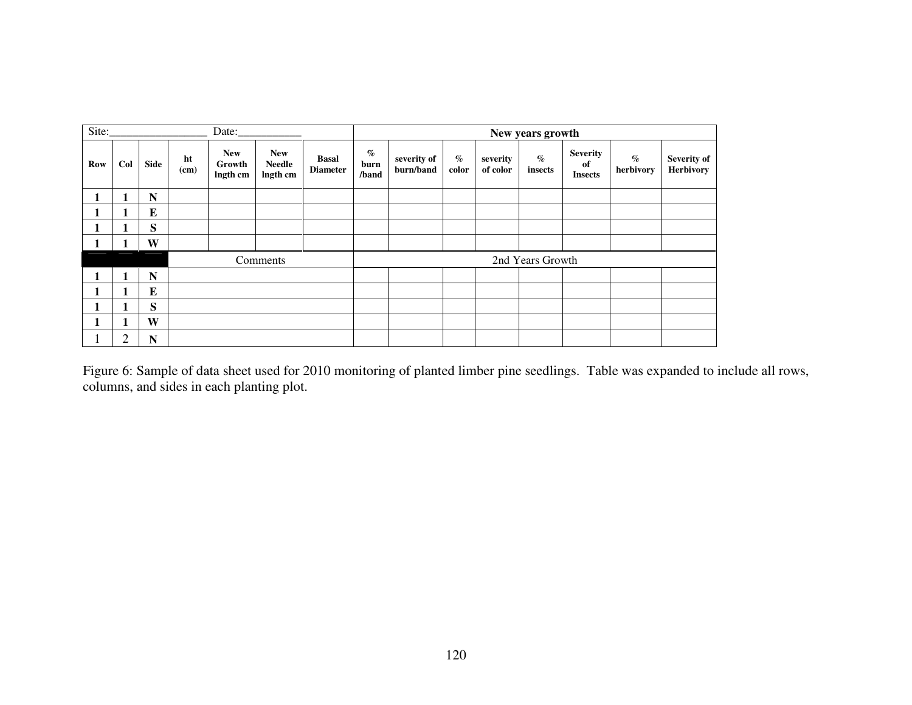| Site:      |                |             |            | Date:                            |                                         |                                 |                       |                          |               |                      | New years growth |                                         |                   |                          |
|------------|----------------|-------------|------------|----------------------------------|-----------------------------------------|---------------------------------|-----------------------|--------------------------|---------------|----------------------|------------------|-----------------------------------------|-------------------|--------------------------|
| <b>Row</b> | Col            | <b>Side</b> | ht<br>(cm) | <b>New</b><br>Growth<br>lngth cm | <b>New</b><br><b>Needle</b><br>lngth cm | <b>Basal</b><br><b>Diameter</b> | $\%$<br>burn<br>/band | severity of<br>burn/band | $\%$<br>color | severity<br>of color | $\%$<br>insects  | <b>Severity</b><br>of<br><b>Insects</b> | $\%$<br>herbivory | Severity of<br>Herbivory |
|            |                | N           |            |                                  |                                         |                                 |                       |                          |               |                      |                  |                                         |                   |                          |
|            |                | $\bf{E}$    |            |                                  |                                         |                                 |                       |                          |               |                      |                  |                                         |                   |                          |
|            |                | S           |            |                                  |                                         |                                 |                       |                          |               |                      |                  |                                         |                   |                          |
|            |                | W           |            |                                  |                                         |                                 |                       |                          |               |                      |                  |                                         |                   |                          |
|            |                |             |            |                                  | Comments                                |                                 |                       |                          |               |                      | 2nd Years Growth |                                         |                   |                          |
|            |                | N           |            |                                  |                                         |                                 |                       |                          |               |                      |                  |                                         |                   |                          |
|            |                | $\bf{E}$    |            |                                  |                                         |                                 |                       |                          |               |                      |                  |                                         |                   |                          |
|            | п              | S           |            |                                  |                                         |                                 |                       |                          |               |                      |                  |                                         |                   |                          |
|            |                | W           |            |                                  |                                         |                                 |                       |                          |               |                      |                  |                                         |                   |                          |
| Τ.         | $\overline{2}$ | N           |            |                                  |                                         |                                 |                       |                          |               |                      |                  |                                         |                   |                          |

Figure 6: Sample of data sheet used for 2010 monitoring of planted limber pine seedlings. Table was expanded to include all rows, columns, and sides in each planting plot.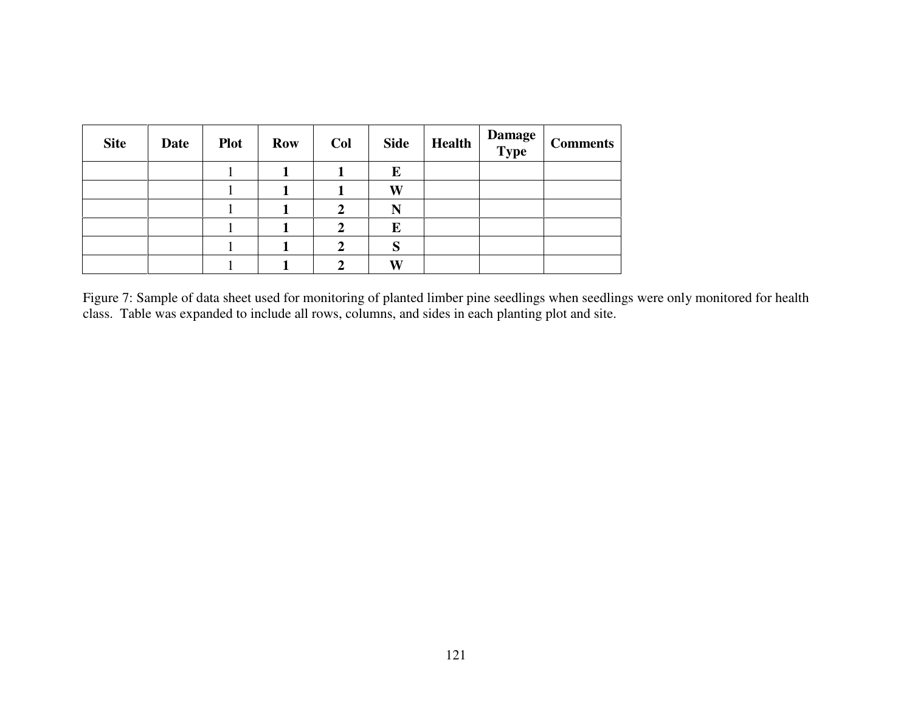| <b>Site</b> | <b>Date</b> | <b>Plot</b> | <b>Row</b> | Col | <b>Side</b> | <b>Health</b> | <b>Damage<br/>Type</b> | <b>Comments</b> |
|-------------|-------------|-------------|------------|-----|-------------|---------------|------------------------|-----------------|
|             |             |             |            |     | E           |               |                        |                 |
|             |             |             |            |     | W           |               |                        |                 |
|             |             |             |            |     | N           |               |                        |                 |
|             |             |             |            |     | E           |               |                        |                 |
|             |             |             |            |     | S           |               |                        |                 |
|             |             |             |            |     | W           |               |                        |                 |

Figure 7: Sample of data sheet used for monitoring of planted limber pine seedlings when seedlings were only monitored for health<br>class. Table was expanded to include all rows, columns, and sides in each planting plot and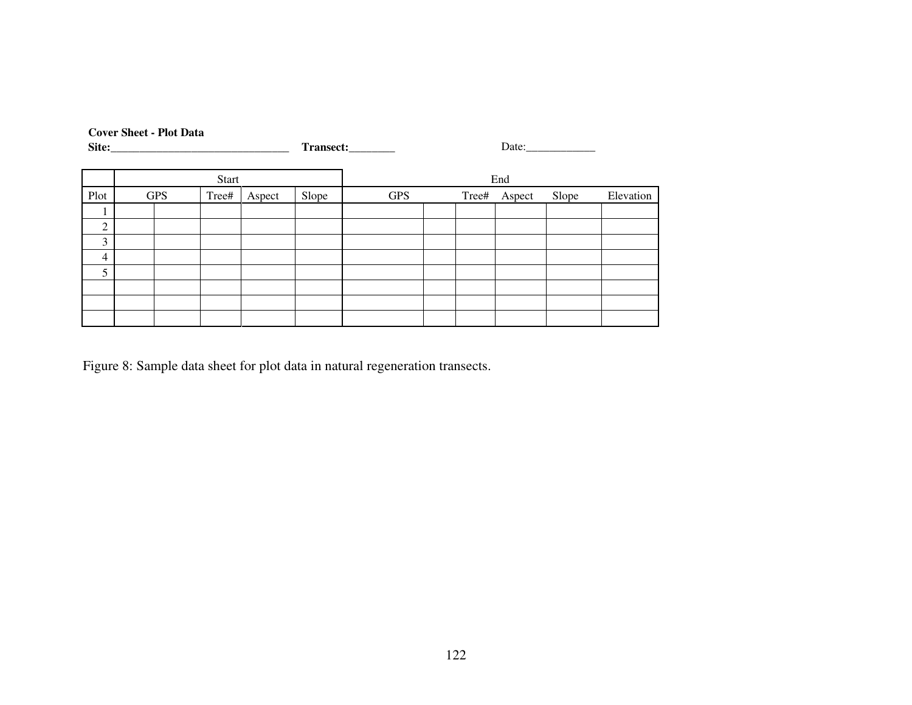|                | <b>Cover Sheet - Plot Data</b><br>Site: Site: |              |        |       | Transect:_________ | Date: |       |        |       |           |  |  |  |
|----------------|-----------------------------------------------|--------------|--------|-------|--------------------|-------|-------|--------|-------|-----------|--|--|--|
|                |                                               | <b>Start</b> |        |       |                    |       |       | End    |       |           |  |  |  |
| Plot           | <b>GPS</b>                                    | Tree#        | Aspect | Slope | <b>GPS</b>         |       | Tree# | Aspect | Slope | Elevation |  |  |  |
|                |                                               |              |        |       |                    |       |       |        |       |           |  |  |  |
| $\overline{2}$ |                                               |              |        |       |                    |       |       |        |       |           |  |  |  |
| 3              |                                               |              |        |       |                    |       |       |        |       |           |  |  |  |
| 4              |                                               |              |        |       |                    |       |       |        |       |           |  |  |  |
| 5              |                                               |              |        |       |                    |       |       |        |       |           |  |  |  |
|                |                                               |              |        |       |                    |       |       |        |       |           |  |  |  |
|                |                                               |              |        |       |                    |       |       |        |       |           |  |  |  |
|                |                                               |              |        |       |                    |       |       |        |       |           |  |  |  |

Figure 8: Sample data sheet for plot data in natural regeneration transects.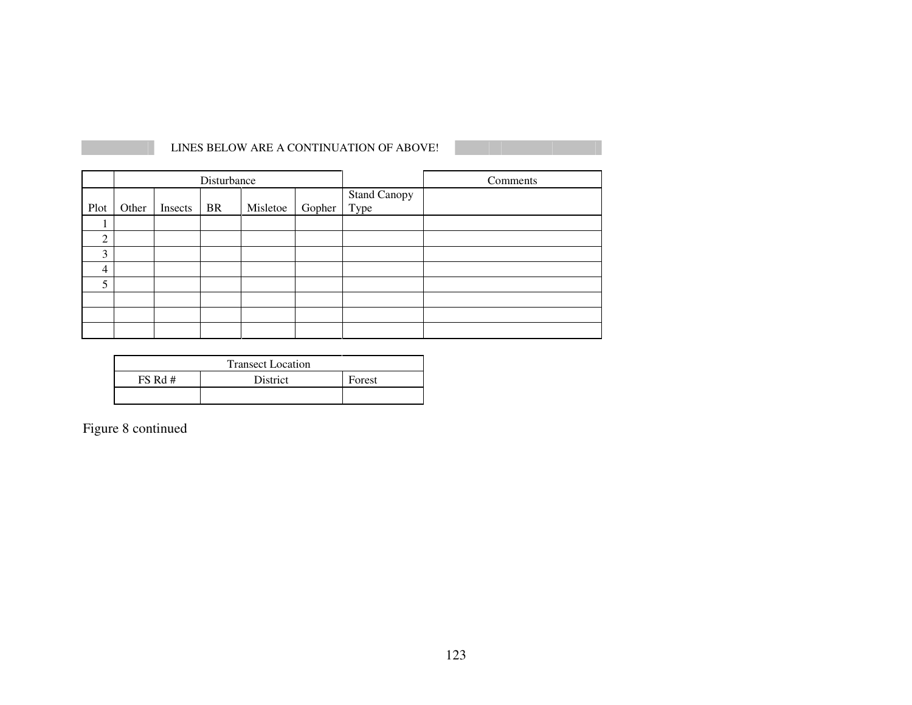|                |       |         | Disturbance |          |        |                             | Comments |
|----------------|-------|---------|-------------|----------|--------|-----------------------------|----------|
| Plot           | Other | Insects | <b>BR</b>   | Misletoe | Gopher | <b>Stand Canopy</b><br>Type |          |
|                |       |         |             |          |        |                             |          |
| $\overline{2}$ |       |         |             |          |        |                             |          |
| 3              |       |         |             |          |        |                             |          |
| 4              |       |         |             |          |        |                             |          |
| 5              |       |         |             |          |        |                             |          |
|                |       |         |             |          |        |                             |          |
|                |       |         |             |          |        |                             |          |
|                |       |         |             |          |        |                             |          |

LINES BELOW ARE A CONTINUATION OF ABOVE!

|         | <b>Transect Location</b> |        |
|---------|--------------------------|--------|
| FS Rd # | <b>District</b>          | Forest |
|         |                          |        |

Figure 8 continued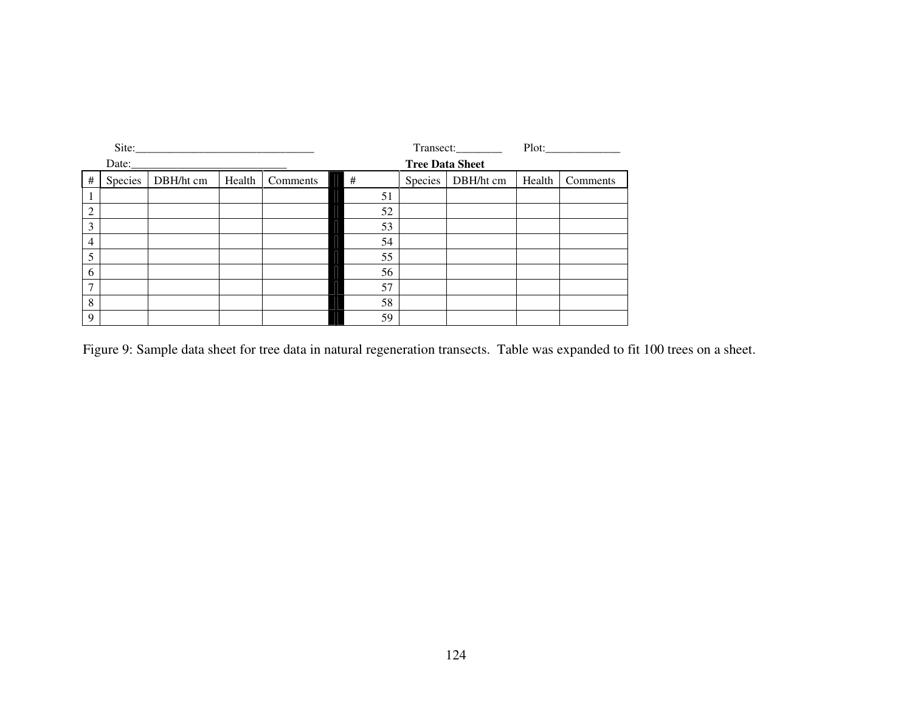|                | Site:   |           |        |          |    |                        | Transect:__________ |        |          |
|----------------|---------|-----------|--------|----------|----|------------------------|---------------------|--------|----------|
|                | Date:   |           |        |          |    | <b>Tree Data Sheet</b> |                     |        |          |
| $\#$           | Species | DBH/ht cm | Health | Comments | #  | Species                | DBH/ht cm           | Health | Comments |
|                |         |           |        |          | 51 |                        |                     |        |          |
| $\overline{2}$ |         |           |        |          | 52 |                        |                     |        |          |
| 3              |         |           |        |          | 53 |                        |                     |        |          |
| $\overline{4}$ |         |           |        |          | 54 |                        |                     |        |          |
| 5              |         |           |        |          | 55 |                        |                     |        |          |
| 6              |         |           |        |          | 56 |                        |                     |        |          |
| $\mathcal{I}$  |         |           |        |          | 57 |                        |                     |        |          |
| 8              |         |           |        |          | 58 |                        |                     |        |          |
| 9              |         |           |        |          | 59 |                        |                     |        |          |

Figure 9: Sample data sheet for tree data in natural regeneration transects. Table was expanded to fit 100 trees on a sheet.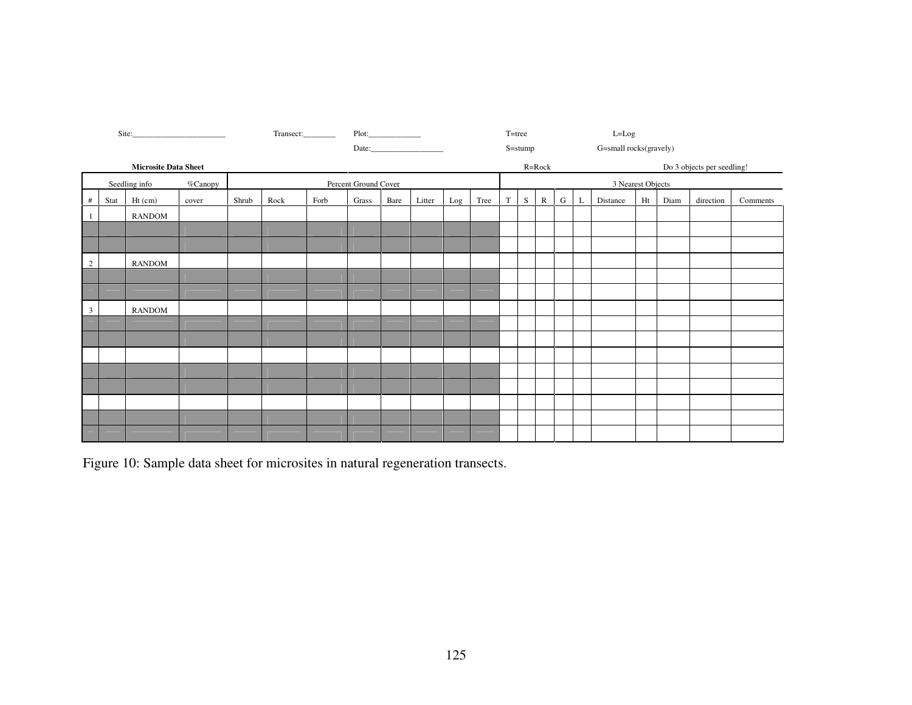|                         |      |                             |         | Transect:<br>Plot: |                       |  |                      |  |        |     | T=tree |   |         | $L = Log$    |             |   |                        |    |      |                            |          |
|-------------------------|------|-----------------------------|---------|--------------------|-----------------------|--|----------------------|--|--------|-----|--------|---|---------|--------------|-------------|---|------------------------|----|------|----------------------------|----------|
|                         |      |                             |         |                    |                       |  |                      |  | Date:  |     |        |   | S=stump |              |             |   | G=small rocks(gravely) |    |      |                            |          |
|                         |      | <b>Microsite Data Sheet</b> |         |                    |                       |  |                      |  |        |     |        |   |         | $R = Rock$   |             |   |                        |    |      | Do 3 objects per seedling! |          |
|                         |      | Seedling info               | %Canopy |                    |                       |  | Percent Ground Cover |  |        |     |        |   |         |              |             |   | 3 Nearest Objects      |    |      |                            |          |
| #                       | Stat | $Ht$ (cm)                   | cover   | Shrub              | Rock<br>Forb<br>Grass |  |                      |  | Litter | Log | Tree   | T | S       | $\mathbb{R}$ | $\mathbf G$ | L | Distance               | Ht | Diam | direction                  | Comments |
| $\mathbf{1}$            |      | <b>RANDOM</b>               |         |                    |                       |  |                      |  |        |     |        |   |         |              |             |   |                        |    |      |                            |          |
|                         |      |                             |         |                    |                       |  |                      |  |        |     |        |   |         |              |             |   |                        |    |      |                            |          |
|                         |      |                             |         |                    |                       |  |                      |  |        |     |        |   |         |              |             |   |                        |    |      |                            |          |
| $\overline{c}$          |      | <b>RANDOM</b>               |         |                    |                       |  |                      |  |        |     |        |   |         |              |             |   |                        |    |      |                            |          |
|                         |      |                             |         |                    |                       |  |                      |  |        |     |        |   |         |              |             |   |                        |    |      |                            |          |
|                         |      |                             |         |                    |                       |  |                      |  |        |     |        |   |         |              |             |   |                        |    |      |                            |          |
| $\overline{\mathbf{3}}$ |      | <b>RANDOM</b>               |         |                    |                       |  |                      |  |        |     |        |   |         |              |             |   |                        |    |      |                            |          |
|                         |      |                             |         |                    |                       |  |                      |  |        |     |        |   |         |              |             |   |                        |    |      |                            |          |
|                         |      |                             |         |                    |                       |  |                      |  |        |     |        |   |         |              |             |   |                        |    |      |                            |          |
|                         |      |                             |         |                    |                       |  |                      |  |        |     |        |   |         |              |             |   |                        |    |      |                            |          |
|                         |      |                             |         |                    |                       |  |                      |  |        |     |        |   |         |              |             |   |                        |    |      |                            |          |
|                         |      |                             |         |                    |                       |  |                      |  |        |     |        |   |         |              |             |   |                        |    |      |                            |          |
|                         |      |                             |         |                    |                       |  |                      |  |        |     |        |   |         |              |             |   |                        |    |      |                            |          |
|                         |      |                             |         |                    |                       |  |                      |  |        |     |        |   |         |              |             |   |                        |    |      |                            |          |
|                         |      |                             |         |                    |                       |  |                      |  |        |     |        |   |         |              |             |   |                        |    |      |                            |          |

Figure 10: Sample data sheet for microsites in natural regeneration transects.